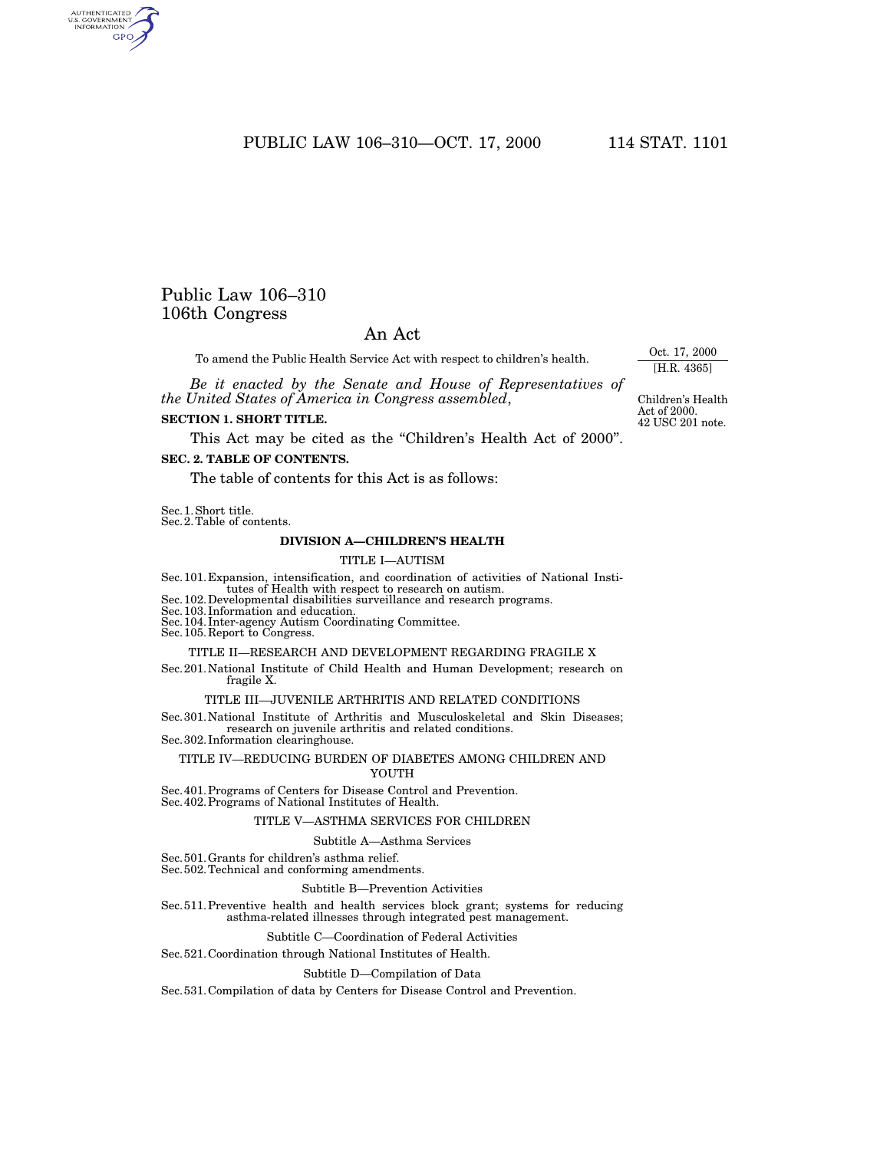PUBLIC LAW 106–310—OCT. 17, 2000 114 STAT. 1101

# Public Law 106–310 106th Congress

# An Act

To amend the Public Health Service Act with respect to children's health.

*Be it enacted by the Senate and House of Representatives of the United States of America in Congress assembled*,

### **SECTION 1. SHORT TITLE.**

This Act may be cited as the "Children's Health Act of 2000".

# **SEC. 2. TABLE OF CONTENTS.**

The table of contents for this Act is as follows:

Sec.1.Short title.

Sec.2.Table of contents.

### **DIVISION A—CHILDREN'S HEALTH**

### TITLE I—AUTISM

Sec.101.Expansion, intensification, and coordination of activities of National Insti-

 $\rm Sec.102.$  Developmental disabilities surveillance and research programs.

Sec.103.Information and education. Sec.104.Inter-agency Autism Coordinating Committee. Sec.105.Report to Congress.

#### TITLE II—RESEARCH AND DEVELOPMENT REGARDING FRAGILE X

Sec.201.National Institute of Child Health and Human Development; research on fragile X.

### TITLE III—JUVENILE ARTHRITIS AND RELATED CONDITIONS

Sec.301.National Institute of Arthritis and Musculoskeletal and Skin Diseases; research on juvenile arthritis and related conditions. Sec.302.Information clearinghouse.

TITLE IV—REDUCING BURDEN OF DIABETES AMONG CHILDREN AND YOUTH

Sec.401.Programs of Centers for Disease Control and Prevention. Sec.402.Programs of National Institutes of Health.

### TITLE V—ASTHMA SERVICES FOR CHILDREN

#### Subtitle A—Asthma Services

Sec.501.Grants for children's asthma relief.

Sec.502.Technical and conforming amendments.

### Subtitle B—Prevention Activities

Sec.511.Preventive health and health services block grant; systems for reducing asthma-related illnesses through integrated pest management.

### Subtitle C—Coordination of Federal Activities

# Sec.521.Coordination through National Institutes of Health.

### Subtitle D—Compilation of Data

Sec.531.Compilation of data by Centers for Disease Control and Prevention.

Oct. 17, 2000 [H.R. 4365]

42 USC 201 note. Children's Health Act of 2000.

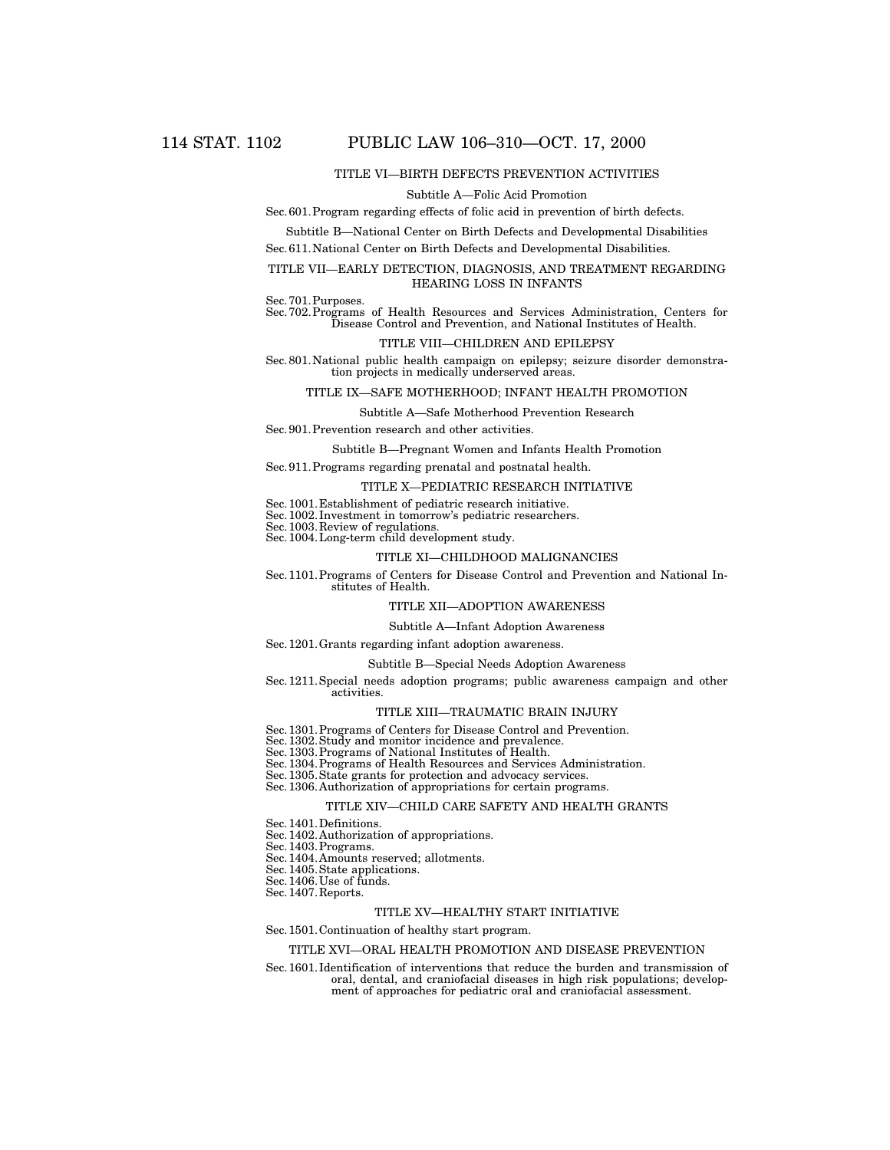### TITLE VI—BIRTH DEFECTS PREVENTION ACTIVITIES

#### Subtitle A—Folic Acid Promotion

### Sec.601.Program regarding effects of folic acid in prevention of birth defects.

Subtitle B—National Center on Birth Defects and Developmental Disabilities Sec.611.National Center on Birth Defects and Developmental Disabilities.

### TITLE VII—EARLY DETECTION, DIAGNOSIS, AND TREATMENT REGARDING HEARING LOSS IN INFANTS

Sec.701.Purposes. Sec.702.Programs of Health Resources and Services Administration, Centers for Disease Control and Prevention, and National Institutes of Health.

#### TITLE VIII—CHILDREN AND EPILEPSY

Sec.801.National public health campaign on epilepsy; seizure disorder demonstration projects in medically underserved areas.

### TITLE IX—SAFE MOTHERHOOD; INFANT HEALTH PROMOTION

### Subtitle A—Safe Motherhood Prevention Research

#### Sec.901.Prevention research and other activities.

Subtitle B—Pregnant Women and Infants Health Promotion

Sec.911.Programs regarding prenatal and postnatal health.

### TITLE X—PEDIATRIC RESEARCH INITIATIVE

Sec.1001.Establishment of pediatric research initiative.

Sec.1002.Investment in tomorrow's pediatric researchers. Sec.1003.Review of regulations.

Sec.1004.Long-term child development study.

### TITLE XI—CHILDHOOD MALIGNANCIES

Sec.1101.Programs of Centers for Disease Control and Prevention and National Institutes of Health.

### TITLE XII—ADOPTION AWARENESS

### Subtitle A—Infant Adoption Awareness

### Sec.1201.Grants regarding infant adoption awareness.

#### Subtitle B—Special Needs Adoption Awareness

Sec.1211.Special needs adoption programs; public awareness campaign and other activities.

#### TITLE XIII—TRAUMATIC BRAIN INJURY

Sec. 1301. Programs of Centers for Disease Control and Prevention.<br>Sec. 1302. Study and monitor incidence and prevalence.<br>Sec. 1303. Programs of National Institutes of Health.<br>Sec. 1304. Programs of Health Resources and Se

Sec.1305.State grants for protection and advocacy services. Sec.1306.Authorization of appropriations for certain programs.

### TITLE XIV—CHILD CARE SAFETY AND HEALTH GRANTS

Sec.1401.Definitions.

Sec.1402.Authorization of appropriations.

Sec.1403.Programs.

Sec.1404.Amounts reserved; allotments.

Sec.1405.State applications.

Sec. 1406. Use of funds.

Sec.1407.Reports.

### TITLE XV—HEALTHY START INITIATIVE

#### Sec.1501.Continuation of healthy start program.

#### TITLE XVI—ORAL HEALTH PROMOTION AND DISEASE PREVENTION

Sec.1601.Identification of interventions that reduce the burden and transmission of oral, dental, and craniofacial diseases in high risk populations; development of approaches for pediatric oral and craniofacial assessment.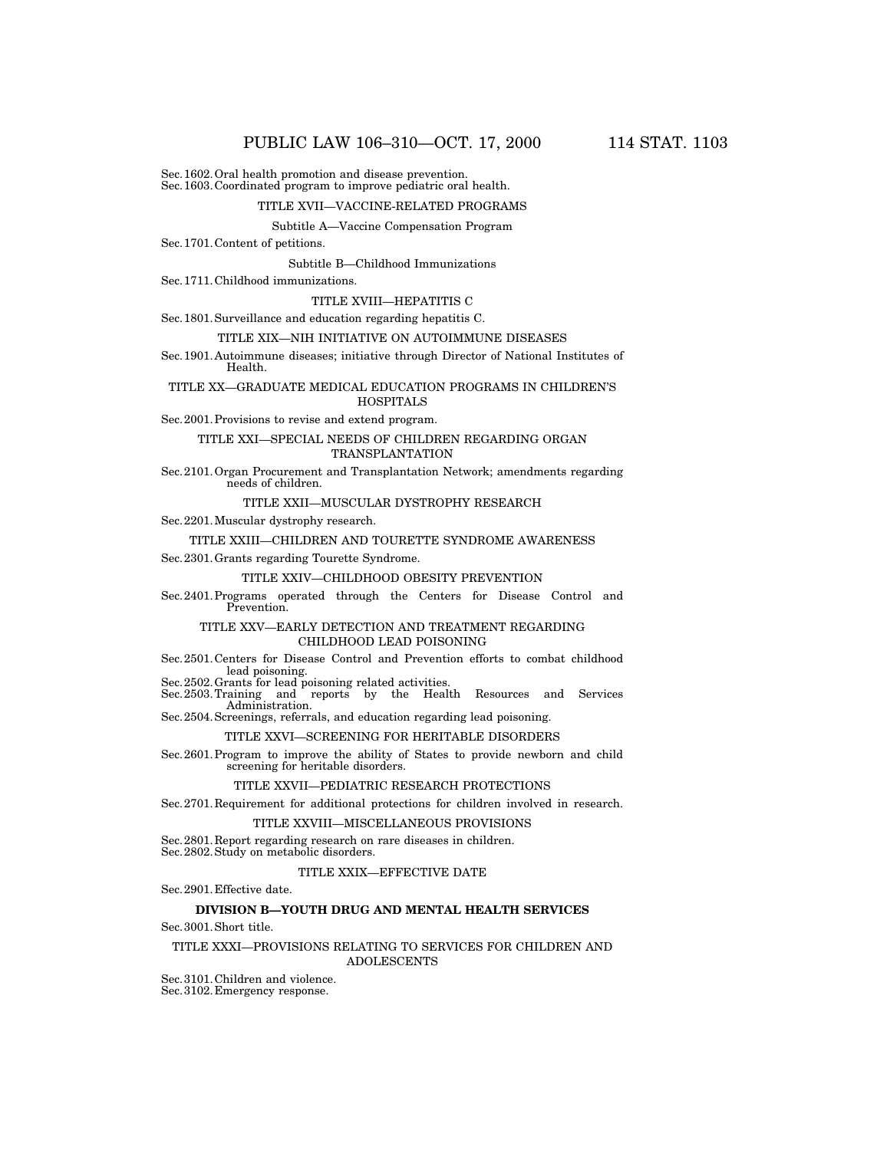Sec.1602.Oral health promotion and disease prevention. Sec.1603.Coordinated program to improve pediatric oral health.

### TITLE XVII—VACCINE-RELATED PROGRAMS

# Subtitle A—Vaccine Compensation Program

Sec.1701.Content of petitions.

Subtitle B—Childhood Immunizations

Sec.1711.Childhood immunizations.

#### TITLE XVIII—HEPATITIS C

Sec.1801.Surveillance and education regarding hepatitis C.

### TITLE XIX—NIH INITIATIVE ON AUTOIMMUNE DISEASES

Sec.1901.Autoimmune diseases; initiative through Director of National Institutes of Health.

### TITLE XX—GRADUATE MEDICAL EDUCATION PROGRAMS IN CHILDREN'S HOSPITALS

Sec.2001.Provisions to revise and extend program.

### TITLE XXI—SPECIAL NEEDS OF CHILDREN REGARDING ORGAN TRANSPLANTATION

Sec.2101.Organ Procurement and Transplantation Network; amendments regarding needs of children.

### TITLE XXII—MUSCULAR DYSTROPHY RESEARCH

Sec.2201.Muscular dystrophy research.

#### TITLE XXIII—CHILDREN AND TOURETTE SYNDROME AWARENESS

Sec.2301.Grants regarding Tourette Syndrome.

#### TITLE XXIV—CHILDHOOD OBESITY PREVENTION

Sec.2401.Programs operated through the Centers for Disease Control and Prevention.

### TITLE XXV—EARLY DETECTION AND TREATMENT REGARDING CHILDHOOD LEAD POISONING

Sec.2501.Centers for Disease Control and Prevention efforts to combat childhood lead poisoning. Sec.2502.Grants for lead poisoning related activities.

Sec.2503.Training and reports by the Health Resources and Services Administration. Sec.2504.Screenings, referrals, and education regarding lead poisoning.

# TITLE XXVI—SCREENING FOR HERITABLE DISORDERS

Sec.2601.Program to improve the ability of States to provide newborn and child screening for heritable disorders.

#### TITLE XXVII—PEDIATRIC RESEARCH PROTECTIONS

Sec.2701.Requirement for additional protections for children involved in research.

#### TITLE XXVIII—MISCELLANEOUS PROVISIONS

Sec.2801.Report regarding research on rare diseases in children. Sec.2802.Study on metabolic disorders.

### TITLE XXIX—EFFECTIVE DATE

Sec.2901.Effective date.

### **DIVISION B—YOUTH DRUG AND MENTAL HEALTH SERVICES**

Sec.3001.Short title.

### TITLE XXXI—PROVISIONS RELATING TO SERVICES FOR CHILDREN AND

ADOLESCENTS

Sec.3101.Children and violence.

Sec.3102.Emergency response.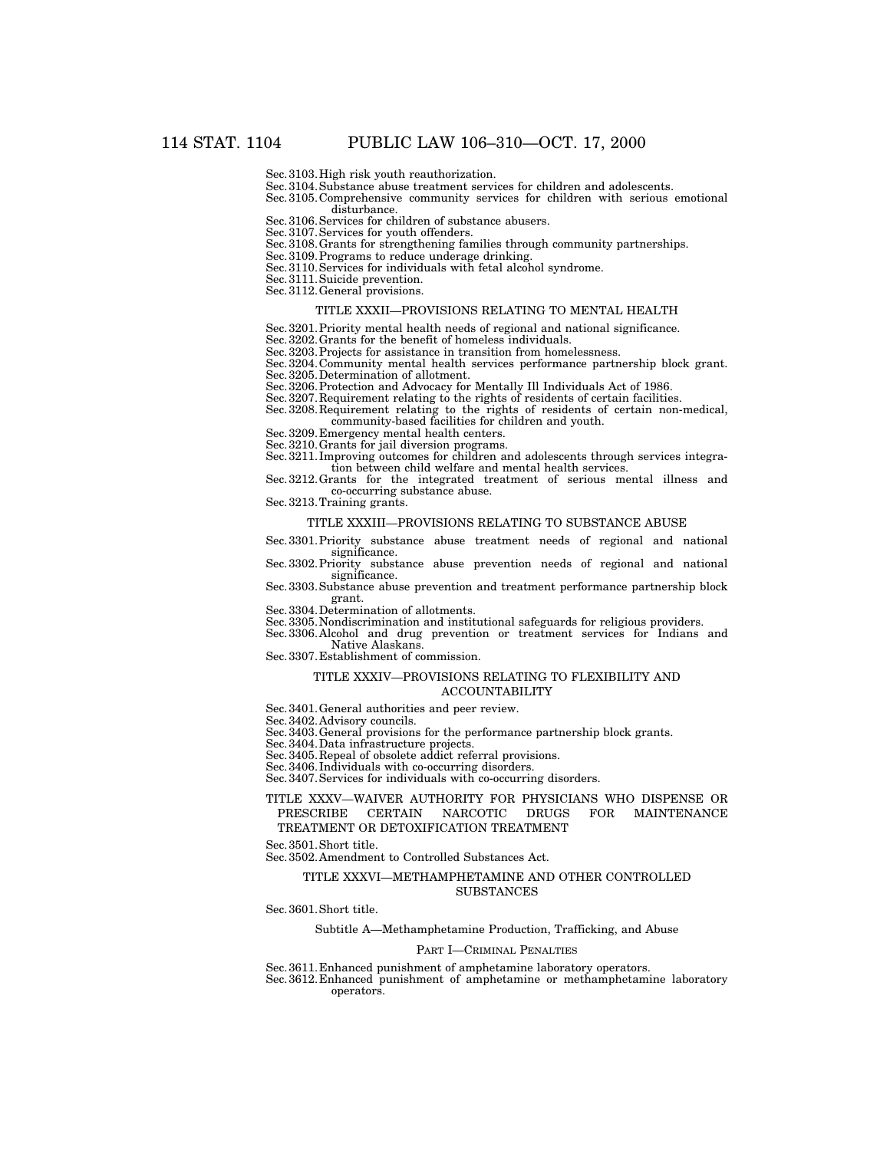Sec.3103.High risk youth reauthorization.

Sec.3104.Substance abuse treatment services for children and adolescents.

Sec.3105.Comprehensive community services for children with serious emotional disturbance.

Sec.3106.Services for children of substance abusers. Sec.3107.Services for youth offenders.

Sec.3108.Grants for strengthening families through community partnerships.

Sec.3109.Programs to reduce underage drinking.

Sec.3110.Services for individuals with fetal alcohol syndrome.

Sec.3111.Suicide prevention.

Sec. 3112. General provisions.

### TITLE XXXII—PROVISIONS RELATING TO MENTAL HEALTH

Sec.3201.Priority mental health needs of regional and national significance.

Sec.3202.Grants for the benefit of homeless individuals.

Sec.3203.Projects for assistance in transition from homelessness.

Sec.3204.Community mental health services performance partnership block grant.

Sec.3205.Determination of allotment.

Sec.3206.Protection and Advocacy for Mentally Ill Individuals Act of 1986.

Sec. 3207. Requirement relating to the rights of residents of certain facilities.

Sec.3208.Requirement relating to the rights of residents of certain non-medical, community-based facilities for children and youth.

Sec.3209.Emergency mental health centers.

Sec.3210.Grants for jail diversion programs.

Sec.3211.Improving outcomes for children and adolescents through services integration between child welfare and mental health services.

Sec.3212.Grants for the integrated treatment of serious mental illness and co-occurring substance abuse.

Sec.3213.Training grants.

#### TITLE XXXIII—PROVISIONS RELATING TO SUBSTANCE ABUSE

Sec.3301.Priority substance abuse treatment needs of regional and national significance.

Sec.3302.Priority substance abuse prevention needs of regional and national significance.

Sec.3303.Substance abuse prevention and treatment performance partnership block grant.

Sec.3304.Determination of allotments.

Sec.3305.Nondiscrimination and institutional safeguards for religious providers.

Sec.3306.Alcohol and drug prevention or treatment services for Indians and Native Alaskans.

Sec.3307.Establishment of commission.

# TITLE XXXIV—PROVISIONS RELATING TO FLEXIBILITY AND

# ACCOUNTABILITY

Sec.3401.General authorities and peer review.

Sec.3402.Advisory councils.

Sec.3403.General provisions for the performance partnership block grants.

Sec.3404.Data infrastructure projects.

Sec.3405.Repeal of obsolete addict referral provisions.

Sec.3406.Individuals with co-occurring disorders.

Sec.3407.Services for individuals with co-occurring disorders.

### TITLE XXXV—WAIVER AUTHORITY FOR PHYSICIANS WHO DISPENSE OR PRESCRIBE CERTAIN NARCOTIC DRUGS FOR MAINTENANCE TREATMENT OR DETOXIFICATION TREATMENT

Sec.3501.Short title.

Sec.3502.Amendment to Controlled Substances Act.

### TITLE XXXVI—METHAMPHETAMINE AND OTHER CONTROLLED SUBSTANCES

Sec.3601.Short title.

#### Subtitle A—Methamphetamine Production, Trafficking, and Abuse

#### PART I—CRIMINAL PENALTIES

Sec.3611.Enhanced punishment of amphetamine laboratory operators.

Sec.3612.Enhanced punishment of amphetamine or methamphetamine laboratory operators.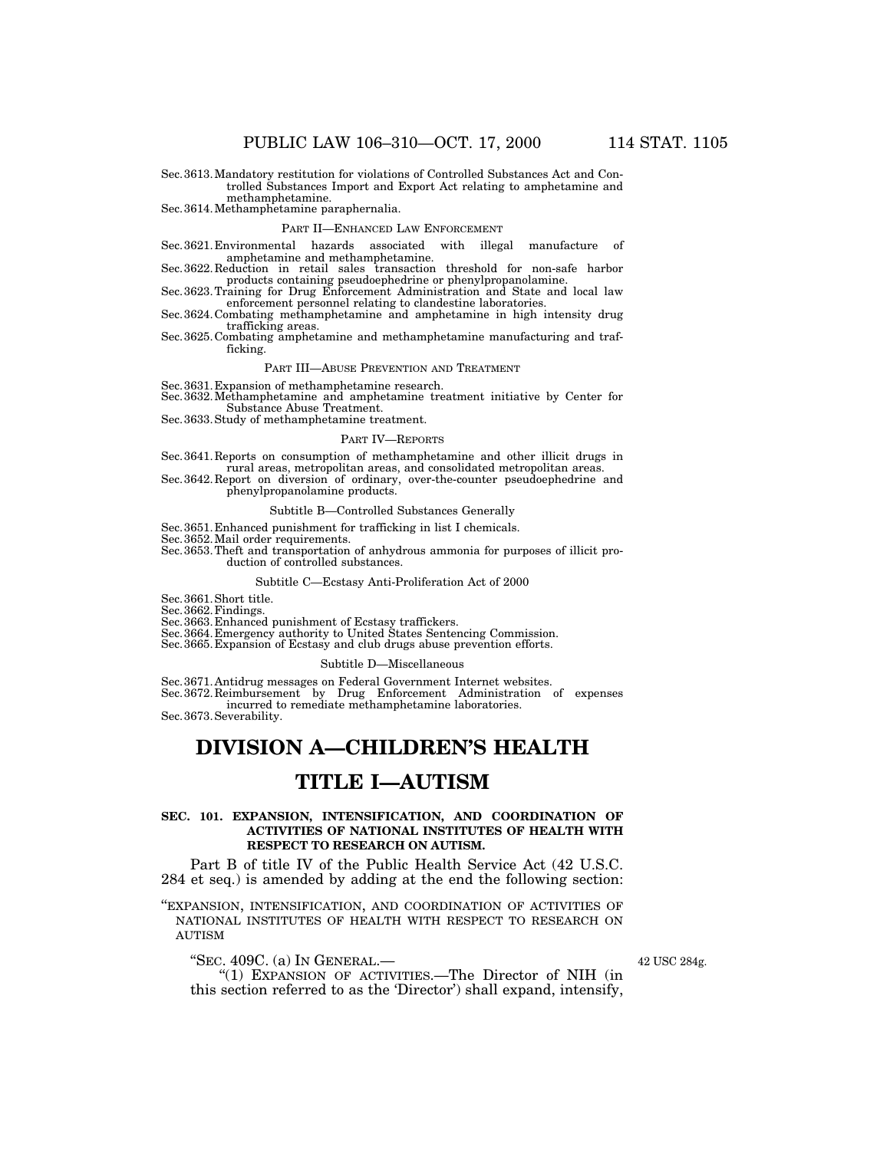Sec.3613.Mandatory restitution for violations of Controlled Substances Act and Controlled Substances Import and Export Act relating to amphetamine and methamphetamine.

Sec.3614.Methamphetamine paraphernalia.

#### PART II—ENHANCED LAW ENFORCEMENT

Sec.3621.Environmental hazards associated with illegal manufacture of

amphetamine and methamphetamine. Sec.3622.Reduction in retail sales transaction threshold for non-safe harbor products containing pseudoephedrine or phenylpropanolamine. Sec.3623.Training for Drug Enforcement Administration and State and local law

enforcement personnel relating to clandestine laboratories.

Sec.3624.Combating methamphetamine and amphetamine in high intensity drug trafficking areas.

Sec.3625.Combating amphetamine and methamphetamine manufacturing and trafficking.

#### PART III—ABUSE PREVENTION AND TREATMENT

Sec.3631.Expansion of methamphetamine research.

Sec.3632.Methamphetamine and amphetamine treatment initiative by Center for Substance Abuse Treatment.

Sec.3633.Study of methamphetamine treatment.

#### PART IV—REPORTS

Sec.3641.Reports on consumption of methamphetamine and other illicit drugs in rural areas, metropolitan areas, and consolidated metropolitan areas.

Sec.3642.Report on diversion of ordinary, over-the-counter pseudoephedrine and phenylpropanolamine products.

### Subtitle B—Controlled Substances Generally

Sec.3651.Enhanced punishment for trafficking in list I chemicals.

Sec.3652.Mail order requirements.

Sec.3653.Theft and transportation of anhydrous ammonia for purposes of illicit production of controlled substances.

### Subtitle C—Ecstasy Anti-Proliferation Act of 2000

Sec.3661.Short title.

Sec. 3662. Findings.

Sec.3663.Enhanced punishment of Ecstasy traffickers. Sec.3664.Emergency authority to United States Sentencing Commission.

Sec.3665.Expansion of Ecstasy and club drugs abuse prevention efforts.

### Subtitle D—Miscellaneous

Sec.3671.Antidrug messages on Federal Government Internet websites.

Sec.3672.Reimbursement by Drug Enforcement Administration of expenses incurred to remediate methamphetamine laboratories.

Sec.3673.Severability.

# **DIVISION A—CHILDREN'S HEALTH**

# **TITLE I—AUTISM**

### **SEC. 101. EXPANSION, INTENSIFICATION, AND COORDINATION OF ACTIVITIES OF NATIONAL INSTITUTES OF HEALTH WITH RESPECT TO RESEARCH ON AUTISM.**

Part B of title IV of the Public Health Service Act (42 U.S.C. 284 et seq.) is amended by adding at the end the following section:

''EXPANSION, INTENSIFICATION, AND COORDINATION OF ACTIVITIES OF NATIONAL INSTITUTES OF HEALTH WITH RESPECT TO RESEARCH ON AUTISM

# ''SEC. 409C. (a) IN GENERAL.—

''(1) EXPANSION OF ACTIVITIES.—The Director of NIH (in this section referred to as the 'Director') shall expand, intensify,

42 USC 284g.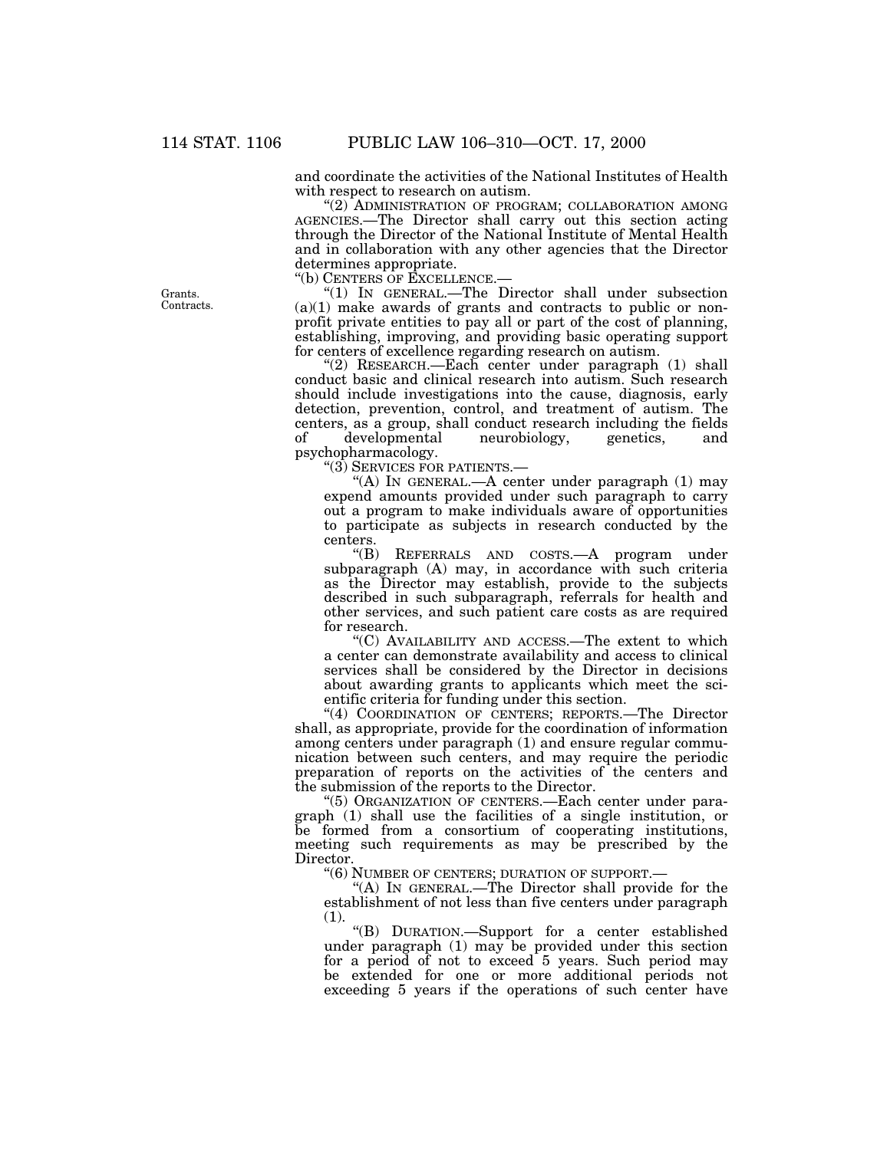and coordinate the activities of the National Institutes of Health with respect to research on autism.

''(2) ADMINISTRATION OF PROGRAM; COLLABORATION AMONG AGENCIES.—The Director shall carry out this section acting through the Director of the National Institute of Mental Health and in collaboration with any other agencies that the Director determines appropriate.

''(b) CENTERS OF EXCELLENCE.—

''(1) IN GENERAL.—The Director shall under subsection  $(a)(1)$  make awards of grants and contracts to public or nonprofit private entities to pay all or part of the cost of planning, establishing, improving, and providing basic operating support for centers of excellence regarding research on autism.

''(2) RESEARCH.—Each center under paragraph (1) shall conduct basic and clinical research into autism. Such research should include investigations into the cause, diagnosis, early detection, prevention, control, and treatment of autism. The centers, as a group, shall conduct research including the fields developmental neurobiology, genetics, psychopharmacology.

''(3) SERVICES FOR PATIENTS.—

''(A) IN GENERAL.—A center under paragraph (1) may expend amounts provided under such paragraph to carry out a program to make individuals aware of opportunities to participate as subjects in research conducted by the centers.

''(B) REFERRALS AND COSTS.—A program under subparagraph (A) may, in accordance with such criteria as the Director may establish, provide to the subjects described in such subparagraph, referrals for health and other services, and such patient care costs as are required for research.

''(C) AVAILABILITY AND ACCESS.—The extent to which a center can demonstrate availability and access to clinical services shall be considered by the Director in decisions about awarding grants to applicants which meet the scientific criteria for funding under this section.

"(4) COORDINATION OF CENTERS; REPORTS.—The Director shall, as appropriate, provide for the coordination of information among centers under paragraph (1) and ensure regular communication between such centers, and may require the periodic preparation of reports on the activities of the centers and the submission of the reports to the Director.

''(5) ORGANIZATION OF CENTERS.—Each center under paragraph (1) shall use the facilities of a single institution, or be formed from a consortium of cooperating institutions, meeting such requirements as may be prescribed by the Director.

''(6) NUMBER OF CENTERS; DURATION OF SUPPORT.—

''(A) IN GENERAL.—The Director shall provide for the establishment of not less than five centers under paragraph (1).

''(B) DURATION.—Support for a center established under paragraph (1) may be provided under this section for a period of not to exceed 5 years. Such period may be extended for one or more additional periods not exceeding 5 years if the operations of such center have

Grants. Contracts.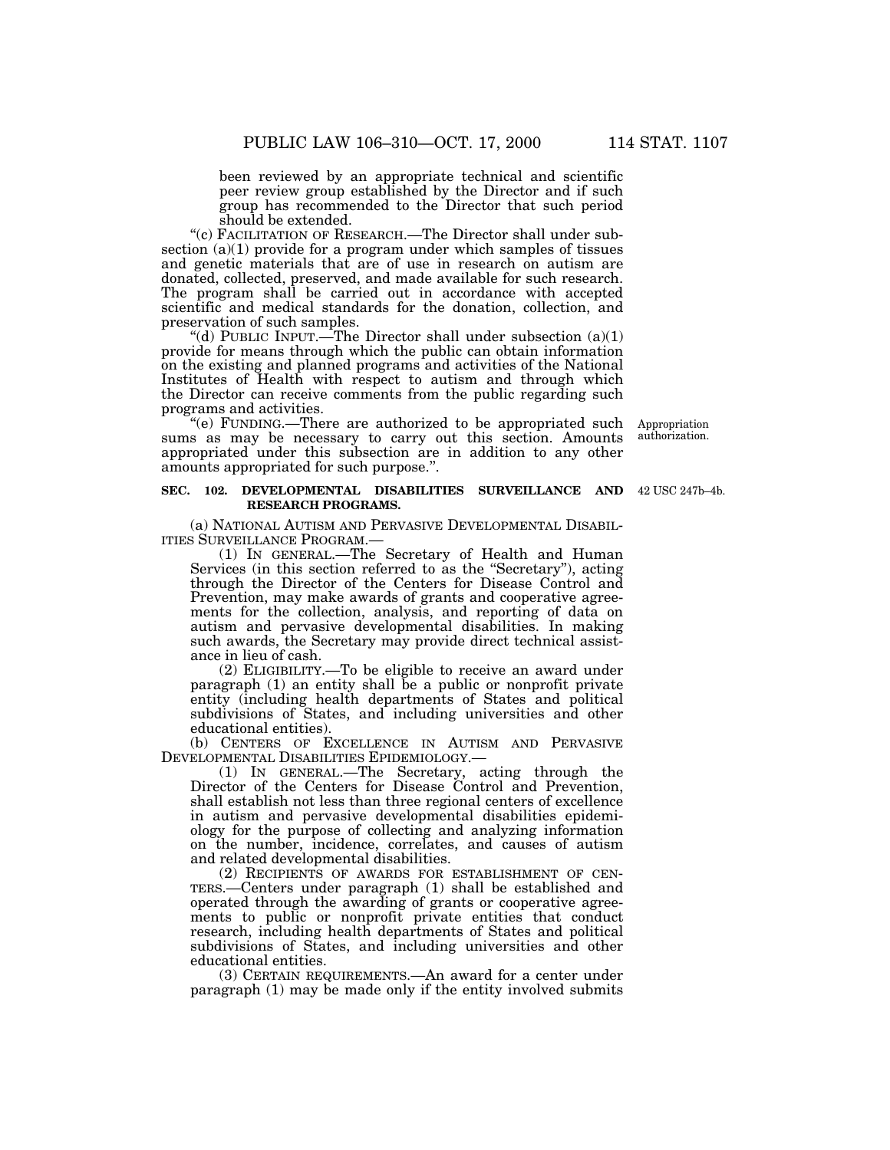been reviewed by an appropriate technical and scientific peer review group established by the Director and if such group has recommended to the Director that such period should be extended.

"(c) FACILITATION OF RESEARCH.—The Director shall under subsection  $(a)(1)$  provide for a program under which samples of tissues and genetic materials that are of use in research on autism are donated, collected, preserved, and made available for such research. The program shall be carried out in accordance with accepted scientific and medical standards for the donation, collection, and preservation of such samples.

"(d) PUBLIC INPUT.—The Director shall under subsection  $(a)(1)$ provide for means through which the public can obtain information on the existing and planned programs and activities of the National Institutes of Health with respect to autism and through which the Director can receive comments from the public regarding such programs and activities.

''(e) FUNDING.—There are authorized to be appropriated such sums as may be necessary to carry out this section. Amounts appropriated under this subsection are in addition to any other amounts appropriated for such purpose.''.

Appropriation authorization.

### **SEC. 102. DEVELOPMENTAL DISABILITIES SURVEILLANCE AND** 42 USC 247b–4b. **RESEARCH PROGRAMS.**

(a) NATIONAL AUTISM AND PERVASIVE DEVELOPMENTAL DISABIL-ITIES SURVEILLANCE PROGRAM.—

(1) IN GENERAL.—The Secretary of Health and Human Services (in this section referred to as the ''Secretary''), acting through the Director of the Centers for Disease Control and Prevention, may make awards of grants and cooperative agreements for the collection, analysis, and reporting of data on autism and pervasive developmental disabilities. In making such awards, the Secretary may provide direct technical assistance in lieu of cash.

(2) ELIGIBILITY.—To be eligible to receive an award under paragraph (1) an entity shall be a public or nonprofit private entity (including health departments of States and political subdivisions of States, and including universities and other educational entities).

(b) CENTERS OF EXCELLENCE IN AUTISM AND PERVASIVE DEVELOPMENTAL DISABILITIES EPIDEMIOLOGY.—

(1) IN GENERAL.—The Secretary, acting through the Director of the Centers for Disease Control and Prevention, shall establish not less than three regional centers of excellence in autism and pervasive developmental disabilities epidemiology for the purpose of collecting and analyzing information on the number, incidence, correlates, and causes of autism and related developmental disabilities.

(2) RECIPIENTS OF AWARDS FOR ESTABLISHMENT OF CEN-TERS.—Centers under paragraph (1) shall be established and operated through the awarding of grants or cooperative agreements to public or nonprofit private entities that conduct research, including health departments of States and political subdivisions of States, and including universities and other educational entities.

(3) CERTAIN REQUIREMENTS.—An award for a center under paragraph (1) may be made only if the entity involved submits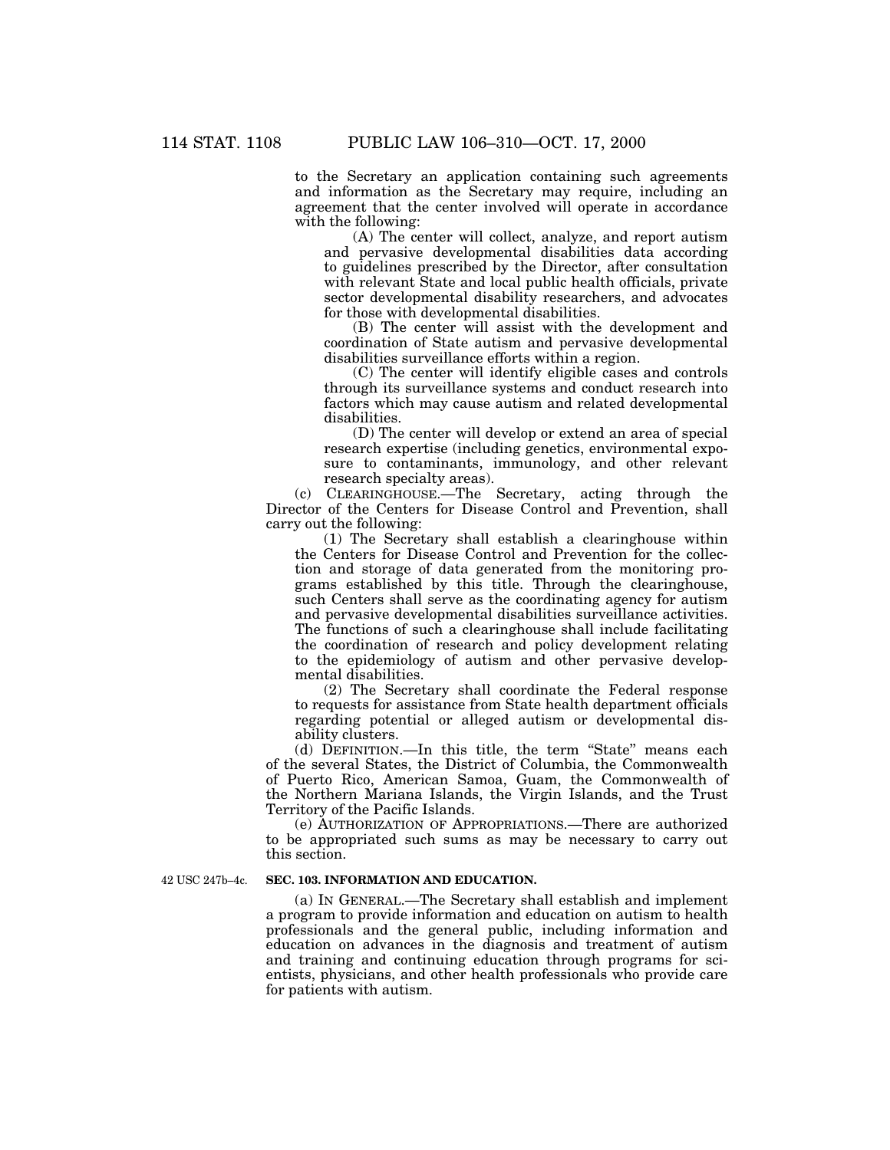to the Secretary an application containing such agreements and information as the Secretary may require, including an agreement that the center involved will operate in accordance with the following:

(A) The center will collect, analyze, and report autism and pervasive developmental disabilities data according to guidelines prescribed by the Director, after consultation with relevant State and local public health officials, private sector developmental disability researchers, and advocates for those with developmental disabilities.

(B) The center will assist with the development and coordination of State autism and pervasive developmental disabilities surveillance efforts within a region.

(C) The center will identify eligible cases and controls through its surveillance systems and conduct research into factors which may cause autism and related developmental disabilities.

(D) The center will develop or extend an area of special research expertise (including genetics, environmental exposure to contaminants, immunology, and other relevant research specialty areas).

(c) CLEARINGHOUSE.—The Secretary, acting through the Director of the Centers for Disease Control and Prevention, shall carry out the following:

(1) The Secretary shall establish a clearinghouse within the Centers for Disease Control and Prevention for the collection and storage of data generated from the monitoring programs established by this title. Through the clearinghouse, such Centers shall serve as the coordinating agency for autism and pervasive developmental disabilities surveillance activities. The functions of such a clearinghouse shall include facilitating the coordination of research and policy development relating to the epidemiology of autism and other pervasive developmental disabilities.

(2) The Secretary shall coordinate the Federal response to requests for assistance from State health department officials regarding potential or alleged autism or developmental disability clusters.

(d) DEFINITION.—In this title, the term ''State'' means each of the several States, the District of Columbia, the Commonwealth of Puerto Rico, American Samoa, Guam, the Commonwealth of the Northern Mariana Islands, the Virgin Islands, and the Trust Territory of the Pacific Islands.

(e) AUTHORIZATION OF APPROPRIATIONS.—There are authorized to be appropriated such sums as may be necessary to carry out this section.

42 USC 247b–4c.

### **SEC. 103. INFORMATION AND EDUCATION.**

(a) IN GENERAL.—The Secretary shall establish and implement a program to provide information and education on autism to health professionals and the general public, including information and education on advances in the diagnosis and treatment of autism and training and continuing education through programs for scientists, physicians, and other health professionals who provide care for patients with autism.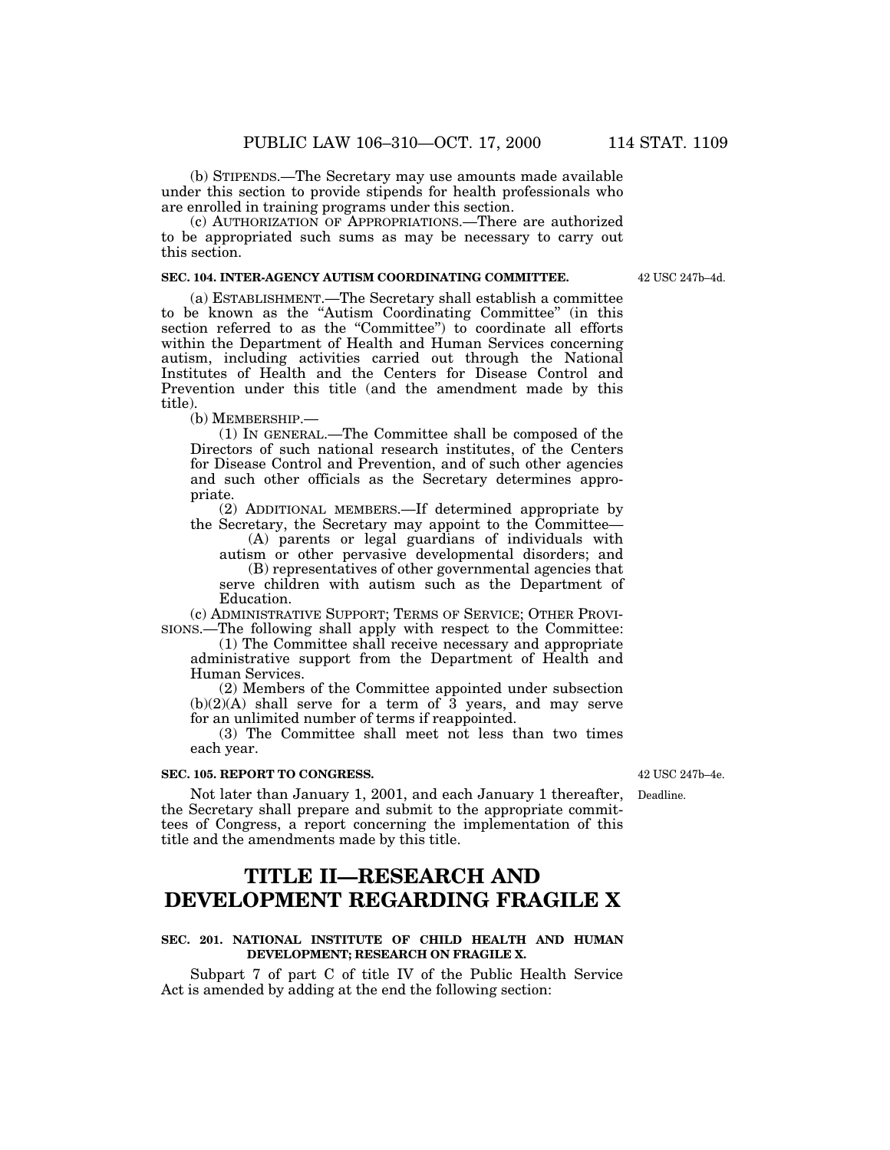(b) STIPENDS.—The Secretary may use amounts made available under this section to provide stipends for health professionals who are enrolled in training programs under this section.

(c) AUTHORIZATION OF APPROPRIATIONS.—There are authorized to be appropriated such sums as may be necessary to carry out this section.

### **SEC. 104. INTER-AGENCY AUTISM COORDINATING COMMITTEE.**

(a) ESTABLISHMENT.—The Secretary shall establish a committee to be known as the ''Autism Coordinating Committee'' (in this section referred to as the "Committee") to coordinate all efforts within the Department of Health and Human Services concerning autism, including activities carried out through the National Institutes of Health and the Centers for Disease Control and Prevention under this title (and the amendment made by this title).

(b) MEMBERSHIP.—

(1) IN GENERAL.—The Committee shall be composed of the Directors of such national research institutes, of the Centers for Disease Control and Prevention, and of such other agencies and such other officials as the Secretary determines appropriate.

(2) ADDITIONAL MEMBERS.—If determined appropriate by the Secretary, the Secretary may appoint to the Committee—

(A) parents or legal guardians of individuals with autism or other pervasive developmental disorders; and

(B) representatives of other governmental agencies that serve children with autism such as the Department of Education.

(c) ADMINISTRATIVE SUPPORT; TERMS OF SERVICE; OTHER PROVI-SIONS.—The following shall apply with respect to the Committee:

(1) The Committee shall receive necessary and appropriate administrative support from the Department of Health and Human Services.

(2) Members of the Committee appointed under subsection  $(b)(2)(A)$  shall serve for a term of  $\bar{3}$  years, and may serve for an unlimited number of terms if reappointed.

(3) The Committee shall meet not less than two times each year.

### **SEC. 105. REPORT TO CONGRESS.**

Not later than January 1, 2001, and each January 1 thereafter, the Secretary shall prepare and submit to the appropriate committees of Congress, a report concerning the implementation of this title and the amendments made by this title.

# **TITLE II—RESEARCH AND DEVELOPMENT REGARDING FRAGILE X**

# **SEC. 201. NATIONAL INSTITUTE OF CHILD HEALTH AND HUMAN DEVELOPMENT; RESEARCH ON FRAGILE X.**

Subpart 7 of part C of title IV of the Public Health Service Act is amended by adding at the end the following section:

42 USC 247b–4e.

Deadline.

42 USC 247b–4d.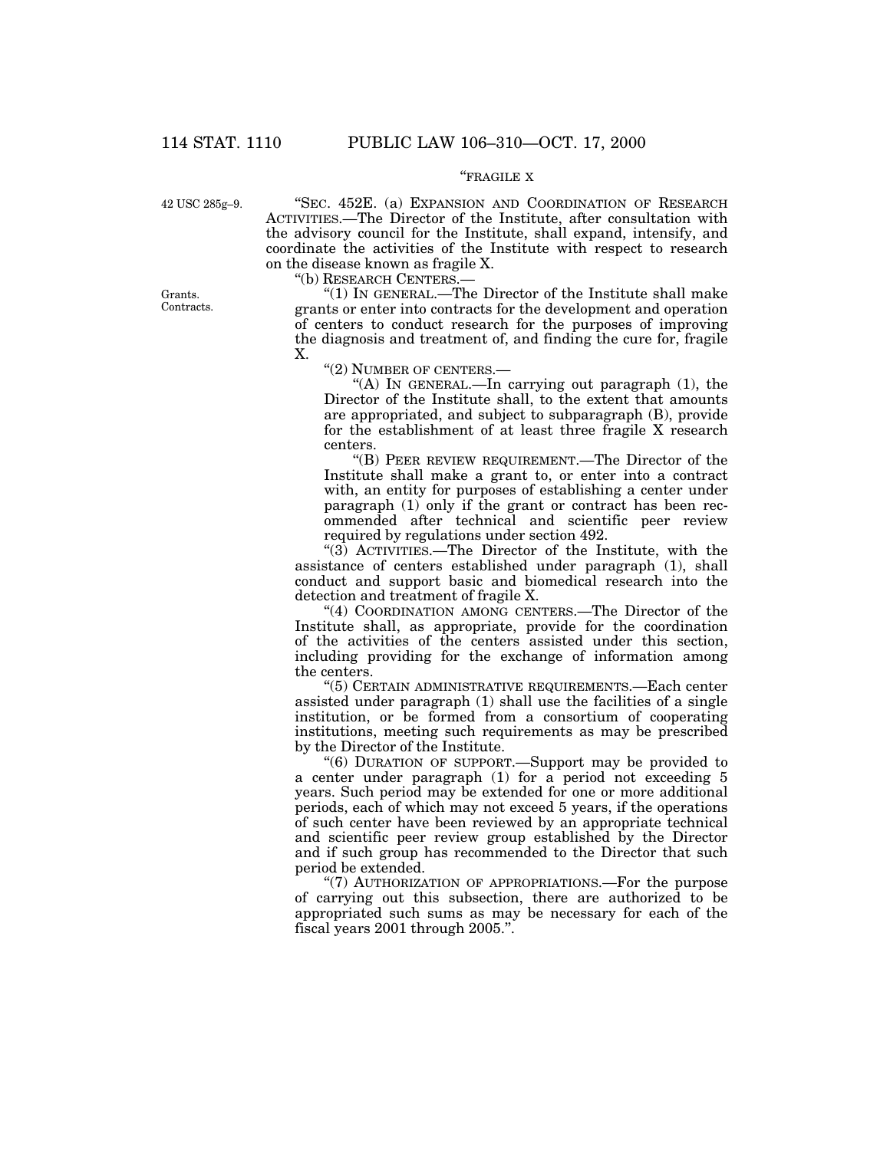# ''FRAGILE X

42 USC 285g–9.

''SEC. 452E. (a) EXPANSION AND COORDINATION OF RESEARCH ACTIVITIES.—The Director of the Institute, after consultation with the advisory council for the Institute, shall expand, intensify, and coordinate the activities of the Institute with respect to research on the disease known as fragile X.

''(b) RESEARCH CENTERS.—

''(1) IN GENERAL.—The Director of the Institute shall make grants or enter into contracts for the development and operation of centers to conduct research for the purposes of improving the diagnosis and treatment of, and finding the cure for, fragile X.

''(2) NUMBER OF CENTERS.—

''(A) IN GENERAL.—In carrying out paragraph (1), the Director of the Institute shall, to the extent that amounts are appropriated, and subject to subparagraph (B), provide for the establishment of at least three fragile X research centers.

''(B) PEER REVIEW REQUIREMENT.—The Director of the Institute shall make a grant to, or enter into a contract with, an entity for purposes of establishing a center under paragraph (1) only if the grant or contract has been recommended after technical and scientific peer review required by regulations under section 492.

" $(3)$  ACTIVITIES.—The Director of the Institute, with the assistance of centers established under paragraph (1), shall conduct and support basic and biomedical research into the detection and treatment of fragile X.

"(4) COORDINATION AMONG CENTERS.—The Director of the Institute shall, as appropriate, provide for the coordination of the activities of the centers assisted under this section, including providing for the exchange of information among the centers.

''(5) CERTAIN ADMINISTRATIVE REQUIREMENTS.—Each center assisted under paragraph (1) shall use the facilities of a single institution, or be formed from a consortium of cooperating institutions, meeting such requirements as may be prescribed by the Director of the Institute.

''(6) DURATION OF SUPPORT.—Support may be provided to a center under paragraph (1) for a period not exceeding 5 years. Such period may be extended for one or more additional periods, each of which may not exceed 5 years, if the operations of such center have been reviewed by an appropriate technical and scientific peer review group established by the Director and if such group has recommended to the Director that such period be extended.

"(7) AUTHORIZATION OF APPROPRIATIONS.—For the purpose of carrying out this subsection, there are authorized to be appropriated such sums as may be necessary for each of the fiscal years 2001 through 2005.''.

Grants. Contracts.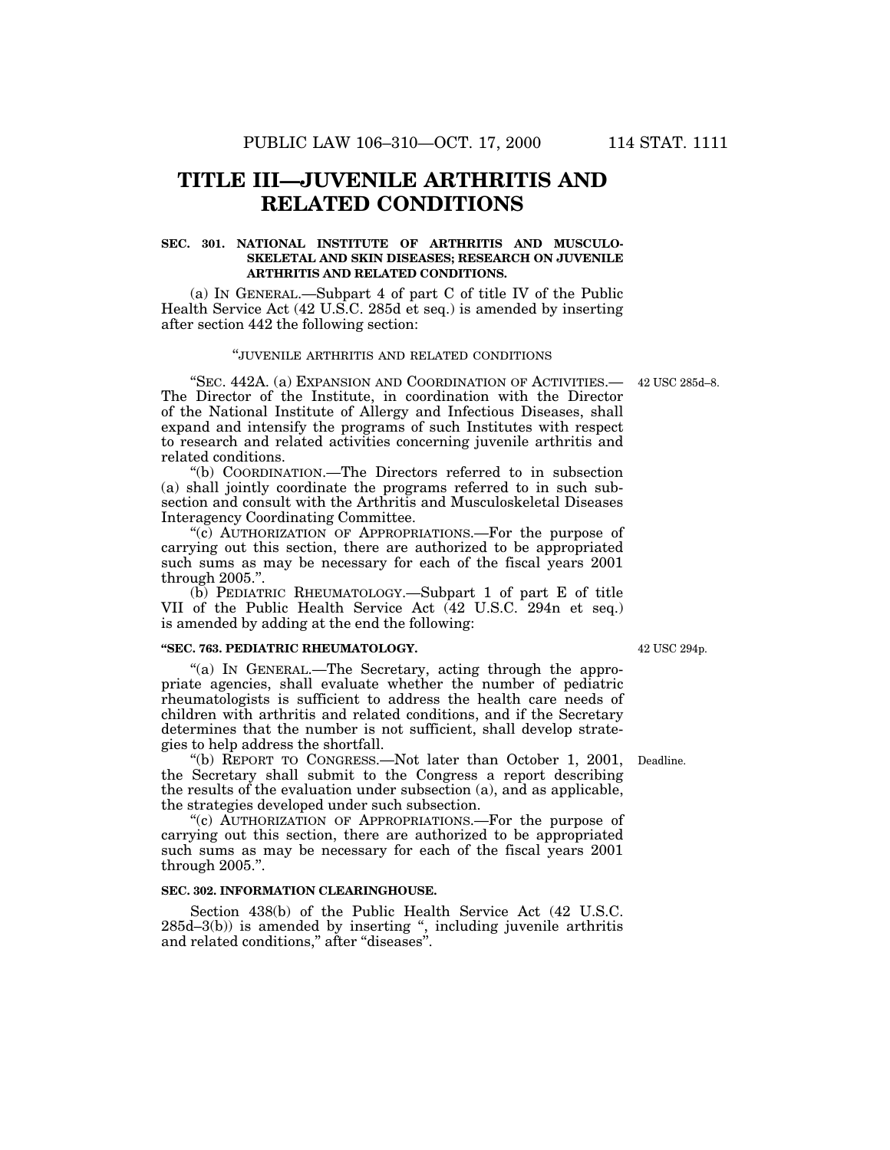# **TITLE III—JUVENILE ARTHRITIS AND RELATED CONDITIONS**

# **SEC. 301. NATIONAL INSTITUTE OF ARTHRITIS AND MUSCULO-SKELETAL AND SKIN DISEASES; RESEARCH ON JUVENILE ARTHRITIS AND RELATED CONDITIONS.**

(a) IN GENERAL.—Subpart 4 of part C of title IV of the Public Health Service Act (42 U.S.C. 285d et seq.) is amended by inserting after section 442 the following section:

# ''JUVENILE ARTHRITIS AND RELATED CONDITIONS

''SEC. 442A. (a) EXPANSION AND COORDINATION OF ACTIVITIES.— The Director of the Institute, in coordination with the Director of the National Institute of Allergy and Infectious Diseases, shall expand and intensify the programs of such Institutes with respect to research and related activities concerning juvenile arthritis and related conditions.

''(b) COORDINATION.—The Directors referred to in subsection (a) shall jointly coordinate the programs referred to in such subsection and consult with the Arthritis and Musculoskeletal Diseases Interagency Coordinating Committee.

"(c) AUTHORIZATION OF APPROPRIATIONS.—For the purpose of carrying out this section, there are authorized to be appropriated such sums as may be necessary for each of the fiscal years 2001 through 2005.''.

(b) PEDIATRIC RHEUMATOLOGY.—Subpart 1 of part E of title VII of the Public Health Service Act (42 U.S.C. 294n et seq.) is amended by adding at the end the following:

### **''SEC. 763. PEDIATRIC RHEUMATOLOGY.**

"(a) IN GENERAL.—The Secretary, acting through the appropriate agencies, shall evaluate whether the number of pediatric rheumatologists is sufficient to address the health care needs of children with arthritis and related conditions, and if the Secretary determines that the number is not sufficient, shall develop strategies to help address the shortfall.

''(b) REPORT TO CONGRESS.—Not later than October 1, 2001, Deadline. the Secretary shall submit to the Congress a report describing the results of the evaluation under subsection (a), and as applicable, the strategies developed under such subsection.

"(c) AUTHORIZATION OF APPROPRIATIONS.—For the purpose of carrying out this section, there are authorized to be appropriated such sums as may be necessary for each of the fiscal years 2001 through 2005.''.

### **SEC. 302. INFORMATION CLEARINGHOUSE.**

Section 438(b) of the Public Health Service Act (42 U.S.C. 285d–3(b)) is amended by inserting '', including juvenile arthritis and related conditions,'' after ''diseases''.

42 USC 294p.

42 USC 285d–8.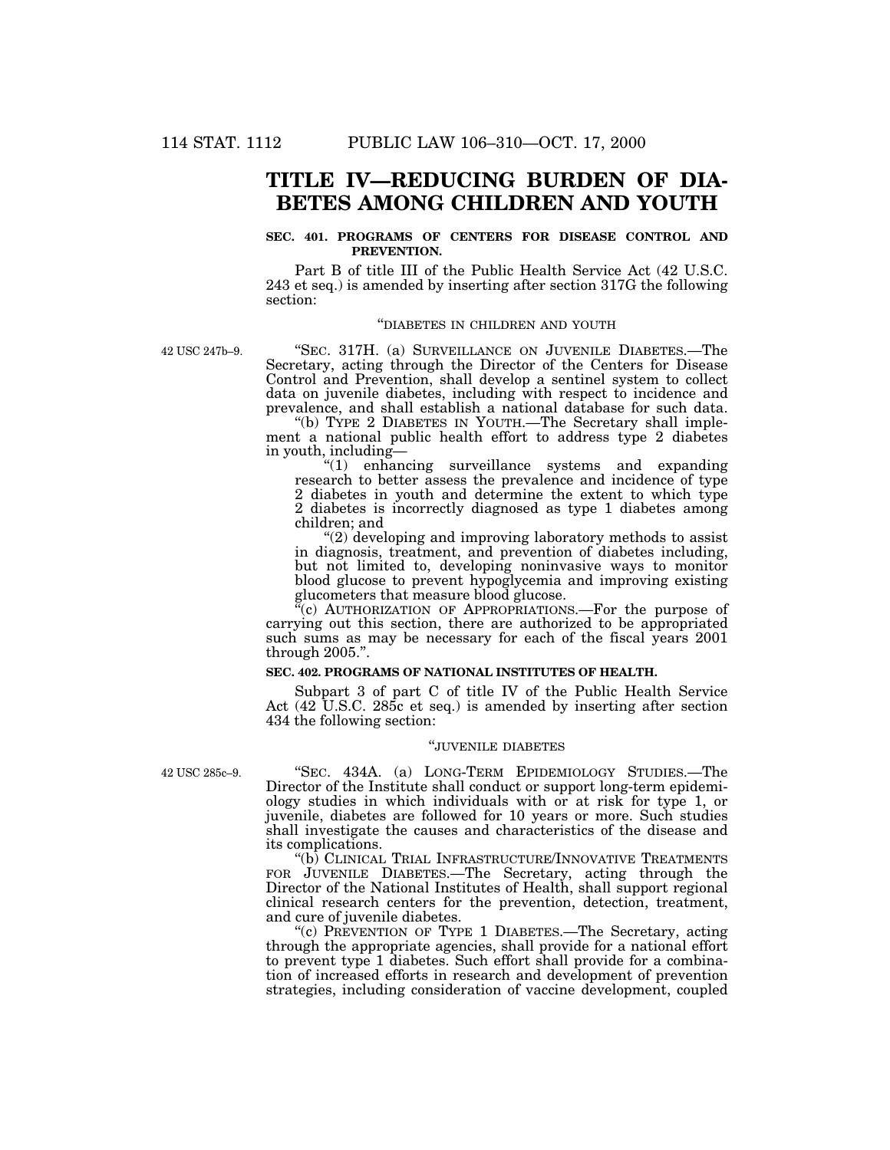# **TITLE IV—REDUCING BURDEN OF DIA-BETES AMONG CHILDREN AND YOUTH**

# **SEC. 401. PROGRAMS OF CENTERS FOR DISEASE CONTROL AND PREVENTION.**

Part B of title III of the Public Health Service Act (42 U.S.C. 243 et seq.) is amended by inserting after section 317G the following section:

### ''DIABETES IN CHILDREN AND YOUTH

42 USC 247b–9.

''SEC. 317H. (a) SURVEILLANCE ON JUVENILE DIABETES.—The Secretary, acting through the Director of the Centers for Disease Control and Prevention, shall develop a sentinel system to collect data on juvenile diabetes, including with respect to incidence and prevalence, and shall establish a national database for such data.

''(b) TYPE 2 DIABETES IN YOUTH.—The Secretary shall implement a national public health effort to address type 2 diabetes in youth, including—<br>" $(1)$  enhang"

''(1) enhancing surveillance systems and expanding research to better assess the prevalence and incidence of type 2 diabetes in youth and determine the extent to which type 2 diabetes is incorrectly diagnosed as type 1 diabetes among children; and

''(2) developing and improving laboratory methods to assist in diagnosis, treatment, and prevention of diabetes including, but not limited to, developing noninvasive ways to monitor blood glucose to prevent hypoglycemia and improving existing glucometers that measure blood glucose.

"(c) AUTHORIZATION OF APPROPRIATIONS.—For the purpose of carrying out this section, there are authorized to be appropriated such sums as may be necessary for each of the fiscal years 2001 through 2005.''.

# **SEC. 402. PROGRAMS OF NATIONAL INSTITUTES OF HEALTH.**

Subpart 3 of part C of title IV of the Public Health Service Act (42 U.S.C. 285c et seq.) is amended by inserting after section 434 the following section:

### ''JUVENILE DIABETES

42 USC 285c–9.

''SEC. 434A. (a) LONG-TERM EPIDEMIOLOGY STUDIES.—The Director of the Institute shall conduct or support long-term epidemiology studies in which individuals with or at risk for type 1, or juvenile, diabetes are followed for 10 years or more. Such studies shall investigate the causes and characteristics of the disease and its complications.

''(b) CLINICAL TRIAL INFRASTRUCTURE/INNOVATIVE TREATMENTS FOR JUVENILE DIABETES.—The Secretary, acting through the Director of the National Institutes of Health, shall support regional clinical research centers for the prevention, detection, treatment, and cure of juvenile diabetes.

''(c) PREVENTION OF TYPE 1 DIABETES.—The Secretary, acting through the appropriate agencies, shall provide for a national effort to prevent type 1 diabetes. Such effort shall provide for a combination of increased efforts in research and development of prevention strategies, including consideration of vaccine development, coupled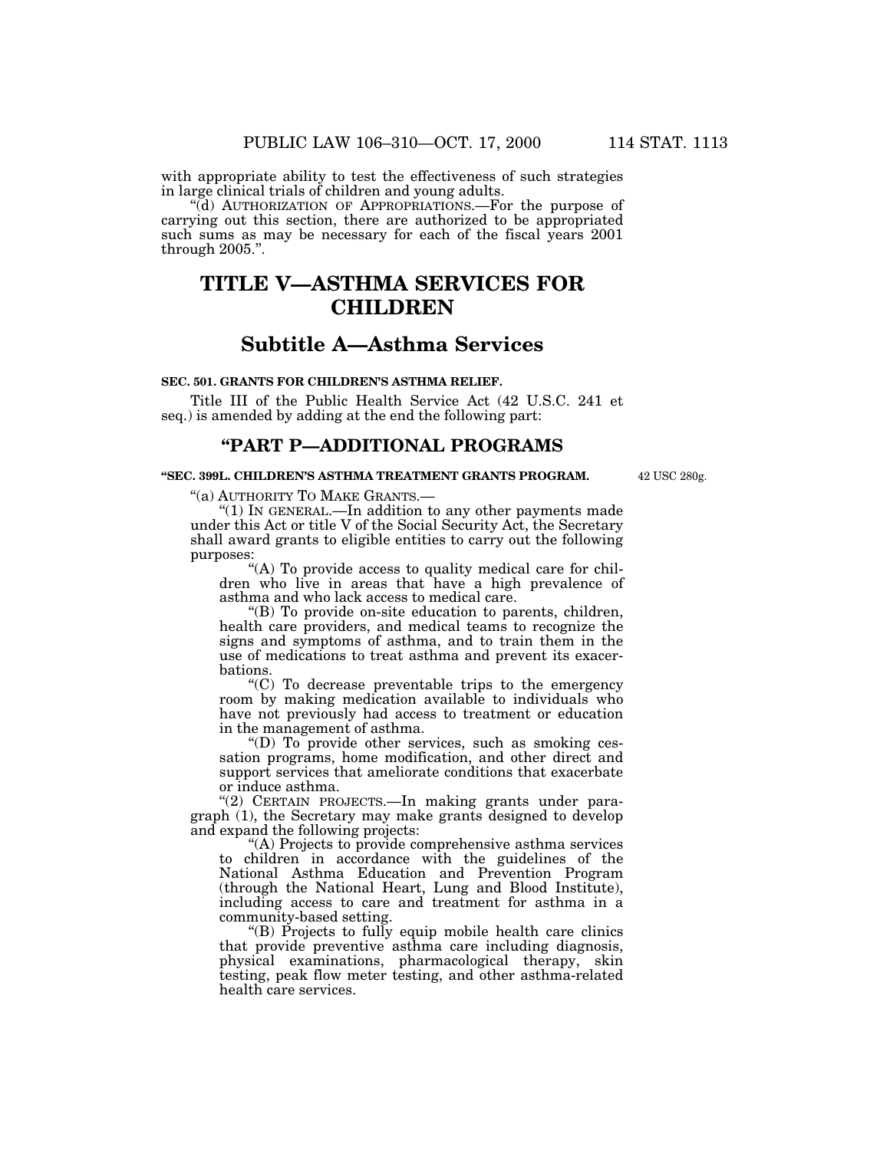with appropriate ability to test the effectiveness of such strategies in large clinical trials of children and young adults.

''(d) AUTHORIZATION OF APPROPRIATIONS.—For the purpose of carrying out this section, there are authorized to be appropriated such sums as may be necessary for each of the fiscal years 2001 through 2005.''.

# **TITLE V—ASTHMA SERVICES FOR CHILDREN**

# **Subtitle A—Asthma Services**

### **SEC. 501. GRANTS FOR CHILDREN'S ASTHMA RELIEF.**

Title III of the Public Health Service Act (42 U.S.C. 241 et seq.) is amended by adding at the end the following part:

# **''PART P—ADDITIONAL PROGRAMS**

### **''SEC. 399L. CHILDREN'S ASTHMA TREATMENT GRANTS PROGRAM.**

42 USC 280g.

''(a) AUTHORITY TO MAKE GRANTS.—

''(1) IN GENERAL.—In addition to any other payments made under this Act or title V of the Social Security Act, the Secretary shall award grants to eligible entities to carry out the following purposes:

"(A) To provide access to quality medical care for children who live in areas that have a high prevalence of asthma and who lack access to medical care.

''(B) To provide on-site education to parents, children, health care providers, and medical teams to recognize the signs and symptoms of asthma, and to train them in the use of medications to treat asthma and prevent its exacerbations.

''(C) To decrease preventable trips to the emergency room by making medication available to individuals who have not previously had access to treatment or education in the management of asthma.

''(D) To provide other services, such as smoking cessation programs, home modification, and other direct and support services that ameliorate conditions that exacerbate or induce asthma.

"(2) CERTAIN PROJECTS.—In making grants under paragraph (1), the Secretary may make grants designed to develop and expand the following projects:

''(A) Projects to provide comprehensive asthma services to children in accordance with the guidelines of the National Asthma Education and Prevention Program (through the National Heart, Lung and Blood Institute), including access to care and treatment for asthma in a community-based setting.

''(B) Projects to fully equip mobile health care clinics that provide preventive asthma care including diagnosis, physical examinations, pharmacological therapy, skin testing, peak flow meter testing, and other asthma-related health care services.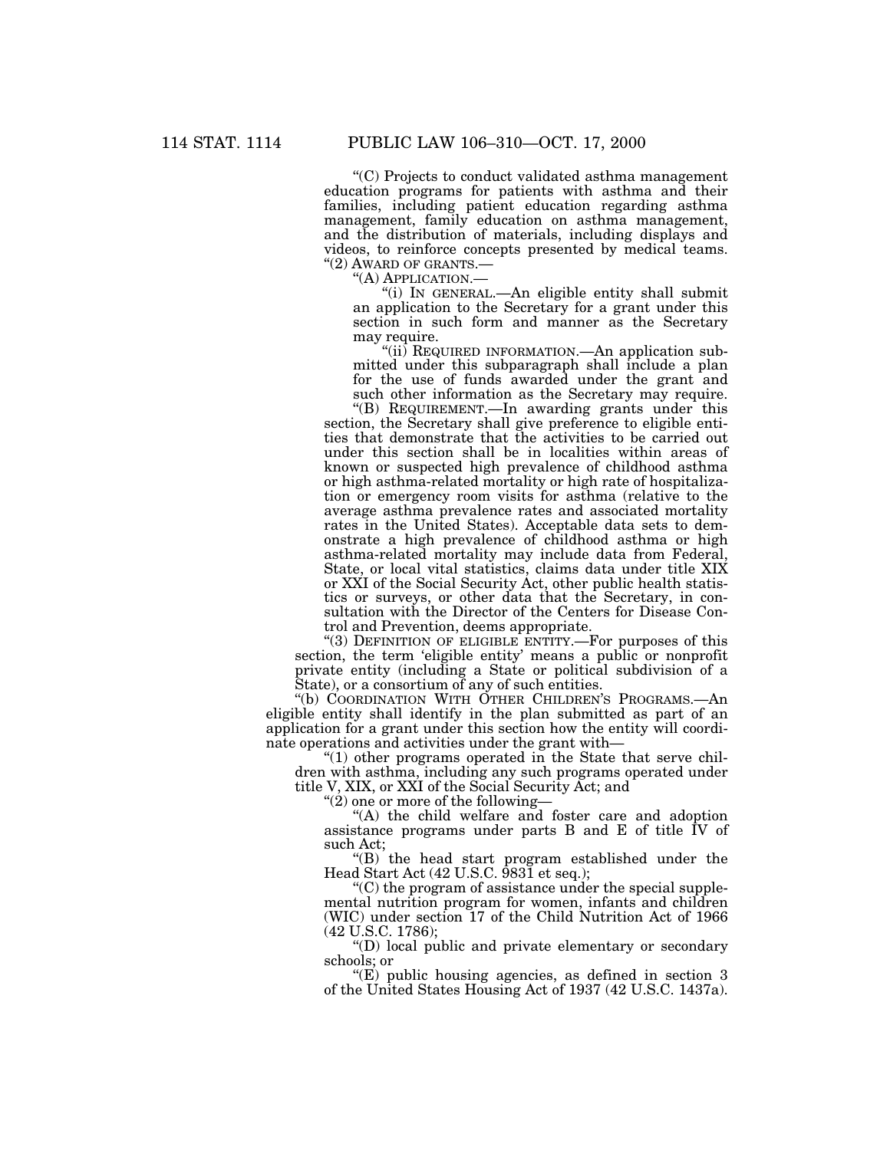''(C) Projects to conduct validated asthma management education programs for patients with asthma and their families, including patient education regarding asthma management, family education on asthma management, and the distribution of materials, including displays and videos, to reinforce concepts presented by medical teams. ''(2) AWARD OF GRANTS.—

''(A) APPLICATION.—

''(i) IN GENERAL.—An eligible entity shall submit an application to the Secretary for a grant under this section in such form and manner as the Secretary may require.

"(ii) REQUIRED INFORMATION.—An application submitted under this subparagraph shall include a plan for the use of funds awarded under the grant and such other information as the Secretary may require.

''(B) REQUIREMENT.—In awarding grants under this section, the Secretary shall give preference to eligible entities that demonstrate that the activities to be carried out under this section shall be in localities within areas of known or suspected high prevalence of childhood asthma or high asthma-related mortality or high rate of hospitalization or emergency room visits for asthma (relative to the average asthma prevalence rates and associated mortality rates in the United States). Acceptable data sets to demonstrate a high prevalence of childhood asthma or high asthma-related mortality may include data from Federal, State, or local vital statistics, claims data under title XIX or XXI of the Social Security Act, other public health statistics or surveys, or other data that the Secretary, in consultation with the Director of the Centers for Disease Control and Prevention, deems appropriate.

"(3) DEFINITION OF ELIGIBLE ENTITY.—For purposes of this

section, the term 'eligible entity' means a public or nonprofit private entity (including a State or political subdivision of a State), or a consortium of any of such entities.

''(b) COORDINATION WITH OTHER CHILDREN'S PROGRAMS.—An eligible entity shall identify in the plan submitted as part of an application for a grant under this section how the entity will coordinate operations and activities under the grant with—

 $''(1)$  other programs operated in the State that serve children with asthma, including any such programs operated under title V, XIX, or XXI of the Social Security Act; and

" $(2)$  one or more of the following-

"(A) the child welfare and foster care and adoption assistance programs under parts B and E of title IV of such Act;

''(B) the head start program established under the Head Start Act (42 U.S.C. 9831 et seq.);

 $C$ ) the program of assistance under the special supplemental nutrition program for women, infants and children (WIC) under section 17 of the Child Nutrition Act of 1966 (42 U.S.C. 1786);

 $(10)$  local public and private elementary or secondary schools; or

''(E) public housing agencies, as defined in section 3 of the United States Housing Act of 1937 (42 U.S.C. 1437a).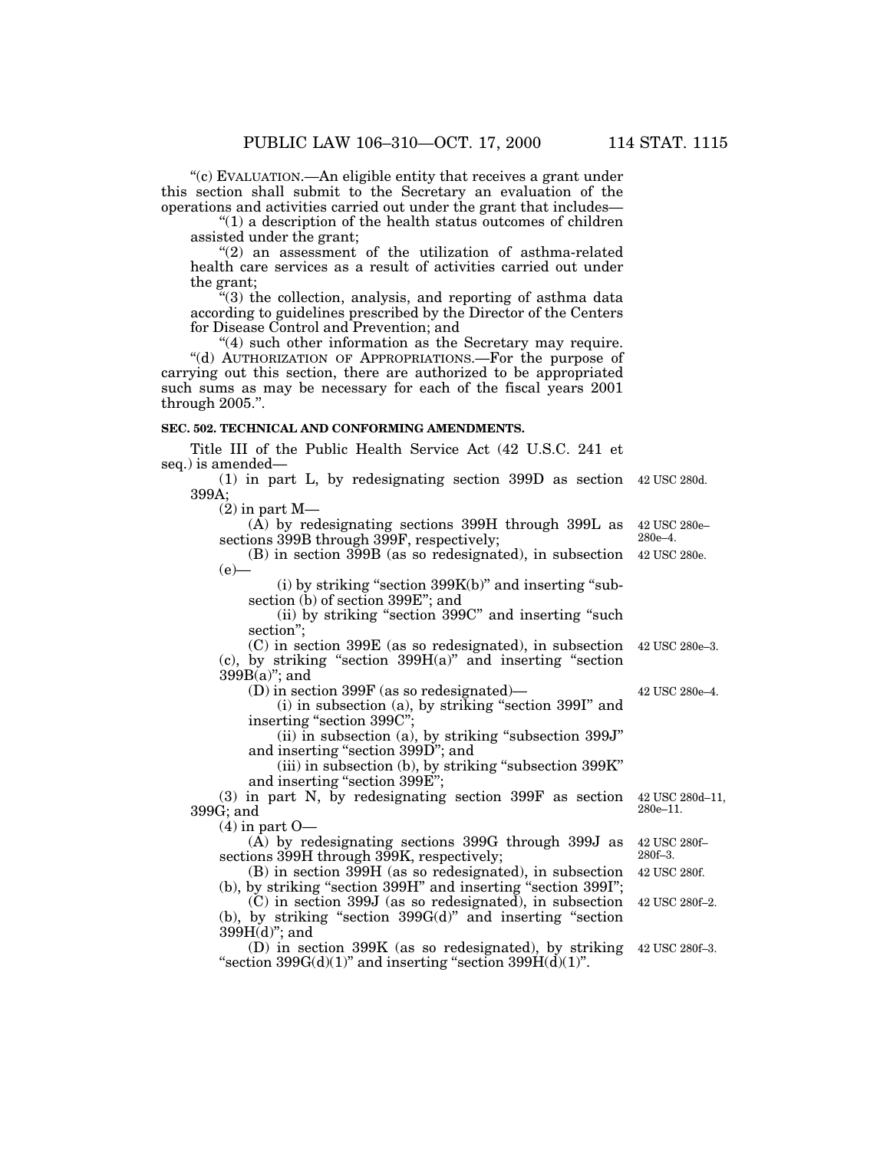''(c) EVALUATION.—An eligible entity that receives a grant under this section shall submit to the Secretary an evaluation of the operations and activities carried out under the grant that includes—

''(1) a description of the health status outcomes of children assisted under the grant;

"(2) an assessment of the utilization of asthma-related health care services as a result of activities carried out under the grant;

''(3) the collection, analysis, and reporting of asthma data according to guidelines prescribed by the Director of the Centers for Disease Control and Prevention; and

"(4) such other information as the Secretary may require. "(d) AUTHORIZATION OF APPROPRIATIONS.—For the purpose of carrying out this section, there are authorized to be appropriated such sums as may be necessary for each of the fiscal years 2001 through 2005.''.

# **SEC. 502. TECHNICAL AND CONFORMING AMENDMENTS.**

Title III of the Public Health Service Act (42 U.S.C. 241 et seq.) is amended—

(1) in part L, by redesignating section 399D as section 42 USC 280d. 399A;

 $(2)$  in part M-

 $(A)$  by redesignating sections 399H through 399L as sections 399B through 399F, respectively;

(B) in section 399B (as so redesignated), in subsection  $(e)$ —

 $(i)$  by striking "section 399 $K(b)$ " and inserting "subsection (b) of section 399E''; and

(ii) by striking ''section 399C'' and inserting ''such section'';

(C) in section 399E (as so redesignated), in subsection  $(c)$ , by striking "section 399 $H(a)$ " and inserting "section  $399B(a)$ "; and 42 USC 280e–3.

(D) in section 399F (as so redesignated)—

(i) in subsection (a), by striking ''section 399I'' and inserting "section 399C";

 $(ii)$  in subsection  $(a)$ , by striking "subsection 399J" and inserting ''section 399D''; and

(iii) in subsection (b), by striking ''subsection 399K'' and inserting "section 399E";

(3) in part N, by redesignating section 399F as section 399G; and

 $(4)$  in part  $O-$ 

(A) by redesignating sections 399G through 399J as sections 399H through 399K, respectively;

(B) in section 399H (as so redesignated), in subsection (b), by striking ''section 399H'' and inserting ''section 399I'';

(C) in section 399J (as so redesignated), in subsection  $(b)$ , by striking "section 399 $G(d)$ " and inserting "section  $399H(d)$ "; and

(D) in section 399K (as so redesignated), by striking 42 USC 280f–3. "section  $399G(d)(1)$ " and inserting "section  $399H(d)(1)$ ".

42 USC 280d–11, 280e–11.

42 USC 280f– 280f–3.

42 USC 280f.

42 USC 280f–2.

42 USC 280e–4.

42 USC 280e– 280e–4.

42 USC 280e.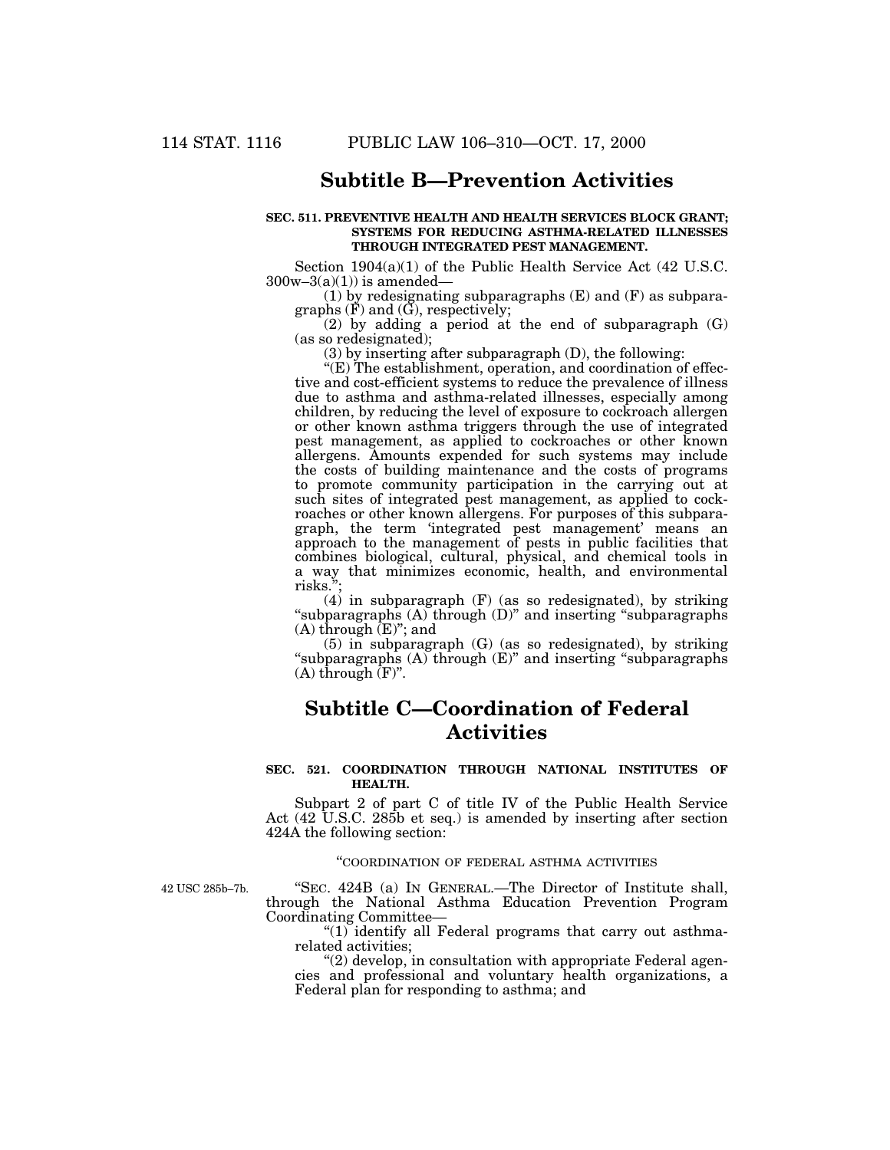# **Subtitle B—Prevention Activities**

### **SEC. 511. PREVENTIVE HEALTH AND HEALTH SERVICES BLOCK GRANT; SYSTEMS FOR REDUCING ASTHMA-RELATED ILLNESSES THROUGH INTEGRATED PEST MANAGEMENT.**

Section 1904(a)(1) of the Public Health Service Act (42 U.S.C.  $300w-3(a)(1)$ ) is amended-

(1) by redesignating subparagraphs (E) and (F) as subparagraphs  $(F)$  and  $(\tilde{G})$ , respectively;

(2) by adding a period at the end of subparagraph (G) (as so redesignated);

(3) by inserting after subparagraph (D), the following:

''(E) The establishment, operation, and coordination of effective and cost-efficient systems to reduce the prevalence of illness due to asthma and asthma-related illnesses, especially among children, by reducing the level of exposure to cockroach allergen or other known asthma triggers through the use of integrated pest management, as applied to cockroaches or other known allergens. Amounts expended for such systems may include the costs of building maintenance and the costs of programs to promote community participation in the carrying out at such sites of integrated pest management, as applied to cockroaches or other known allergens. For purposes of this subparagraph, the term 'integrated pest management' means an approach to the management of pests in public facilities that combines biological, cultural, physical, and chemical tools in a way that minimizes economic, health, and environmental risks.'';

 $(4)$  in subparagraph  $(F)$  (as so redesignated), by striking "subparagraphs (A) through (D)" and inserting "subparagraphs"  $(A)$  through  $(E)$ "; and

(5) in subparagraph (G) (as so redesignated), by striking ''subparagraphs (A) through (E)'' and inserting ''subparagraphs  $(A)$  through  $(F)$ ".

# **Subtitle C—Coordination of Federal Activities**

### **SEC. 521. COORDINATION THROUGH NATIONAL INSTITUTES OF HEALTH.**

Subpart 2 of part C of title IV of the Public Health Service Act (42 U.S.C. 285b et seq.) is amended by inserting after section 424A the following section:

### ''COORDINATION OF FEDERAL ASTHMA ACTIVITIES

42 USC 285b–7b.

''SEC. 424B (a) IN GENERAL.—The Director of Institute shall, through the National Asthma Education Prevention Program Coordinating Committee—

" $(1)$  identify all Federal programs that carry out asthmarelated activities;

 $(2)$  develop, in consultation with appropriate Federal agencies and professional and voluntary health organizations, a Federal plan for responding to asthma; and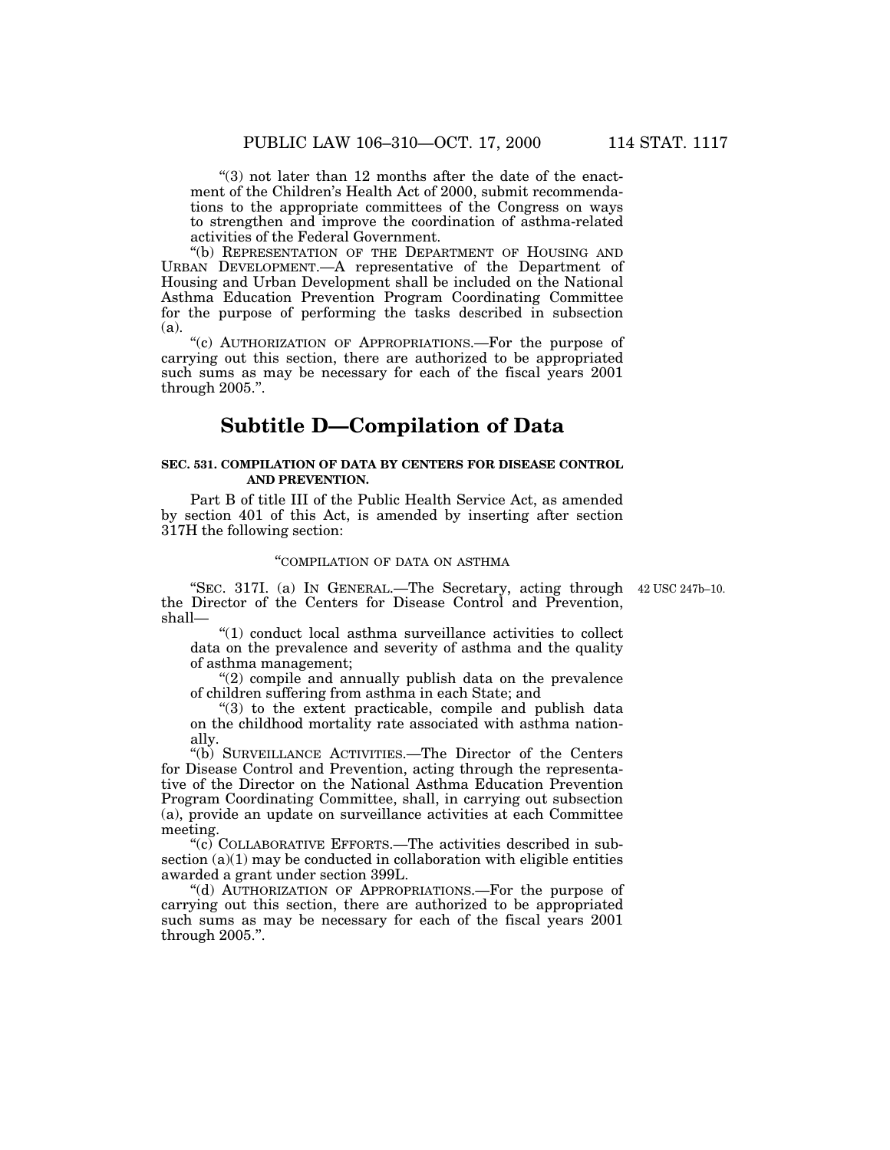" $(3)$  not later than 12 months after the date of the enactment of the Children's Health Act of 2000, submit recommendations to the appropriate committees of the Congress on ways to strengthen and improve the coordination of asthma-related activities of the Federal Government.

''(b) REPRESENTATION OF THE DEPARTMENT OF HOUSING AND URBAN DEVELOPMENT.—A representative of the Department of Housing and Urban Development shall be included on the National Asthma Education Prevention Program Coordinating Committee for the purpose of performing the tasks described in subsection (a).

"(c) AUTHORIZATION OF APPROPRIATIONS.—For the purpose of carrying out this section, there are authorized to be appropriated such sums as may be necessary for each of the fiscal years 2001 through 2005.''.

# **Subtitle D—Compilation of Data**

### **SEC. 531. COMPILATION OF DATA BY CENTERS FOR DISEASE CONTROL AND PREVENTION.**

Part B of title III of the Public Health Service Act, as amended by section 401 of this Act, is amended by inserting after section 317H the following section:

# ''COMPILATION OF DATA ON ASTHMA

"SEC. 317I. (a) IN GENERAL.—The Secretary, acting through 42 USC 247b-10. the Director of the Centers for Disease Control and Prevention, shall—

''(1) conduct local asthma surveillance activities to collect data on the prevalence and severity of asthma and the quality of asthma management;

 $(2)$  compile and annually publish data on the prevalence of children suffering from asthma in each State; and

''(3) to the extent practicable, compile and publish data on the childhood mortality rate associated with asthma nationally.

''(b) SURVEILLANCE ACTIVITIES.—The Director of the Centers for Disease Control and Prevention, acting through the representative of the Director on the National Asthma Education Prevention Program Coordinating Committee, shall, in carrying out subsection (a), provide an update on surveillance activities at each Committee meeting.

''(c) COLLABORATIVE EFFORTS.—The activities described in subsection  $(a)(1)$  may be conducted in collaboration with eligible entities awarded a grant under section 399L.

''(d) AUTHORIZATION OF APPROPRIATIONS.—For the purpose of carrying out this section, there are authorized to be appropriated such sums as may be necessary for each of the fiscal years 2001 through 2005.''.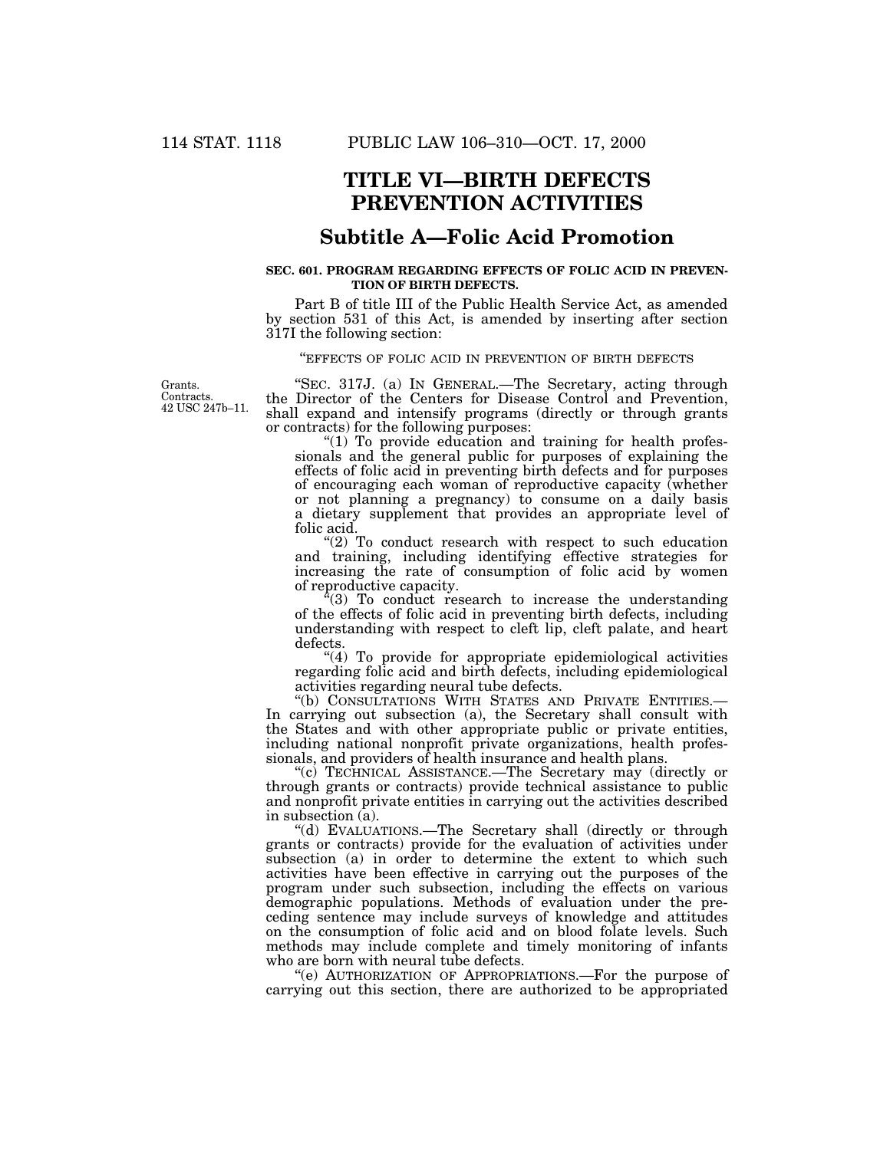# **TITLE VI—BIRTH DEFECTS PREVENTION ACTIVITIES**

# **Subtitle A—Folic Acid Promotion**

### **SEC. 601. PROGRAM REGARDING EFFECTS OF FOLIC ACID IN PREVEN-TION OF BIRTH DEFECTS.**

Part B of title III of the Public Health Service Act, as amended by section 531 of this Act, is amended by inserting after section 317I the following section:

''EFFECTS OF FOLIC ACID IN PREVENTION OF BIRTH DEFECTS

Grants. **Contracts** 42 USC 247b–11.

''SEC. 317J. (a) IN GENERAL.—The Secretary, acting through the Director of the Centers for Disease Control and Prevention, shall expand and intensify programs (directly or through grants or contracts) for the following purposes:

"(1) To provide education and training for health professionals and the general public for purposes of explaining the effects of folic acid in preventing birth defects and for purposes of encouraging each woman of reproductive capacity (whether or not planning a pregnancy) to consume on a daily basis a dietary supplement that provides an appropriate level of folic acid.

 $(2)$  To conduct research with respect to such education and training, including identifying effective strategies for increasing the rate of consumption of folic acid by women of reproductive capacity.

 $f(3)$  To conduct research to increase the understanding of the effects of folic acid in preventing birth defects, including understanding with respect to cleft lip, cleft palate, and heart defects.

"(4) To provide for appropriate epidemiological activities regarding folic acid and birth defects, including epidemiological activities regarding neural tube defects.<br>"(b) CONSULTATIONS WITH STATES AND PRIVATE ENTITIES.—

''(b) CONSULTATIONS WITH STATES AND PRIVATE ENTITIES.— In carrying out subsection (a), the Secretary shall consult with the States and with other appropriate public or private entities, including national nonprofit private organizations, health professionals, and providers of health insurance and health plans.

''(c) TECHNICAL ASSISTANCE.—The Secretary may (directly or through grants or contracts) provide technical assistance to public and nonprofit private entities in carrying out the activities described in subsection (a).

''(d) EVALUATIONS.—The Secretary shall (directly or through grants or contracts) provide for the evaluation of activities under subsection (a) in order to determine the extent to which such activities have been effective in carrying out the purposes of the program under such subsection, including the effects on various demographic populations. Methods of evaluation under the preceding sentence may include surveys of knowledge and attitudes on the consumption of folic acid and on blood folate levels. Such methods may include complete and timely monitoring of infants who are born with neural tube defects.

''(e) AUTHORIZATION OF APPROPRIATIONS.—For the purpose of carrying out this section, there are authorized to be appropriated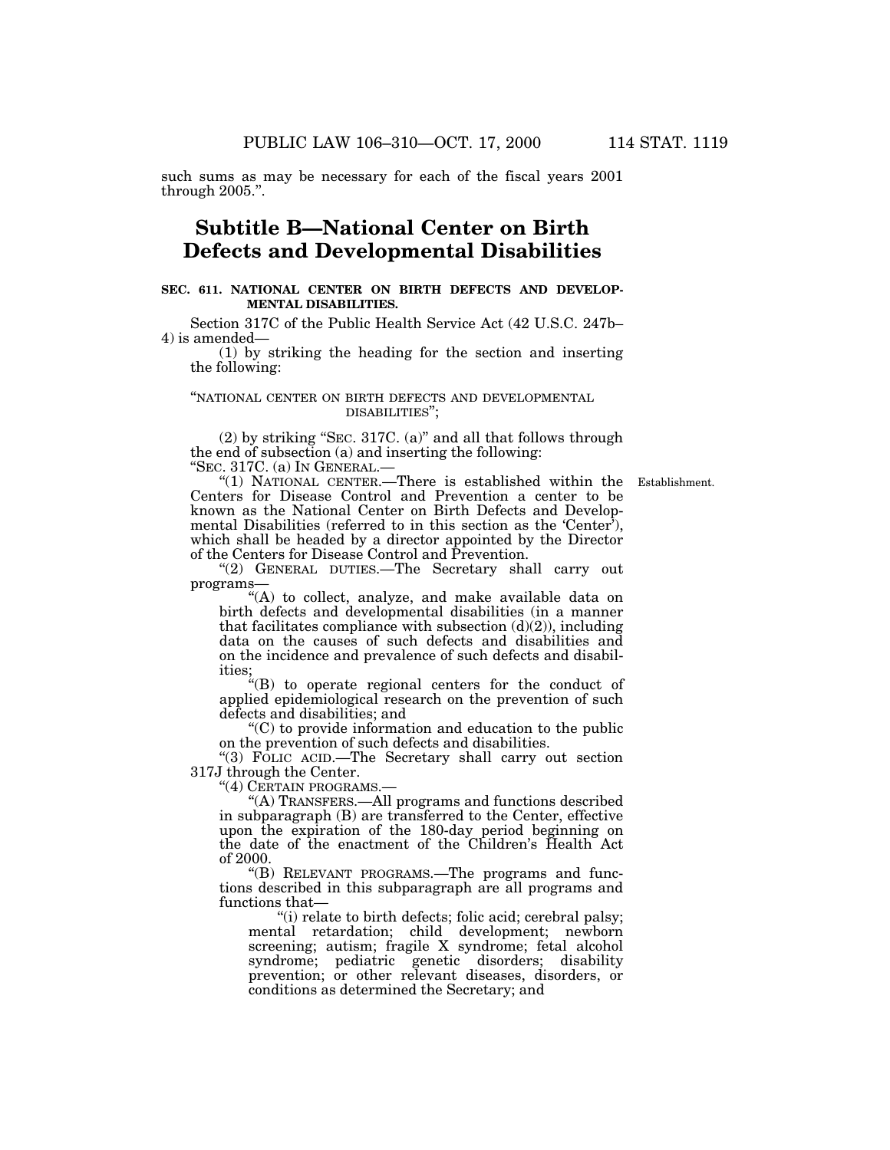such sums as may be necessary for each of the fiscal years 2001 through 2005.''.

# **Subtitle B—National Center on Birth Defects and Developmental Disabilities**

# **SEC. 611. NATIONAL CENTER ON BIRTH DEFECTS AND DEVELOP-MENTAL DISABILITIES.**

Section 317C of the Public Health Service Act (42 U.S.C. 247b– 4) is amended—

(1) by striking the heading for the section and inserting the following:

# ''NATIONAL CENTER ON BIRTH DEFECTS AND DEVELOPMENTAL DISABILITIES'';

(2) by striking ''SEC. 317C. (a)'' and all that follows through the end of subsection (a) and inserting the following: ''SEC. 317C. (a) IN GENERAL.—

Establishment.

''(1) NATIONAL CENTER.—There is established within the Centers for Disease Control and Prevention a center to be known as the National Center on Birth Defects and Developmental Disabilities (referred to in this section as the 'Center'), which shall be headed by a director appointed by the Director of the Centers for Disease Control and Prevention.

''(2) GENERAL DUTIES.—The Secretary shall carry out programs—

"(A) to collect, analyze, and make available data on birth defects and developmental disabilities (in a manner that facilitates compliance with subsection  $(d)(2)$ , including data on the causes of such defects and disabilities and on the incidence and prevalence of such defects and disabilities;

''(B) to operate regional centers for the conduct of applied epidemiological research on the prevention of such defects and disabilities; and

 $C$ ) to provide information and education to the public on the prevention of such defects and disabilities.

"(3) FOLIC ACID.—The Secretary shall carry out section 317J through the Center.

''(4) CERTAIN PROGRAMS.—

''(A) TRANSFERS.—All programs and functions described in subparagraph (B) are transferred to the Center, effective upon the expiration of the 180-day period beginning on the date of the enactment of the Children's Health Act of 2000.

''(B) RELEVANT PROGRAMS.—The programs and functions described in this subparagraph are all programs and functions that—

''(i) relate to birth defects; folic acid; cerebral palsy; mental retardation; child development; newborn screening; autism; fragile X syndrome; fetal alcohol syndrome; pediatric genetic disorders; disability prevention; or other relevant diseases, disorders, or conditions as determined the Secretary; and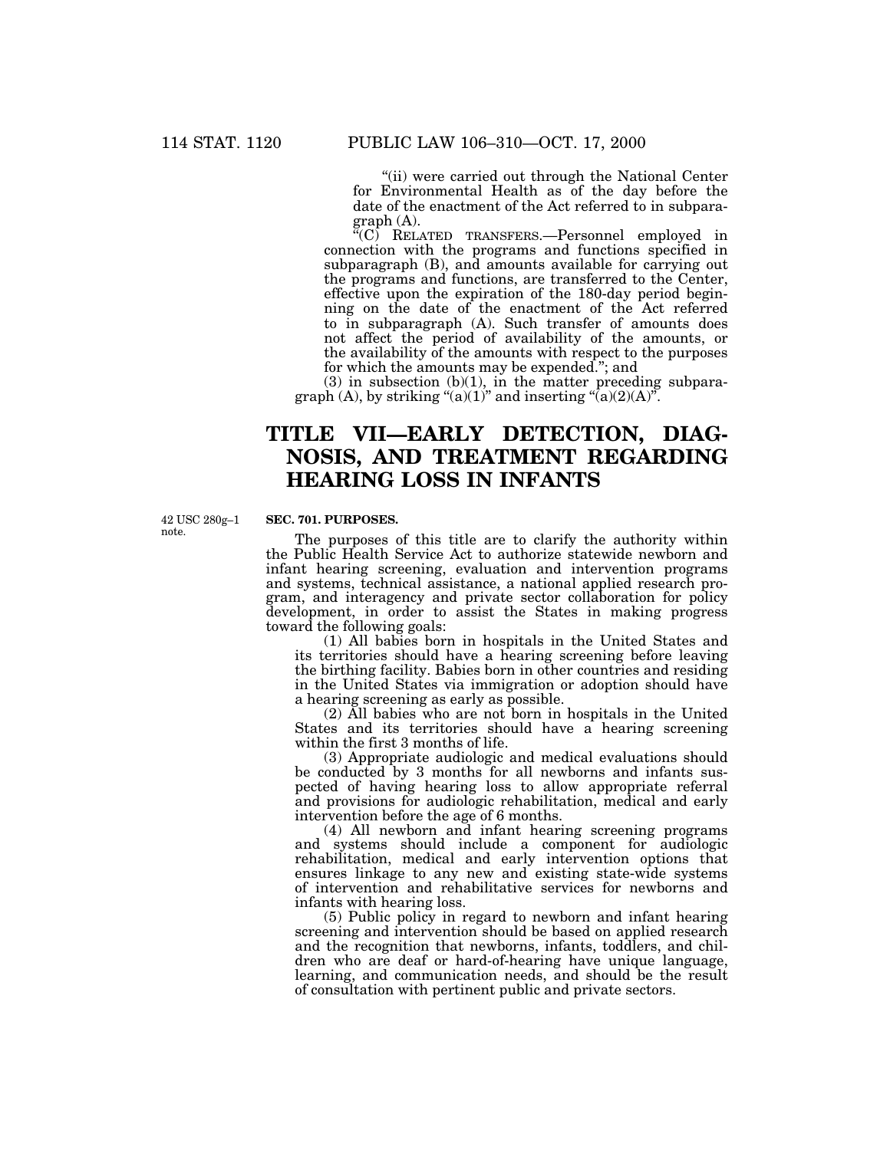"(ii) were carried out through the National Center for Environmental Health as of the day before the date of the enactment of the Act referred to in subparagraph (A).

''(C) RELATED TRANSFERS.—Personnel employed in connection with the programs and functions specified in subparagraph (B), and amounts available for carrying out the programs and functions, are transferred to the Center, effective upon the expiration of the 180-day period beginning on the date of the enactment of the Act referred to in subparagraph (A). Such transfer of amounts does not affect the period of availability of the amounts, or the availability of the amounts with respect to the purposes for which the amounts may be expended.''; and

 $(3)$  in subsection  $(b)(1)$ , in the matter preceding subparagraph  $(A)$ , by striking " $(a)(1)$ " and inserting " $(a)(2)(A)$ ".

# **TITLE VII—EARLY DETECTION, DIAG-NOSIS, AND TREATMENT REGARDING HEARING LOSS IN INFANTS**

42 USC 280g–1 note.

# **SEC. 701. PURPOSES.**

The purposes of this title are to clarify the authority within the Public Health Service Act to authorize statewide newborn and infant hearing screening, evaluation and intervention programs and systems, technical assistance, a national applied research program, and interagency and private sector collaboration for policy development, in order to assist the States in making progress toward the following goals:

(1) All babies born in hospitals in the United States and its territories should have a hearing screening before leaving the birthing facility. Babies born in other countries and residing in the United States via immigration or adoption should have a hearing screening as early as possible.

(2) All babies who are not born in hospitals in the United States and its territories should have a hearing screening within the first 3 months of life.

(3) Appropriate audiologic and medical evaluations should be conducted by 3 months for all newborns and infants suspected of having hearing loss to allow appropriate referral and provisions for audiologic rehabilitation, medical and early intervention before the age of 6 months.

(4) All newborn and infant hearing screening programs and systems should include a component for audiologic rehabilitation, medical and early intervention options that ensures linkage to any new and existing state-wide systems of intervention and rehabilitative services for newborns and infants with hearing loss.

(5) Public policy in regard to newborn and infant hearing screening and intervention should be based on applied research and the recognition that newborns, infants, toddlers, and children who are deaf or hard-of-hearing have unique language, learning, and communication needs, and should be the result of consultation with pertinent public and private sectors.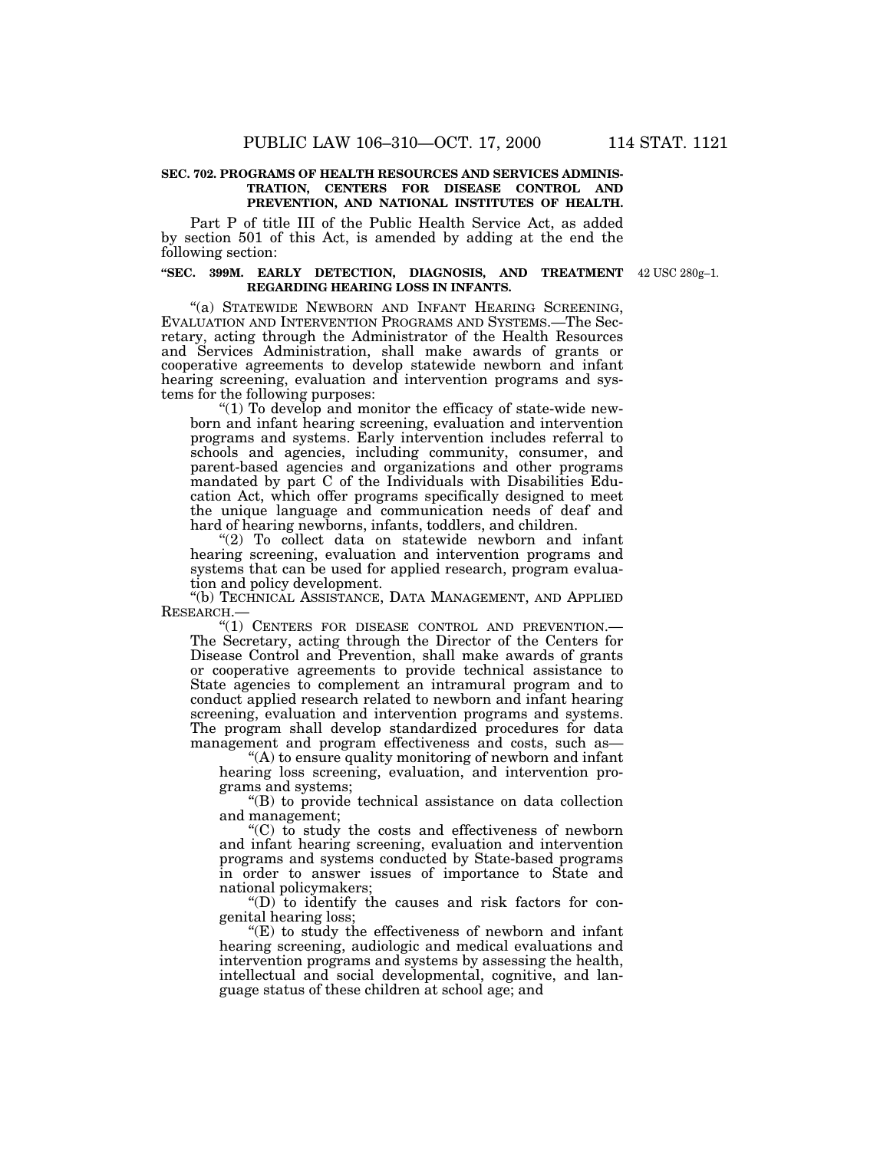# **SEC. 702. PROGRAMS OF HEALTH RESOURCES AND SERVICES ADMINIS-TRATION, CENTERS FOR DISEASE CONTROL AND PREVENTION, AND NATIONAL INSTITUTES OF HEALTH.**

Part P of title III of the Public Health Service Act, as added by section 501 of this Act, is amended by adding at the end the following section:

#### **''SEC. 399M. EARLY DETECTION, DIAGNOSIS, AND TREATMENT** 42 USC 280g–1. **REGARDING HEARING LOSS IN INFANTS.**

"(a) STATEWIDE NEWBORN AND INFANT HEARING SCREENING, EVALUATION AND INTERVENTION PROGRAMS AND SYSTEMS.—The Secretary, acting through the Administrator of the Health Resources and Services Administration, shall make awards of grants or cooperative agreements to develop statewide newborn and infant hearing screening, evaluation and intervention programs and systems for the following purposes:

"(1) To develop and monitor the efficacy of state-wide newborn and infant hearing screening, evaluation and intervention programs and systems. Early intervention includes referral to schools and agencies, including community, consumer, and parent-based agencies and organizations and other programs mandated by part C of the Individuals with Disabilities Education Act, which offer programs specifically designed to meet the unique language and communication needs of deaf and hard of hearing newborns, infants, toddlers, and children.

"(2) To collect data on statewide newborn and infant hearing screening, evaluation and intervention programs and systems that can be used for applied research, program evaluation and policy development.

''(b) TECHNICAL ASSISTANCE, DATA MANAGEMENT, AND APPLIED RESEARCH.—

''(1) CENTERS FOR DISEASE CONTROL AND PREVENTION.— The Secretary, acting through the Director of the Centers for Disease Control and Prevention, shall make awards of grants or cooperative agreements to provide technical assistance to State agencies to complement an intramural program and to conduct applied research related to newborn and infant hearing screening, evaluation and intervention programs and systems. The program shall develop standardized procedures for data management and program effectiveness and costs, such as—

"(A) to ensure quality monitoring of newborn and infant hearing loss screening, evaluation, and intervention programs and systems;

''(B) to provide technical assistance on data collection and management;

''(C) to study the costs and effectiveness of newborn and infant hearing screening, evaluation and intervention programs and systems conducted by State-based programs in order to answer issues of importance to State and national policymakers;

''(D) to identify the causes and risk factors for congenital hearing loss;

 $E(E)$  to study the effectiveness of newborn and infant hearing screening, audiologic and medical evaluations and intervention programs and systems by assessing the health, intellectual and social developmental, cognitive, and language status of these children at school age; and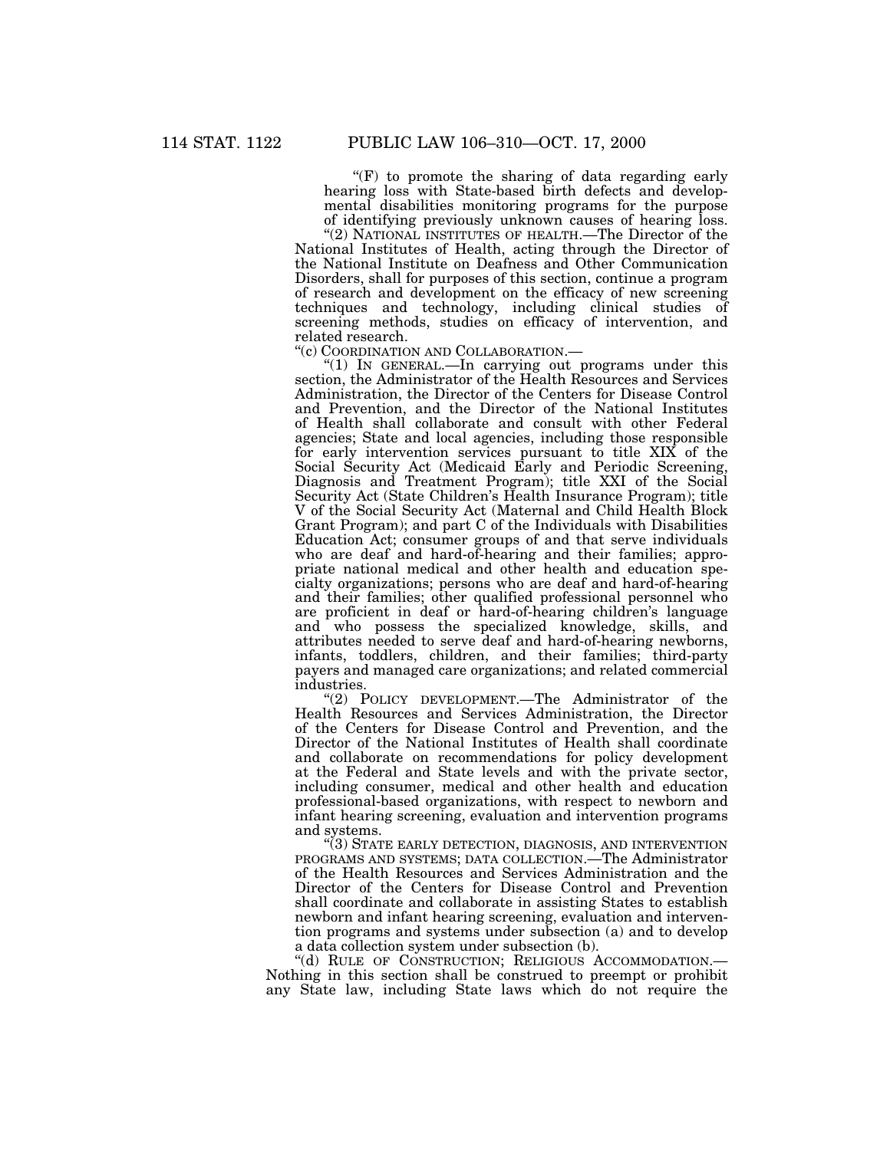$f(F)$  to promote the sharing of data regarding early hearing loss with State-based birth defects and developmental disabilities monitoring programs for the purpose of identifying previously unknown causes of hearing loss.

"(2) NATIONAL INSTITUTES OF HEALTH.—The Director of the National Institutes of Health, acting through the Director of the National Institute on Deafness and Other Communication Disorders, shall for purposes of this section, continue a program of research and development on the efficacy of new screening techniques and technology, including clinical studies of screening methods, studies on efficacy of intervention, and related research.

''(c) COORDINATION AND COLLABORATION.—

"(1) IN GENERAL.—In carrying out programs under this section, the Administrator of the Health Resources and Services Administration, the Director of the Centers for Disease Control and Prevention, and the Director of the National Institutes of Health shall collaborate and consult with other Federal agencies; State and local agencies, including those responsible for early intervention services pursuant to title XIX of the Social Security Act (Medicaid Early and Periodic Screening, Diagnosis and Treatment Program); title XXI of the Social Security Act (State Children's Health Insurance Program); title V of the Social Security Act (Maternal and Child Health Block Grant Program); and part C of the Individuals with Disabilities Education Act; consumer groups of and that serve individuals who are deaf and hard-of-hearing and their families; appropriate national medical and other health and education specialty organizations; persons who are deaf and hard-of-hearing and their families; other qualified professional personnel who are proficient in deaf or hard-of-hearing children's language and who possess the specialized knowledge, skills, and attributes needed to serve deaf and hard-of-hearing newborns, infants, toddlers, children, and their families; third-party payers and managed care organizations; and related commercial industries.

''(2) POLICY DEVELOPMENT.—The Administrator of the Health Resources and Services Administration, the Director of the Centers for Disease Control and Prevention, and the Director of the National Institutes of Health shall coordinate and collaborate on recommendations for policy development at the Federal and State levels and with the private sector, including consumer, medical and other health and education professional-based organizations, with respect to newborn and infant hearing screening, evaluation and intervention programs and systems.

''(3) STATE EARLY DETECTION, DIAGNOSIS, AND INTERVENTION PROGRAMS AND SYSTEMS; DATA COLLECTION.—The Administrator of the Health Resources and Services Administration and the Director of the Centers for Disease Control and Prevention shall coordinate and collaborate in assisting States to establish newborn and infant hearing screening, evaluation and intervention programs and systems under subsection (a) and to develop a data collection system under subsection (b).

''(d) RULE OF CONSTRUCTION; RELIGIOUS ACCOMMODATION.— Nothing in this section shall be construed to preempt or prohibit any State law, including State laws which do not require the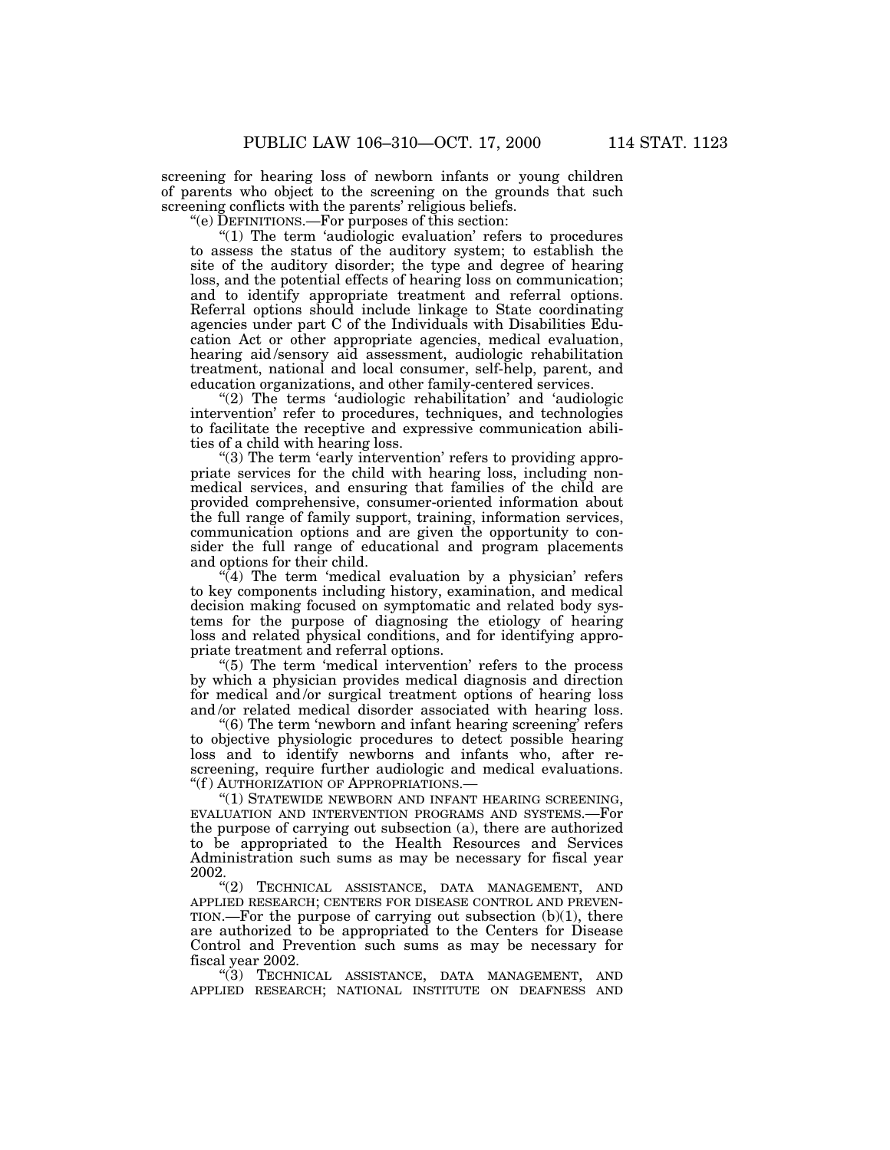screening for hearing loss of newborn infants or young children of parents who object to the screening on the grounds that such screening conflicts with the parents' religious beliefs.

''(e) DEFINITIONS.—For purposes of this section:

''(1) The term 'audiologic evaluation' refers to procedures to assess the status of the auditory system; to establish the site of the auditory disorder; the type and degree of hearing loss, and the potential effects of hearing loss on communication; and to identify appropriate treatment and referral options. Referral options should include linkage to State coordinating agencies under part C of the Individuals with Disabilities Education Act or other appropriate agencies, medical evaluation, hearing aid/sensory aid assessment, audiologic rehabilitation treatment, national and local consumer, self-help, parent, and education organizations, and other family-centered services.

"(2) The terms 'audiologic rehabilitation' and 'audiologic intervention' refer to procedures, techniques, and technologies to facilitate the receptive and expressive communication abilities of a child with hearing loss.

"(3) The term 'early intervention' refers to providing appropriate services for the child with hearing loss, including nonmedical services, and ensuring that families of the child are provided comprehensive, consumer-oriented information about the full range of family support, training, information services, communication options and are given the opportunity to consider the full range of educational and program placements and options for their child.

 $\sqrt{4}$ ) The term 'medical evaluation by a physician' refers to key components including history, examination, and medical decision making focused on symptomatic and related body systems for the purpose of diagnosing the etiology of hearing loss and related physical conditions, and for identifying appropriate treatment and referral options.

" $(5)$  The term 'medical intervention' refers to the process by which a physician provides medical diagnosis and direction for medical and /or surgical treatment options of hearing loss and/or related medical disorder associated with hearing loss.

"(6) The term 'newborn and infant hearing screening' refers to objective physiologic procedures to detect possible hearing loss and to identify newborns and infants who, after rescreening, require further audiologic and medical evaluations. ''(f ) AUTHORIZATION OF APPROPRIATIONS.—

"(1) STATEWIDE NEWBORN AND INFANT HEARING SCREENING, EVALUATION AND INTERVENTION PROGRAMS AND SYSTEMS.—For the purpose of carrying out subsection (a), there are authorized to be appropriated to the Health Resources and Services Administration such sums as may be necessary for fiscal year 2002.

''(2) TECHNICAL ASSISTANCE, DATA MANAGEMENT, AND APPLIED RESEARCH; CENTERS FOR DISEASE CONTROL AND PREVEN-TION.—For the purpose of carrying out subsection (b)(1), there are authorized to be appropriated to the Centers for Disease Control and Prevention such sums as may be necessary for fiscal year 2002.

''(3) TECHNICAL ASSISTANCE, DATA MANAGEMENT, AND APPLIED RESEARCH; NATIONAL INSTITUTE ON DEAFNESS AND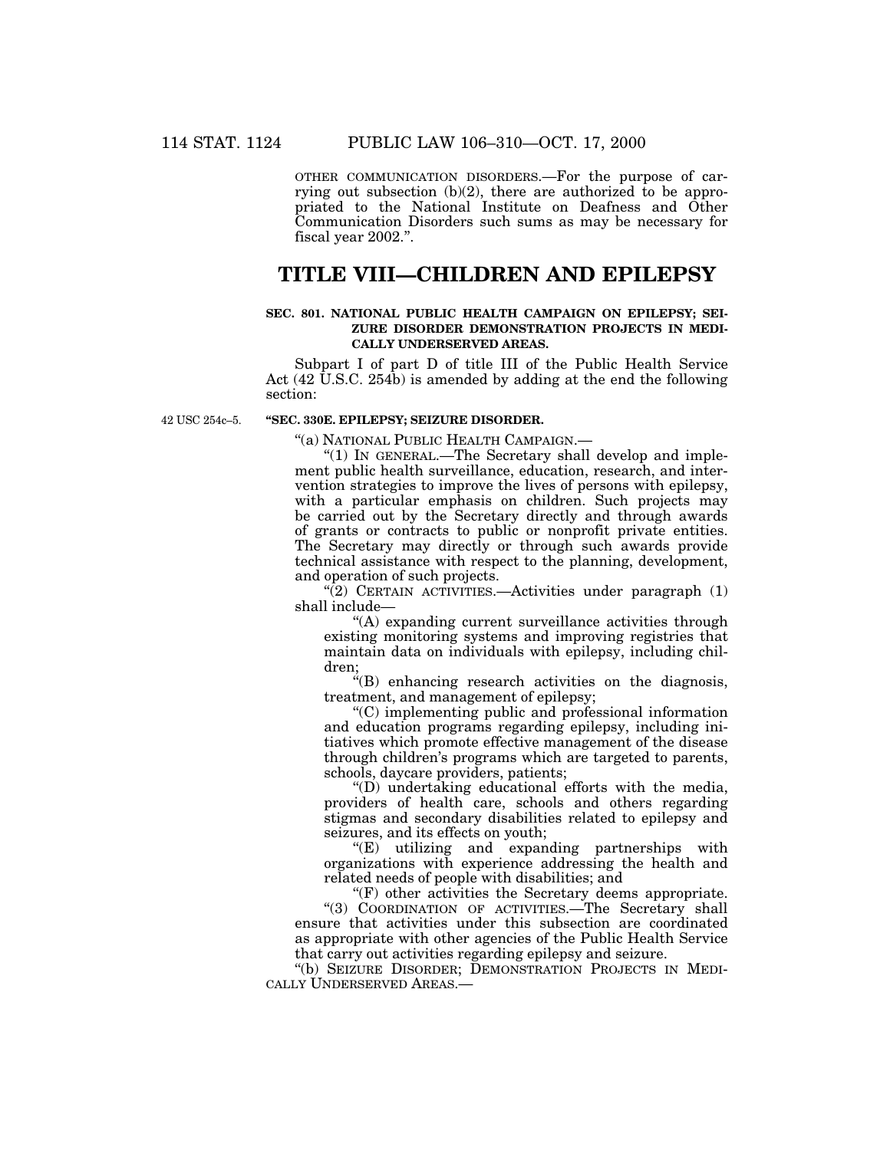OTHER COMMUNICATION DISORDERS.—For the purpose of carrying out subsection (b)(2), there are authorized to be appropriated to the National Institute on Deafness and Other Communication Disorders such sums as may be necessary for fiscal year 2002.''.

# **TITLE VIII—CHILDREN AND EPILEPSY**

### **SEC. 801. NATIONAL PUBLIC HEALTH CAMPAIGN ON EPILEPSY; SEI-ZURE DISORDER DEMONSTRATION PROJECTS IN MEDI-CALLY UNDERSERVED AREAS.**

Subpart I of part D of title III of the Public Health Service Act (42 U.S.C. 254b) is amended by adding at the end the following section:

42 USC 254c–5.

# **''SEC. 330E. EPILEPSY; SEIZURE DISORDER.**

''(a) NATIONAL PUBLIC HEALTH CAMPAIGN.—

" $(1)$  In GENERAL.—The Secretary shall develop and implement public health surveillance, education, research, and intervention strategies to improve the lives of persons with epilepsy, with a particular emphasis on children. Such projects may be carried out by the Secretary directly and through awards of grants or contracts to public or nonprofit private entities. The Secretary may directly or through such awards provide technical assistance with respect to the planning, development, and operation of such projects.

 $\sqrt{2}$ ) CERTAIN ACTIVITIES.—Activities under paragraph (1) shall include—

''(A) expanding current surveillance activities through existing monitoring systems and improving registries that maintain data on individuals with epilepsy, including children;

''(B) enhancing research activities on the diagnosis, treatment, and management of epilepsy;

''(C) implementing public and professional information and education programs regarding epilepsy, including initiatives which promote effective management of the disease through children's programs which are targeted to parents, schools, daycare providers, patients;

''(D) undertaking educational efforts with the media, providers of health care, schools and others regarding stigmas and secondary disabilities related to epilepsy and seizures, and its effects on youth;

"(E) utilizing and expanding partnerships with organizations with experience addressing the health and related needs of people with disabilities; and

''(F) other activities the Secretary deems appropriate. "(3) COORDINATION OF ACTIVITIES.—The Secretary shall ensure that activities under this subsection are coordinated as appropriate with other agencies of the Public Health Service that carry out activities regarding epilepsy and seizure.

''(b) SEIZURE DISORDER; DEMONSTRATION PROJECTS IN MEDI-CALLY UNDERSERVED AREAS.—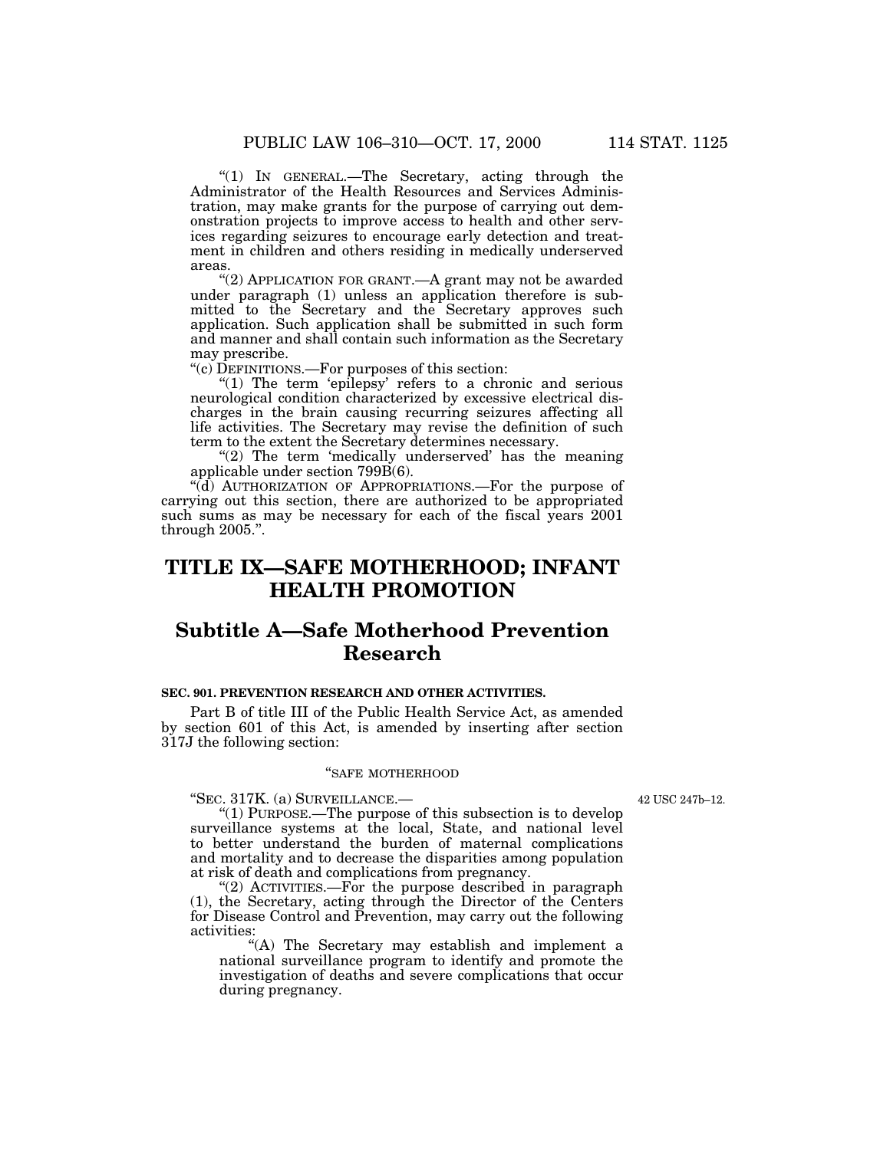''(1) IN GENERAL.—The Secretary, acting through the Administrator of the Health Resources and Services Administration, may make grants for the purpose of carrying out demonstration projects to improve access to health and other services regarding seizures to encourage early detection and treatment in children and others residing in medically underserved areas.

"(2) APPLICATION FOR GRANT.—A grant may not be awarded under paragraph (1) unless an application therefore is submitted to the Secretary and the Secretary approves such application. Such application shall be submitted in such form and manner and shall contain such information as the Secretary may prescribe.

''(c) DEFINITIONS.—For purposes of this section:

" $(1)$  The term 'epilepsy' refers to a chronic and serious neurological condition characterized by excessive electrical discharges in the brain causing recurring seizures affecting all life activities. The Secretary may revise the definition of such term to the extent the Secretary determines necessary.

"(2) The term 'medically underserved' has the meaning applicable under section 799B(6).

''(d) AUTHORIZATION OF APPROPRIATIONS.—For the purpose of carrying out this section, there are authorized to be appropriated such sums as may be necessary for each of the fiscal years 2001 through 2005.''.

# **TITLE IX—SAFE MOTHERHOOD; INFANT HEALTH PROMOTION**

# **Subtitle A—Safe Motherhood Prevention Research**

### **SEC. 901. PREVENTION RESEARCH AND OTHER ACTIVITIES.**

Part B of title III of the Public Health Service Act, as amended by section 601 of this Act, is amended by inserting after section 317J the following section:

# ''SAFE MOTHERHOOD

''SEC. 317K. (a) SURVEILLANCE.—

42 USC 247b–12.

''(1) PURPOSE.—The purpose of this subsection is to develop surveillance systems at the local, State, and national level to better understand the burden of maternal complications and mortality and to decrease the disparities among population at risk of death and complications from pregnancy.

" $(2)$  ACTIVITIES.—For the purpose described in paragraph (1), the Secretary, acting through the Director of the Centers for Disease Control and Prevention, may carry out the following activities:

''(A) The Secretary may establish and implement a national surveillance program to identify and promote the investigation of deaths and severe complications that occur during pregnancy.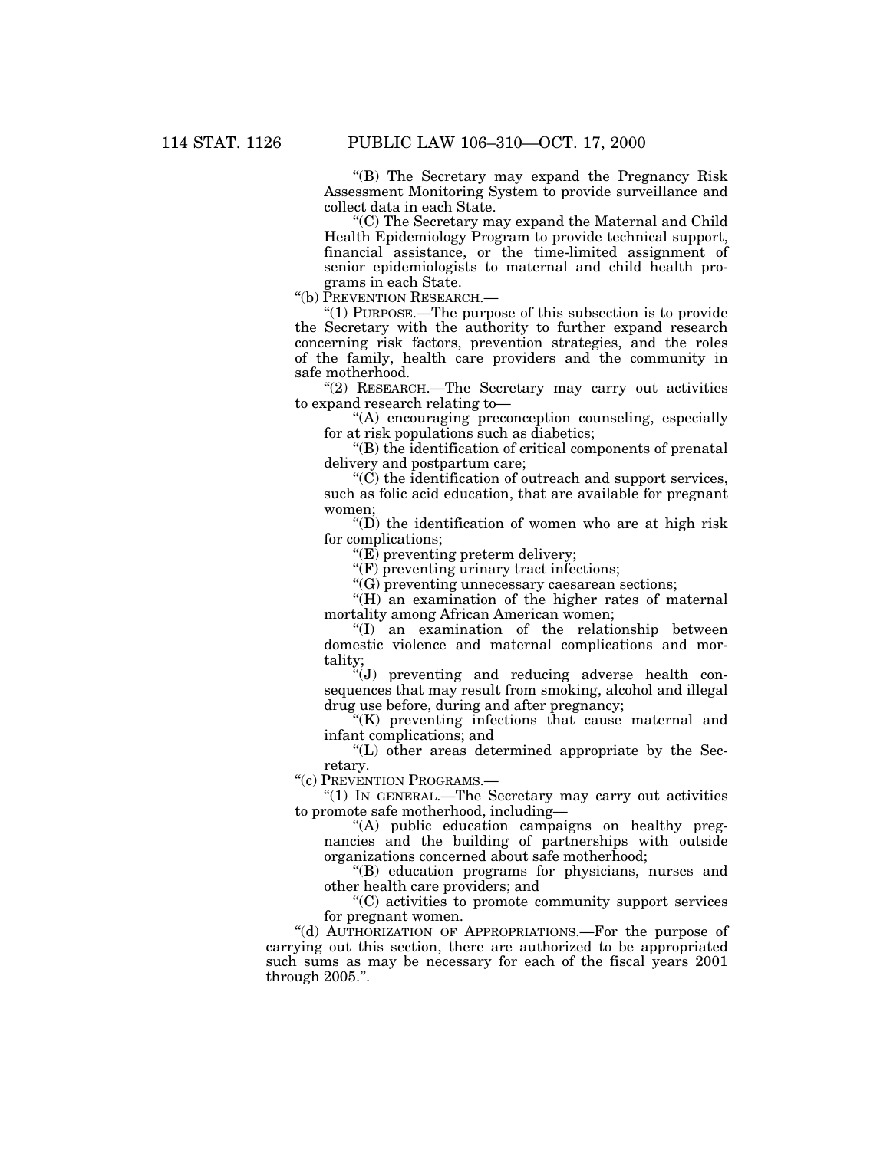''(B) The Secretary may expand the Pregnancy Risk Assessment Monitoring System to provide surveillance and collect data in each State.

''(C) The Secretary may expand the Maternal and Child Health Epidemiology Program to provide technical support, financial assistance, or the time-limited assignment of senior epidemiologists to maternal and child health programs in each State.

''(b) PREVENTION RESEARCH.—

" $(1)$  PURPOSE.—The purpose of this subsection is to provide the Secretary with the authority to further expand research concerning risk factors, prevention strategies, and the roles of the family, health care providers and the community in safe motherhood.

"(2) RESEARCH.—The Secretary may carry out activities to expand research relating to—

''(A) encouraging preconception counseling, especially for at risk populations such as diabetics;

''(B) the identification of critical components of prenatal delivery and postpartum care;

''(C) the identification of outreach and support services, such as folic acid education, that are available for pregnant women;

 $\mathrm{``(D)}$  the identification of women who are at high risk for complications;

''(E) preventing preterm delivery;

''(F) preventing urinary tract infections;

''(G) preventing unnecessary caesarean sections;

"(H) an examination of the higher rates of maternal mortality among African American women;

''(I) an examination of the relationship between domestic violence and maternal complications and mortality;

''(J) preventing and reducing adverse health consequences that may result from smoking, alcohol and illegal drug use before, during and after pregnancy;

 $K(K)$  preventing infections that cause maternal and infant complications; and

''(L) other areas determined appropriate by the Secretary.

''(c) PREVENTION PROGRAMS.—

''(1) IN GENERAL.—The Secretary may carry out activities to promote safe motherhood, including—

''(A) public education campaigns on healthy pregnancies and the building of partnerships with outside organizations concerned about safe motherhood;

''(B) education programs for physicians, nurses and other health care providers; and

''(C) activities to promote community support services for pregnant women.

''(d) AUTHORIZATION OF APPROPRIATIONS.—For the purpose of carrying out this section, there are authorized to be appropriated such sums as may be necessary for each of the fiscal years 2001 through 2005.''.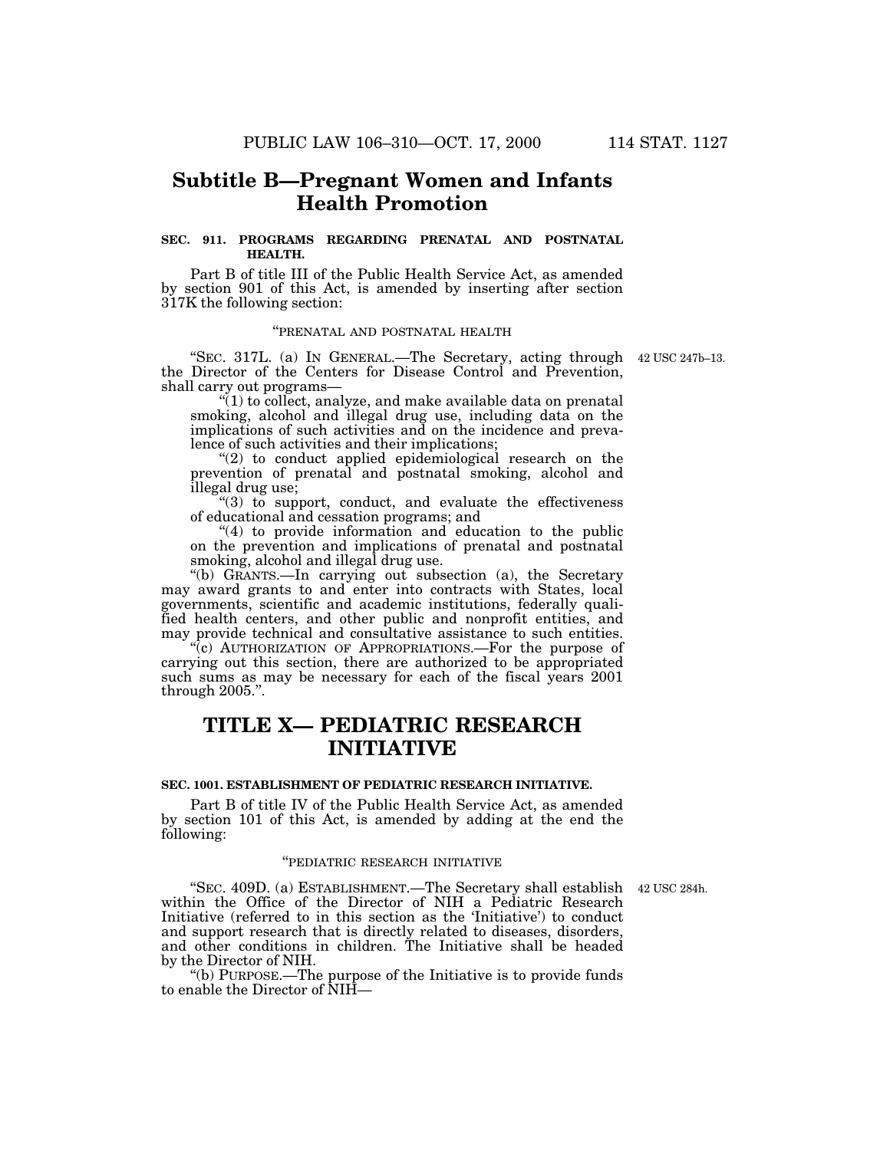# **Subtitle B—Pregnant Women and Infants Health Promotion**

# **SEC. 911. PROGRAMS REGARDING PRENATAL AND POSTNATAL HEALTH.**

Part B of title III of the Public Health Service Act, as amended by section 901 of this Act, is amended by inserting after section 317K the following section:

# ''PRENATAL AND POSTNATAL HEALTH

''SEC. 317L. (a) IN GENERAL.—The Secretary, acting through 42 USC 247b–13. the Director of the Centers for Disease Control and Prevention, shall carry out programs—

''(1) to collect, analyze, and make available data on prenatal smoking, alcohol and illegal drug use, including data on the implications of such activities and on the incidence and prevalence of such activities and their implications;

"(2) to conduct applied epidemiological research on the prevention of prenatal and postnatal smoking, alcohol and illegal drug use;

''(3) to support, conduct, and evaluate the effectiveness of educational and cessation programs; and

 $''(4)$  to provide information and education to the public on the prevention and implications of prenatal and postnatal smoking, alcohol and illegal drug use.

''(b) GRANTS.—In carrying out subsection (a), the Secretary may award grants to and enter into contracts with States, local governments, scientific and academic institutions, federally qualified health centers, and other public and nonprofit entities, and may provide technical and consultative assistance to such entities.

"(c) AUTHORIZATION OF APPROPRIATIONS.—For the purpose of carrying out this section, there are authorized to be appropriated such sums as may be necessary for each of the fiscal years 2001 through 2005.''.

# **TITLE X— PEDIATRIC RESEARCH INITIATIVE**

### **SEC. 1001. ESTABLISHMENT OF PEDIATRIC RESEARCH INITIATIVE.**

Part B of title IV of the Public Health Service Act, as amended by section 101 of this Act, is amended by adding at the end the following:

# ''PEDIATRIC RESEARCH INITIATIVE

42 USC 284h.

"SEC. 409D. (a) ESTABLISHMENT.—The Secretary shall establish within the Office of the Director of NIH a Pediatric Research Initiative (referred to in this section as the 'Initiative') to conduct and support research that is directly related to diseases, disorders, and other conditions in children. The Initiative shall be headed by the Director of NIH.

''(b) PURPOSE.—The purpose of the Initiative is to provide funds to enable the Director of NIH—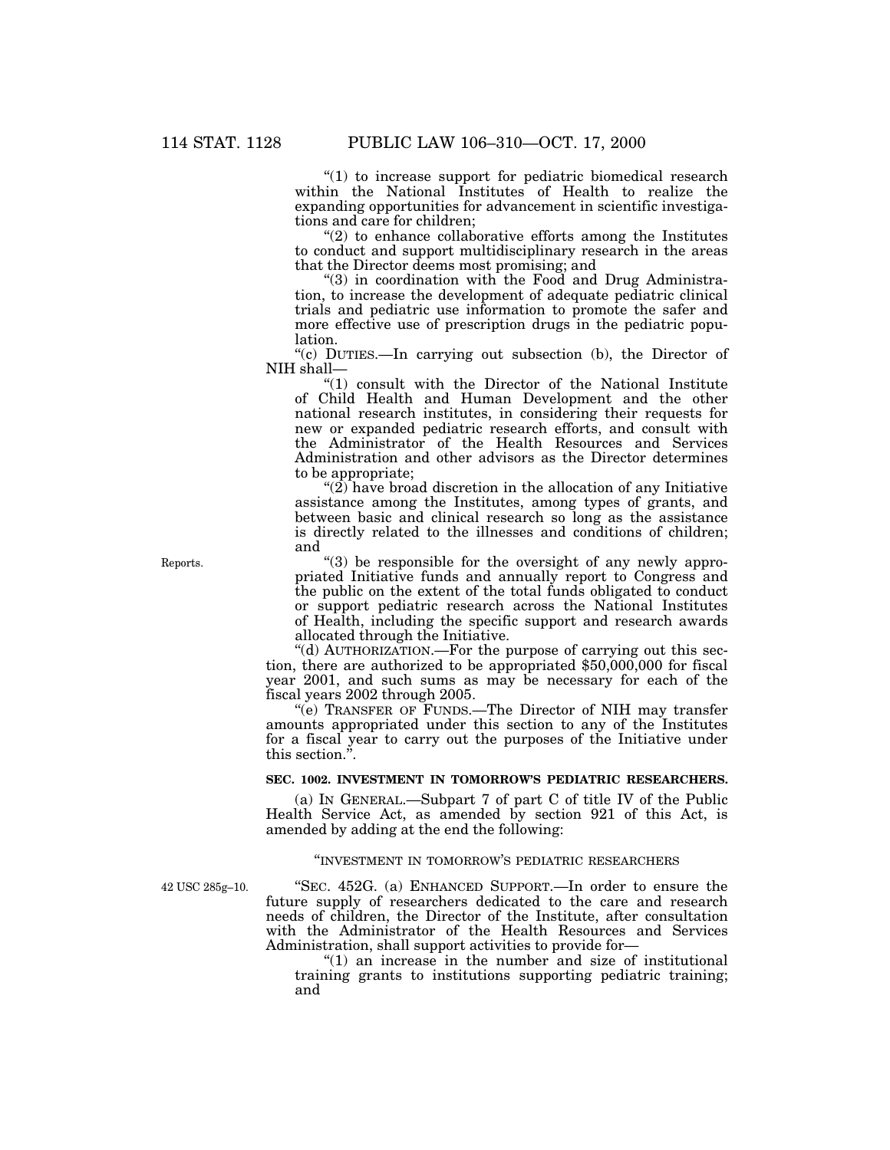"(1) to increase support for pediatric biomedical research within the National Institutes of Health to realize the expanding opportunities for advancement in scientific investigations and care for children;

 $(2)$  to enhance collaborative efforts among the Institutes to conduct and support multidisciplinary research in the areas that the Director deems most promising; and

''(3) in coordination with the Food and Drug Administration, to increase the development of adequate pediatric clinical trials and pediatric use information to promote the safer and more effective use of prescription drugs in the pediatric population.

''(c) DUTIES.—In carrying out subsection (b), the Director of NIH shall—

''(1) consult with the Director of the National Institute of Child Health and Human Development and the other national research institutes, in considering their requests for new or expanded pediatric research efforts, and consult with the Administrator of the Health Resources and Services Administration and other advisors as the Director determines to be appropriate;

" $(2)$  have broad discretion in the allocation of any Initiative assistance among the Institutes, among types of grants, and between basic and clinical research so long as the assistance is directly related to the illnesses and conditions of children; and

''(3) be responsible for the oversight of any newly appropriated Initiative funds and annually report to Congress and the public on the extent of the total funds obligated to conduct or support pediatric research across the National Institutes of Health, including the specific support and research awards allocated through the Initiative.

''(d) AUTHORIZATION.—For the purpose of carrying out this section, there are authorized to be appropriated \$50,000,000 for fiscal year 2001, and such sums as may be necessary for each of the fiscal years 2002 through 2005.

''(e) TRANSFER OF FUNDS.—The Director of NIH may transfer amounts appropriated under this section to any of the Institutes for a fiscal year to carry out the purposes of the Initiative under this section.''.

# **SEC. 1002. INVESTMENT IN TOMORROW'S PEDIATRIC RESEARCHERS.**

(a) IN GENERAL.—Subpart 7 of part C of title IV of the Public Health Service Act, as amended by section 921 of this Act, is amended by adding at the end the following:

### ''INVESTMENT IN TOMORROW'S PEDIATRIC RESEARCHERS

42 USC 285g–10.

''SEC. 452G. (a) ENHANCED SUPPORT.—In order to ensure the future supply of researchers dedicated to the care and research needs of children, the Director of the Institute, after consultation with the Administrator of the Health Resources and Services Administration, shall support activities to provide for—

 $''(1)$  an increase in the number and size of institutional training grants to institutions supporting pediatric training; and

Reports.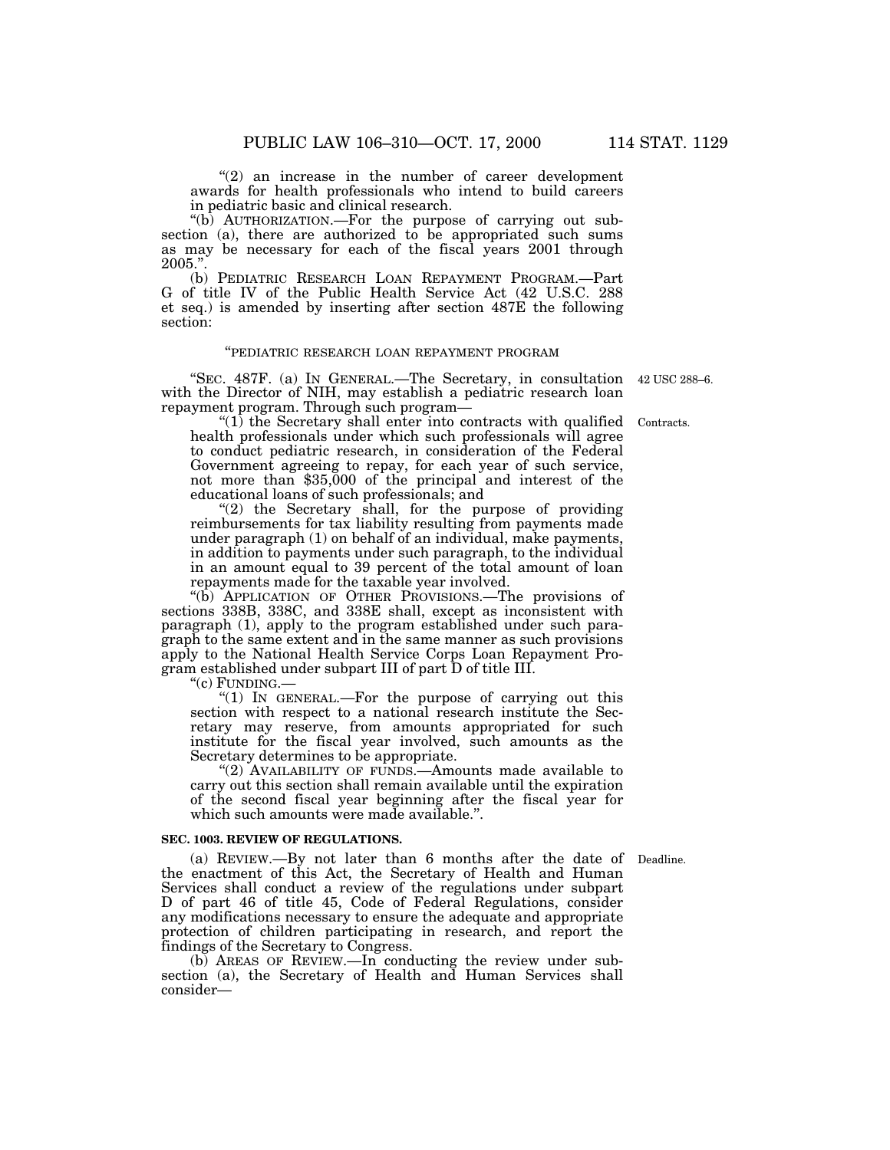''(b) AUTHORIZATION.—For the purpose of carrying out subsection (a), there are authorized to be appropriated such sums as may be necessary for each of the fiscal years 2001 through 2005.''.

(b) PEDIATRIC RESEARCH LOAN REPAYMENT PROGRAM.—Part G of title IV of the Public Health Service Act (42 U.S.C. 288 et seq.) is amended by inserting after section 487E the following section:

# ''PEDIATRIC RESEARCH LOAN REPAYMENT PROGRAM

''SEC. 487F. (a) IN GENERAL.—The Secretary, in consultation 42 USC 288–6. with the Director of NIH, may establish a pediatric research loan repayment program. Through such program—

 $''(1)$  the Secretary shall enter into contracts with qualified health professionals under which such professionals will agree to conduct pediatric research, in consideration of the Federal Government agreeing to repay, for each year of such service, not more than \$35,000 of the principal and interest of the educational loans of such professionals; and

"(2) the Secretary shall, for the purpose of providing reimbursements for tax liability resulting from payments made under paragraph (1) on behalf of an individual, make payments, in addition to payments under such paragraph, to the individual in an amount equal to 39 percent of the total amount of loan repayments made for the taxable year involved.

''(b) APPLICATION OF OTHER PROVISIONS.—The provisions of sections 338B, 338C, and 338E shall, except as inconsistent with paragraph (1), apply to the program established under such paragraph to the same extent and in the same manner as such provisions apply to the National Health Service Corps Loan Repayment Program established under subpart III of part D of title III.<br>"(c) FUNDING.—

"(1) IN GENERAL.—For the purpose of carrying out this section with respect to a national research institute the Secretary may reserve, from amounts appropriated for such institute for the fiscal year involved, such amounts as the Secretary determines to be appropriate.

"(2) AVAILABILITY OF FUNDS.—Amounts made available to carry out this section shall remain available until the expiration of the second fiscal year beginning after the fiscal year for which such amounts were made available.".

### **SEC. 1003. REVIEW OF REGULATIONS.**

(a) REVIEW.—By not later than 6 months after the date of Deadline. the enactment of this Act, the Secretary of Health and Human Services shall conduct a review of the regulations under subpart D of part 46 of title 45, Code of Federal Regulations, consider any modifications necessary to ensure the adequate and appropriate protection of children participating in research, and report the findings of the Secretary to Congress.

(b) AREAS OF REVIEW.—In conducting the review under subsection (a), the Secretary of Health and Human Services shall consider—

Contracts.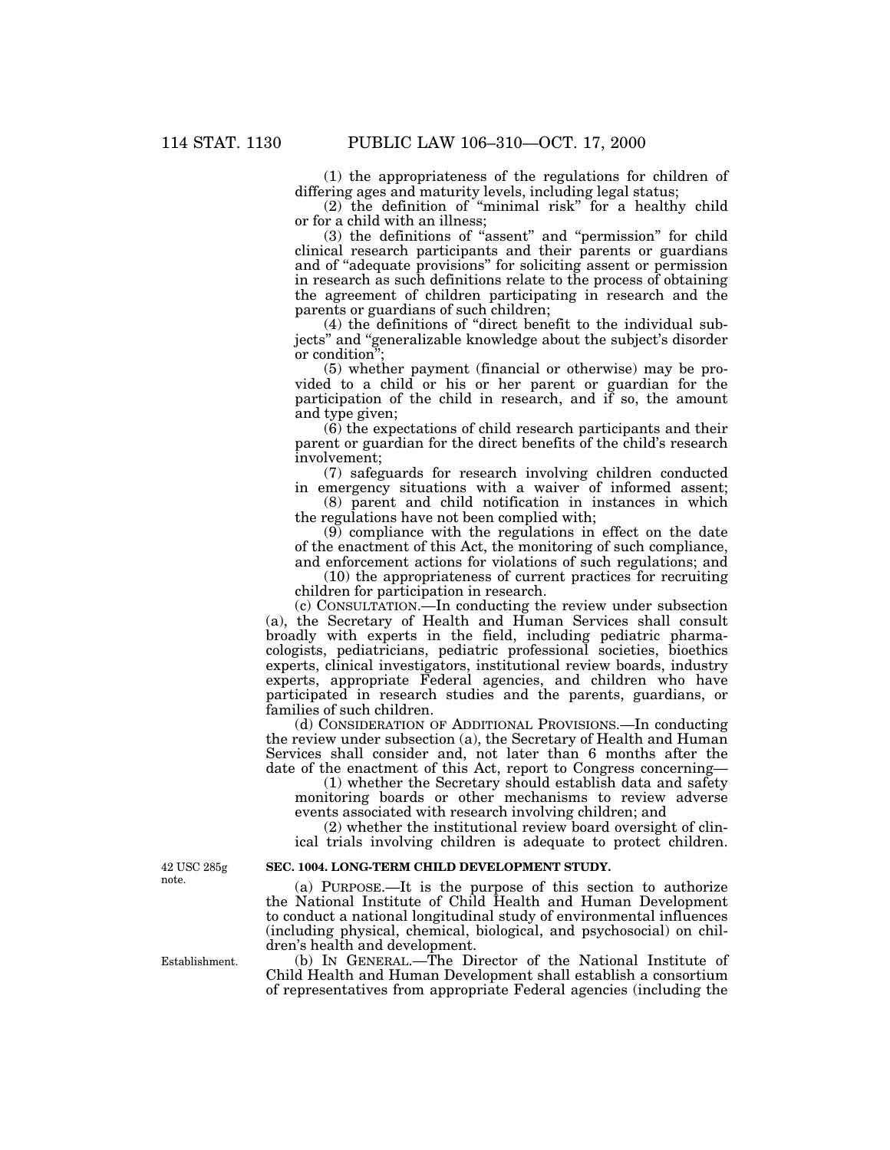(1) the appropriateness of the regulations for children of differing ages and maturity levels, including legal status;

(2) the definition of ''minimal risk'' for a healthy child or for a child with an illness;

(3) the definitions of ''assent'' and ''permission'' for child clinical research participants and their parents or guardians and of ''adequate provisions'' for soliciting assent or permission in research as such definitions relate to the process of obtaining the agreement of children participating in research and the parents or guardians of such children;

(4) the definitions of ''direct benefit to the individual subjects'' and ''generalizable knowledge about the subject's disorder or condition'';

(5) whether payment (financial or otherwise) may be provided to a child or his or her parent or guardian for the participation of the child in research, and if so, the amount and type given;

(6) the expectations of child research participants and their parent or guardian for the direct benefits of the child's research involvement;

(7) safeguards for research involving children conducted in emergency situations with a waiver of informed assent;

(8) parent and child notification in instances in which the regulations have not been complied with;

(9) compliance with the regulations in effect on the date of the enactment of this Act, the monitoring of such compliance, and enforcement actions for violations of such regulations; and

(10) the appropriateness of current practices for recruiting children for participation in research.

(c) CONSULTATION.—In conducting the review under subsection (a), the Secretary of Health and Human Services shall consult broadly with experts in the field, including pediatric pharmacologists, pediatricians, pediatric professional societies, bioethics experts, clinical investigators, institutional review boards, industry experts, appropriate Federal agencies, and children who have participated in research studies and the parents, guardians, or families of such children.

(d) CONSIDERATION OF ADDITIONAL PROVISIONS.—In conducting the review under subsection (a), the Secretary of Health and Human Services shall consider and, not later than 6 months after the date of the enactment of this Act, report to Congress concerning—

(1) whether the Secretary should establish data and safety monitoring boards or other mechanisms to review adverse events associated with research involving children; and

(2) whether the institutional review board oversight of clinical trials involving children is adequate to protect children.

### **SEC. 1004. LONG-TERM CHILD DEVELOPMENT STUDY.**

(a) PURPOSE.—It is the purpose of this section to authorize the National Institute of Child Health and Human Development to conduct a national longitudinal study of environmental influences (including physical, chemical, biological, and psychosocial) on children's health and development.

(b) IN GENERAL.—The Director of the National Institute of Child Health and Human Development shall establish a consortium of representatives from appropriate Federal agencies (including the

42 USC 285g note.

Establishment.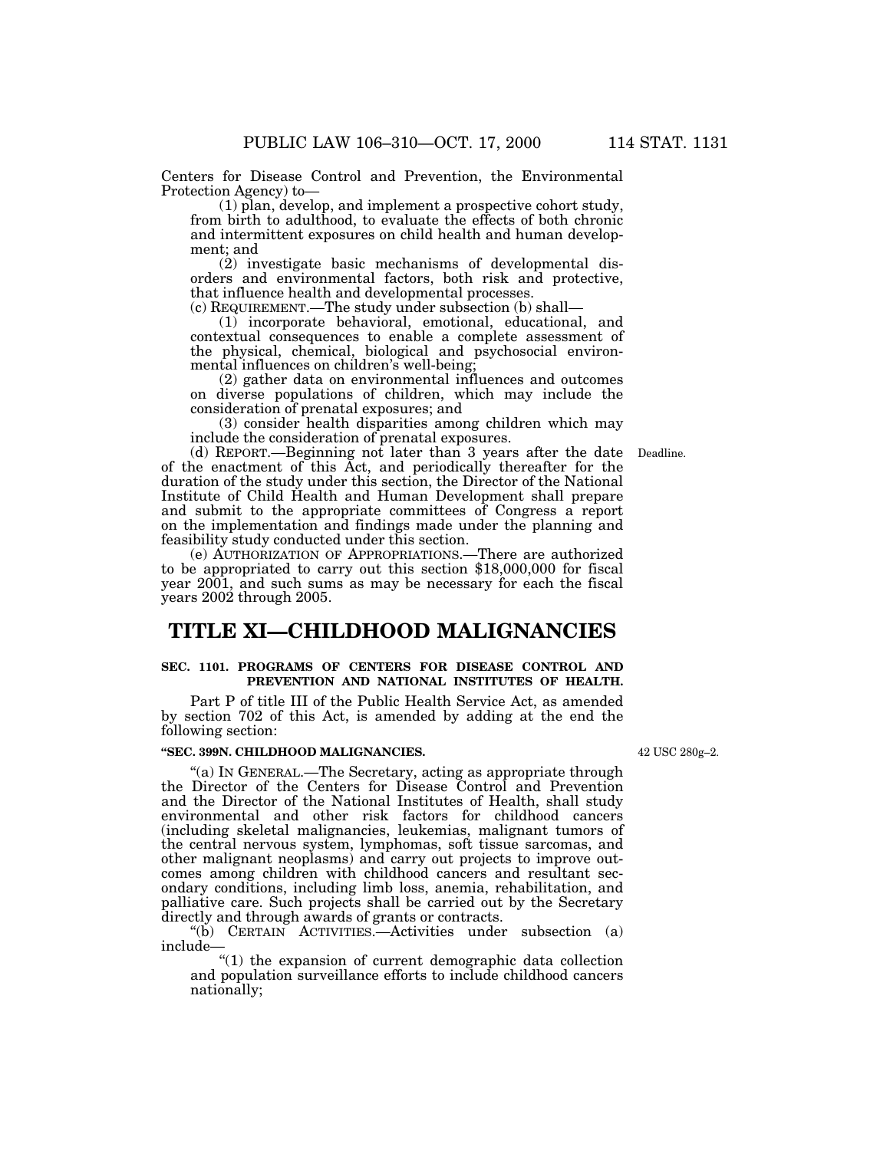Centers for Disease Control and Prevention, the Environmental Protection Agency) to—

(1) plan, develop, and implement a prospective cohort study, from birth to adulthood, to evaluate the effects of both chronic and intermittent exposures on child health and human development; and

(2) investigate basic mechanisms of developmental disorders and environmental factors, both risk and protective, that influence health and developmental processes.

(c) REQUIREMENT.—The study under subsection (b) shall—

(1) incorporate behavioral, emotional, educational, and contextual consequences to enable a complete assessment of the physical, chemical, biological and psychosocial environmental influences on children's well-being;

(2) gather data on environmental influences and outcomes on diverse populations of children, which may include the consideration of prenatal exposures; and

(3) consider health disparities among children which may include the consideration of prenatal exposures.

(d) REPORT.—Beginning not later than 3 years after the date of the enactment of this Act, and periodically thereafter for the duration of the study under this section, the Director of the National Institute of Child Health and Human Development shall prepare and submit to the appropriate committees of Congress a report on the implementation and findings made under the planning and feasibility study conducted under this section.

(e) AUTHORIZATION OF APPROPRIATIONS.—There are authorized to be appropriated to carry out this section \$18,000,000 for fiscal year 2001, and such sums as may be necessary for each the fiscal years 2002 through 2005.

# **TITLE XI—CHILDHOOD MALIGNANCIES**

### **SEC. 1101. PROGRAMS OF CENTERS FOR DISEASE CONTROL AND PREVENTION AND NATIONAL INSTITUTES OF HEALTH.**

Part P of title III of the Public Health Service Act, as amended by section 702 of this Act, is amended by adding at the end the following section:

# **''SEC. 399N. CHILDHOOD MALIGNANCIES.**

''(a) IN GENERAL.—The Secretary, acting as appropriate through the Director of the Centers for Disease Control and Prevention and the Director of the National Institutes of Health, shall study environmental and other risk factors for childhood cancers (including skeletal malignancies, leukemias, malignant tumors of the central nervous system, lymphomas, soft tissue sarcomas, and other malignant neoplasms) and carry out projects to improve outcomes among children with childhood cancers and resultant secondary conditions, including limb loss, anemia, rehabilitation, and palliative care. Such projects shall be carried out by the Secretary directly and through awards of grants or contracts.

''(b) CERTAIN ACTIVITIES.—Activities under subsection (a) include—

''(1) the expansion of current demographic data collection and population surveillance efforts to include childhood cancers nationally;

42 USC 280g–2.

Deadline.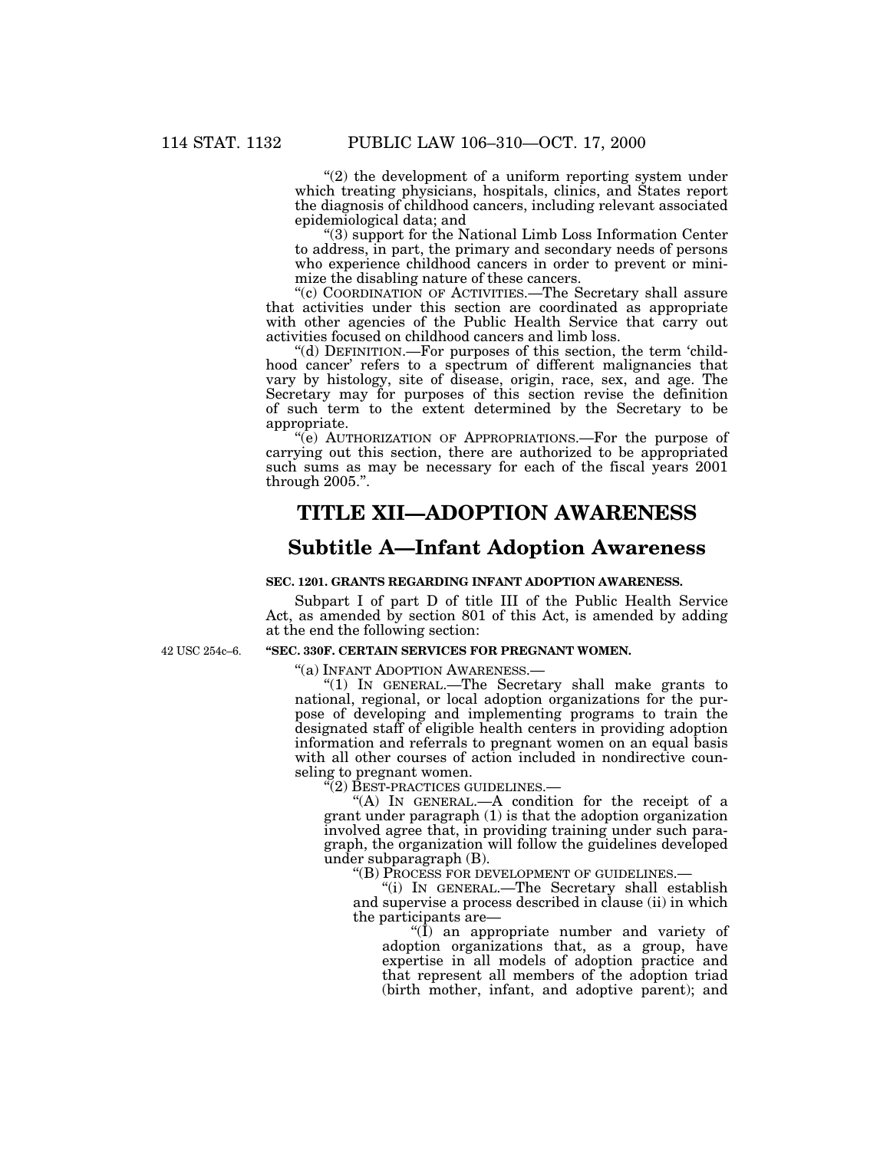" $(2)$  the development of a uniform reporting system under which treating physicians, hospitals, clinics, and States report the diagnosis of childhood cancers, including relevant associated epidemiological data; and

''(3) support for the National Limb Loss Information Center to address, in part, the primary and secondary needs of persons who experience childhood cancers in order to prevent or minimize the disabling nature of these cancers.

''(c) COORDINATION OF ACTIVITIES.—The Secretary shall assure that activities under this section are coordinated as appropriate with other agencies of the Public Health Service that carry out activities focused on childhood cancers and limb loss.

''(d) DEFINITION.—For purposes of this section, the term 'childhood cancer' refers to a spectrum of different malignancies that vary by histology, site of disease, origin, race, sex, and age. The Secretary may for purposes of this section revise the definition of such term to the extent determined by the Secretary to be appropriate.

"(e) AUTHORIZATION OF APPROPRIATIONS.—For the purpose of carrying out this section, there are authorized to be appropriated such sums as may be necessary for each of the fiscal years 2001 through 2005.''.

# **TITLE XII—ADOPTION AWARENESS**

# **Subtitle A—Infant Adoption Awareness**

### **SEC. 1201. GRANTS REGARDING INFANT ADOPTION AWARENESS.**

Subpart I of part D of title III of the Public Health Service Act, as amended by section 801 of this Act, is amended by adding at the end the following section:

42 USC 254c–6.

### **''SEC. 330F. CERTAIN SERVICES FOR PREGNANT WOMEN.**

''(a) INFANT ADOPTION AWARENESS.—

''(1) IN GENERAL.—The Secretary shall make grants to national, regional, or local adoption organizations for the purpose of developing and implementing programs to train the designated staff of eligible health centers in providing adoption information and referrals to pregnant women on an equal basis with all other courses of action included in nondirective counseling to pregnant women.

''(2) BEST-PRACTICES GUIDELINES.—

"(A) IN GENERAL.—A condition for the receipt of a grant under paragraph (1) is that the adoption organization involved agree that, in providing training under such paragraph, the organization will follow the guidelines developed under subparagraph (B).

''(B) PROCESS FOR DEVELOPMENT OF GUIDELINES.—

''(i) IN GENERAL.—The Secretary shall establish and supervise a process described in clause (ii) in which the participants are—

 $\langle \overline{I} \rangle$  an appropriate number and variety of adoption organizations that, as a group, have expertise in all models of adoption practice and that represent all members of the adoption triad (birth mother, infant, and adoptive parent); and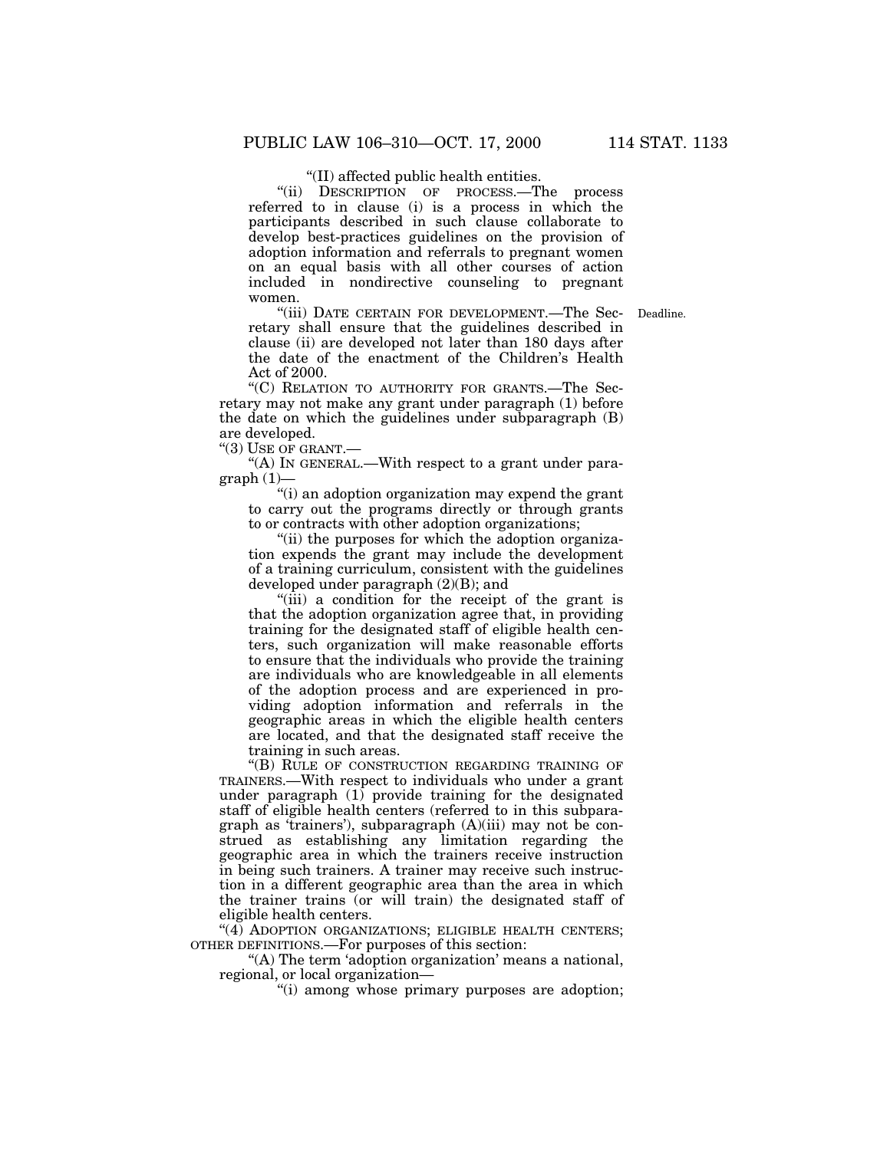''(II) affected public health entities.

''(ii) DESCRIPTION OF PROCESS.—The process referred to in clause (i) is a process in which the participants described in such clause collaborate to develop best-practices guidelines on the provision of adoption information and referrals to pregnant women on an equal basis with all other courses of action included in nondirective counseling to pregnant women.

"(iii) DATE CERTAIN FOR DEVELOPMENT.—The Sec- Deadline. retary shall ensure that the guidelines described in clause (ii) are developed not later than 180 days after the date of the enactment of the Children's Health Act of 2000.

"(C) RELATION TO AUTHORITY FOR GRANTS.—The Secretary may not make any grant under paragraph (1) before the date on which the guidelines under subparagraph (B) are developed.

''(3) USE OF GRANT.—

"(A) IN GENERAL.—With respect to a grant under para $graph(1)$ —

''(i) an adoption organization may expend the grant to carry out the programs directly or through grants to or contracts with other adoption organizations;

"(ii) the purposes for which the adoption organization expends the grant may include the development of a training curriculum, consistent with the guidelines developed under paragraph (2)(B); and

"(iii) a condition for the receipt of the grant is that the adoption organization agree that, in providing training for the designated staff of eligible health centers, such organization will make reasonable efforts to ensure that the individuals who provide the training are individuals who are knowledgeable in all elements of the adoption process and are experienced in providing adoption information and referrals in the geographic areas in which the eligible health centers are located, and that the designated staff receive the training in such areas.

"(B) RULE OF CONSTRUCTION REGARDING TRAINING OF TRAINERS.—With respect to individuals who under a grant under paragraph  $(1)$  provide training for the designated staff of eligible health centers (referred to in this subparagraph as 'trainers'), subparagraph (A)(iii) may not be construed as establishing any limitation regarding the geographic area in which the trainers receive instruction in being such trainers. A trainer may receive such instruction in a different geographic area than the area in which the trainer trains (or will train) the designated staff of eligible health centers.

"(4) ADOPTION ORGANIZATIONS; ELIGIBLE HEALTH CENTERS; OTHER DEFINITIONS.—For purposes of this section:

"(A) The term 'adoption organization' means a national, regional, or local organization—

"(i) among whose primary purposes are adoption;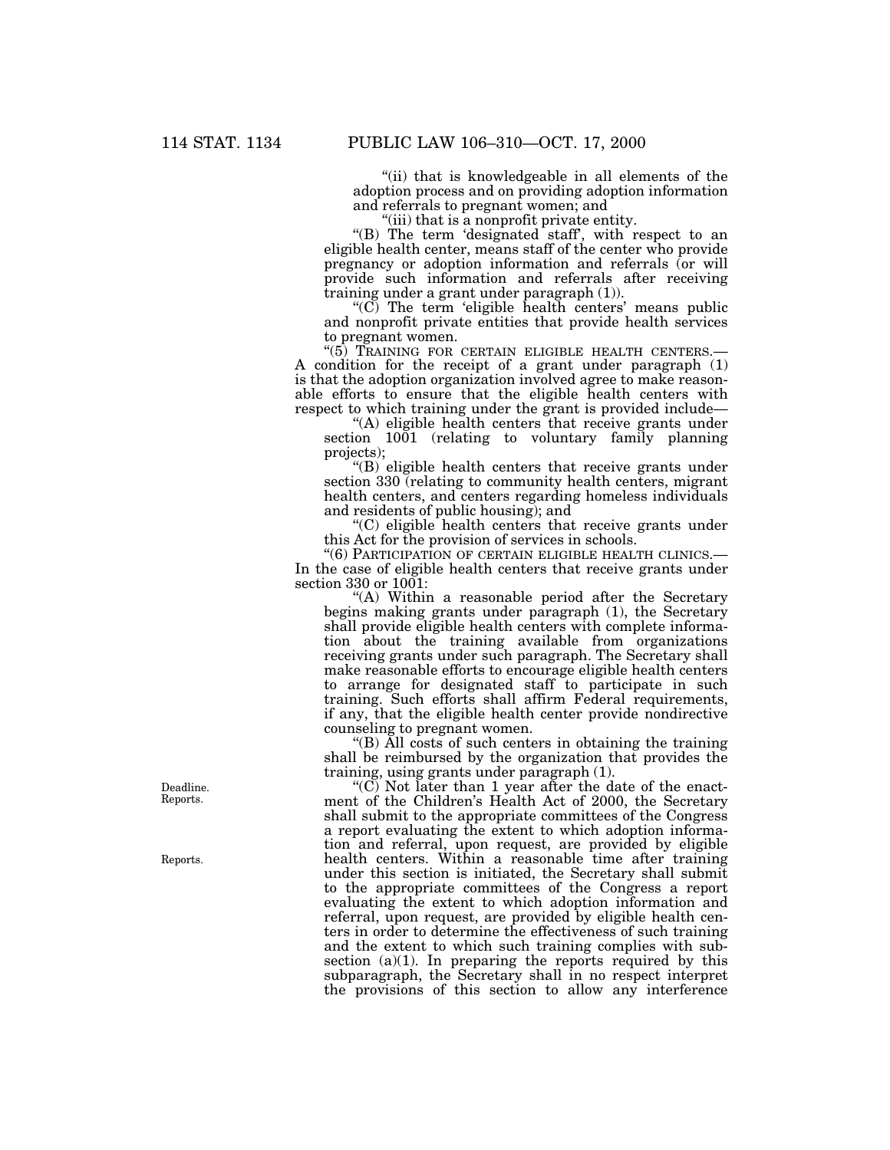"(ii) that is knowledgeable in all elements of the adoption process and on providing adoption information and referrals to pregnant women; and

(iii) that is a nonprofit private entity.

''(B) The term 'designated staff', with respect to an eligible health center, means staff of the center who provide pregnancy or adoption information and referrals (or will provide such information and referrals after receiving training under a grant under paragraph (1)).

''(C) The term 'eligible health centers' means public and nonprofit private entities that provide health services to pregnant women.

''(5) TRAINING FOR CERTAIN ELIGIBLE HEALTH CENTERS.— A condition for the receipt of a grant under paragraph (1) is that the adoption organization involved agree to make reasonable efforts to ensure that the eligible health centers with respect to which training under the grant is provided include—

"(A) eligible health centers that receive grants under section  $1001$  (relating to voluntary family planning projects);

"(B) eligible health centers that receive grants under section 330 (relating to community health centers, migrant health centers, and centers regarding homeless individuals and residents of public housing); and

''(C) eligible health centers that receive grants under this Act for the provision of services in schools.

''(6) PARTICIPATION OF CERTAIN ELIGIBLE HEALTH CLINICS.— In the case of eligible health centers that receive grants under section 330 or 1001:

"(A) Within a reasonable period after the Secretary begins making grants under paragraph (1), the Secretary shall provide eligible health centers with complete information about the training available from organizations receiving grants under such paragraph. The Secretary shall make reasonable efforts to encourage eligible health centers to arrange for designated staff to participate in such training. Such efforts shall affirm Federal requirements, if any, that the eligible health center provide nondirective counseling to pregnant women.

''(B) All costs of such centers in obtaining the training shall be reimbursed by the organization that provides the training, using grants under paragraph (1).

" $(C)$  Not later than 1 year after the date of the enactment of the Children's Health Act of 2000, the Secretary shall submit to the appropriate committees of the Congress a report evaluating the extent to which adoption information and referral, upon request, are provided by eligible health centers. Within a reasonable time after training under this section is initiated, the Secretary shall submit to the appropriate committees of the Congress a report evaluating the extent to which adoption information and referral, upon request, are provided by eligible health centers in order to determine the effectiveness of such training and the extent to which such training complies with subsection  $(a)(1)$ . In preparing the reports required by this subparagraph, the Secretary shall in no respect interpret the provisions of this section to allow any interference

Deadline. Reports.

Reports.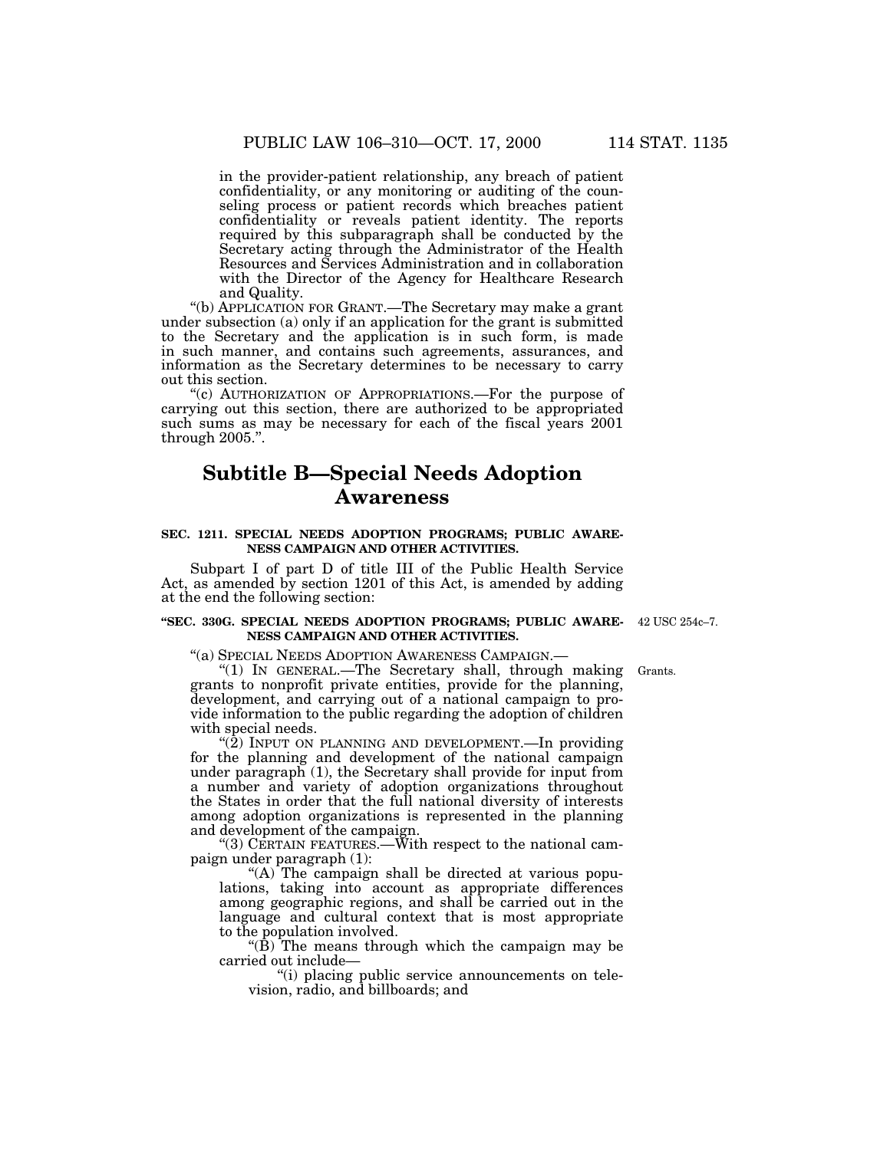in the provider-patient relationship, any breach of patient confidentiality, or any monitoring or auditing of the counseling process or patient records which breaches patient confidentiality or reveals patient identity. The reports required by this subparagraph shall be conducted by the Secretary acting through the Administrator of the Health Resources and Services Administration and in collaboration with the Director of the Agency for Healthcare Research and Quality.

''(b) APPLICATION FOR GRANT.—The Secretary may make a grant under subsection (a) only if an application for the grant is submitted to the Secretary and the application is in such form, is made in such manner, and contains such agreements, assurances, and information as the Secretary determines to be necessary to carry out this section.

''(c) AUTHORIZATION OF APPROPRIATIONS.—For the purpose of carrying out this section, there are authorized to be appropriated such sums as may be necessary for each of the fiscal years 2001 through 2005.''.

# **Subtitle B—Special Needs Adoption Awareness**

### **SEC. 1211. SPECIAL NEEDS ADOPTION PROGRAMS; PUBLIC AWARE-NESS CAMPAIGN AND OTHER ACTIVITIES.**

Subpart I of part D of title III of the Public Health Service Act, as amended by section 1201 of this Act, is amended by adding at the end the following section:

#### **''SEC. 330G. SPECIAL NEEDS ADOPTION PROGRAMS; PUBLIC AWARE-**42 USC 254c–7. **NESS CAMPAIGN AND OTHER ACTIVITIES.**

''(a) SPECIAL NEEDS ADOPTION AWARENESS CAMPAIGN.—

''(1) IN GENERAL.—The Secretary shall, through making grants to nonprofit private entities, provide for the planning, development, and carrying out of a national campaign to provide information to the public regarding the adoption of children with special needs.

" $(2)$  INPUT ON PLANNING AND DEVELOPMENT.—In providing for the planning and development of the national campaign under paragraph (1), the Secretary shall provide for input from a number and variety of adoption organizations throughout the States in order that the full national diversity of interests among adoption organizations is represented in the planning and development of the campaign.

''(3) CERTAIN FEATURES.—With respect to the national campaign under paragraph (1):

"(A) The campaign shall be directed at various populations, taking into account as appropriate differences among geographic regions, and shall be carried out in the language and cultural context that is most appropriate to the population involved.

" $(\dot{B})$  The means through which the campaign may be carried out include—

''(i) placing public service announcements on television, radio, and billboards; and

Grants.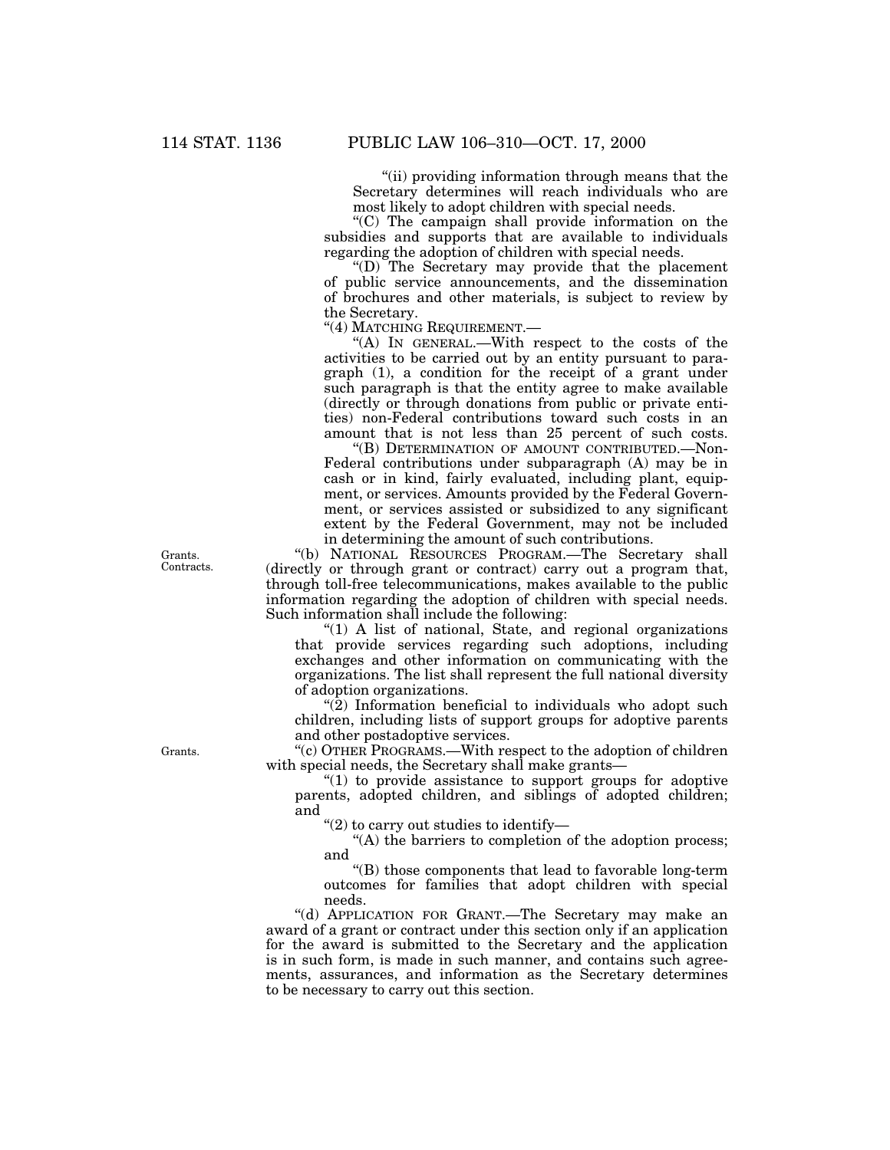''(ii) providing information through means that the Secretary determines will reach individuals who are most likely to adopt children with special needs.

''(C) The campaign shall provide information on the subsidies and supports that are available to individuals regarding the adoption of children with special needs.

''(D) The Secretary may provide that the placement of public service announcements, and the dissemination of brochures and other materials, is subject to review by the Secretary.

"(4) MATCHING REQUIREMENT.

"(A) IN GENERAL.—With respect to the costs of the activities to be carried out by an entity pursuant to paragraph (1), a condition for the receipt of a grant under such paragraph is that the entity agree to make available (directly or through donations from public or private entities) non-Federal contributions toward such costs in an amount that is not less than 25 percent of such costs.

''(B) DETERMINATION OF AMOUNT CONTRIBUTED.—Non-Federal contributions under subparagraph (A) may be in cash or in kind, fairly evaluated, including plant, equipment, or services. Amounts provided by the Federal Government, or services assisted or subsidized to any significant extent by the Federal Government, may not be included in determining the amount of such contributions.

''(b) NATIONAL RESOURCES PROGRAM.—The Secretary shall (directly or through grant or contract) carry out a program that, through toll-free telecommunications, makes available to the public information regarding the adoption of children with special needs. Such information shall include the following:

"(1) A list of national, State, and regional organizations that provide services regarding such adoptions, including exchanges and other information on communicating with the organizations. The list shall represent the full national diversity of adoption organizations.

"(2) Information beneficial to individuals who adopt such children, including lists of support groups for adoptive parents and other postadoptive services.

''(c) OTHER PROGRAMS.—With respect to the adoption of children with special needs, the Secretary shall make grants—

" $(1)$  to provide assistance to support groups for adoptive parents, adopted children, and siblings of adopted children; and

''(2) to carry out studies to identify—

''(A) the barriers to completion of the adoption process; and

''(B) those components that lead to favorable long-term outcomes for families that adopt children with special needs.

''(d) APPLICATION FOR GRANT.—The Secretary may make an award of a grant or contract under this section only if an application for the award is submitted to the Secretary and the application is in such form, is made in such manner, and contains such agreements, assurances, and information as the Secretary determines to be necessary to carry out this section.

Grants. Contracts.

Grants.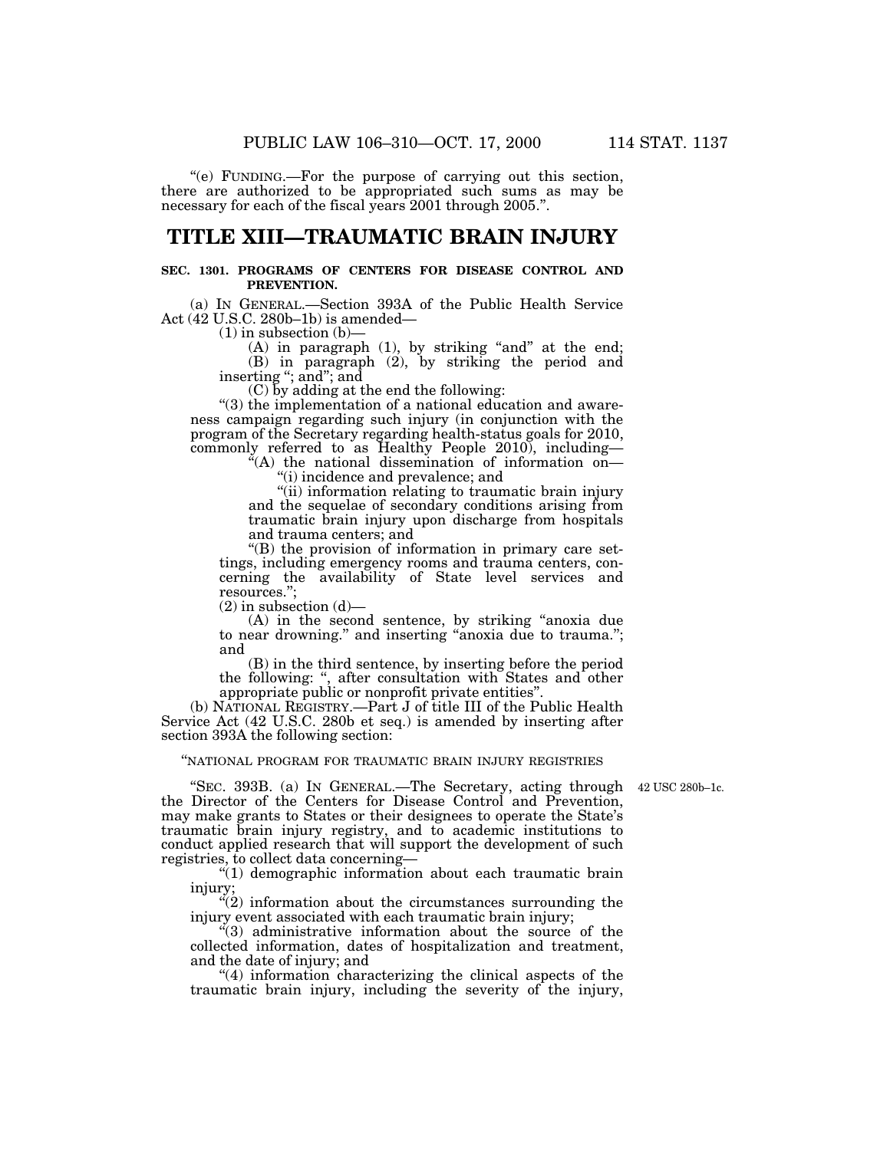''(e) FUNDING.—For the purpose of carrying out this section, there are authorized to be appropriated such sums as may be necessary for each of the fiscal years 2001 through 2005.''.

## **TITLE XIII—TRAUMATIC BRAIN INJURY**

### **SEC. 1301. PROGRAMS OF CENTERS FOR DISEASE CONTROL AND PREVENTION.**

(a) IN GENERAL.—Section 393A of the Public Health Service Act (42 U.S.C. 280b–1b) is amended—

 $(1)$  in subsection  $(b)$ –

 $(A)$  in paragraph  $(1)$ , by striking "and" at the end; (B) in paragraph (2), by striking the period and inserting "; and"; and

(C) by adding at the end the following:

''(3) the implementation of a national education and awareness campaign regarding such injury (in conjunction with the program of the Secretary regarding health-status goals for 2010, commonly referred to as Healthy People 2010), including—

 $f(A)$  the national dissemination of information on— ''(i) incidence and prevalence; and

''(ii) information relating to traumatic brain injury and the sequelae of secondary conditions arising from traumatic brain injury upon discharge from hospitals and trauma centers; and

''(B) the provision of information in primary care settings, including emergency rooms and trauma centers, concerning the availability of State level services and resources.'';

 $(2)$  in subsection  $(d)$ —

(A) in the second sentence, by striking ''anoxia due to near drowning.'' and inserting ''anoxia due to trauma.''; and

(B) in the third sentence, by inserting before the period the following: '', after consultation with States and other appropriate public or nonprofit private entities''.

(b) NATIONAL REGISTRY.—Part J of title III of the Public Health Service Act (42 U.S.C. 280b et seq.) is amended by inserting after section 393A the following section:

#### ''NATIONAL PROGRAM FOR TRAUMATIC BRAIN INJURY REGISTRIES

"SEC. 393B. (a) IN GENERAL.—The Secretary, acting through 42 USC 280b-1c. the Director of the Centers for Disease Control and Prevention, may make grants to States or their designees to operate the State's traumatic brain injury registry, and to academic institutions to conduct applied research that will support the development of such registries, to collect data concerning—

''(1) demographic information about each traumatic brain injury;

 $\ddot{C}(2)$  information about the circumstances surrounding the injury event associated with each traumatic brain injury;

''(3) administrative information about the source of the collected information, dates of hospitalization and treatment, and the date of injury; and

''(4) information characterizing the clinical aspects of the traumatic brain injury, including the severity of the injury,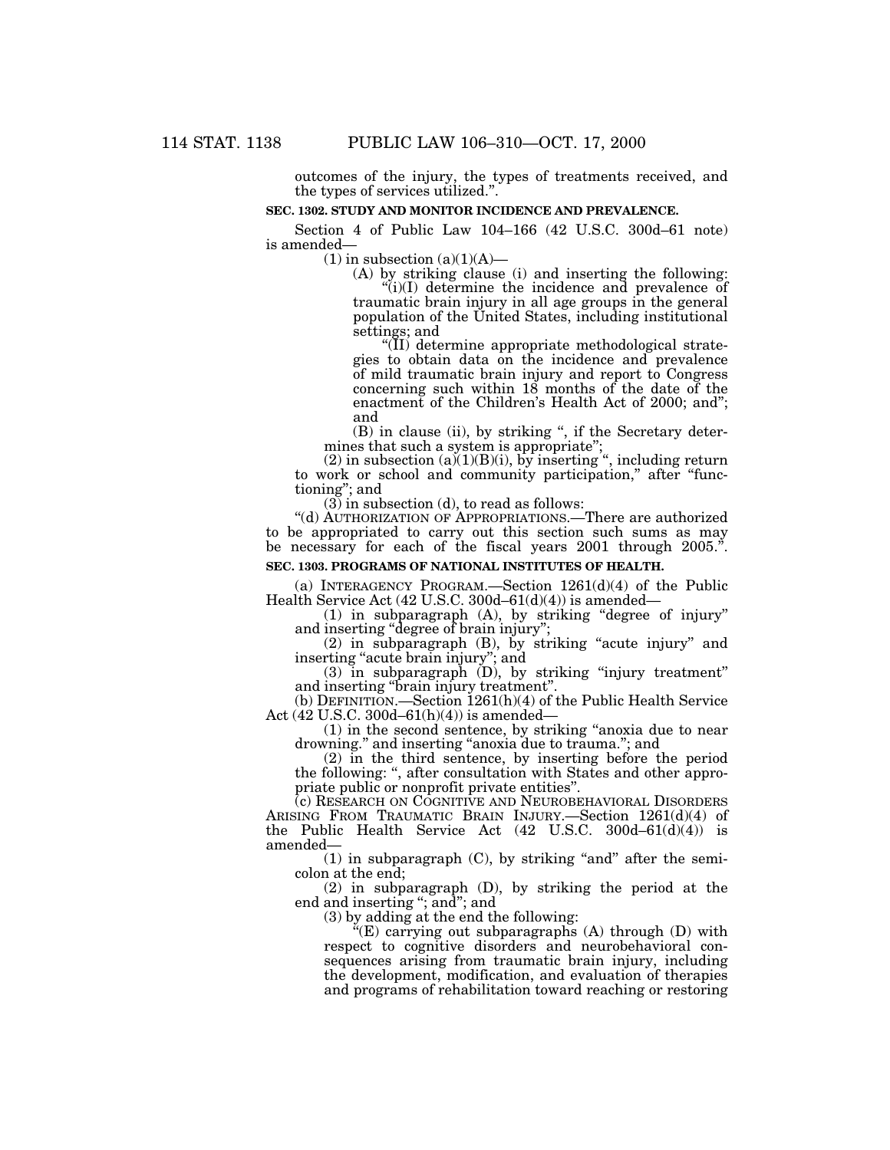outcomes of the injury, the types of treatments received, and the types of services utilized.''.

#### **SEC. 1302. STUDY AND MONITOR INCIDENCE AND PREVALENCE.**

Section 4 of Public Law 104–166 (42 U.S.C. 300d–61 note) is amended—

 $(1)$  in subsection  $(a)(1)(A)$ —

(A) by striking clause (i) and inserting the following:  $(ii)(I)$  determine the incidence and prevalence of

traumatic brain injury in all age groups in the general population of the United States, including institutional settings; and

''(II) determine appropriate methodological strategies to obtain data on the incidence and prevalence of mild traumatic brain injury and report to Congress concerning such within 18 months of the date of the enactment of the Children's Health Act of 2000; and''; and

(B) in clause (ii), by striking ", if the Secretary determines that such a system is appropriate'';

 $(2)$  in subsection  $(a)(1)(B)(i)$ , by inserting ", including return to work or school and community participation," after "functioning''; and

 $(3)$  in subsection  $(d)$ , to read as follows:

''(d) AUTHORIZATION OF APPROPRIATIONS.—There are authorized to be appropriated to carry out this section such sums as may be necessary for each of the fiscal years 2001 through 2005.".

## **SEC. 1303. PROGRAMS OF NATIONAL INSTITUTES OF HEALTH.**

(a) INTERAGENCY PROGRAM.—Section  $1261(d)(4)$  of the Public Health Service Act (42 U.S.C. 300d–61(d)(4)) is amended—

(1) in subparagraph (A), by striking ''degree of injury'' and inserting ''degree of brain injury'';

 $(2)$  in subparagraph  $(B)$ , by striking "acute injury" and inserting ''acute brain injury''; and

(3) in subparagraph (D), by striking ''injury treatment'' and inserting ''brain injury treatment''.

(b) DEFINITION.—Section  $1261(h)(4)$  of the Public Health Service Act (42 U.S.C. 300d–61(h)(4)) is amended—

(1) in the second sentence, by striking ''anoxia due to near drowning.'' and inserting ''anoxia due to trauma.''; and

(2) in the third sentence, by inserting before the period the following: '', after consultation with States and other appropriate public or nonprofit private entities''.

(c) RESEARCH ON COGNITIVE AND NEUROBEHAVIORAL DISORDERS ARISING FROM TRAUMATIC BRAIN INJURY.—Section 1261(d)(4) of the Public Health Service Act (42 U.S.C. 300d–61(d)(4)) is amended—

 $(1)$  in subparagraph  $(C)$ , by striking "and" after the semicolon at the end;

(2) in subparagraph (D), by striking the period at the end and inserting ''; and''; and

(3) by adding at the end the following:

''(E) carrying out subparagraphs (A) through (D) with respect to cognitive disorders and neurobehavioral consequences arising from traumatic brain injury, including the development, modification, and evaluation of therapies and programs of rehabilitation toward reaching or restoring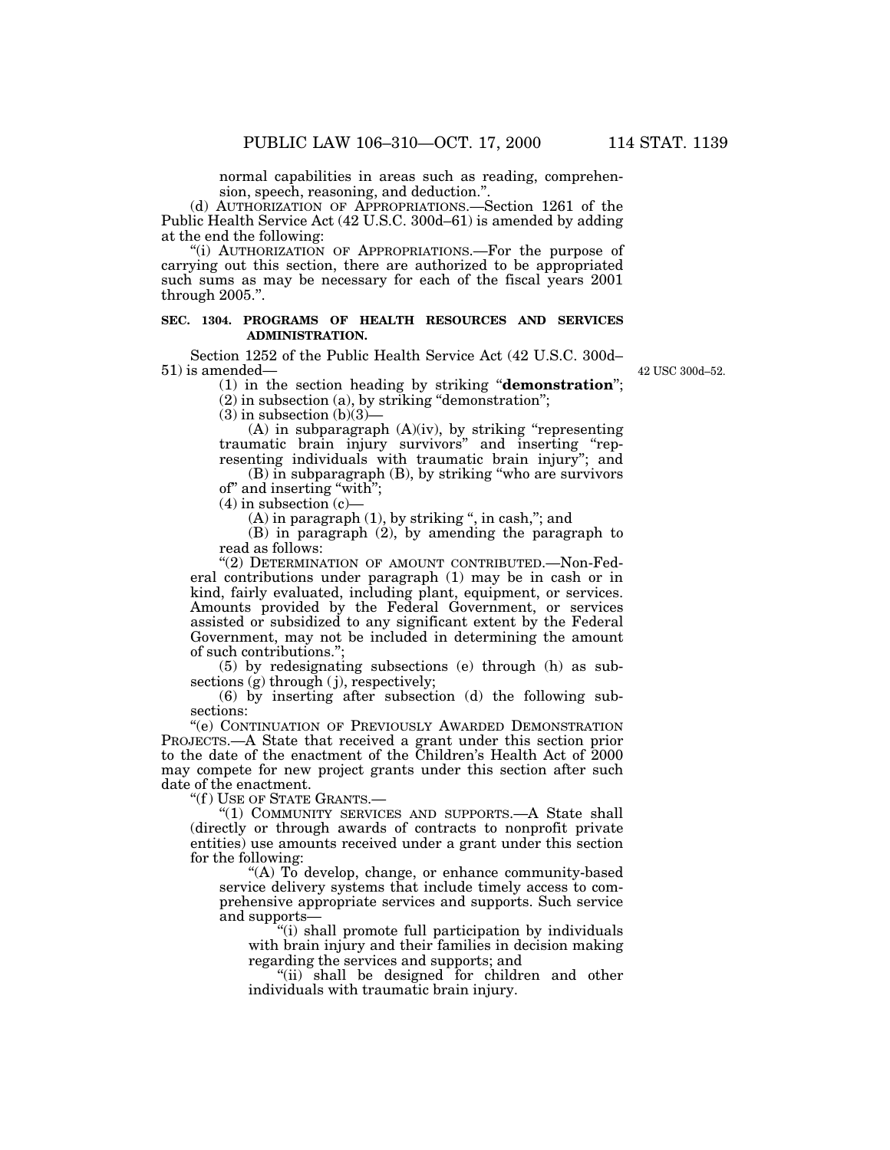normal capabilities in areas such as reading, comprehension, speech, reasoning, and deduction.''.

(d) AUTHORIZATION OF APPROPRIATIONS.—Section 1261 of the Public Health Service Act (42 U.S.C. 300d–61) is amended by adding at the end the following:

"(i) AUTHORIZATION OF APPROPRIATIONS.—For the purpose of carrying out this section, there are authorized to be appropriated such sums as may be necessary for each of the fiscal years 2001 through 2005.''.

## **SEC. 1304. PROGRAMS OF HEALTH RESOURCES AND SERVICES ADMINISTRATION.**

Section 1252 of the Public Health Service Act (42 U.S.C. 300d– 51) is amended—

42 USC 300d–52.

(1) in the section heading by striking ''**demonstration**'';

(2) in subsection (a), by striking ''demonstration'';

 $(3)$  in subsection  $(b)(3)$ —

(A) in subparagraph (A)(iv), by striking ''representing traumatic brain injury survivors'' and inserting ''representing individuals with traumatic brain injury''; and

(B) in subparagraph (B), by striking ''who are survivors of'' and inserting ''with'';

 $(4)$  in subsection  $(c)$ -

(A) in paragraph (1), by striking ", in cash,"; and

(B) in paragraph (2), by amending the paragraph to read as follows:

"(2) DETERMINATION OF AMOUNT CONTRIBUTED.—Non-Federal contributions under paragraph (1) may be in cash or in kind, fairly evaluated, including plant, equipment, or services. Amounts provided by the Federal Government, or services assisted or subsidized to any significant extent by the Federal Government, may not be included in determining the amount of such contributions.'';

(5) by redesignating subsections (e) through (h) as subsections (g) through (j), respectively;

(6) by inserting after subsection (d) the following subsections:

''(e) CONTINUATION OF PREVIOUSLY AWARDED DEMONSTRATION PROJECTS.—A State that received a grant under this section prior to the date of the enactment of the Children's Health Act of 2000 may compete for new project grants under this section after such date of the enactment.

"(f) USE OF STATE GRANTS.-

"(1) COMMUNITY SERVICES AND SUPPORTS.- A State shall (directly or through awards of contracts to nonprofit private entities) use amounts received under a grant under this section for the following:

''(A) To develop, change, or enhance community-based service delivery systems that include timely access to comprehensive appropriate services and supports. Such service and supports—

''(i) shall promote full participation by individuals with brain injury and their families in decision making regarding the services and supports; and

"(ii) shall be designed for children and other individuals with traumatic brain injury.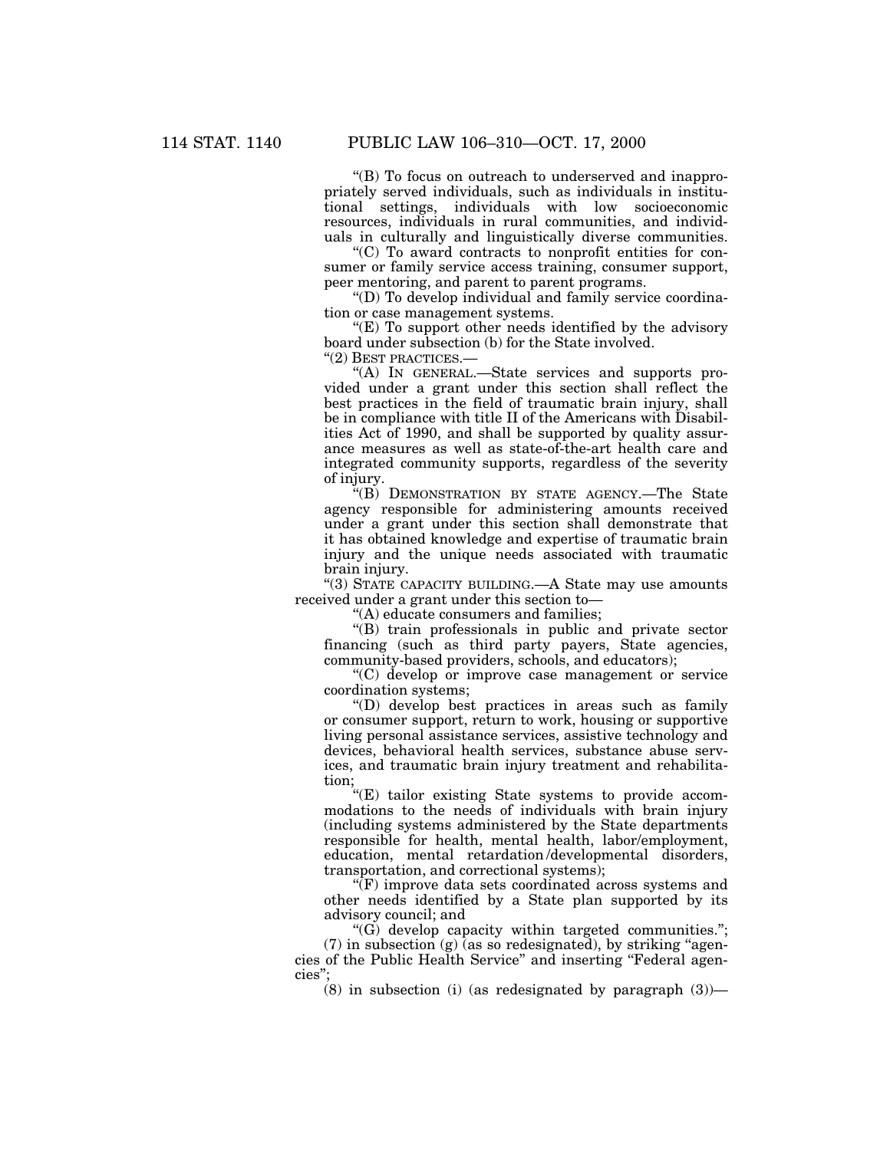''(B) To focus on outreach to underserved and inappropriately served individuals, such as individuals in institutional settings, individuals with low socioeconomic resources, individuals in rural communities, and individuals in culturally and linguistically diverse communities.

 $C$ ) To award contracts to nonprofit entities for consumer or family service access training, consumer support, peer mentoring, and parent to parent programs.

''(D) To develop individual and family service coordination or case management systems.

"(E) To support other needs identified by the advisory board under subsection (b) for the State involved.

''(2) BEST PRACTICES.—

''(A) IN GENERAL.—State services and supports provided under a grant under this section shall reflect the best practices in the field of traumatic brain injury, shall be in compliance with title II of the Americans with Disabilities Act of 1990, and shall be supported by quality assurance measures as well as state-of-the-art health care and integrated community supports, regardless of the severity of injury.

''(B) DEMONSTRATION BY STATE AGENCY.—The State agency responsible for administering amounts received under a grant under this section shall demonstrate that it has obtained knowledge and expertise of traumatic brain injury and the unique needs associated with traumatic brain injury.

''(3) STATE CAPACITY BUILDING.—A State may use amounts received under a grant under this section to—

''(A) educate consumers and families;

''(B) train professionals in public and private sector financing (such as third party payers, State agencies, community-based providers, schools, and educators);

''(C) develop or improve case management or service coordination systems;

''(D) develop best practices in areas such as family or consumer support, return to work, housing or supportive living personal assistance services, assistive technology and devices, behavioral health services, substance abuse services, and traumatic brain injury treatment and rehabilitation;

 $E$ ) tailor existing State systems to provide accommodations to the needs of individuals with brain injury (including systems administered by the State departments responsible for health, mental health, labor/employment, education, mental retardation /developmental disorders, transportation, and correctional systems);

 $\sqrt[\alpha]{F}$  improve data sets coordinated across systems and other needs identified by a State plan supported by its advisory council; and

 $(G)$  develop capacity within targeted communities.";  $(7)$  in subsection  $(g)$  (as so redesignated), by striking "agencies of the Public Health Service'' and inserting ''Federal agencies'';

 $(8)$  in subsection (i) (as redesignated by paragraph  $(3)$ )—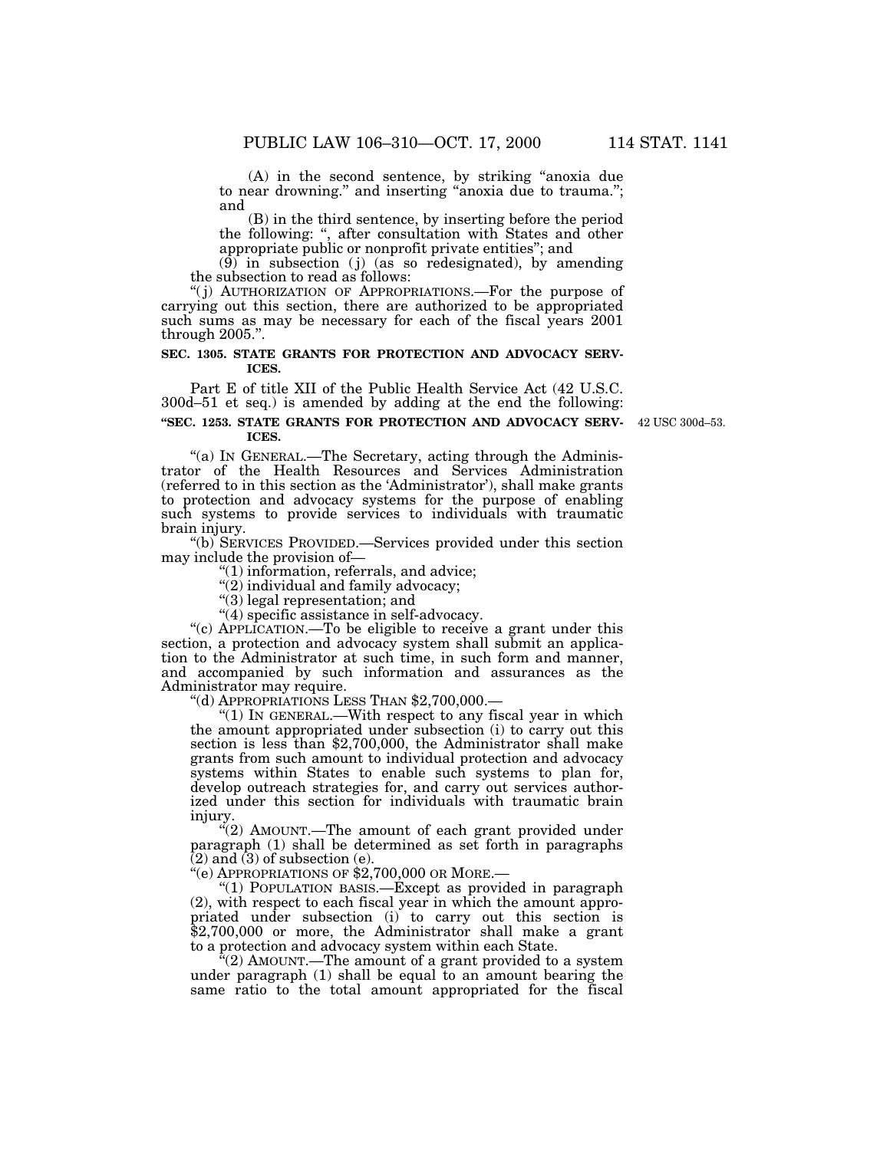(A) in the second sentence, by striking ''anoxia due to near drowning." and inserting "anoxia due to trauma."; and

(B) in the third sentence, by inserting before the period the following: '', after consultation with States and other appropriate public or nonprofit private entities''; and

 $(9)$  in subsection (j) (as so redesignated), by amending the subsection to read as follows:

"(j) AUTHORIZATION OF APPROPRIATIONS.—For the purpose of carrying out this section, there are authorized to be appropriated such sums as may be necessary for each of the fiscal years 2001 through 2005.''.

### **SEC. 1305. STATE GRANTS FOR PROTECTION AND ADVOCACY SERV-ICES.**

Part E of title XII of the Public Health Service Act (42 U.S.C. 300d–51 et seq.) is amended by adding at the end the following:

**''SEC. 1253. STATE GRANTS FOR PROTECTION AND ADVOCACY SERV-**42 USC 300d–53. **ICES.**

"(a) In GENERAL.—The Secretary, acting through the Administrator of the Health Resources and Services Administration (referred to in this section as the 'Administrator'), shall make grants to protection and advocacy systems for the purpose of enabling such systems to provide services to individuals with traumatic brain injury.

''(b) SERVICES PROVIDED.—Services provided under this section may include the provision of—

 $"(1)$  information, referrals, and advice;

 $''(2)$  individual and family advocacy;

''(3) legal representation; and

''(4) specific assistance in self-advocacy.

"(c) APPLICATION.—To be eligible to receive a grant under this section, a protection and advocacy system shall submit an application to the Administrator at such time, in such form and manner, and accompanied by such information and assurances as the Administrator may require.

''(d) APPROPRIATIONS LESS THAN \$2,700,000.—

" $(1)$  In GENERAL.—With respect to any fiscal year in which the amount appropriated under subsection (i) to carry out this section is less than \$2,700,000, the Administrator shall make grants from such amount to individual protection and advocacy systems within States to enable such systems to plan for, develop outreach strategies for, and carry out services authorized under this section for individuals with traumatic brain injury.

 $\mathcal{H}(2)$  AMOUNT.—The amount of each grant provided under paragraph (1) shall be determined as set forth in paragraphs  $(2)$  and  $(3)$  of subsection  $(e)$ .

''(e) APPROPRIATIONS OF \$2,700,000 OR MORE.—

"(1) POPULATION BASIS.—Except as provided in paragraph (2), with respect to each fiscal year in which the amount appropriated under subsection (i) to carry out this section is \$2,700,000 or more, the Administrator shall make a grant to a protection and advocacy system within each State.

 $\Gamma(2)$  AMOUNT.—The amount of a grant provided to a system under paragraph (1) shall be equal to an amount bearing the same ratio to the total amount appropriated for the fiscal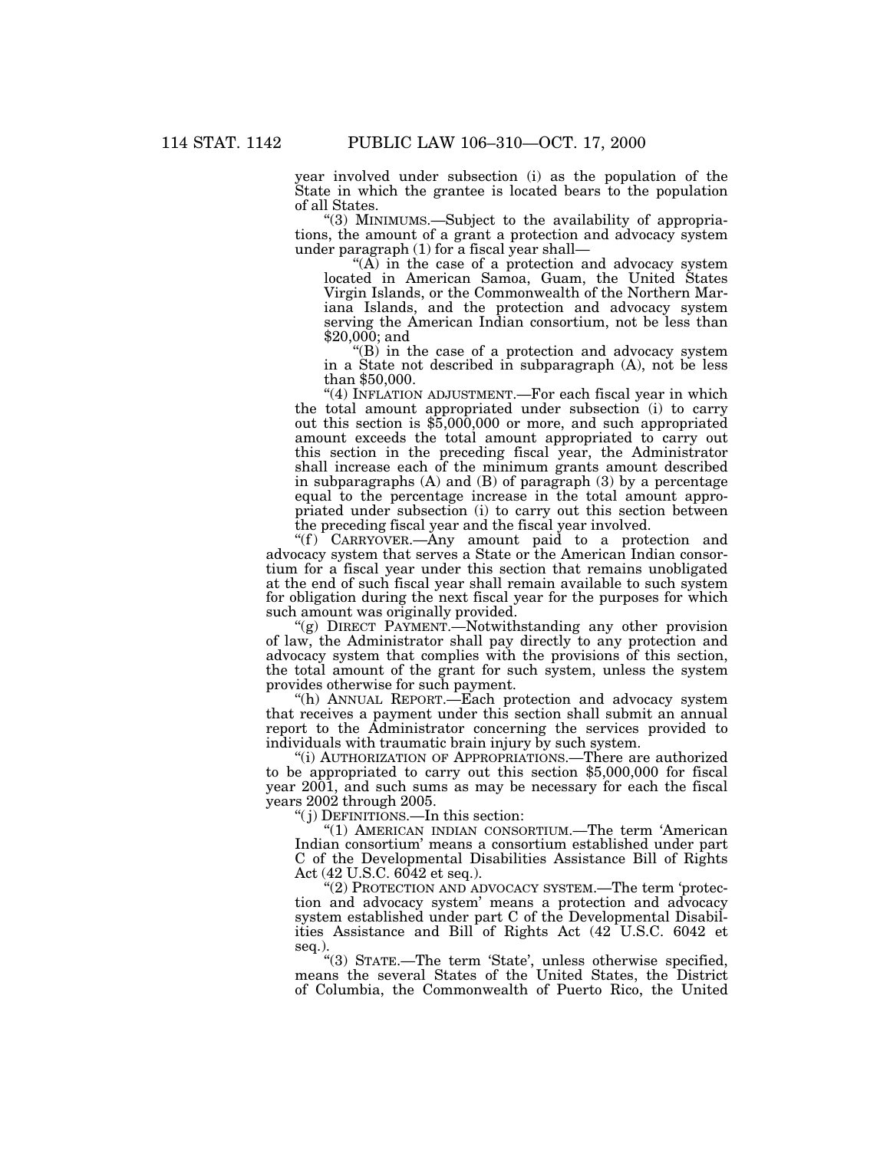year involved under subsection (i) as the population of the State in which the grantee is located bears to the population of all States.

''(3) MINIMUMS.—Subject to the availability of appropriations, the amount of a grant a protection and advocacy system under paragraph (1) for a fiscal year shall—

" $(A)$  in the case of a protection and advocacy system located in American Samoa, Guam, the United States Virgin Islands, or the Commonwealth of the Northern Mariana Islands, and the protection and advocacy system serving the American Indian consortium, not be less than \$20,000; and

" $(B)$  in the case of a protection and advocacy system in a State not described in subparagraph (A), not be less than \$50,000.

"(4) INFLATION ADJUSTMENT.—For each fiscal year in which the total amount appropriated under subsection (i) to carry out this section is \$5,000,000 or more, and such appropriated amount exceeds the total amount appropriated to carry out this section in the preceding fiscal year, the Administrator shall increase each of the minimum grants amount described in subparagraphs  $(A)$  and  $(B)$  of paragraph  $(3)$  by a percentage equal to the percentage increase in the total amount appropriated under subsection (i) to carry out this section between the preceding fiscal year and the fiscal year involved.

" $(f)$  CARRYOVER.—Any amount paid to a protection and advocacy system that serves a State or the American Indian consortium for a fiscal year under this section that remains unobligated at the end of such fiscal year shall remain available to such system for obligation during the next fiscal year for the purposes for which such amount was originally provided.

"(g) DIRECT PAYMENT.—Notwithstanding any other provision of law, the Administrator shall pay directly to any protection and advocacy system that complies with the provisions of this section, the total amount of the grant for such system, unless the system provides otherwise for such payment.

''(h) ANNUAL REPORT.—Each protection and advocacy system that receives a payment under this section shall submit an annual report to the Administrator concerning the services provided to individuals with traumatic brain injury by such system.

''(i) AUTHORIZATION OF APPROPRIATIONS.—There are authorized to be appropriated to carry out this section \$5,000,000 for fiscal year 2001, and such sums as may be necessary for each the fiscal years 2002 through 2005.

''( j) DEFINITIONS.—In this section:

''(1) AMERICAN INDIAN CONSORTIUM.—The term 'American Indian consortium' means a consortium established under part C of the Developmental Disabilities Assistance Bill of Rights Act (42 U.S.C. 6042 et seq.).

'(2) PROTECTION AND ADVOCACY SYSTEM.—The term 'protection and advocacy system' means a protection and advocacy system established under part C of the Developmental Disabilities Assistance and Bill of Rights Act (42 U.S.C. 6042 et seq.).

''(3) STATE.—The term 'State', unless otherwise specified, means the several States of the United States, the District of Columbia, the Commonwealth of Puerto Rico, the United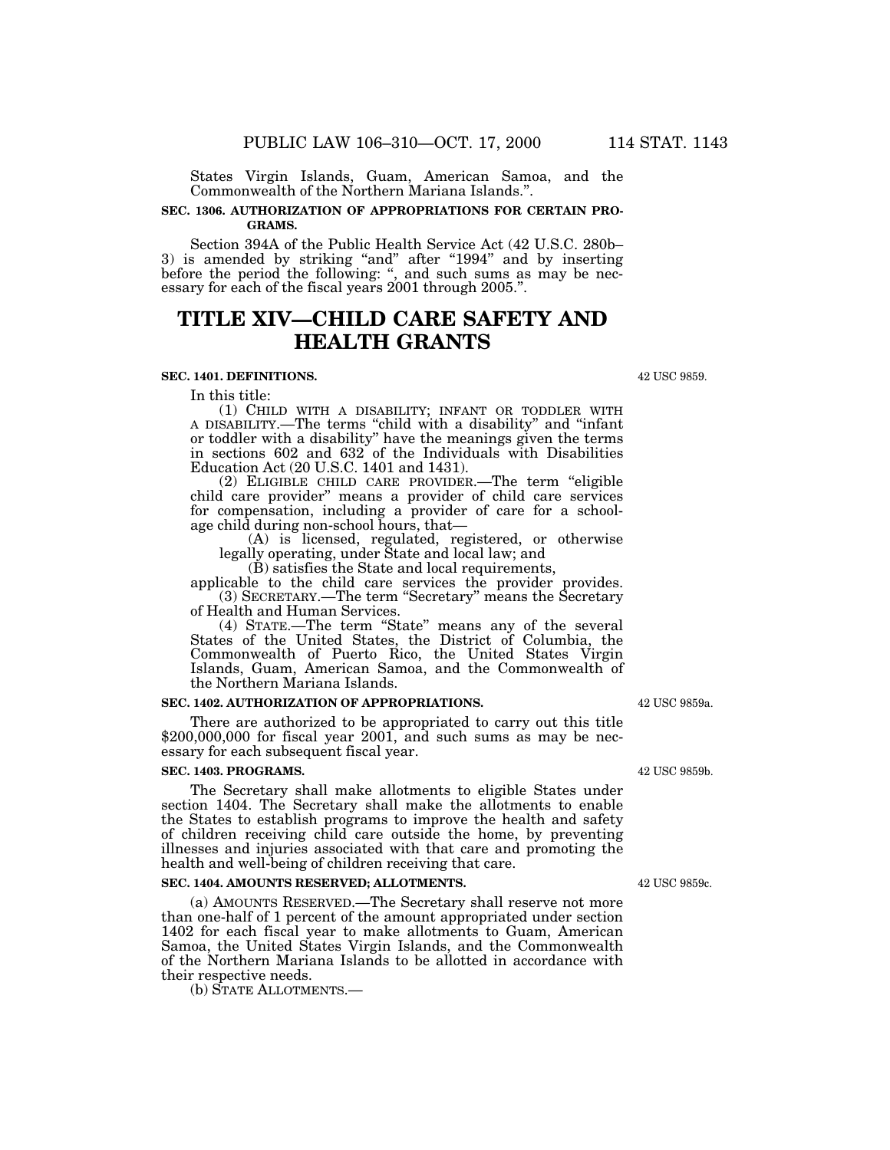States Virgin Islands, Guam, American Samoa, and the Commonwealth of the Northern Mariana Islands.''.

## **SEC. 1306. AUTHORIZATION OF APPROPRIATIONS FOR CERTAIN PRO-GRAMS.**

Section 394A of the Public Health Service Act (42 U.S.C. 280b– 3) is amended by striking "and" after "1994" and by inserting before the period the following: ", and such sums as may be necessary for each of the fiscal years 2001 through 2005.''.

# **TITLE XIV—CHILD CARE SAFETY AND HEALTH GRANTS**

## **SEC. 1401. DEFINITIONS.**

In this title:

(1) CHILD WITH A DISABILITY; INFANT OR TODDLER WITH A DISABILITY.—The terms ''child with a disability'' and ''infant or toddler with a disability'' have the meanings given the terms in sections 602 and 632 of the Individuals with Disabilities Education Act (20 U.S.C. 1401 and 1431).

(2) ELIGIBLE CHILD CARE PROVIDER.—The term ''eligible child care provider'' means a provider of child care services for compensation, including a provider of care for a schoolage child during non-school hours, that—

(A) is licensed, regulated, registered, or otherwise legally operating, under State and local law; and

 $(\check{B})$  satisfies the State and local requirements,

applicable to the child care services the provider provides. (3) SECRETARY.—The term ''Secretary'' means the Secretary of Health and Human Services.

(4) STATE.—The term ''State'' means any of the several States of the United States, the District of Columbia, the Commonwealth of Puerto Rico, the United States Virgin Islands, Guam, American Samoa, and the Commonwealth of the Northern Mariana Islands.

## **SEC. 1402. AUTHORIZATION OF APPROPRIATIONS.**

There are authorized to be appropriated to carry out this title \$200,000,000 for fiscal year 2001, and such sums as may be necessary for each subsequent fiscal year.

#### **SEC. 1403. PROGRAMS.**

The Secretary shall make allotments to eligible States under section 1404. The Secretary shall make the allotments to enable the States to establish programs to improve the health and safety of children receiving child care outside the home, by preventing illnesses and injuries associated with that care and promoting the health and well-being of children receiving that care.

#### **SEC. 1404. AMOUNTS RESERVED; ALLOTMENTS.**

(a) AMOUNTS RESERVED.—The Secretary shall reserve not more than one-half of 1 percent of the amount appropriated under section 1402 for each fiscal year to make allotments to Guam, American Samoa, the United States Virgin Islands, and the Commonwealth of the Northern Mariana Islands to be allotted in accordance with their respective needs.

(b) STATE ALLOTMENTS.—

42 USC 9859a.

42 USC 9859b.

42 USC 9859c.

42 USC 9859.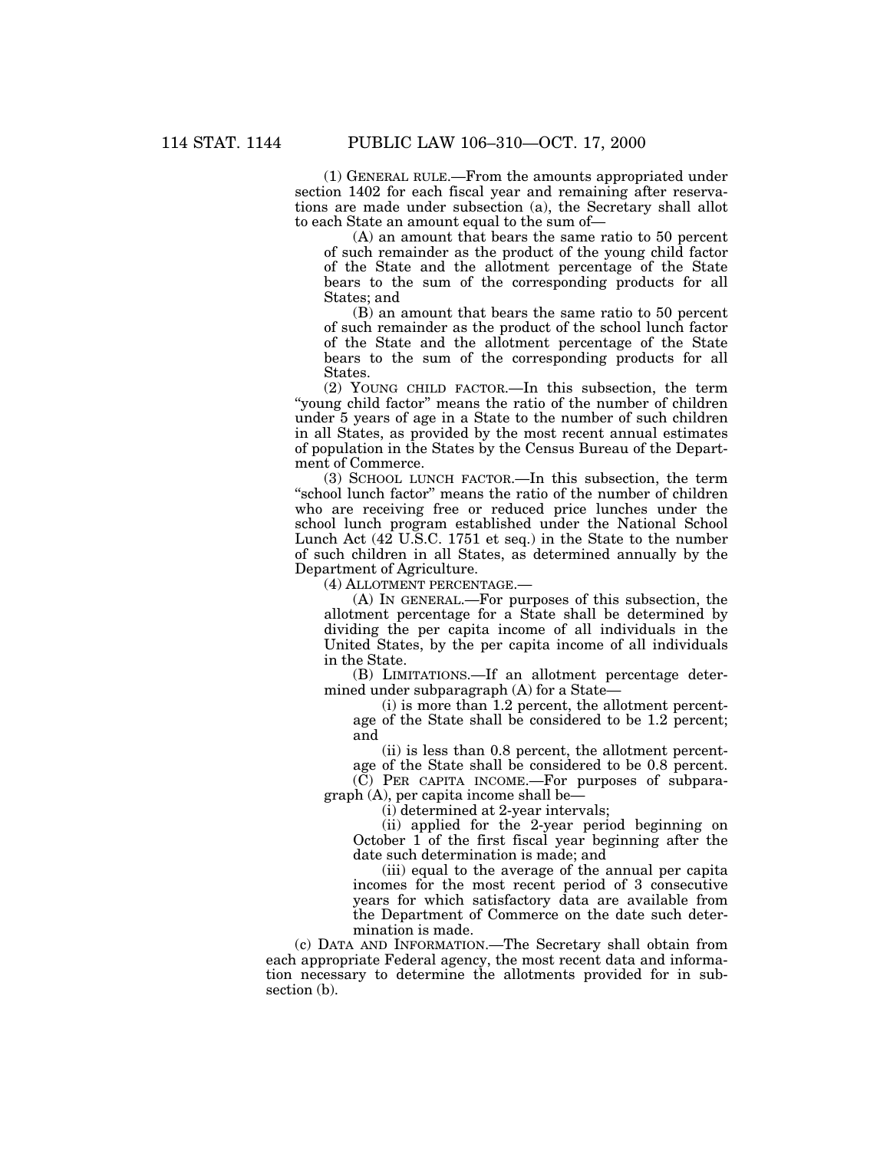(1) GENERAL RULE.—From the amounts appropriated under section 1402 for each fiscal year and remaining after reservations are made under subsection (a), the Secretary shall allot to each State an amount equal to the sum of—

(A) an amount that bears the same ratio to 50 percent of such remainder as the product of the young child factor of the State and the allotment percentage of the State bears to the sum of the corresponding products for all States; and

(B) an amount that bears the same ratio to 50 percent of such remainder as the product of the school lunch factor of the State and the allotment percentage of the State bears to the sum of the corresponding products for all States.

(2) YOUNG CHILD FACTOR.—In this subsection, the term "young child factor" means the ratio of the number of children under 5 years of age in a State to the number of such children in all States, as provided by the most recent annual estimates of population in the States by the Census Bureau of the Department of Commerce.

(3) SCHOOL LUNCH FACTOR.—In this subsection, the term "school lunch factor" means the ratio of the number of children who are receiving free or reduced price lunches under the school lunch program established under the National School Lunch Act (42 U.S.C. 1751 et seq.) in the State to the number of such children in all States, as determined annually by the Department of Agriculture.

(4) ALLOTMENT PERCENTAGE.—

(A) IN GENERAL.—For purposes of this subsection, the allotment percentage for a State shall be determined by dividing the per capita income of all individuals in the United States, by the per capita income of all individuals in the State.

(B) LIMITATIONS.—If an allotment percentage determined under subparagraph (A) for a State—

(i) is more than 1.2 percent, the allotment percentage of the State shall be considered to be 1.2 percent; and

(ii) is less than 0.8 percent, the allotment percentage of the State shall be considered to be 0.8 percent.

 $(\check{C})$  PER CAPITA INCOME.—For purposes of subparagraph (A), per capita income shall be—

(i) determined at 2-year intervals;

(ii) applied for the 2-year period beginning on October 1 of the first fiscal year beginning after the date such determination is made; and

(iii) equal to the average of the annual per capita incomes for the most recent period of 3 consecutive years for which satisfactory data are available from the Department of Commerce on the date such determination is made.

(c) DATA AND INFORMATION.—The Secretary shall obtain from each appropriate Federal agency, the most recent data and information necessary to determine the allotments provided for in subsection (b).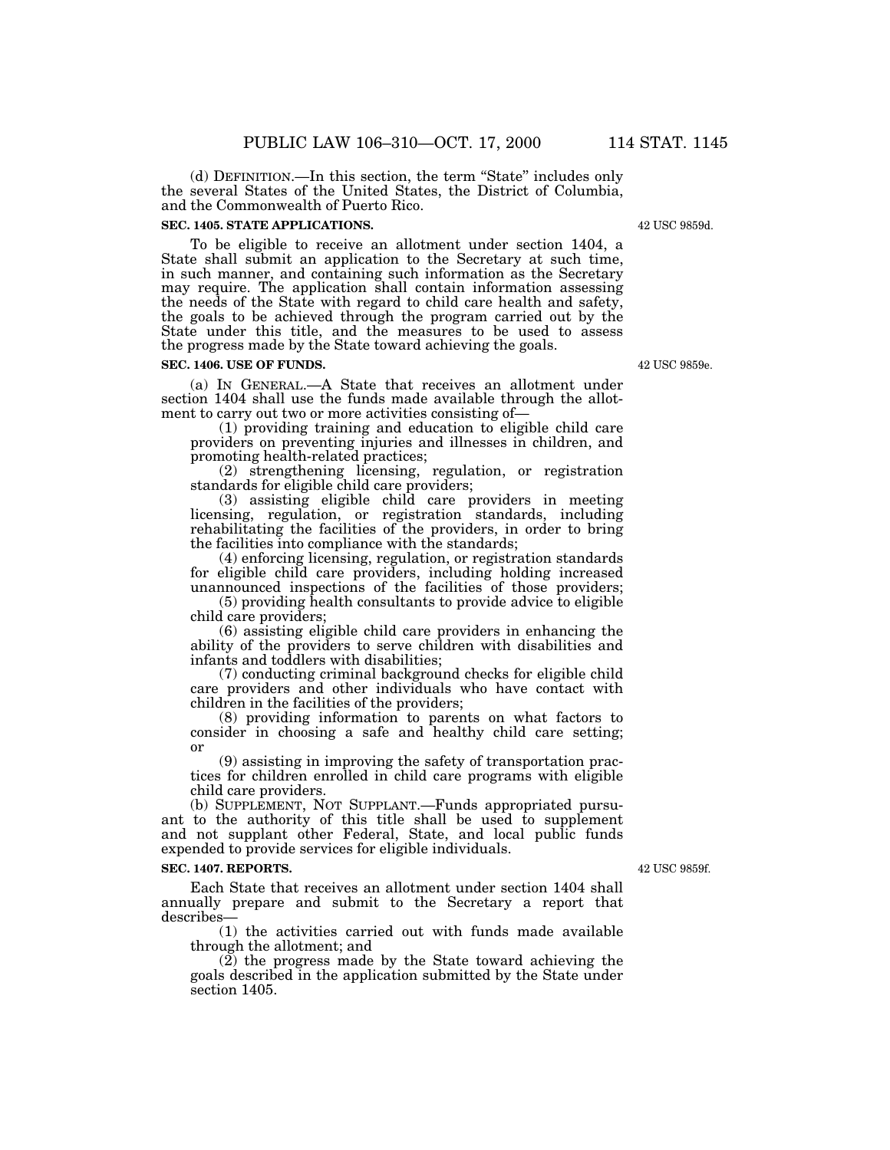(d) DEFINITION.—In this section, the term ''State'' includes only the several States of the United States, the District of Columbia, and the Commonwealth of Puerto Rico.

#### **SEC. 1405. STATE APPLICATIONS.**

To be eligible to receive an allotment under section 1404, a State shall submit an application to the Secretary at such time, in such manner, and containing such information as the Secretary may require. The application shall contain information assessing the needs of the State with regard to child care health and safety, the goals to be achieved through the program carried out by the State under this title, and the measures to be used to assess the progress made by the State toward achieving the goals.

#### **SEC. 1406. USE OF FUNDS.**

(a) IN GENERAL.—A State that receives an allotment under section 1404 shall use the funds made available through the allotment to carry out two or more activities consisting of—

(1) providing training and education to eligible child care providers on preventing injuries and illnesses in children, and promoting health-related practices;

(2) strengthening licensing, regulation, or registration standards for eligible child care providers;

(3) assisting eligible child care providers in meeting licensing, regulation, or registration standards, including rehabilitating the facilities of the providers, in order to bring the facilities into compliance with the standards;

(4) enforcing licensing, regulation, or registration standards for eligible child care providers, including holding increased unannounced inspections of the facilities of those providers;

(5) providing health consultants to provide advice to eligible child care providers;

(6) assisting eligible child care providers in enhancing the ability of the providers to serve children with disabilities and infants and toddlers with disabilities;

(7) conducting criminal background checks for eligible child care providers and other individuals who have contact with children in the facilities of the providers;

(8) providing information to parents on what factors to consider in choosing a safe and healthy child care setting; or

(9) assisting in improving the safety of transportation practices for children enrolled in child care programs with eligible child care providers.

(b) SUPPLEMENT, NOT SUPPLANT.—Funds appropriated pursuant to the authority of this title shall be used to supplement and not supplant other Federal, State, and local public funds expended to provide services for eligible individuals.

#### **SEC. 1407. REPORTS.**

Each State that receives an allotment under section 1404 shall annually prepare and submit to the Secretary a report that describes—

(1) the activities carried out with funds made available through the allotment; and

(2) the progress made by the State toward achieving the goals described in the application submitted by the State under section 1405.

42 USC 9859f.

42 USC 9859e.

42 USC 9859d.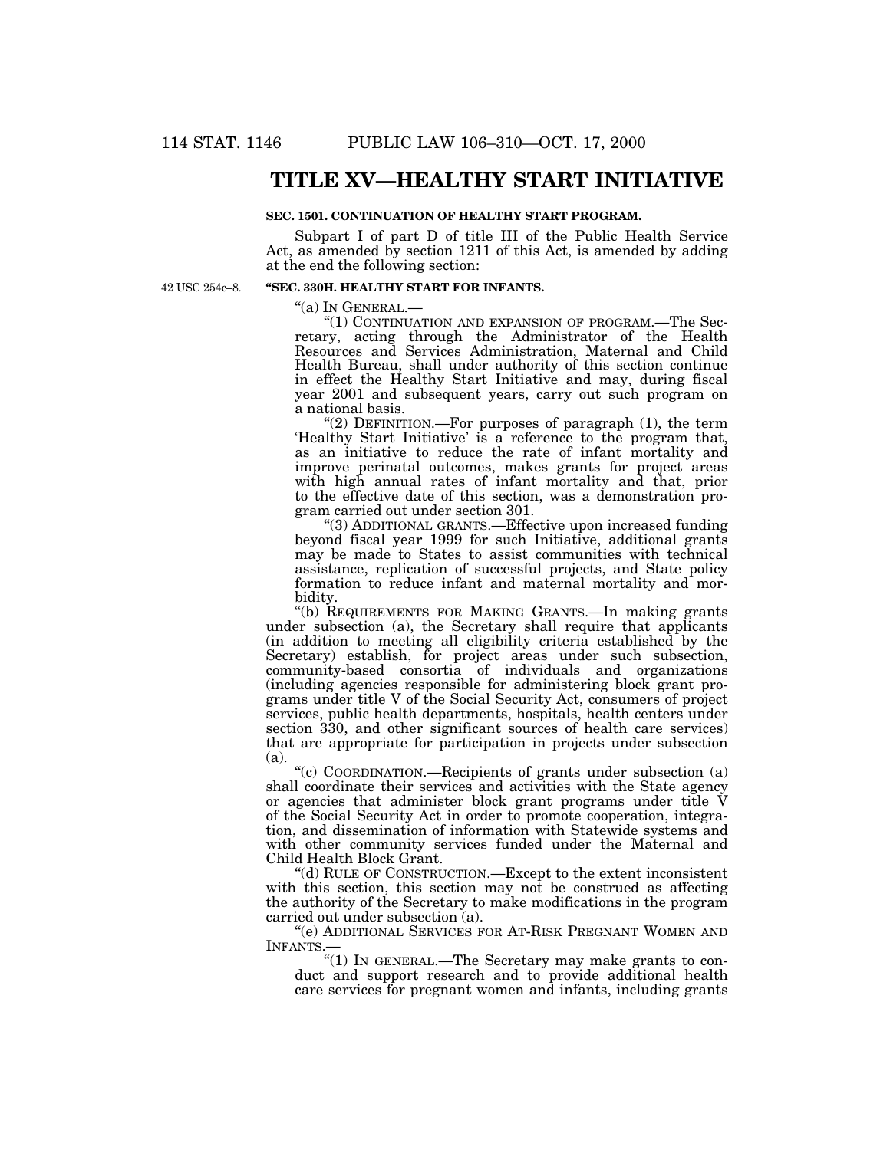## **TITLE XV—HEALTHY START INITIATIVE**

### **SEC. 1501. CONTINUATION OF HEALTHY START PROGRAM.**

Subpart I of part D of title III of the Public Health Service Act, as amended by section 1211 of this Act, is amended by adding at the end the following section:

42 USC 254c–8.

### **''SEC. 330H. HEALTHY START FOR INFANTS.**

''(a) IN GENERAL.—

"(1) CONTINUATION AND EXPANSION OF PROGRAM.—The Secretary, acting through the Administrator of the Health Resources and Services Administration, Maternal and Child Health Bureau, shall under authority of this section continue in effect the Healthy Start Initiative and may, during fiscal year 2001 and subsequent years, carry out such program on a national basis.

"(2) DEFINITION.—For purposes of paragraph  $(1)$ , the term 'Healthy Start Initiative' is a reference to the program that, as an initiative to reduce the rate of infant mortality and improve perinatal outcomes, makes grants for project areas with high annual rates of infant mortality and that, prior to the effective date of this section, was a demonstration program carried out under section 301.

''(3) ADDITIONAL GRANTS.—Effective upon increased funding beyond fiscal year 1999 for such Initiative, additional grants may be made to States to assist communities with technical assistance, replication of successful projects, and State policy formation to reduce infant and maternal mortality and morbidity.

''(b) REQUIREMENTS FOR MAKING GRANTS.—In making grants under subsection (a), the Secretary shall require that applicants (in addition to meeting all eligibility criteria established by the Secretary) establish, for project areas under such subsection, community-based consortia of individuals and organizations (including agencies responsible for administering block grant programs under title V of the Social Security Act, consumers of project services, public health departments, hospitals, health centers under section 330, and other significant sources of health care services) that are appropriate for participation in projects under subsection (a).

''(c) COORDINATION.—Recipients of grants under subsection (a) shall coordinate their services and activities with the State agency or agencies that administer block grant programs under title V of the Social Security Act in order to promote cooperation, integration, and dissemination of information with Statewide systems and with other community services funded under the Maternal and Child Health Block Grant.

''(d) RULE OF CONSTRUCTION.—Except to the extent inconsistent with this section, this section may not be construed as affecting the authority of the Secretary to make modifications in the program carried out under subsection (a).

''(e) ADDITIONAL SERVICES FOR AT-RISK PREGNANT WOMEN AND INFANTS.

"(1) IN GENERAL.—The Secretary may make grants to conduct and support research and to provide additional health care services for pregnant women and infants, including grants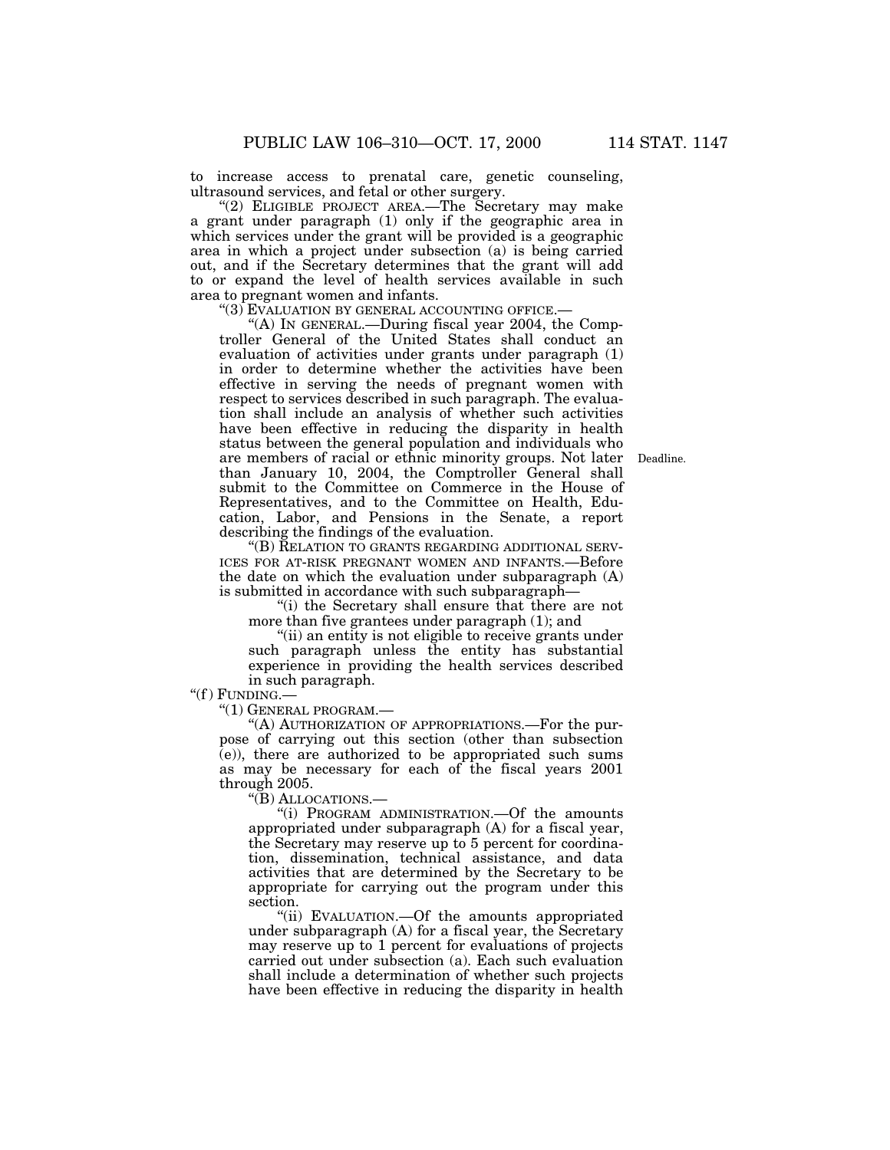to increase access to prenatal care, genetic counseling, ultrasound services, and fetal or other surgery.

"(2) ELIGIBLE PROJECT AREA.—The Secretary may make a grant under paragraph (1) only if the geographic area in which services under the grant will be provided is a geographic area in which a project under subsection (a) is being carried out, and if the Secretary determines that the grant will add to or expand the level of health services available in such area to pregnant women and infants.

''(3) EVALUATION BY GENERAL ACCOUNTING OFFICE.—

''(A) IN GENERAL.—During fiscal year 2004, the Comptroller General of the United States shall conduct an evaluation of activities under grants under paragraph (1) in order to determine whether the activities have been effective in serving the needs of pregnant women with respect to services described in such paragraph. The evaluation shall include an analysis of whether such activities have been effective in reducing the disparity in health status between the general population and individuals who are members of racial or ethnic minority groups. Not later than January 10, 2004, the Comptroller General shall submit to the Committee on Commerce in the House of Representatives, and to the Committee on Health, Education, Labor, and Pensions in the Senate, a report describing the findings of the evaluation.

''(B) RELATION TO GRANTS REGARDING ADDITIONAL SERV-ICES FOR AT-RISK PREGNANT WOMEN AND INFANTS.—Before the date on which the evaluation under subparagraph (A) is submitted in accordance with such subparagraph—

''(i) the Secretary shall ensure that there are not more than five grantees under paragraph (1); and

''(ii) an entity is not eligible to receive grants under such paragraph unless the entity has substantial experience in providing the health services described in such paragraph.

" $(f)$  FUNDING.-

''(1) GENERAL PROGRAM.—

''(A) AUTHORIZATION OF APPROPRIATIONS.—For the purpose of carrying out this section (other than subsection (e)), there are authorized to be appropriated such sums as may be necessary for each of the fiscal years 2001 through 2005.

''(B) ALLOCATIONS.—

''(i) PROGRAM ADMINISTRATION.—Of the amounts appropriated under subparagraph (A) for a fiscal year, the Secretary may reserve up to 5 percent for coordination, dissemination, technical assistance, and data activities that are determined by the Secretary to be appropriate for carrying out the program under this section.

''(ii) EVALUATION.—Of the amounts appropriated under subparagraph (A) for a fiscal year, the Secretary may reserve up to 1 percent for evaluations of projects carried out under subsection (a). Each such evaluation shall include a determination of whether such projects have been effective in reducing the disparity in health

Deadline.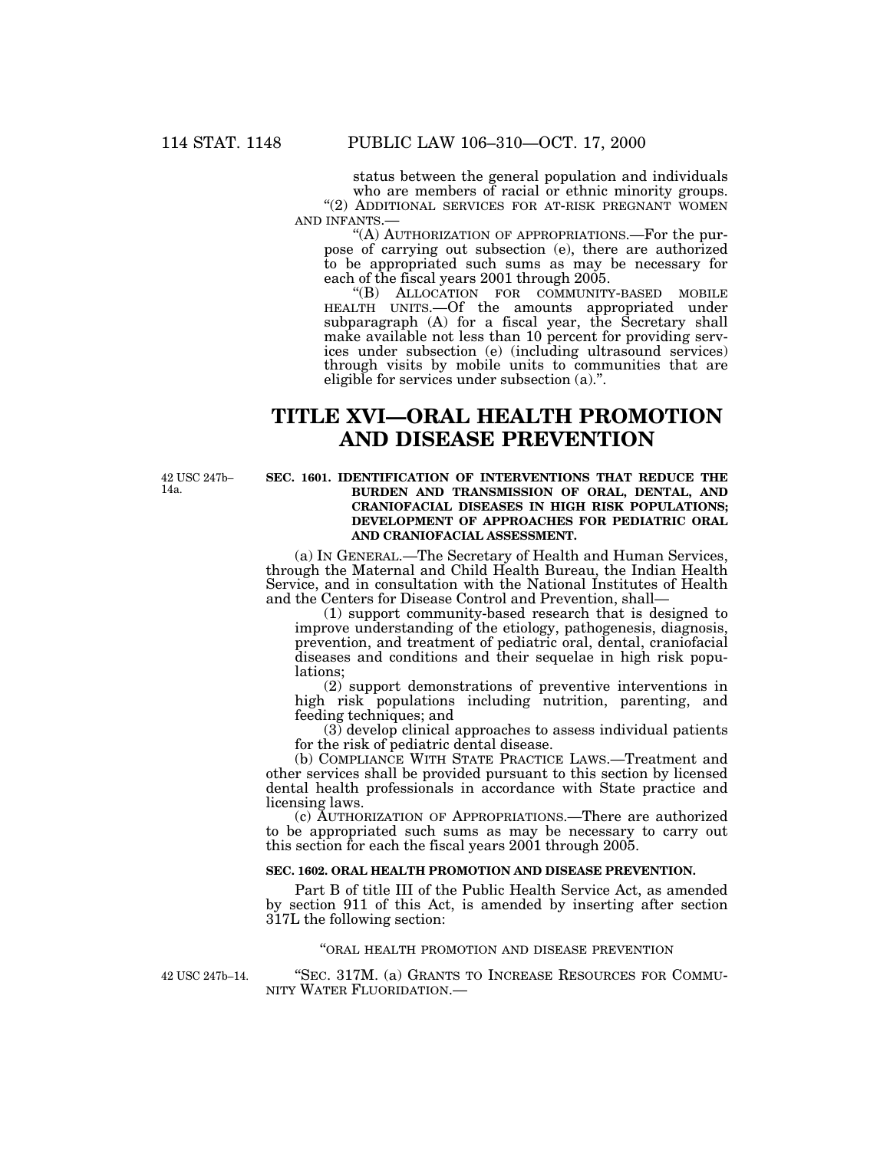status between the general population and individuals who are members of racial or ethnic minority groups. "(2) ADDITIONAL SERVICES FOR AT-RISK PREGNANT WOMEN AND INFANTS.—

''(A) AUTHORIZATION OF APPROPRIATIONS.—For the purpose of carrying out subsection (e), there are authorized to be appropriated such sums as may be necessary for each of the fiscal years 2001 through 2005.

''(B) ALLOCATION FOR COMMUNITY-BASED MOBILE HEALTH UNITS.—Of the amounts appropriated under subparagraph (A) for a fiscal year, the Secretary shall make available not less than 10 percent for providing services under subsection (e) (including ultrasound services) through visits by mobile units to communities that are eligible for services under subsection (a).''.

# **TITLE XVI—ORAL HEALTH PROMOTION AND DISEASE PREVENTION**

42 USC 247b– 14a.

### **SEC. 1601. IDENTIFICATION OF INTERVENTIONS THAT REDUCE THE BURDEN AND TRANSMISSION OF ORAL, DENTAL, AND CRANIOFACIAL DISEASES IN HIGH RISK POPULATIONS; DEVELOPMENT OF APPROACHES FOR PEDIATRIC ORAL AND CRANIOFACIAL ASSESSMENT.**

(a) IN GENERAL.—The Secretary of Health and Human Services, through the Maternal and Child Health Bureau, the Indian Health Service, and in consultation with the National Institutes of Health and the Centers for Disease Control and Prevention, shall—

(1) support community-based research that is designed to improve understanding of the etiology, pathogenesis, diagnosis, prevention, and treatment of pediatric oral, dental, craniofacial diseases and conditions and their sequelae in high risk populations;

(2) support demonstrations of preventive interventions in high risk populations including nutrition, parenting, and feeding techniques; and

(3) develop clinical approaches to assess individual patients for the risk of pediatric dental disease.

(b) COMPLIANCE WITH STATE PRACTICE LAWS.—Treatment and other services shall be provided pursuant to this section by licensed dental health professionals in accordance with State practice and licensing laws.

(c) AUTHORIZATION OF APPROPRIATIONS.—There are authorized to be appropriated such sums as may be necessary to carry out this section for each the fiscal years 2001 through 2005.

### **SEC. 1602. ORAL HEALTH PROMOTION AND DISEASE PREVENTION.**

Part B of title III of the Public Health Service Act, as amended by section 911 of this Act, is amended by inserting after section 317L the following section:

### ''ORAL HEALTH PROMOTION AND DISEASE PREVENTION

42 USC 247b–14.

''SEC. 317M. (a) GRANTS TO INCREASE RESOURCES FOR COMMU-NITY WATER FLUORIDATION.—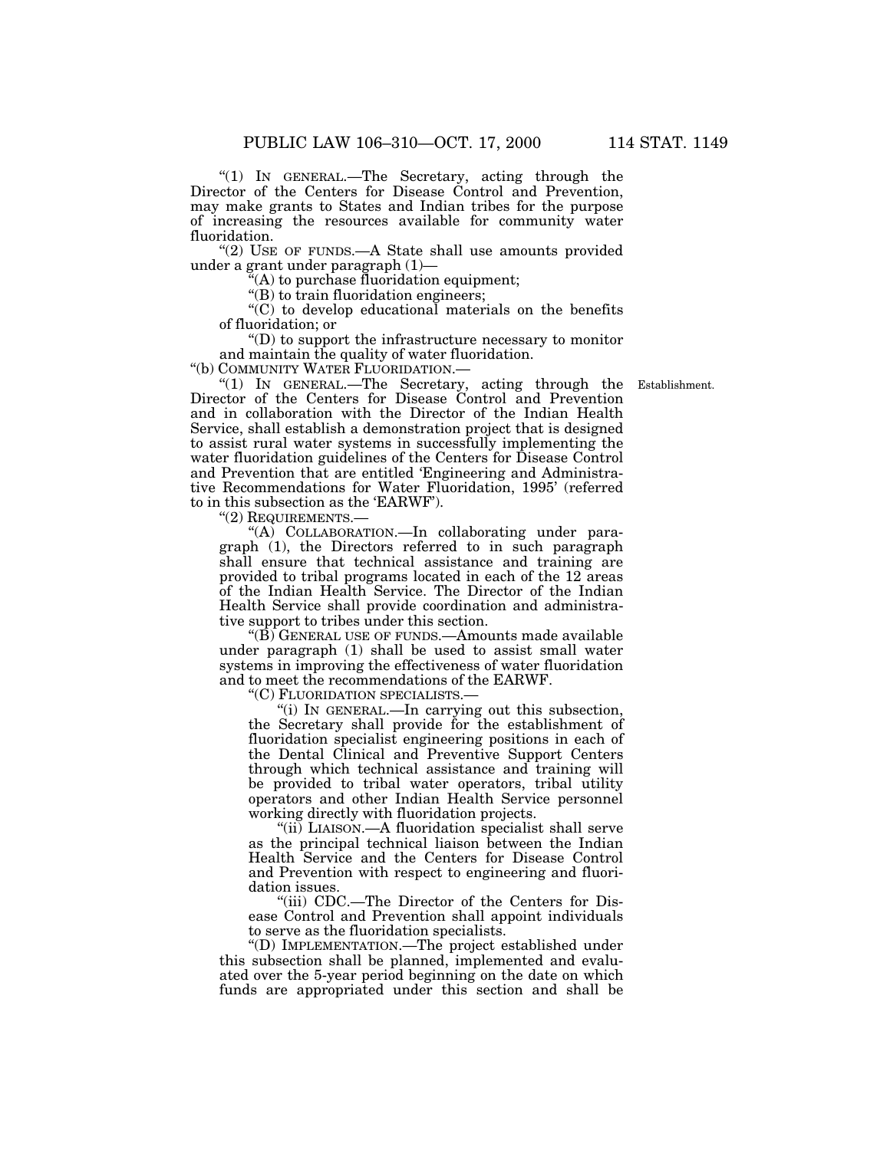''(1) IN GENERAL.—The Secretary, acting through the Director of the Centers for Disease Control and Prevention, may make grants to States and Indian tribes for the purpose of increasing the resources available for community water fluoridation.

"(2) USE OF FUNDS.—A State shall use amounts provided under a grant under paragraph (1)—

 $\mathcal{H}(A)$  to purchase fluoridation equipment;

"(B) to train fluoridation engineers;

 $(C)$  to develop educational materials on the benefits of fluoridation; or

''(D) to support the infrastructure necessary to monitor and maintain the quality of water fluoridation.

''(b) COMMUNITY WATER FLUORIDATION.—

"(1) IN GENERAL.—The Secretary, acting through the Establishment. Director of the Centers for Disease Control and Prevention and in collaboration with the Director of the Indian Health Service, shall establish a demonstration project that is designed to assist rural water systems in successfully implementing the water fluoridation guidelines of the Centers for Disease Control and Prevention that are entitled 'Engineering and Administrative Recommendations for Water Fluoridation, 1995' (referred to in this subsection as the 'EARWF').

''(2) REQUIREMENTS.—

''(A) COLLABORATION.—In collaborating under paragraph (1), the Directors referred to in such paragraph shall ensure that technical assistance and training are provided to tribal programs located in each of the 12 areas of the Indian Health Service. The Director of the Indian Health Service shall provide coordination and administrative support to tribes under this section.

" $(B)$  GENERAL USE OF FUNDS.—Amounts made available under paragraph (1) shall be used to assist small water systems in improving the effectiveness of water fluoridation and to meet the recommendations of the EARWF.

''(C) FLUORIDATION SPECIALISTS.—

''(i) IN GENERAL.—In carrying out this subsection, the Secretary shall provide for the establishment of fluoridation specialist engineering positions in each of the Dental Clinical and Preventive Support Centers through which technical assistance and training will be provided to tribal water operators, tribal utility operators and other Indian Health Service personnel working directly with fluoridation projects.

''(ii) LIAISON.—A fluoridation specialist shall serve as the principal technical liaison between the Indian Health Service and the Centers for Disease Control and Prevention with respect to engineering and fluoridation issues.

"(iii) CDC.—The Director of the Centers for Disease Control and Prevention shall appoint individuals to serve as the fluoridation specialists.

''(D) IMPLEMENTATION.—The project established under this subsection shall be planned, implemented and evaluated over the 5-year period beginning on the date on which funds are appropriated under this section and shall be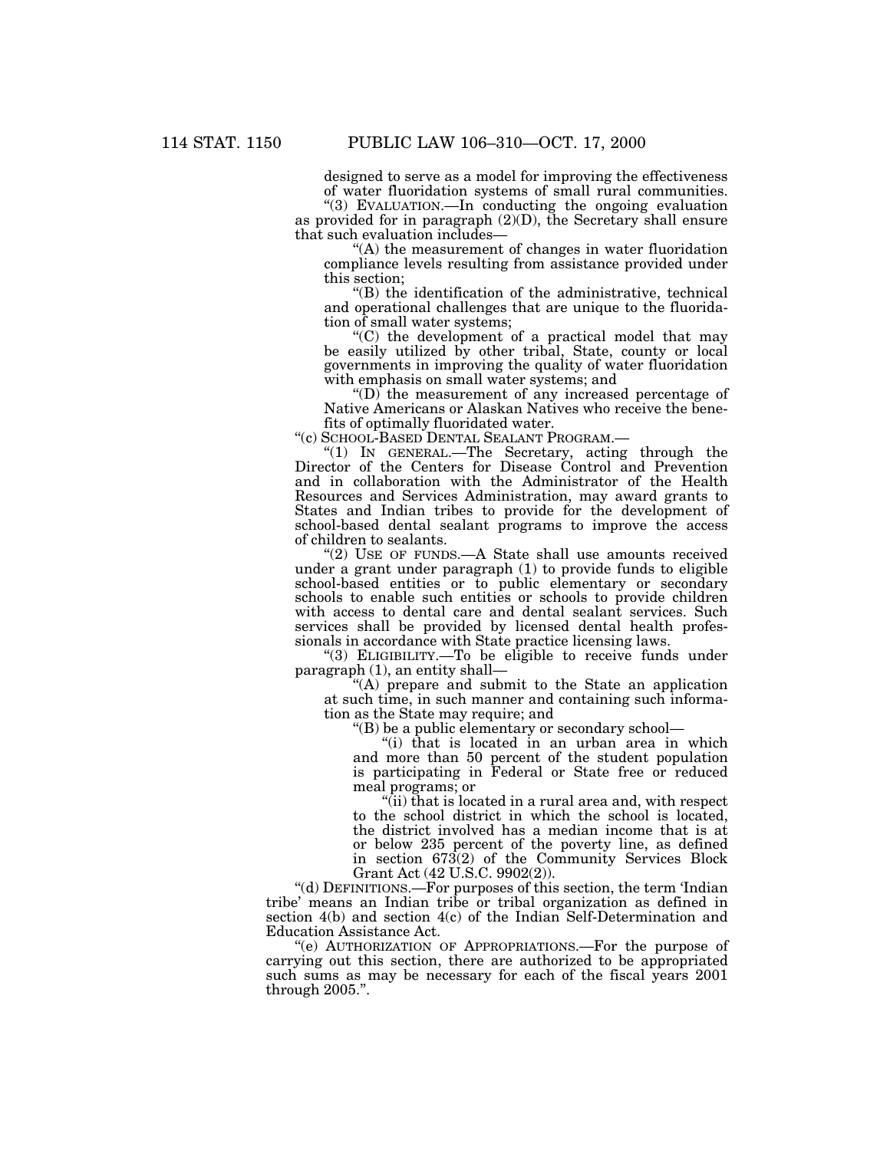designed to serve as a model for improving the effectiveness of water fluoridation systems of small rural communities.

''(3) EVALUATION.—In conducting the ongoing evaluation as provided for in paragraph (2)(D), the Secretary shall ensure that such evaluation includes—

''(A) the measurement of changes in water fluoridation compliance levels resulting from assistance provided under this section;

''(B) the identification of the administrative, technical and operational challenges that are unique to the fluoridation of small water systems;

 $(C)$  the development of a practical model that may be easily utilized by other tribal, State, county or local governments in improving the quality of water fluoridation with emphasis on small water systems; and

 $\mathrm{``(D)}$  the measurement of any increased percentage of Native Americans or Alaskan Natives who receive the benefits of optimally fluoridated water.

''(c) SCHOOL-BASED DENTAL SEALANT PROGRAM.—

''(1) IN GENERAL.—The Secretary, acting through the Director of the Centers for Disease Control and Prevention and in collaboration with the Administrator of the Health Resources and Services Administration, may award grants to States and Indian tribes to provide for the development of school-based dental sealant programs to improve the access of children to sealants.

"(2) USE OF FUNDS.—A State shall use amounts received under a grant under paragraph (1) to provide funds to eligible school-based entities or to public elementary or secondary schools to enable such entities or schools to provide children with access to dental care and dental sealant services. Such services shall be provided by licensed dental health professionals in accordance with State practice licensing laws.

''(3) ELIGIBILITY.—To be eligible to receive funds under paragraph (1), an entity shall—

''(A) prepare and submit to the State an application at such time, in such manner and containing such information as the State may require; and

''(B) be a public elementary or secondary school—

''(i) that is located in an urban area in which and more than 50 percent of the student population is participating in Federal or State free or reduced meal programs; or

''(ii) that is located in a rural area and, with respect to the school district in which the school is located, the district involved has a median income that is at or below 235 percent of the poverty line, as defined in section 673(2) of the Community Services Block Grant Act (42 U.S.C. 9902(2)).

''(d) DEFINITIONS.—For purposes of this section, the term 'Indian tribe' means an Indian tribe or tribal organization as defined in section 4(b) and section 4(c) of the Indian Self-Determination and Education Assistance Act.

''(e) AUTHORIZATION OF APPROPRIATIONS.—For the purpose of carrying out this section, there are authorized to be appropriated such sums as may be necessary for each of the fiscal years 2001 through 2005.''.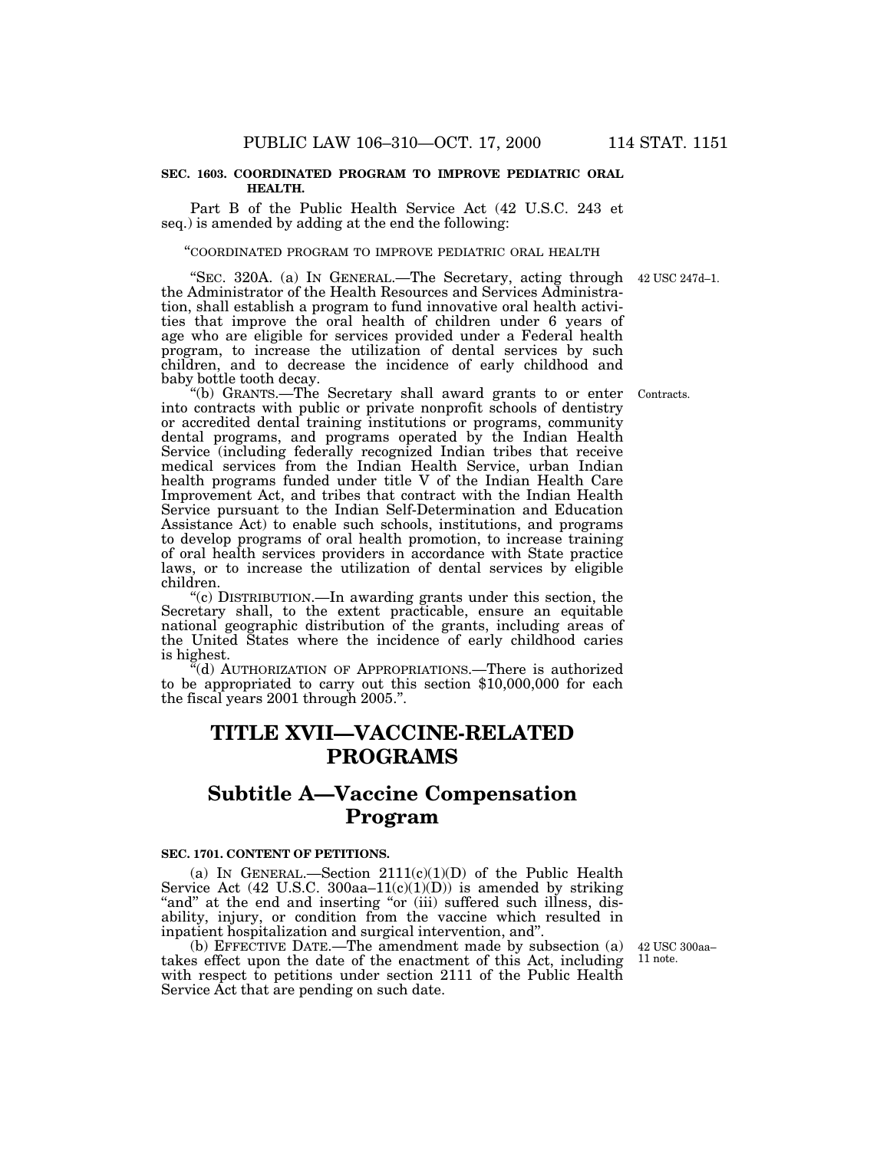### **SEC. 1603. COORDINATED PROGRAM TO IMPROVE PEDIATRIC ORAL HEALTH.**

Part B of the Public Health Service Act (42 U.S.C. 243 et seq.) is amended by adding at the end the following:

### ''COORDINATED PROGRAM TO IMPROVE PEDIATRIC ORAL HEALTH

"SEC. 320A. (a) IN GENERAL.—The Secretary, acting through 42 USC 247d-1. the Administrator of the Health Resources and Services Administration, shall establish a program to fund innovative oral health activities that improve the oral health of children under 6 years of age who are eligible for services provided under a Federal health program, to increase the utilization of dental services by such children, and to decrease the incidence of early childhood and baby bottle tooth decay.

''(b) GRANTS.—The Secretary shall award grants to or enter into contracts with public or private nonprofit schools of dentistry or accredited dental training institutions or programs, community dental programs, and programs operated by the Indian Health Service (including federally recognized Indian tribes that receive medical services from the Indian Health Service, urban Indian health programs funded under title V of the Indian Health Care Improvement Act, and tribes that contract with the Indian Health Service pursuant to the Indian Self-Determination and Education Assistance Act) to enable such schools, institutions, and programs to develop programs of oral health promotion, to increase training of oral health services providers in accordance with State practice laws, or to increase the utilization of dental services by eligible children.

''(c) DISTRIBUTION.—In awarding grants under this section, the Secretary shall, to the extent practicable, ensure an equitable national geographic distribution of the grants, including areas of the United States where the incidence of early childhood caries is highest.

"(d) AUTHORIZATION OF APPROPRIATIONS.—There is authorized to be appropriated to carry out this section \$10,000,000 for each the fiscal years 2001 through 2005.''.

## **TITLE XVII—VACCINE-RELATED PROGRAMS**

# **Subtitle A—Vaccine Compensation Program**

#### **SEC. 1701. CONTENT OF PETITIONS.**

(a) IN GENERAL.—Section  $2111(c)(1)(D)$  of the Public Health Service Act (42 U.S.C. 300aa–11(c)(1)(D)) is amended by striking "and" at the end and inserting "or (iii) suffered such illness, disability, injury, or condition from the vaccine which resulted in inpatient hospitalization and surgical intervention, and''.

(b) EFFECTIVE DATE.—The amendment made by subsection (a) takes effect upon the date of the enactment of this Act, including with respect to petitions under section 2111 of the Public Health Service Act that are pending on such date.

42 USC 300aa– 11 note.

Contracts.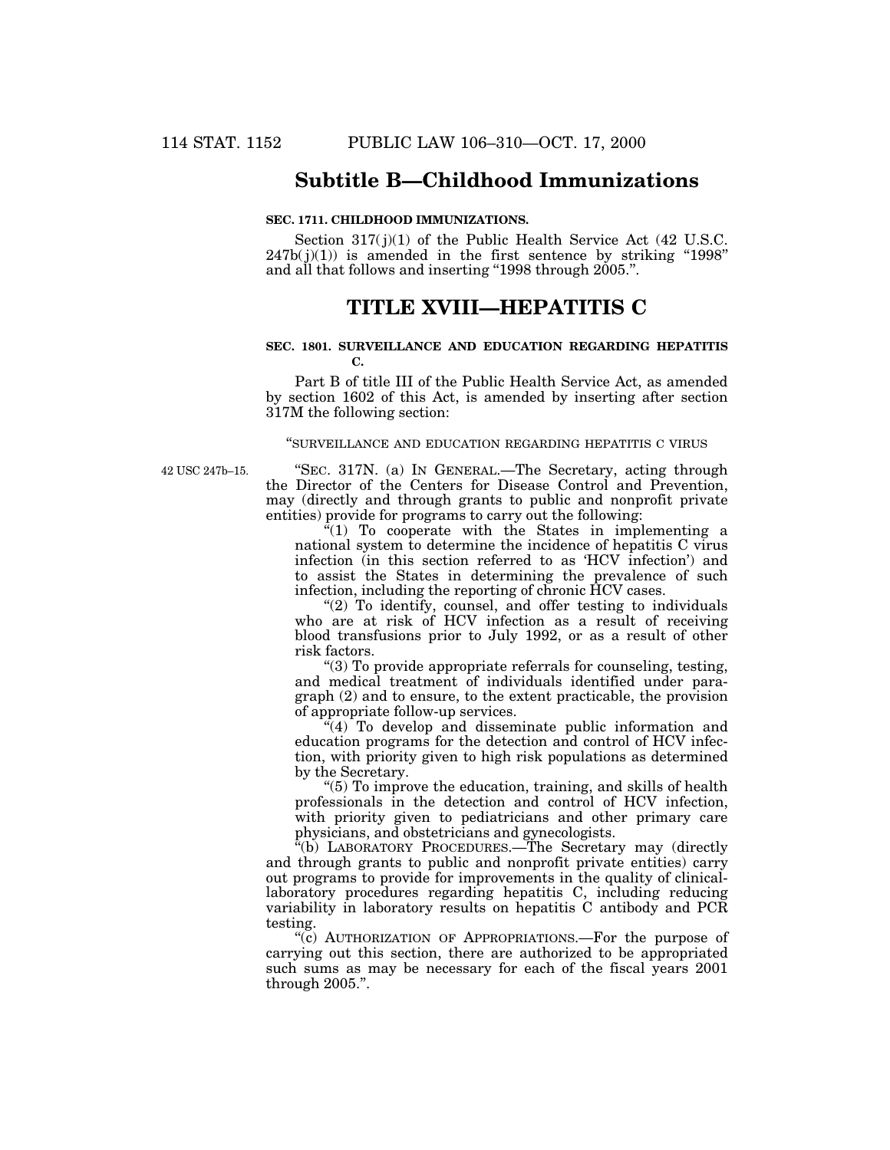## **Subtitle B—Childhood Immunizations**

## **SEC. 1711. CHILDHOOD IMMUNIZATIONS.**

Section  $317(j)(1)$  of the Public Health Service Act (42 U.S.C.  $247b(j)(1)$  is amended in the first sentence by striking "1998" and all that follows and inserting "1998 through 2005.".

## **TITLE XVIII—HEPATITIS C**

### **SEC. 1801. SURVEILLANCE AND EDUCATION REGARDING HEPATITIS C.**

Part B of title III of the Public Health Service Act, as amended by section 1602 of this Act, is amended by inserting after section 317M the following section:

### ''SURVEILLANCE AND EDUCATION REGARDING HEPATITIS C VIRUS

42 USC 247b–15.

''SEC. 317N. (a) IN GENERAL.—The Secretary, acting through the Director of the Centers for Disease Control and Prevention, may (directly and through grants to public and nonprofit private entities) provide for programs to carry out the following:

"(1) To cooperate with the States in implementing a national system to determine the incidence of hepatitis C virus infection (in this section referred to as 'HCV infection') and to assist the States in determining the prevalence of such infection, including the reporting of chronic HCV cases.

"(2) To identify, counsel, and offer testing to individuals who are at risk of HCV infection as a result of receiving blood transfusions prior to July 1992, or as a result of other risk factors.

''(3) To provide appropriate referrals for counseling, testing, and medical treatment of individuals identified under paragraph (2) and to ensure, to the extent practicable, the provision of appropriate follow-up services.

"(4) To develop and disseminate public information and education programs for the detection and control of HCV infection, with priority given to high risk populations as determined by the Secretary.

''(5) To improve the education, training, and skills of health professionals in the detection and control of HCV infection, with priority given to pediatricians and other primary care physicians, and obstetricians and gynecologists.

''(b) LABORATORY PROCEDURES.—The Secretary may (directly and through grants to public and nonprofit private entities) carry out programs to provide for improvements in the quality of clinicallaboratory procedures regarding hepatitis C, including reducing variability in laboratory results on hepatitis C antibody and PCR testing.

''(c) AUTHORIZATION OF APPROPRIATIONS.—For the purpose of carrying out this section, there are authorized to be appropriated such sums as may be necessary for each of the fiscal years 2001 through 2005.''.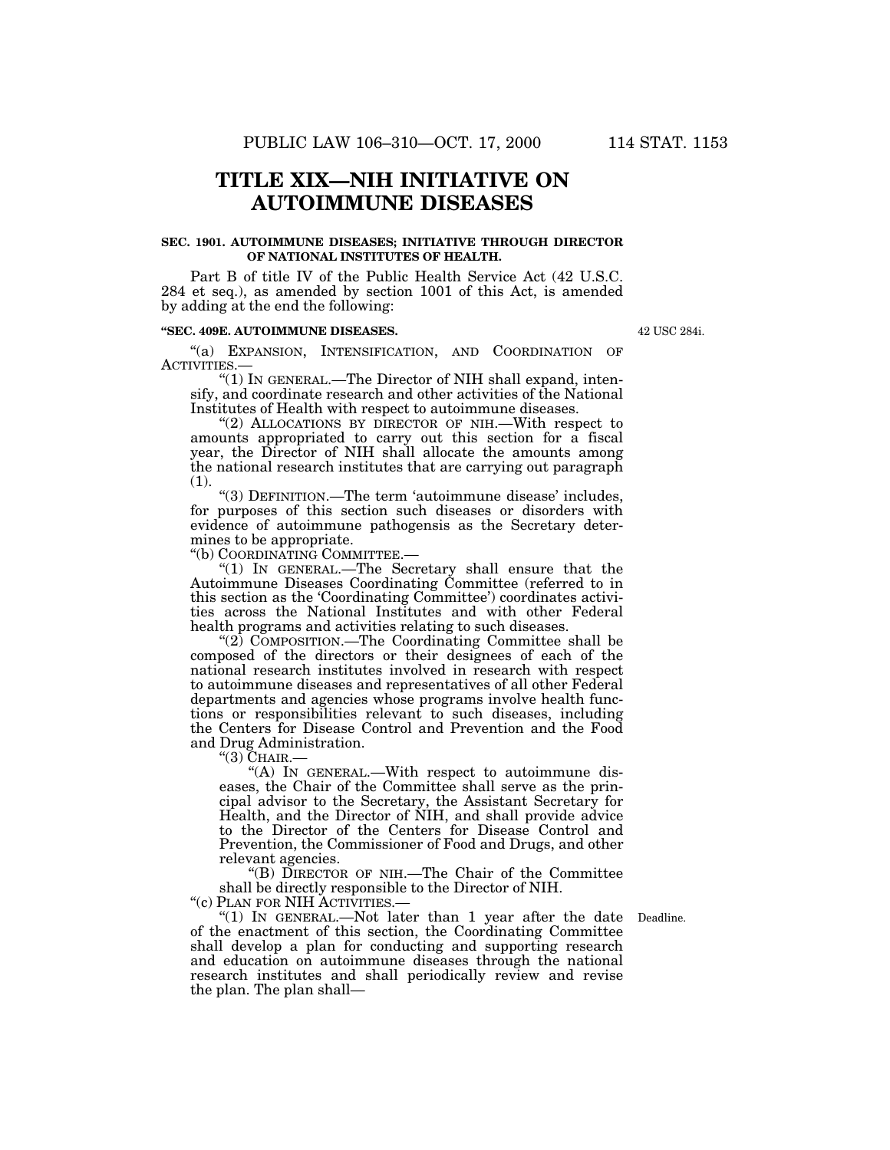## **TITLE XIX—NIH INITIATIVE ON AUTOIMMUNE DISEASES**

## **SEC. 1901. AUTOIMMUNE DISEASES; INITIATIVE THROUGH DIRECTOR OF NATIONAL INSTITUTES OF HEALTH.**

Part B of title IV of the Public Health Service Act (42 U.S.C. 284 et seq.), as amended by section 1001 of this Act, is amended by adding at the end the following:

## **''SEC. 409E. AUTOIMMUNE DISEASES.**

''(a) EXPANSION, INTENSIFICATION, AND COORDINATION OF ACTIVITIES.—

" $(1)$  In GENERAL.—The Director of NIH shall expand, intensify, and coordinate research and other activities of the National Institutes of Health with respect to autoimmune diseases.

"(2) ALLOCATIONS BY DIRECTOR OF NIH.—With respect to amounts appropriated to carry out this section for a fiscal year, the Director of NIH shall allocate the amounts among the national research institutes that are carrying out paragraph (1).

''(3) DEFINITION.—The term 'autoimmune disease' includes, for purposes of this section such diseases or disorders with evidence of autoimmune pathogensis as the Secretary determines to be appropriate.

''(b) COORDINATING COMMITTEE.—

"(1) In GENERAL.—The Secretary shall ensure that the Autoimmune Diseases Coordinating Committee (referred to in this section as the 'Coordinating Committee') coordinates activities across the National Institutes and with other Federal health programs and activities relating to such diseases.

"(2)  $\check{C}$ OMPOSITION.—The Coordinating Committee shall be composed of the directors or their designees of each of the national research institutes involved in research with respect to autoimmune diseases and representatives of all other Federal departments and agencies whose programs involve health functions or responsibilities relevant to such diseases, including the Centers for Disease Control and Prevention and the Food and Drug Administration.

''(3) CHAIR.—

"(A) IN GENERAL.—With respect to autoimmune diseases, the Chair of the Committee shall serve as the principal advisor to the Secretary, the Assistant Secretary for Health, and the Director of NIH, and shall provide advice to the Director of the Centers for Disease Control and Prevention, the Commissioner of Food and Drugs, and other relevant agencies.

''(B) DIRECTOR OF NIH.—The Chair of the Committee shall be directly responsible to the Director of NIH.

''(c) PLAN FOR NIH ACTIVITIES.—

"(1) IN GENERAL.—Not later than 1 year after the date Deadline. of the enactment of this section, the Coordinating Committee shall develop a plan for conducting and supporting research and education on autoimmune diseases through the national research institutes and shall periodically review and revise the plan. The plan shall—

42 USC 284i.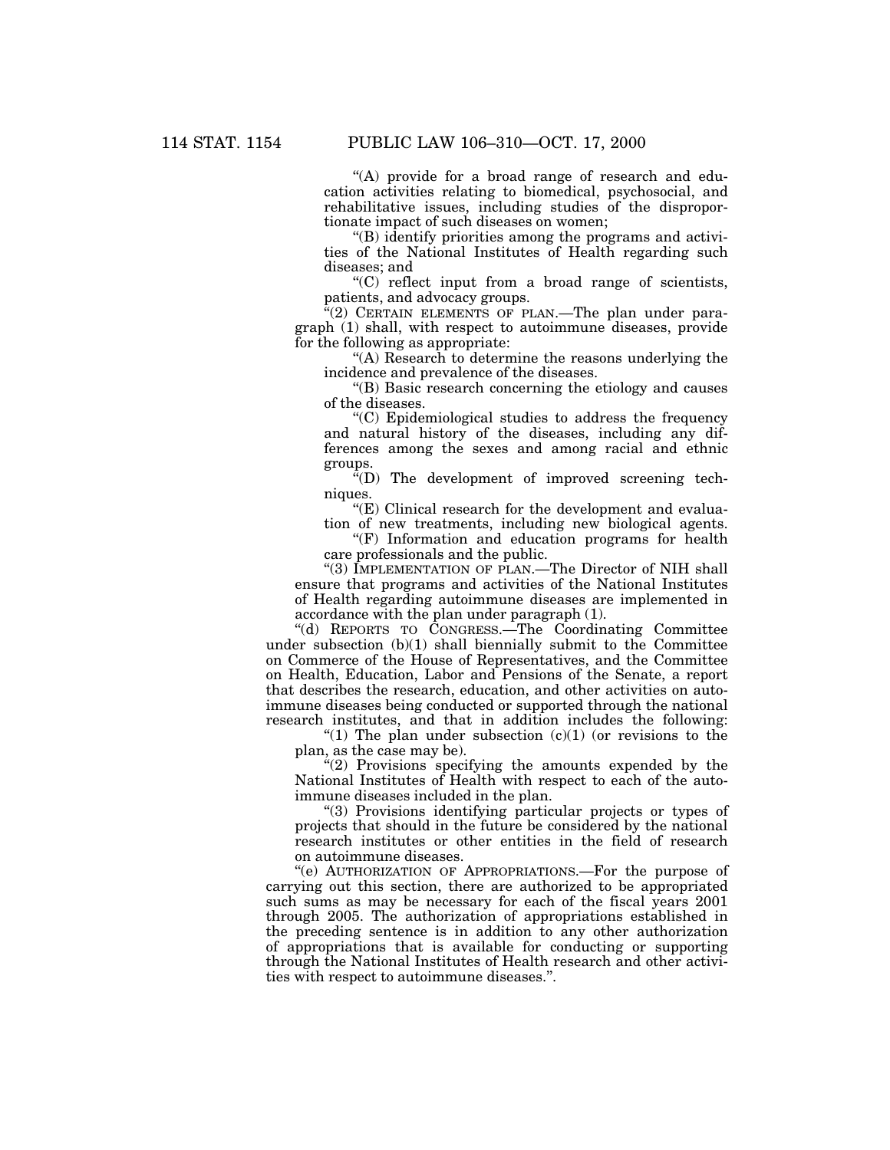''(A) provide for a broad range of research and education activities relating to biomedical, psychosocial, and rehabilitative issues, including studies of the disproportionate impact of such diseases on women;

''(B) identify priorities among the programs and activities of the National Institutes of Health regarding such diseases; and

''(C) reflect input from a broad range of scientists, patients, and advocacy groups.

"(2) CERTAIN ELEMENTS OF PLAN.—The plan under paragraph (1) shall, with respect to autoimmune diseases, provide for the following as appropriate:

''(A) Research to determine the reasons underlying the incidence and prevalence of the diseases.

''(B) Basic research concerning the etiology and causes of the diseases.

''(C) Epidemiological studies to address the frequency and natural history of the diseases, including any differences among the sexes and among racial and ethnic groups.

''(D) The development of improved screening techniques.

" $(E)$  Clinical research for the development and evaluation of new treatments, including new biological agents.

 $(F)$  Information and education programs for health care professionals and the public.

"(3) IMPLEMENTATION OF PLAN.—The Director of NIH shall ensure that programs and activities of the National Institutes of Health regarding autoimmune diseases are implemented in accordance with the plan under paragraph (1).

''(d) REPORTS TO CONGRESS.—The Coordinating Committee under subsection (b)(1) shall biennially submit to the Committee on Commerce of the House of Representatives, and the Committee on Health, Education, Labor and Pensions of the Senate, a report that describes the research, education, and other activities on autoimmune diseases being conducted or supported through the national research institutes, and that in addition includes the following:

"(1) The plan under subsection  $(c)(1)$  (or revisions to the plan, as the case may be).

 $(2)$  Provisions specifying the amounts expended by the National Institutes of Health with respect to each of the autoimmune diseases included in the plan.

''(3) Provisions identifying particular projects or types of projects that should in the future be considered by the national research institutes or other entities in the field of research on autoimmune diseases.

''(e) AUTHORIZATION OF APPROPRIATIONS.—For the purpose of carrying out this section, there are authorized to be appropriated such sums as may be necessary for each of the fiscal years 2001 through 2005. The authorization of appropriations established in the preceding sentence is in addition to any other authorization of appropriations that is available for conducting or supporting through the National Institutes of Health research and other activities with respect to autoimmune diseases.''.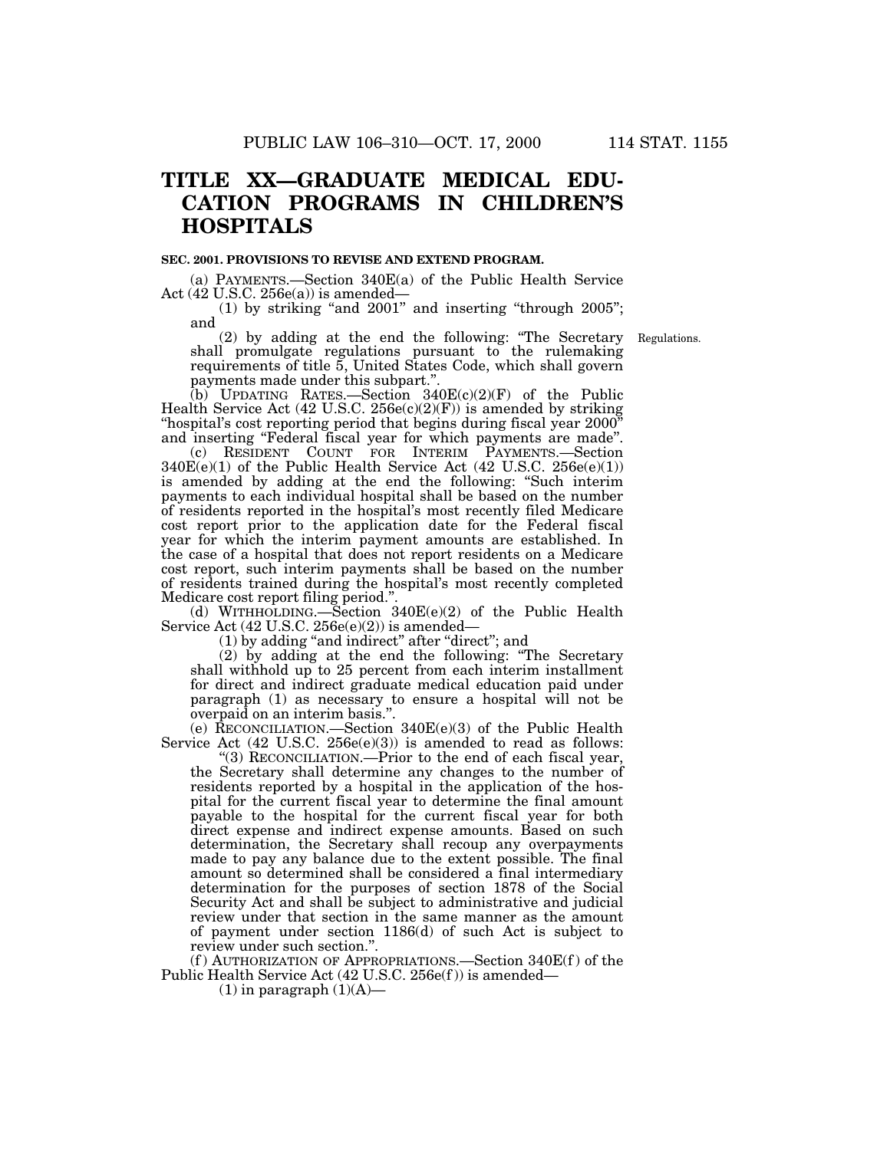# **TITLE XX—GRADUATE MEDICAL EDU-CATION PROGRAMS IN CHILDREN'S HOSPITALS**

### **SEC. 2001. PROVISIONS TO REVISE AND EXTEND PROGRAM.**

(a) PAYMENTS.—Section 340E(a) of the Public Health Service Act (42 U.S.C. 256e(a)) is amended—

 $(1)$  by striking "and  $2001$ " and inserting "through  $2005$ "; and

(2) by adding at the end the following: ''The Secretary shall promulgate regulations pursuant to the rulemaking requirements of title 5, United States Code, which shall govern payments made under this subpart.''.

(b) UPDATING RATES.—Section  $340E(c)(2)(F)$  of the Public Health Service Act (42 U.S.C. 256e(c)(2)(F)) is amended by striking ''hospital's cost reporting period that begins during fiscal year 2000'' and inserting ''Federal fiscal year for which payments are made''.

(c) RESIDENT COUNT FOR INTERIM PAYMENTS.—Section  $340E(e)(1)$  of the Public Health Service Act (42 U.S.C. 256 $e(e)(1)$ ) is amended by adding at the end the following: ''Such interim payments to each individual hospital shall be based on the number of residents reported in the hospital's most recently filed Medicare cost report prior to the application date for the Federal fiscal year for which the interim payment amounts are established. In the case of a hospital that does not report residents on a Medicare cost report, such interim payments shall be based on the number of residents trained during the hospital's most recently completed Medicare cost report filing period.''.

(d) WITHHOLDING.—Section 340E(e)(2) of the Public Health Service Act (42 U.S.C. 256e(e)(2)) is amended—

(1) by adding ''and indirect'' after ''direct''; and

(2) by adding at the end the following: ''The Secretary shall withhold up to 25 percent from each interim installment for direct and indirect graduate medical education paid under paragraph (1) as necessary to ensure a hospital will not be overpaid on an interim basis.''.

(e) RECONCILIATION.—Section 340E(e)(3) of the Public Health Service Act (42 U.S.C. 256e(e)(3)) is amended to read as follows:

''(3) RECONCILIATION.—Prior to the end of each fiscal year, the Secretary shall determine any changes to the number of residents reported by a hospital in the application of the hospital for the current fiscal year to determine the final amount payable to the hospital for the current fiscal year for both direct expense and indirect expense amounts. Based on such determination, the Secretary shall recoup any overpayments made to pay any balance due to the extent possible. The final amount so determined shall be considered a final intermediary determination for the purposes of section 1878 of the Social Security Act and shall be subject to administrative and judicial review under that section in the same manner as the amount of payment under section 1186(d) of such Act is subject to review under such section.''.

 $(f)$  AUTHORIZATION OF APPROPRIATIONS.—Section 340 $E(f)$  of the Public Health Service Act (42 U.S.C. 256e(f )) is amended—

 $(1)$  in paragraph  $(1)(A)$ —

Regulations.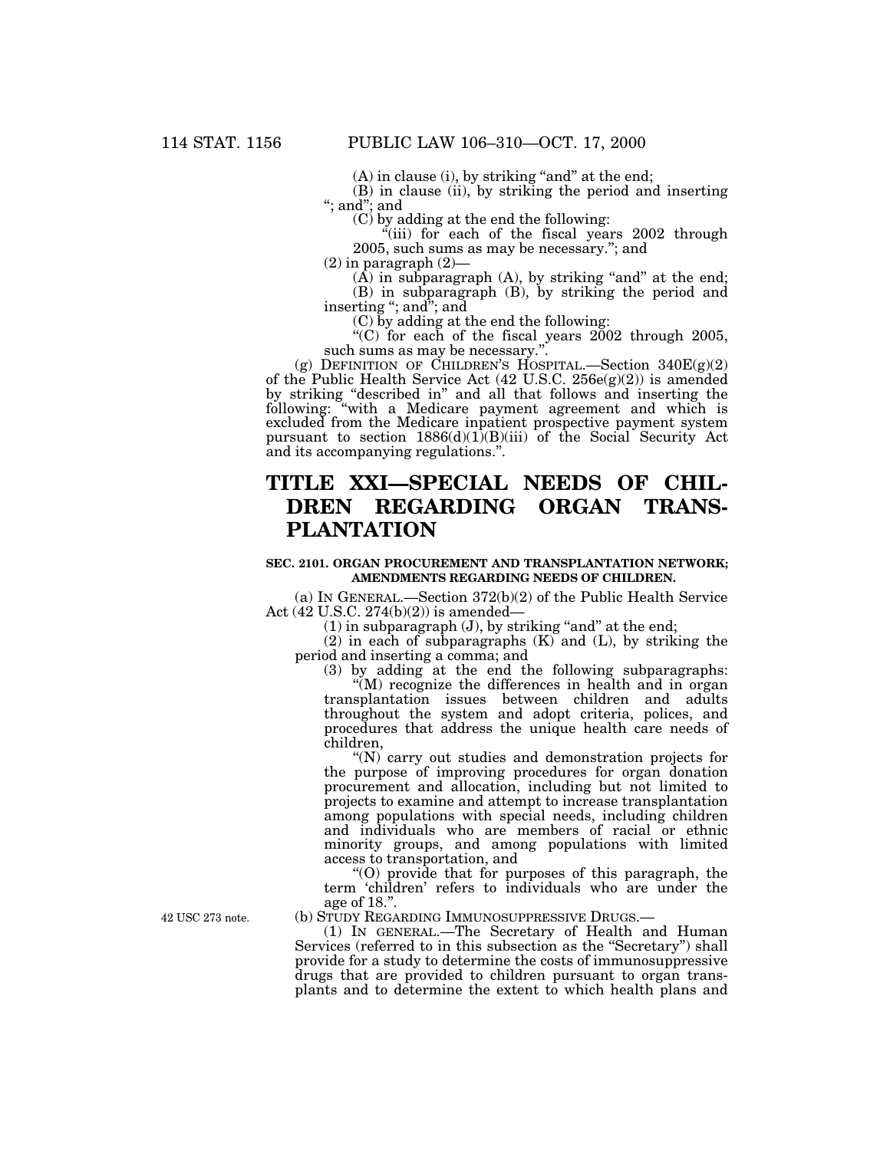$(A)$  in clause (i), by striking "and" at the end;

(B) in clause (ii), by striking the period and inserting ''; and''; and

(C) by adding at the end the following:

 $\tilde{f}$ (iii) for each of the fiscal years 2002 through 2005, such sums as may be necessary.''; and

 $(2)$  in paragraph  $(2)$ —

 $(A)$  in subparagraph  $(A)$ , by striking "and" at the end; (B) in subparagraph (B), by striking the period and inserting ''; and''; and

(C) by adding at the end the following:

 $\cdot$ <sup>"</sup>(C) for each of the fiscal years 2002 through 2005, such sums as may be necessary."

(g) DEFINITION OF CHILDREN'S HOSPITAL.—Section  $340E(g)(2)$ of the Public Health Service Act  $(42 \text{ U.S.C. } 256e(g)(2))$  is amended by striking "described in" and all that follows and inserting the following: ''with a Medicare payment agreement and which is excluded from the Medicare inpatient prospective payment system pursuant to section  $1886(d)(1)(B)(iii)$  of the Social Security Act and its accompanying regulations.''.

# **TITLE XXI—SPECIAL NEEDS OF CHIL-DREN REGARDING ORGAN TRANS-PLANTATION**

### **SEC. 2101. ORGAN PROCUREMENT AND TRANSPLANTATION NETWORK; AMENDMENTS REGARDING NEEDS OF CHILDREN.**

(a) IN GENERAL.—Section 372(b)(2) of the Public Health Service Act (42 U.S.C. 274(b)(2)) is amended—

 $(1)$  in subparagraph  $(J)$ , by striking "and" at the end;

 $(2)$  in each of subparagraphs  $(K)$  and  $(L)$ , by striking the period and inserting a comma; and

(3) by adding at the end the following subparagraphs:

 $\sqrt{\mu}$  recognize the differences in health and in organ transplantation issues between children and adults throughout the system and adopt criteria, polices, and procedures that address the unique health care needs of children,

''(N) carry out studies and demonstration projects for the purpose of improving procedures for organ donation procurement and allocation, including but not limited to projects to examine and attempt to increase transplantation among populations with special needs, including children and individuals who are members of racial or ethnic minority groups, and among populations with limited access to transportation, and

''(O) provide that for purposes of this paragraph, the term 'children' refers to individuals who are under the age of 18.''.

(b) STUDY REGARDING IMMUNOSUPPRESSIVE DRUGS.—

(1) IN GENERAL.—The Secretary of Health and Human Services (referred to in this subsection as the "Secretary") shall provide for a study to determine the costs of immunosuppressive drugs that are provided to children pursuant to organ transplants and to determine the extent to which health plans and

42 USC 273 note.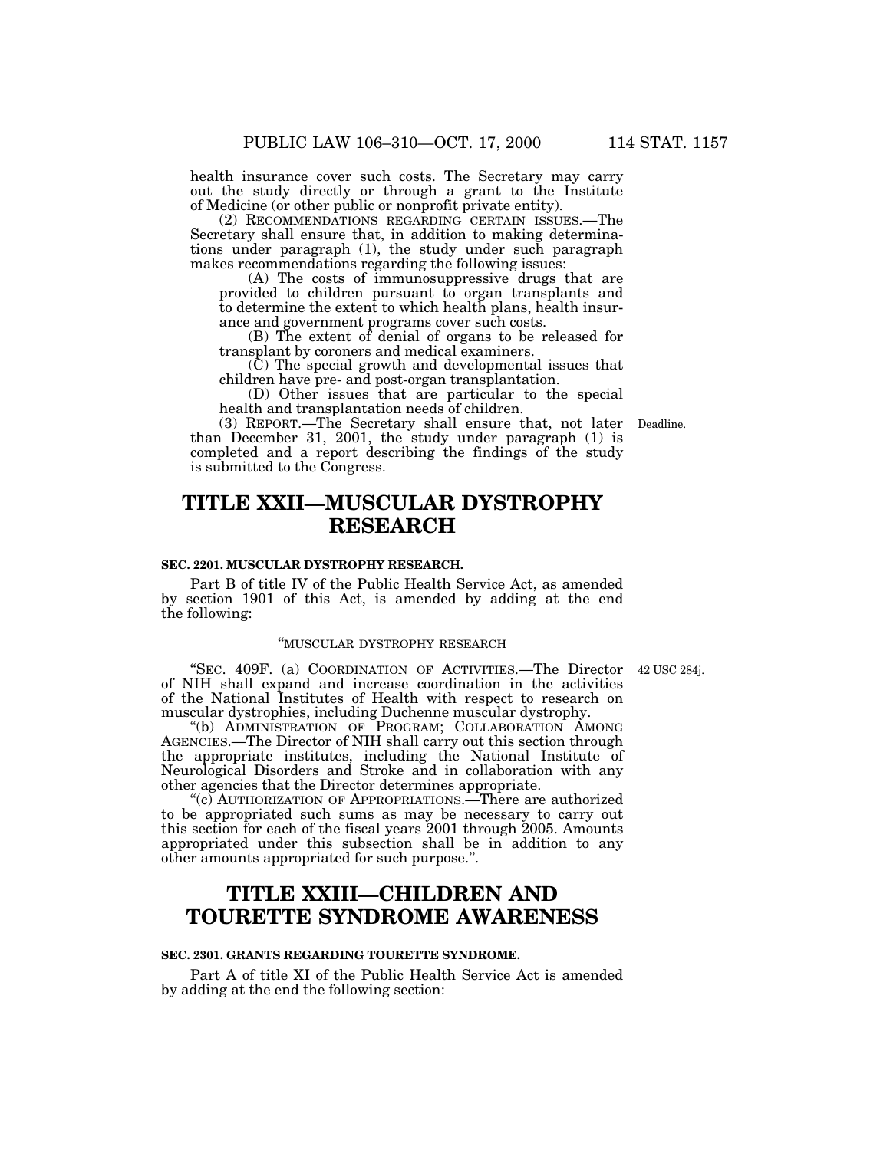health insurance cover such costs. The Secretary may carry out the study directly or through a grant to the Institute of Medicine (or other public or nonprofit private entity).

(2) RECOMMENDATIONS REGARDING CERTAIN ISSUES.—The Secretary shall ensure that, in addition to making determinations under paragraph (1), the study under such paragraph makes recommendations regarding the following issues:

(A) The costs of immunosuppressive drugs that are provided to children pursuant to organ transplants and to determine the extent to which health plans, health insurance and government programs cover such costs.

(B) The extent of denial of organs to be released for transplant by coroners and medical examiners.

(C) The special growth and developmental issues that children have pre- and post-organ transplantation.

(D) Other issues that are particular to the special health and transplantation needs of children.

(3) REPORT.—The Secretary shall ensure that, not later Deadline. than December 31, 2001, the study under paragraph (1) is completed and a report describing the findings of the study is submitted to the Congress.

# **TITLE XXII—MUSCULAR DYSTROPHY RESEARCH**

### **SEC. 2201. MUSCULAR DYSTROPHY RESEARCH.**

Part B of title IV of the Public Health Service Act, as amended by section 1901 of this Act, is amended by adding at the end the following:

#### ''MUSCULAR DYSTROPHY RESEARCH

''SEC. 409F. (a) COORDINATION OF ACTIVITIES.—The Director 42 USC 284j. of NIH shall expand and increase coordination in the activities of the National Institutes of Health with respect to research on muscular dystrophies, including Duchenne muscular dystrophy.

''(b) ADMINISTRATION OF PROGRAM; COLLABORATION AMONG AGENCIES.—The Director of NIH shall carry out this section through the appropriate institutes, including the National Institute of Neurological Disorders and Stroke and in collaboration with any other agencies that the Director determines appropriate.

"(c) AUTHORIZATION OF APPROPRIATIONS.—There are authorized to be appropriated such sums as may be necessary to carry out this section for each of the fiscal years 2001 through 2005. Amounts appropriated under this subsection shall be in addition to any other amounts appropriated for such purpose.''.

# **TITLE XXIII—CHILDREN AND TOURETTE SYNDROME AWARENESS**

### **SEC. 2301. GRANTS REGARDING TOURETTE SYNDROME.**

Part A of title XI of the Public Health Service Act is amended by adding at the end the following section: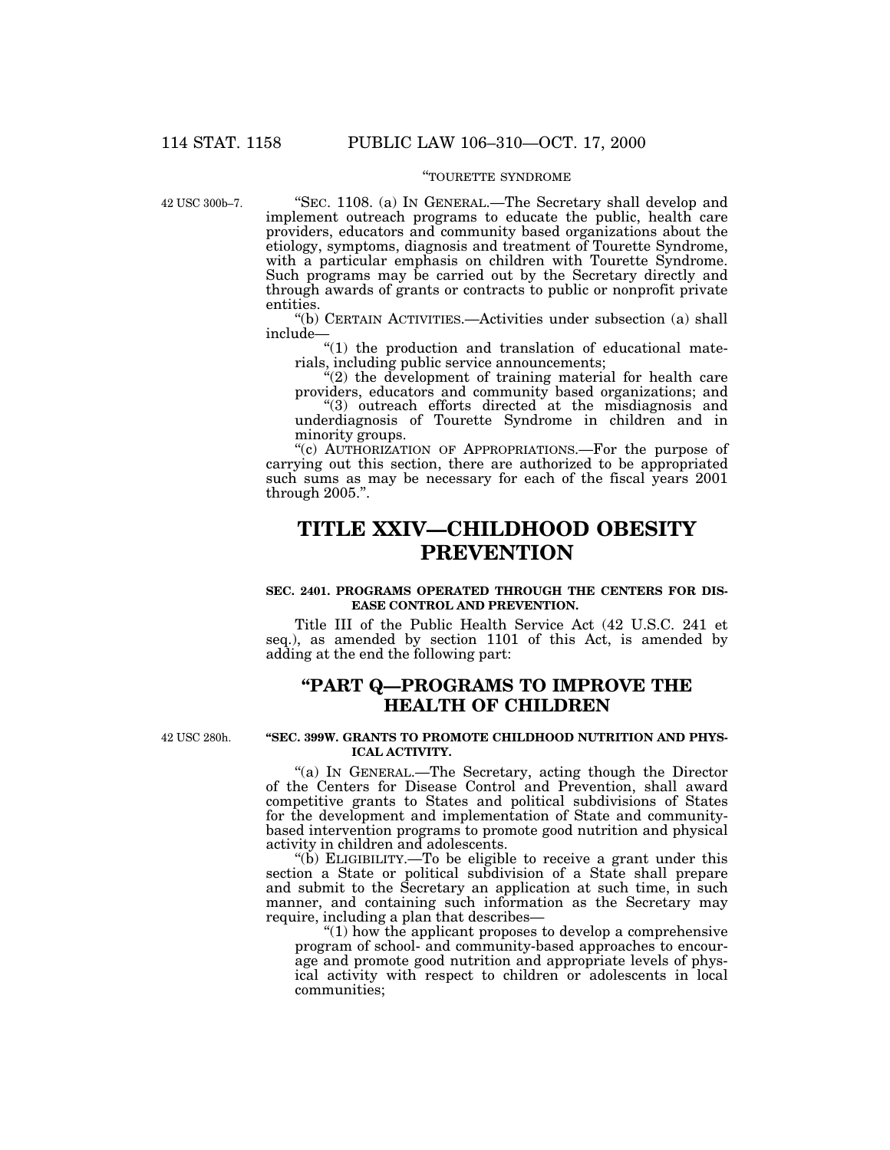## ''TOURETTE SYNDROME

42 USC 300b–7.

"SEC. 1108. (a) IN GENERAL.—The Secretary shall develop and implement outreach programs to educate the public, health care providers, educators and community based organizations about the etiology, symptoms, diagnosis and treatment of Tourette Syndrome, with a particular emphasis on children with Tourette Syndrome. Such programs may be carried out by the Secretary directly and through awards of grants or contracts to public or nonprofit private entities.

''(b) CERTAIN ACTIVITIES.—Activities under subsection (a) shall include—

"(1) the production and translation of educational materials, including public service announcements;

 $(2)$  the development of training material for health care providers, educators and community based organizations; and

''(3) outreach efforts directed at the misdiagnosis and underdiagnosis of Tourette Syndrome in children and in minority groups.

"(c) AUTHORIZATION OF APPROPRIATIONS.—For the purpose of carrying out this section, there are authorized to be appropriated such sums as may be necessary for each of the fiscal years 2001 through 2005.''.

## **TITLE XXIV—CHILDHOOD OBESITY PREVENTION**

## **SEC. 2401. PROGRAMS OPERATED THROUGH THE CENTERS FOR DIS-EASE CONTROL AND PREVENTION.**

Title III of the Public Health Service Act (42 U.S.C. 241 et seq.), as amended by section 1101 of this Act, is amended by adding at the end the following part:

## **''PART Q—PROGRAMS TO IMPROVE THE HEALTH OF CHILDREN**

42 USC 280h.

### **''SEC. 399W. GRANTS TO PROMOTE CHILDHOOD NUTRITION AND PHYS-ICAL ACTIVITY.**

''(a) IN GENERAL.—The Secretary, acting though the Director of the Centers for Disease Control and Prevention, shall award competitive grants to States and political subdivisions of States for the development and implementation of State and communitybased intervention programs to promote good nutrition and physical activity in children and adolescents.

"(b) ELIGIBILITY.—To be eligible to receive a grant under this section a State or political subdivision of a State shall prepare and submit to the Secretary an application at such time, in such manner, and containing such information as the Secretary may require, including a plan that describes—

 $"(1)$  how the applicant proposes to develop a comprehensive program of school- and community-based approaches to encourage and promote good nutrition and appropriate levels of physical activity with respect to children or adolescents in local communities;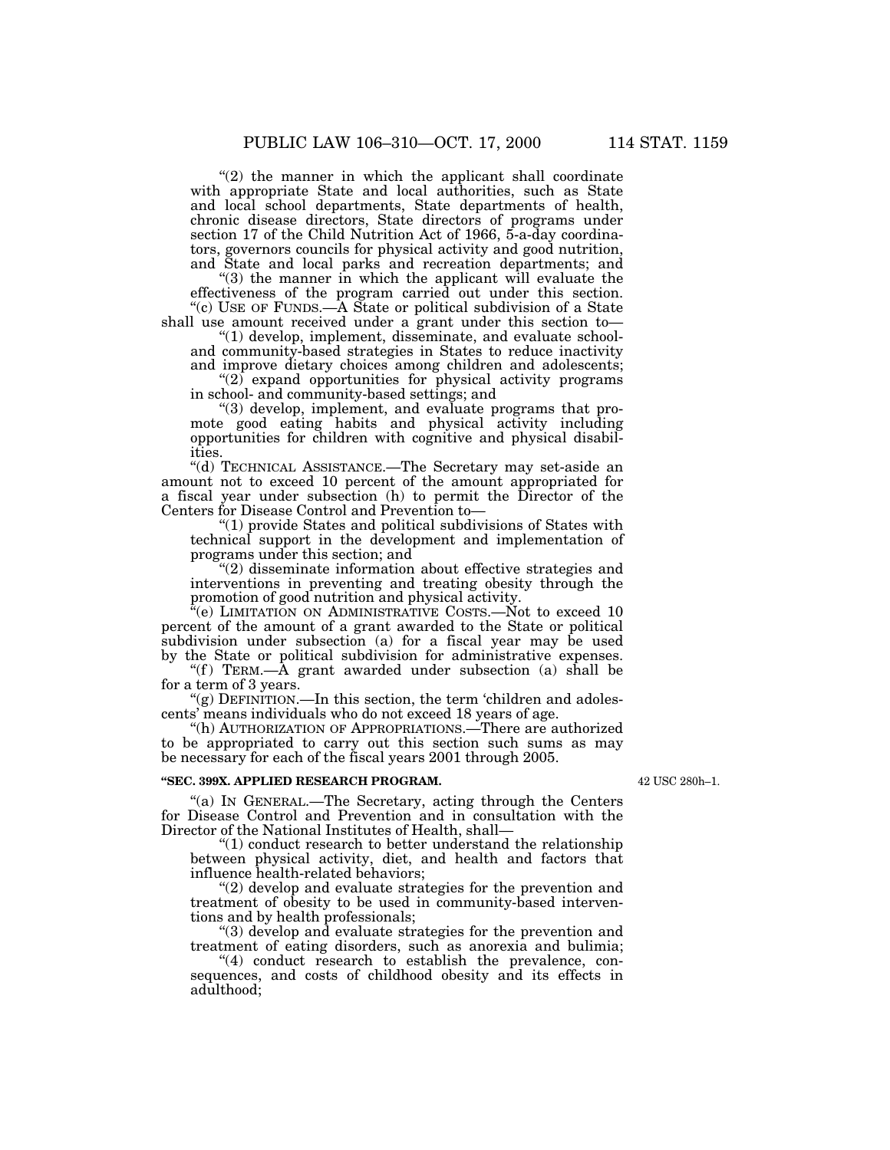" $(2)$  the manner in which the applicant shall coordinate with appropriate State and local authorities, such as State and local school departments, State departments of health, chronic disease directors, State directors of programs under section 17 of the Child Nutrition Act of 1966, 5-a-day coordinators, governors councils for physical activity and good nutrition, and State and local parks and recreation departments; and

"(3) the manner in which the applicant will evaluate the effectiveness of the program carried out under this section. "(c) USE OF FUNDS.—A State or political subdivision of a State

shall use amount received under a grant under this section to— ''(1) develop, implement, disseminate, and evaluate schooland community-based strategies in States to reduce inactivity

and improve dietary choices among children and adolescents;  $(2)$  expand opportunities for physical activity programs in school- and community-based settings; and

''(3) develop, implement, and evaluate programs that pro-

mote good eating habits and physical activity including opportunities for children with cognitive and physical disabilities.

''(d) TECHNICAL ASSISTANCE.—The Secretary may set-aside an amount not to exceed 10 percent of the amount appropriated for a fiscal year under subsection (h) to permit the Director of the Centers for Disease Control and Prevention to—

''(1) provide States and political subdivisions of States with technical support in the development and implementation of programs under this section; and

"(2) disseminate information about effective strategies and interventions in preventing and treating obesity through the promotion of good nutrition and physical activity.

 $\rm ^{a}\!\! (e)$  LIMITATION ON ADMINISTRATIVE COSTS.—Not to exceed 10 percent of the amount of a grant awarded to the State or political subdivision under subsection (a) for a fiscal year may be used by the State or political subdivision for administrative expenses.

"(f) TERM.— $\overline{A}$  grant awarded under subsection (a) shall be for a term of 3 years.

"(g) DEFINITION.—In this section, the term 'children and adolescents' means individuals who do not exceed 18 years of age.

''(h) AUTHORIZATION OF APPROPRIATIONS.—There are authorized to be appropriated to carry out this section such sums as may be necessary for each of the fiscal years 2001 through 2005.

## **''SEC. 399X. APPLIED RESEARCH PROGRAM.**

42 USC 280h–1.

''(a) IN GENERAL.—The Secretary, acting through the Centers for Disease Control and Prevention and in consultation with the Director of the National Institutes of Health, shall—

 $"(1)$  conduct research to better understand the relationship between physical activity, diet, and health and factors that influence health-related behaviors;

"(2) develop and evaluate strategies for the prevention and treatment of obesity to be used in community-based interventions and by health professionals;

''(3) develop and evaluate strategies for the prevention and treatment of eating disorders, such as anorexia and bulimia;

 $(4)$  conduct research to establish the prevalence, consequences, and costs of childhood obesity and its effects in adulthood;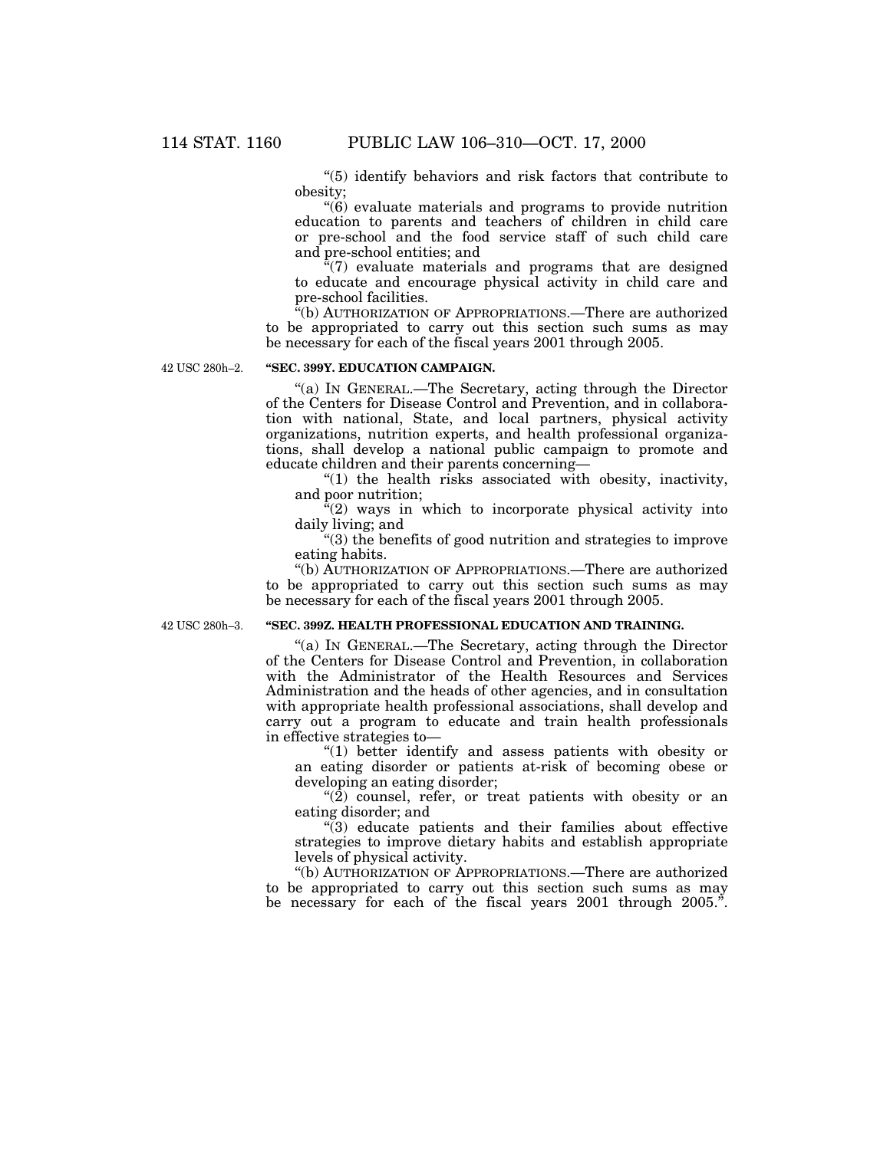''(5) identify behaviors and risk factors that contribute to obesity;

''(6) evaluate materials and programs to provide nutrition education to parents and teachers of children in child care or pre-school and the food service staff of such child care and pre-school entities; and

 $\sqrt[a(7)]$  evaluate materials and programs that are designed to educate and encourage physical activity in child care and pre-school facilities.

''(b) AUTHORIZATION OF APPROPRIATIONS.—There are authorized to be appropriated to carry out this section such sums as may be necessary for each of the fiscal years 2001 through 2005.

42 USC 280h–2.

## **''SEC. 399Y. EDUCATION CAMPAIGN.**

''(a) IN GENERAL.—The Secretary, acting through the Director of the Centers for Disease Control and Prevention, and in collaboration with national, State, and local partners, physical activity organizations, nutrition experts, and health professional organizations, shall develop a national public campaign to promote and educate children and their parents concerning—

"(1) the health risks associated with obesity, inactivity, and poor nutrition;

 $\sqrt[n]{(2)}$  ways in which to incorporate physical activity into daily living; and

''(3) the benefits of good nutrition and strategies to improve eating habits.

''(b) AUTHORIZATION OF APPROPRIATIONS.—There are authorized to be appropriated to carry out this section such sums as may be necessary for each of the fiscal years 2001 through 2005.

42 USC 280h–3.

## **''SEC. 399Z. HEALTH PROFESSIONAL EDUCATION AND TRAINING.**

''(a) IN GENERAL.—The Secretary, acting through the Director of the Centers for Disease Control and Prevention, in collaboration with the Administrator of the Health Resources and Services Administration and the heads of other agencies, and in consultation with appropriate health professional associations, shall develop and carry out a program to educate and train health professionals in effective strategies to—

"(1) better identify and assess patients with obesity or an eating disorder or patients at-risk of becoming obese or developing an eating disorder;

 $\degree$ (2) counsel, refer, or treat patients with obesity or an eating disorder; and

''(3) educate patients and their families about effective strategies to improve dietary habits and establish appropriate levels of physical activity.

''(b) AUTHORIZATION OF APPROPRIATIONS.—There are authorized to be appropriated to carry out this section such sums as may be necessary for each of the fiscal years 2001 through 2005.".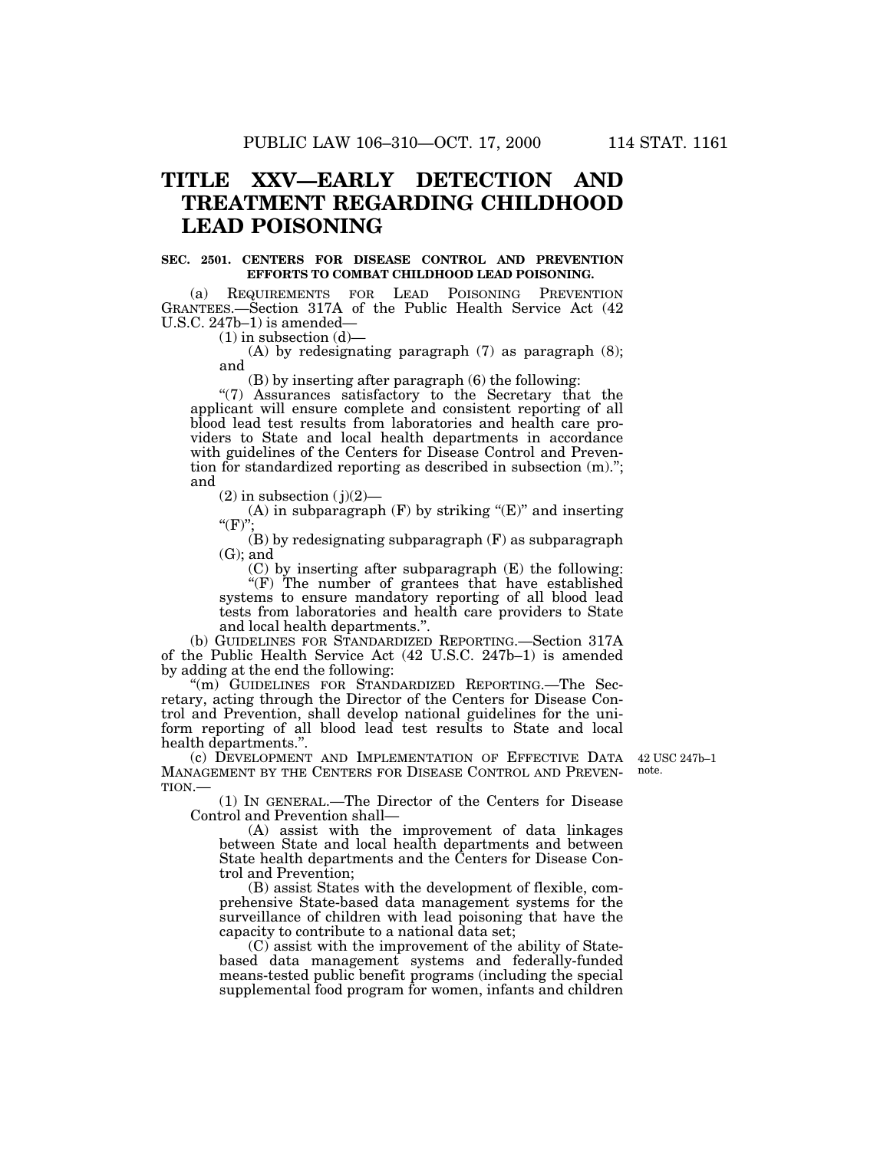# **TITLE XXV—EARLY DETECTION AND TREATMENT REGARDING CHILDHOOD LEAD POISONING**

#### **SEC. 2501. CENTERS FOR DISEASE CONTROL AND PREVENTION EFFORTS TO COMBAT CHILDHOOD LEAD POISONING.**

(a) REQUIREMENTS FOR LEAD POISONING PREVENTION GRANTEES.—Section 317A of the Public Health Service Act (42 U.S.C. 247b–1) is amended—

 $(1)$  in subsection  $(d)$ —

(A) by redesignating paragraph (7) as paragraph (8); and

(B) by inserting after paragraph (6) the following:

''(7) Assurances satisfactory to the Secretary that the applicant will ensure complete and consistent reporting of all blood lead test results from laboratories and health care providers to State and local health departments in accordance with guidelines of the Centers for Disease Control and Prevention for standardized reporting as described in subsection (m).''; and

 $(2)$  in subsection  $(j)(2)$ —

(A) in subparagraph  $(F)$  by striking " $(E)$ " and inserting  $"({\rm F})"$ 

(B) by redesignating subparagraph (F) as subparagraph  $(G)$ ; and

(C) by inserting after subparagraph (E) the following: "(F) The number of grantees that have established

systems to ensure mandatory reporting of all blood lead tests from laboratories and health care providers to State and local health departments.''.

(b) GUIDELINES FOR STANDARDIZED REPORTING.—Section 317A of the Public Health Service Act (42 U.S.C. 247b–1) is amended by adding at the end the following:

''(m) GUIDELINES FOR STANDARDIZED REPORTING.—The Secretary, acting through the Director of the Centers for Disease Control and Prevention, shall develop national guidelines for the uniform reporting of all blood lead test results to State and local health departments.''.

(c) DEVELOPMENT AND IMPLEMENTATION OF EFFECTIVE DATA 42 USC 247b–1 MANAGEMENT BY THE CENTERS FOR DISEASE CONTROL AND PREVEN-TION.—

note.

(1) IN GENERAL.—The Director of the Centers for Disease Control and Prevention shall—

(A) assist with the improvement of data linkages between State and local health departments and between State health departments and the Centers for Disease Control and Prevention;

(B) assist States with the development of flexible, comprehensive State-based data management systems for the surveillance of children with lead poisoning that have the capacity to contribute to a national data set;

(C) assist with the improvement of the ability of Statebased data management systems and federally-funded means-tested public benefit programs (including the special supplemental food program for women, infants and children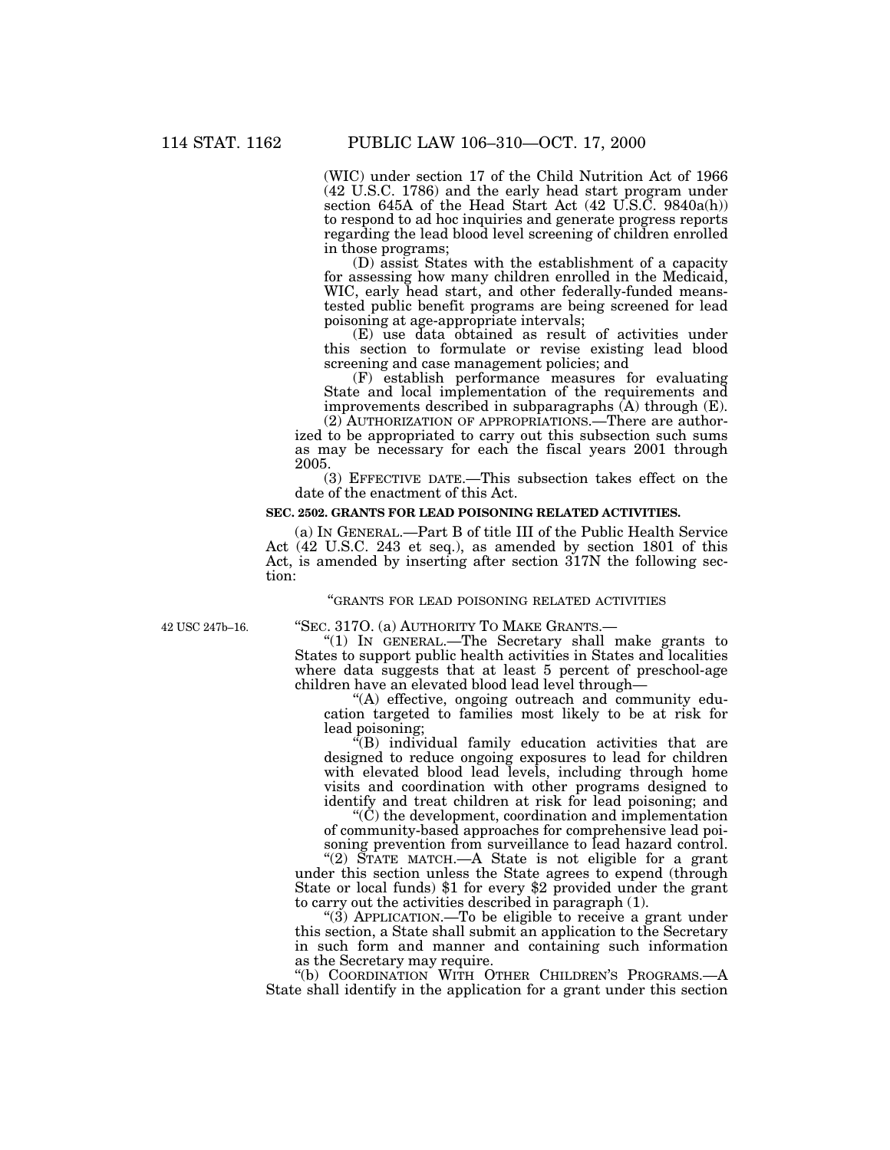(WIC) under section 17 of the Child Nutrition Act of 1966 (42 U.S.C. 1786) and the early head start program under section 645A of the Head Start Act (42 U.S.C. 9840a(h)) to respond to ad hoc inquiries and generate progress reports regarding the lead blood level screening of children enrolled in those programs;

(D) assist States with the establishment of a capacity for assessing how many children enrolled in the Medicaid, WIC, early head start, and other federally-funded meanstested public benefit programs are being screened for lead poisoning at age-appropriate intervals;

(E) use data obtained as result of activities under this section to formulate or revise existing lead blood screening and case management policies; and

(F) establish performance measures for evaluating State and local implementation of the requirements and improvements described in subparagraphs (A) through (E).

(2) AUTHORIZATION OF APPROPRIATIONS.—There are authorized to be appropriated to carry out this subsection such sums as may be necessary for each the fiscal years 2001 through 2005.

(3) EFFECTIVE DATE.—This subsection takes effect on the date of the enactment of this Act.

#### **SEC. 2502. GRANTS FOR LEAD POISONING RELATED ACTIVITIES.**

(a) IN GENERAL.—Part B of title III of the Public Health Service Act (42 U.S.C. 243 et seq.), as amended by section 1801 of this Act, is amended by inserting after section 317N the following section:

#### ''GRANTS FOR LEAD POISONING RELATED ACTIVITIES

42 USC 247b–16.

"SEC. 317O. (a) AUTHORITY TO MAKE GRANTS.-

''(1) IN GENERAL.—The Secretary shall make grants to States to support public health activities in States and localities where data suggests that at least 5 percent of preschool-age children have an elevated blood lead level through—

''(A) effective, ongoing outreach and community education targeted to families most likely to be at risk for lead poisoning;

''(B) individual family education activities that are designed to reduce ongoing exposures to lead for children with elevated blood lead levels, including through home visits and coordination with other programs designed to identify and treat children at risk for lead poisoning; and

''(C) the development, coordination and implementation of community-based approaches for comprehensive lead poisoning prevention from surveillance to lead hazard control.

"(2)  $\overline{ST}$ ATE MATCH.—A State is not eligible for a grant under this section unless the State agrees to expend (through State or local funds) \$1 for every \$2 provided under the grant to carry out the activities described in paragraph (1).

" $(3)$  APPLICATION.—To be eligible to receive a grant under this section, a State shall submit an application to the Secretary in such form and manner and containing such information as the Secretary may require.

''(b) COORDINATION WITH OTHER CHILDREN'S PROGRAMS.—A State shall identify in the application for a grant under this section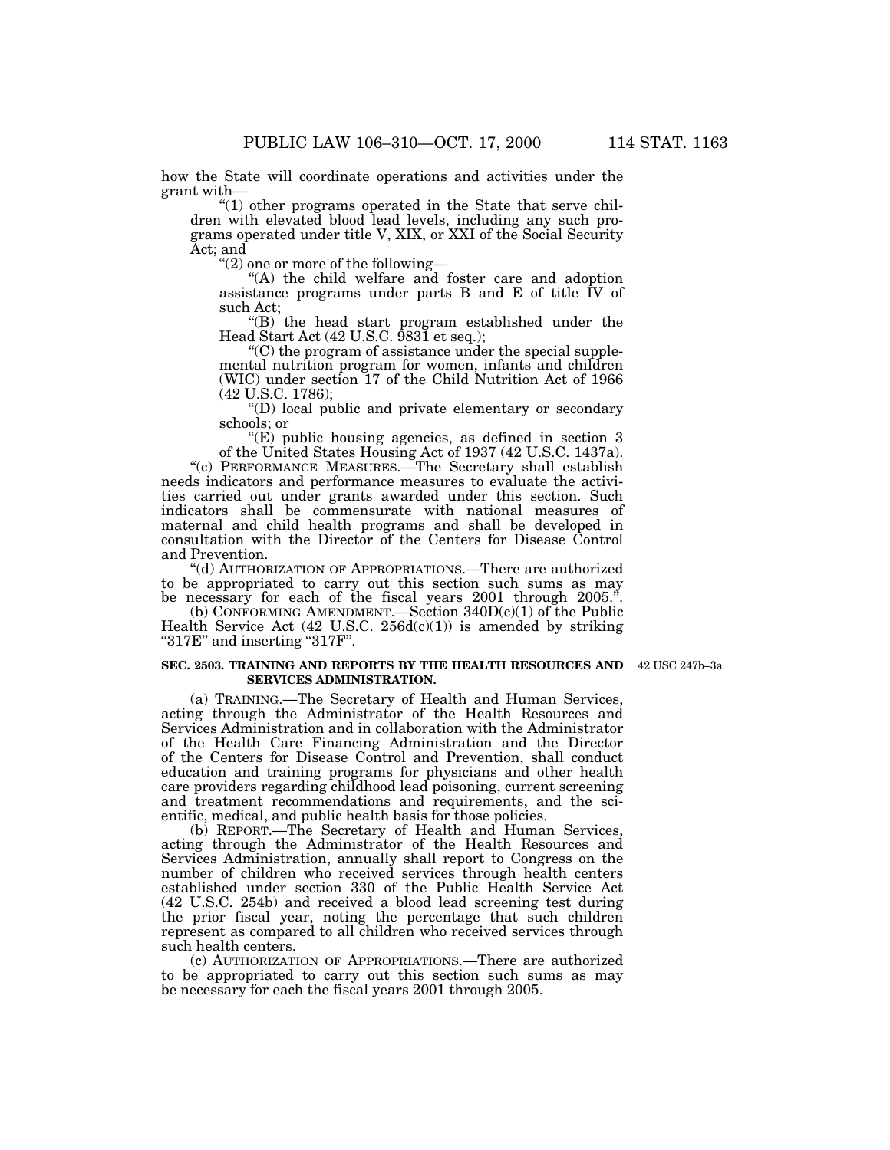how the State will coordinate operations and activities under the grant with—

''(1) other programs operated in the State that serve children with elevated blood lead levels, including any such programs operated under title V, XIX, or XXI of the Social Security Act; and

''(2) one or more of the following—

"(A) the child welfare and foster care and adoption assistance programs under parts B and E of title IV of such Act;

''(B) the head start program established under the Head Start Act (42 U.S.C. 9831 et seq.);

''(C) the program of assistance under the special supplemental nutrition program for women, infants and children (WIC) under section 17 of the Child Nutrition Act of 1966 (42 U.S.C. 1786);

''(D) local public and private elementary or secondary schools; or

" $(E)$  public housing agencies, as defined in section 3 of the United States Housing Act of 1937 (42 U.S.C. 1437a).

''(c) PERFORMANCE MEASURES.—The Secretary shall establish needs indicators and performance measures to evaluate the activities carried out under grants awarded under this section. Such indicators shall be commensurate with national measures of maternal and child health programs and shall be developed in consultation with the Director of the Centers for Disease Control and Prevention.

''(d) AUTHORIZATION OF APPROPRIATIONS.—There are authorized to be appropriated to carry out this section such sums as may be necessary for each of the fiscal years 2001 through 2005.'

(b) CONFORMING AMENDMENT.—Section  $340D(c)(1)$  of the Public Health Service Act  $(42 \text{ U.S.C. } 256d(c)(1))$  is amended by striking ''317E'' and inserting ''317F''.

#### **SEC. 2503. TRAINING AND REPORTS BY THE HEALTH RESOURCES AND** 42 USC 247b–3a. **SERVICES ADMINISTRATION.**

(a) TRAINING.—The Secretary of Health and Human Services, acting through the Administrator of the Health Resources and Services Administration and in collaboration with the Administrator of the Health Care Financing Administration and the Director of the Centers for Disease Control and Prevention, shall conduct education and training programs for physicians and other health care providers regarding childhood lead poisoning, current screening and treatment recommendations and requirements, and the scientific, medical, and public health basis for those policies.

(b) REPORT.—The Secretary of Health and Human Services, acting through the Administrator of the Health Resources and Services Administration, annually shall report to Congress on the number of children who received services through health centers established under section 330 of the Public Health Service Act (42 U.S.C. 254b) and received a blood lead screening test during the prior fiscal year, noting the percentage that such children represent as compared to all children who received services through such health centers.

(c) AUTHORIZATION OF APPROPRIATIONS.—There are authorized to be appropriated to carry out this section such sums as may be necessary for each the fiscal years 2001 through 2005.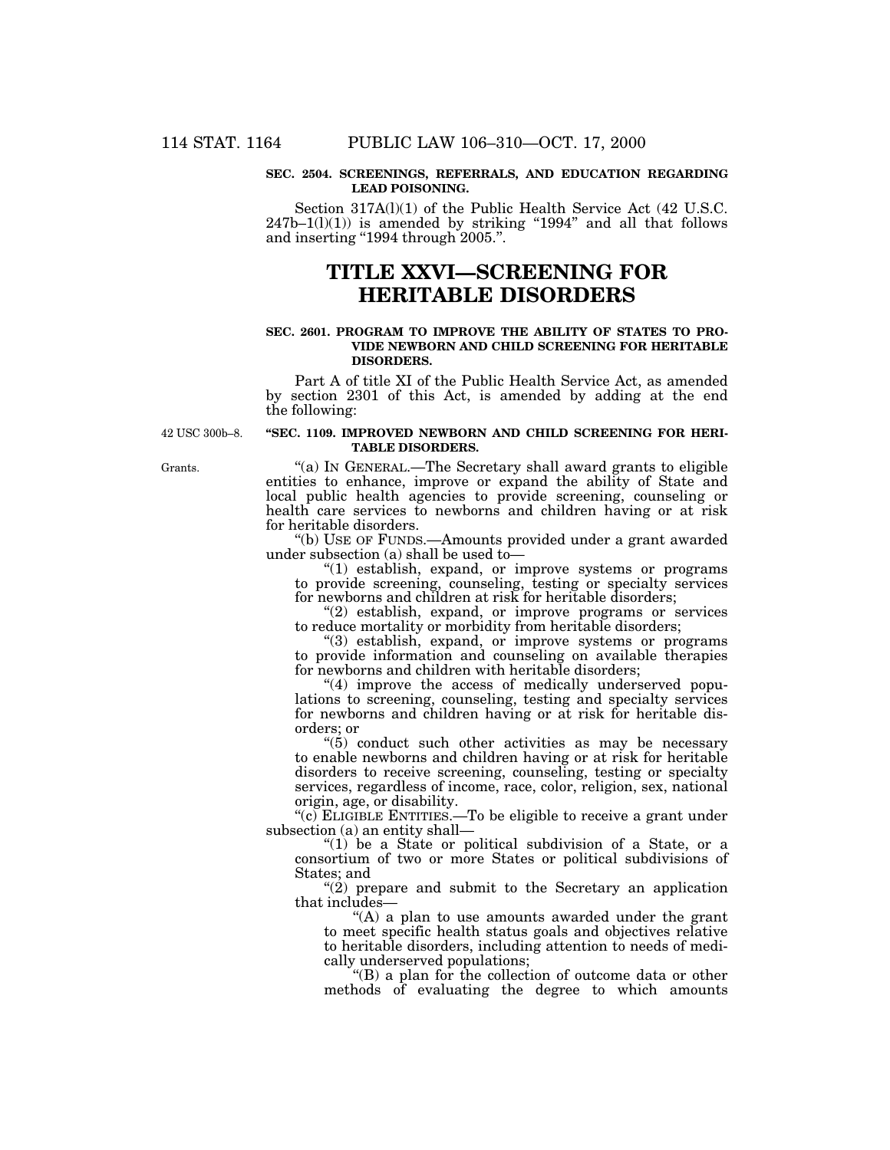#### **SEC. 2504. SCREENINGS, REFERRALS, AND EDUCATION REGARDING LEAD POISONING.**

Section 317A(l)(1) of the Public Health Service Act (42 U.S.C.  $247b-1(1)(1)$ ) is amended by striking "1994" and all that follows and inserting "1994 through 2005.".

## **TITLE XXVI—SCREENING FOR HERITABLE DISORDERS**

#### **SEC. 2601. PROGRAM TO IMPROVE THE ABILITY OF STATES TO PRO-VIDE NEWBORN AND CHILD SCREENING FOR HERITABLE DISORDERS.**

Part A of title XI of the Public Health Service Act, as amended by section 2301 of this Act, is amended by adding at the end the following:

42 USC 300b–8.

## **''SEC. 1109. IMPROVED NEWBORN AND CHILD SCREENING FOR HERI-TABLE DISORDERS.**

''(a) IN GENERAL.—The Secretary shall award grants to eligible entities to enhance, improve or expand the ability of State and local public health agencies to provide screening, counseling or health care services to newborns and children having or at risk for heritable disorders.

''(b) USE OF FUNDS.—Amounts provided under a grant awarded under subsection (a) shall be used to—

''(1) establish, expand, or improve systems or programs to provide screening, counseling, testing or specialty services for newborns and children at risk for heritable disorders;

"(2) establish, expand, or improve programs or services to reduce mortality or morbidity from heritable disorders;

"(3) establish, expand, or improve systems or programs to provide information and counseling on available therapies for newborns and children with heritable disorders;

"(4) improve the access of medically underserved populations to screening, counseling, testing and specialty services for newborns and children having or at risk for heritable disorders; or

''(5) conduct such other activities as may be necessary to enable newborns and children having or at risk for heritable disorders to receive screening, counseling, testing or specialty services, regardless of income, race, color, religion, sex, national origin, age, or disability.

''(c) ELIGIBLE ENTITIES.—To be eligible to receive a grant under subsection (a) an entity shall—

"(1) be a State or political subdivision of a State, or a consortium of two or more States or political subdivisions of States; and

" $(2)$  prepare and submit to the Secretary an application that includes—

"(A) a plan to use amounts awarded under the grant to meet specific health status goals and objectives relative to heritable disorders, including attention to needs of medically underserved populations;

''(B) a plan for the collection of outcome data or other methods of evaluating the degree to which amounts

Grants.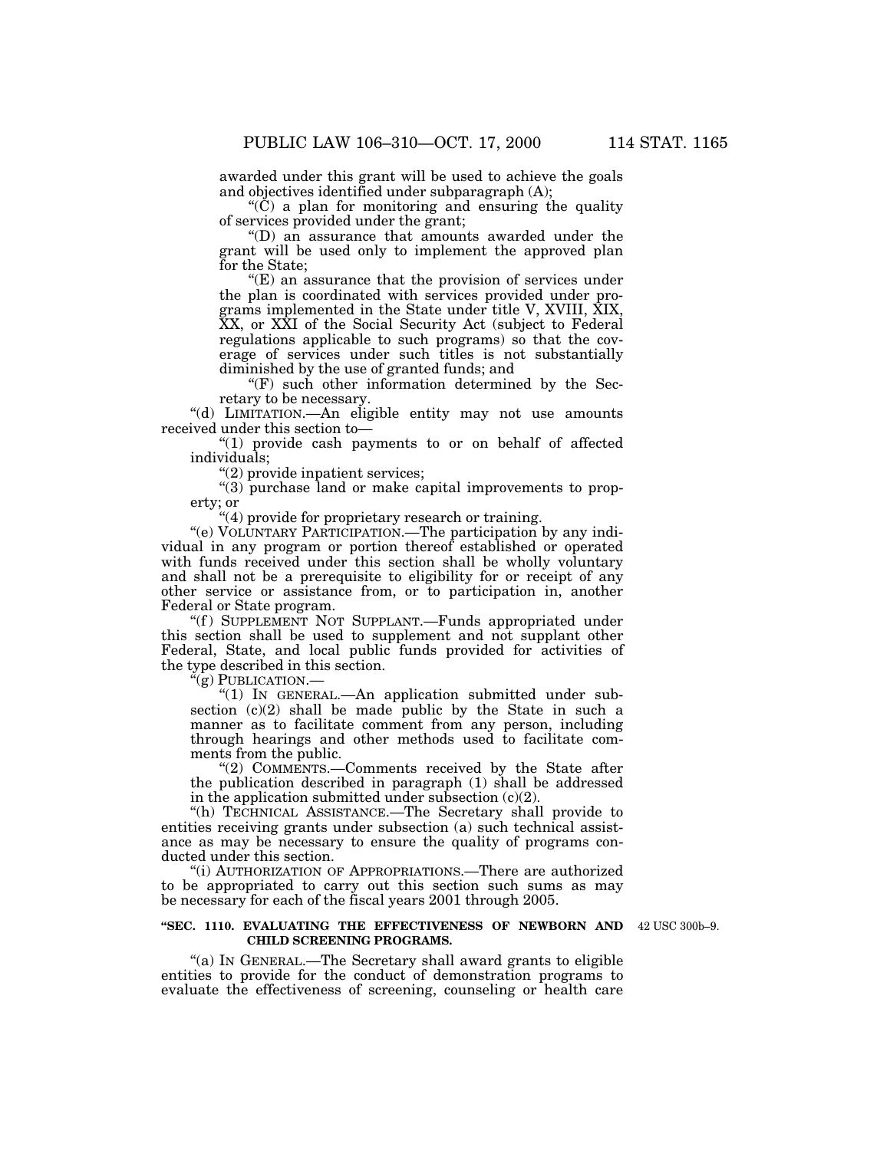awarded under this grant will be used to achieve the goals and objectives identified under subparagraph (A);

 $(C)$  a plan for monitoring and ensuring the quality of services provided under the grant;

''(D) an assurance that amounts awarded under the grant will be used only to implement the approved plan for the State;

 $E(E)$  an assurance that the provision of services under the plan is coordinated with services provided under programs implemented in the State under title V, XVIII, XIX, XX, or XXI of the Social Security Act (subject to Federal regulations applicable to such programs) so that the coverage of services under such titles is not substantially diminished by the use of granted funds; and

 $(F)$  such other information determined by the Secretary to be necessary.

"(d) LIMITATION.—An eligible entity may not use amounts received under this section to—

"(1) provide cash payments to or on behalf of affected individuals;

''(2) provide inpatient services;

''(3) purchase land or make capital improvements to property; or

''(4) provide for proprietary research or training.

''(e) VOLUNTARY PARTICIPATION.—The participation by any individual in any program or portion thereof established or operated with funds received under this section shall be wholly voluntary and shall not be a prerequisite to eligibility for or receipt of any other service or assistance from, or to participation in, another Federal or State program.

"(f) SUPPLEMENT NOT SUPPLANT.—Funds appropriated under this section shall be used to supplement and not supplant other Federal, State, and local public funds provided for activities of the type described in this section.

''(g) PUBLICATION.—

''(1) IN GENERAL.—An application submitted under subsection  $(c)(2)$  shall be made public by the State in such a manner as to facilitate comment from any person, including through hearings and other methods used to facilitate comments from the public.

''(2) COMMENTS.—Comments received by the State after the publication described in paragraph (1) shall be addressed in the application submitted under subsection  $(c)(2)$ .

''(h) TECHNICAL ASSISTANCE.—The Secretary shall provide to entities receiving grants under subsection (a) such technical assistance as may be necessary to ensure the quality of programs conducted under this section.

''(i) AUTHORIZATION OF APPROPRIATIONS.—There are authorized to be appropriated to carry out this section such sums as may be necessary for each of the fiscal years 2001 through 2005.

#### **''SEC. 1110. EVALUATING THE EFFECTIVENESS OF NEWBORN AND** 42 USC 300b–9. **CHILD SCREENING PROGRAMS.**

''(a) IN GENERAL.—The Secretary shall award grants to eligible entities to provide for the conduct of demonstration programs to evaluate the effectiveness of screening, counseling or health care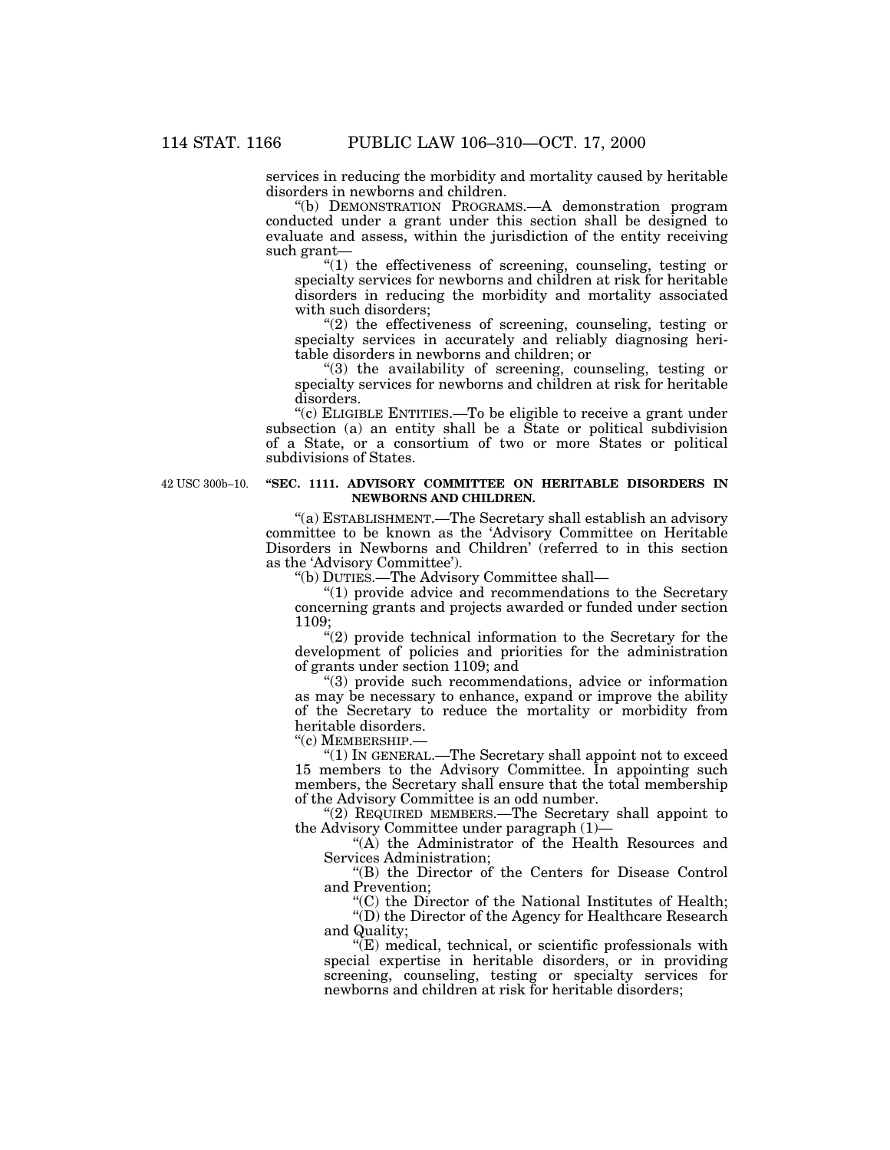services in reducing the morbidity and mortality caused by heritable disorders in newborns and children.

''(b) DEMONSTRATION PROGRAMS.—A demonstration program conducted under a grant under this section shall be designed to evaluate and assess, within the jurisdiction of the entity receiving such grant—

 $''(1)$  the effectiveness of screening, counseling, testing or specialty services for newborns and children at risk for heritable disorders in reducing the morbidity and mortality associated with such disorders;

 $(2)$  the effectiveness of screening, counseling, testing or specialty services in accurately and reliably diagnosing heritable disorders in newborns and children; or

''(3) the availability of screening, counseling, testing or specialty services for newborns and children at risk for heritable disorders.

''(c) ELIGIBLE ENTITIES.—To be eligible to receive a grant under subsection (a) an entity shall be a State or political subdivision of a State, or a consortium of two or more States or political subdivisions of States.

42 USC 300b–10.

### **''SEC. 1111. ADVISORY COMMITTEE ON HERITABLE DISORDERS IN NEWBORNS AND CHILDREN.**

''(a) ESTABLISHMENT.—The Secretary shall establish an advisory committee to be known as the 'Advisory Committee on Heritable Disorders in Newborns and Children' (referred to in this section as the 'Advisory Committee').

''(b) DUTIES.—The Advisory Committee shall—

''(1) provide advice and recommendations to the Secretary concerning grants and projects awarded or funded under section 1109;

"(2) provide technical information to the Secretary for the development of policies and priorities for the administration of grants under section 1109; and

''(3) provide such recommendations, advice or information as may be necessary to enhance, expand or improve the ability of the Secretary to reduce the mortality or morbidity from heritable disorders.

''(c) MEMBERSHIP.—

''(1) IN GENERAL.—The Secretary shall appoint not to exceed 15 members to the Advisory Committee. In appointing such members, the Secretary shall ensure that the total membership of the Advisory Committee is an odd number.

"(2) REQUIRED MEMBERS.—The Secretary shall appoint to the Advisory Committee under paragraph (1)—

''(A) the Administrator of the Health Resources and Services Administration;

''(B) the Director of the Centers for Disease Control and Prevention;

''(C) the Director of the National Institutes of Health; ''(D) the Director of the Agency for Healthcare Research and Quality;

''(E) medical, technical, or scientific professionals with special expertise in heritable disorders, or in providing screening, counseling, testing or specialty services for newborns and children at risk for heritable disorders;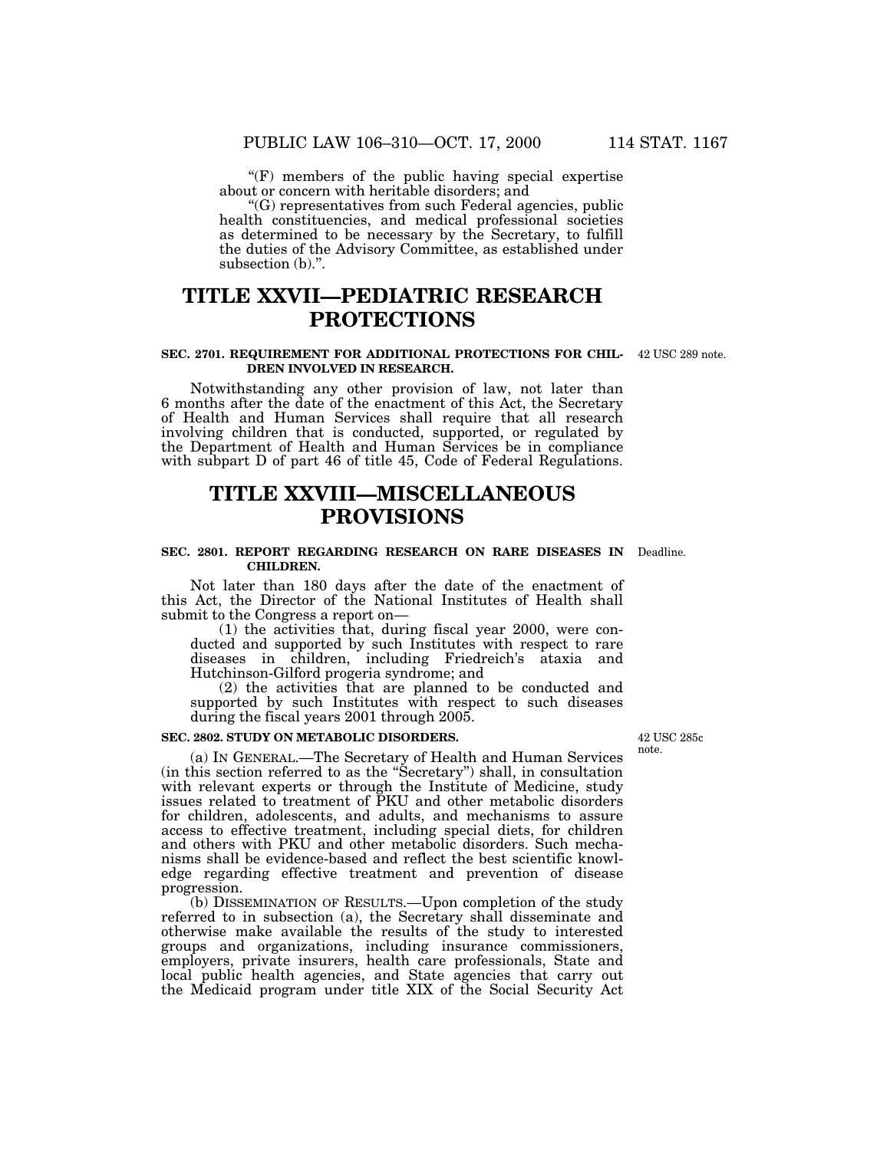" $(F)$  members of the public having special expertise about or concern with heritable disorders; and

''(G) representatives from such Federal agencies, public health constituencies, and medical professional societies as determined to be necessary by the Secretary, to fulfill the duties of the Advisory Committee, as established under subsection (b).".

## **TITLE XXVII—PEDIATRIC RESEARCH PROTECTIONS**

#### **SEC. 2701. REQUIREMENT FOR ADDITIONAL PROTECTIONS FOR CHIL-**42 USC 289 note. **DREN INVOLVED IN RESEARCH.**

Notwithstanding any other provision of law, not later than 6 months after the date of the enactment of this Act, the Secretary of Health and Human Services shall require that all research involving children that is conducted, supported, or regulated by the Department of Health and Human Services be in compliance with subpart D of part 46 of title 45, Code of Federal Regulations.

## **TITLE XXVIII—MISCELLANEOUS PROVISIONS**

#### **SEC. 2801. REPORT REGARDING RESEARCH ON RARE DISEASES IN** Deadline. **CHILDREN.**

Not later than 180 days after the date of the enactment of this Act, the Director of the National Institutes of Health shall submit to the Congress a report on—

(1) the activities that, during fiscal year 2000, were conducted and supported by such Institutes with respect to rare diseases in children, including Friedreich's ataxia and Hutchinson-Gilford progeria syndrome; and

(2) the activities that are planned to be conducted and supported by such Institutes with respect to such diseases during the fiscal years 2001 through 2005.

## **SEC. 2802. STUDY ON METABOLIC DISORDERS.**

(a) IN GENERAL.—The Secretary of Health and Human Services (in this section referred to as the ''Secretary'') shall, in consultation with relevant experts or through the Institute of Medicine, study issues related to treatment of PKU and other metabolic disorders for children, adolescents, and adults, and mechanisms to assure access to effective treatment, including special diets, for children and others with PKU and other metabolic disorders. Such mechanisms shall be evidence-based and reflect the best scientific knowledge regarding effective treatment and prevention of disease progression.

(b) DISSEMINATION OF RESULTS.—Upon completion of the study referred to in subsection (a), the Secretary shall disseminate and otherwise make available the results of the study to interested groups and organizations, including insurance commissioners, employers, private insurers, health care professionals, State and local public health agencies, and State agencies that carry out the Medicaid program under title XIX of the Social Security Act

42 USC 285c note.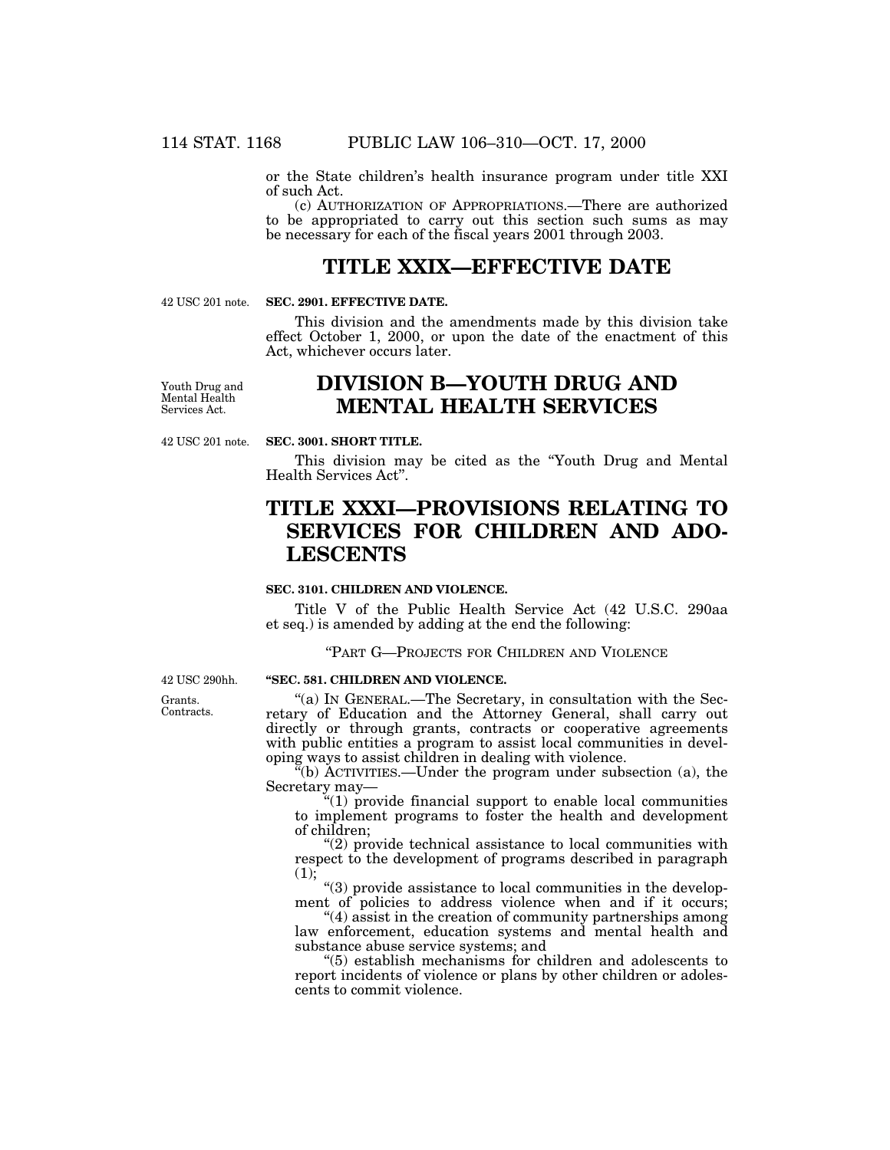or the State children's health insurance program under title XXI of such Act.

(c) AUTHORIZATION OF APPROPRIATIONS.—There are authorized to be appropriated to carry out this section such sums as may be necessary for each of the fiscal years 2001 through 2003.

## **TITLE XXIX—EFFECTIVE DATE**

42 USC 201 note.

## **SEC. 2901. EFFECTIVE DATE.**

This division and the amendments made by this division take effect October 1, 2000, or upon the date of the enactment of this Act, whichever occurs later.

Youth Drug and Mental Health Services Act.

## **DIVISION B—YOUTH DRUG AND MENTAL HEALTH SERVICES**

42 USC 201 note.

## **SEC. 3001. SHORT TITLE.**

This division may be cited as the "Youth Drug and Mental" Health Services Act''.

# **TITLE XXXI—PROVISIONS RELATING TO SERVICES FOR CHILDREN AND ADO-LESCENTS**

## **SEC. 3101. CHILDREN AND VIOLENCE.**

Title V of the Public Health Service Act (42 U.S.C. 290aa et seq.) is amended by adding at the end the following:

''PART G—PROJECTS FOR CHILDREN AND VIOLENCE

42 USC 290hh.

Grants. Contracts.

## **''SEC. 581. CHILDREN AND VIOLENCE.**

"(a) IN GENERAL.—The Secretary, in consultation with the Secretary of Education and the Attorney General, shall carry out directly or through grants, contracts or cooperative agreements with public entities a program to assist local communities in developing ways to assist children in dealing with violence.

 $\mathbf{F}^{\mathsf{r}}(\mathbf{b})$  ACTIVITIES.—Under the program under subsection (a), the Secretary may—

''(1) provide financial support to enable local communities to implement programs to foster the health and development of children;

 $''(2)$  provide technical assistance to local communities with respect to the development of programs described in paragraph (1);

''(3) provide assistance to local communities in the development of policies to address violence when and if it occurs;

''(4) assist in the creation of community partnerships among law enforcement, education systems and mental health and substance abuse service systems; and

''(5) establish mechanisms for children and adolescents to report incidents of violence or plans by other children or adolescents to commit violence.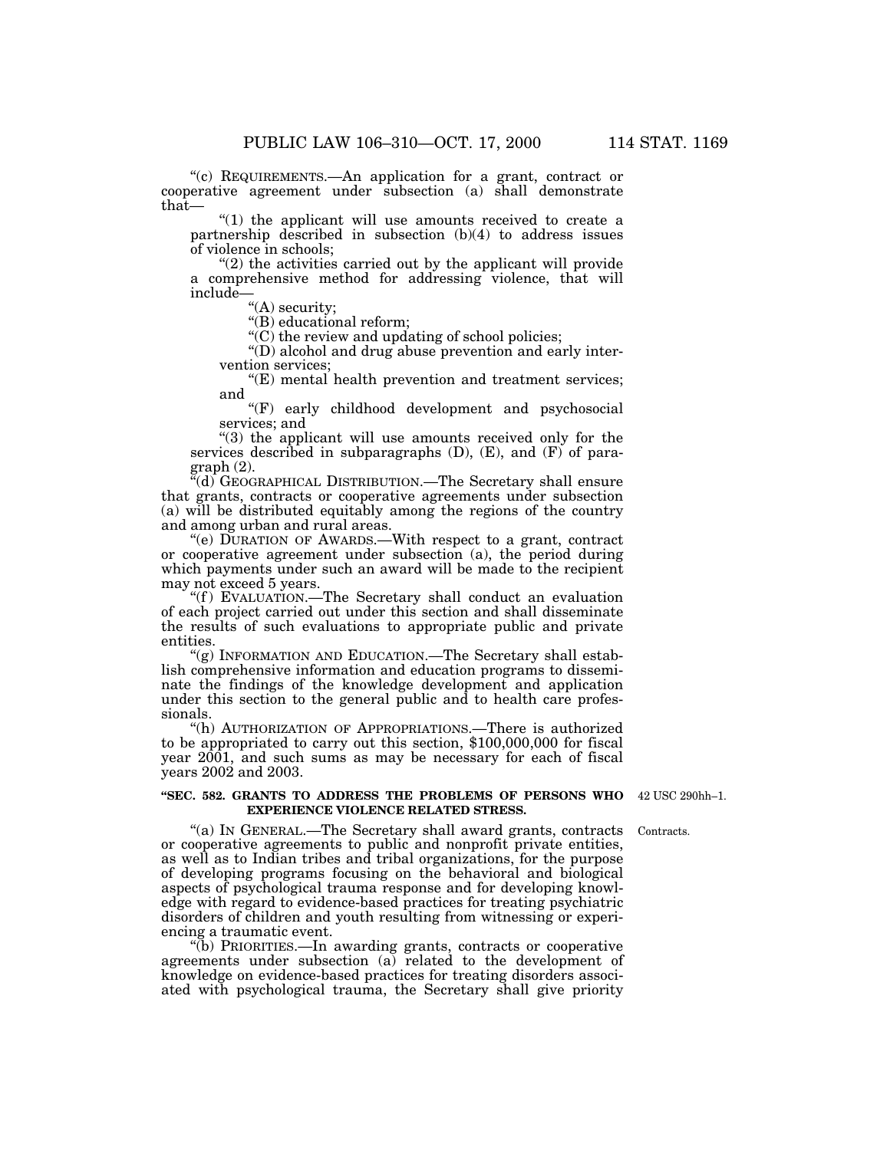''(c) REQUIREMENTS.—An application for a grant, contract or cooperative agreement under subsection (a) shall demonstrate that—

"(1) the applicant will use amounts received to create a partnership described in subsection (b)(4) to address issues of violence in schools;

 $(2)$  the activities carried out by the applicant will provide a comprehensive method for addressing violence, that will include—

"(A) security;

''(B) educational reform;

''(C) the review and updating of school policies;

''(D) alcohol and drug abuse prevention and early intervention services;

 $E$ ) mental health prevention and treatment services; and

''(F) early childhood development and psychosocial services; and

"(3) the applicant will use amounts received only for the services described in subparagraphs  $(D)$ ,  $(E)$ , and  $(F)$  of paragraph (2).

''(d) GEOGRAPHICAL DISTRIBUTION.—The Secretary shall ensure that grants, contracts or cooperative agreements under subsection (a) will be distributed equitably among the regions of the country and among urban and rural areas.

''(e) DURATION OF AWARDS.—With respect to a grant, contract or cooperative agreement under subsection (a), the period during which payments under such an award will be made to the recipient may not exceed 5 years.

"(f) EVALUATION.—The Secretary shall conduct an evaluation of each project carried out under this section and shall disseminate the results of such evaluations to appropriate public and private entities.

"(g) INFORMATION AND EDUCATION.—The Secretary shall establish comprehensive information and education programs to disseminate the findings of the knowledge development and application under this section to the general public and to health care professionals.

''(h) AUTHORIZATION OF APPROPRIATIONS.—There is authorized to be appropriated to carry out this section, \$100,000,000 for fiscal year  $2001$ , and such sums as may be necessary for each of fiscal years 2002 and 2003.

#### **''SEC. 582. GRANTS TO ADDRESS THE PROBLEMS OF PERSONS WHO** 42 USC 290hh–1. **EXPERIENCE VIOLENCE RELATED STRESS.**

Contracts.

''(a) IN GENERAL.—The Secretary shall award grants, contracts or cooperative agreements to public and nonprofit private entities, as well as to Indian tribes and tribal organizations, for the purpose of developing programs focusing on the behavioral and biological aspects of psychological trauma response and for developing knowledge with regard to evidence-based practices for treating psychiatric disorders of children and youth resulting from witnessing or experiencing a traumatic event.

''(b) PRIORITIES.—In awarding grants, contracts or cooperative agreements under subsection (a) related to the development of knowledge on evidence-based practices for treating disorders associated with psychological trauma, the Secretary shall give priority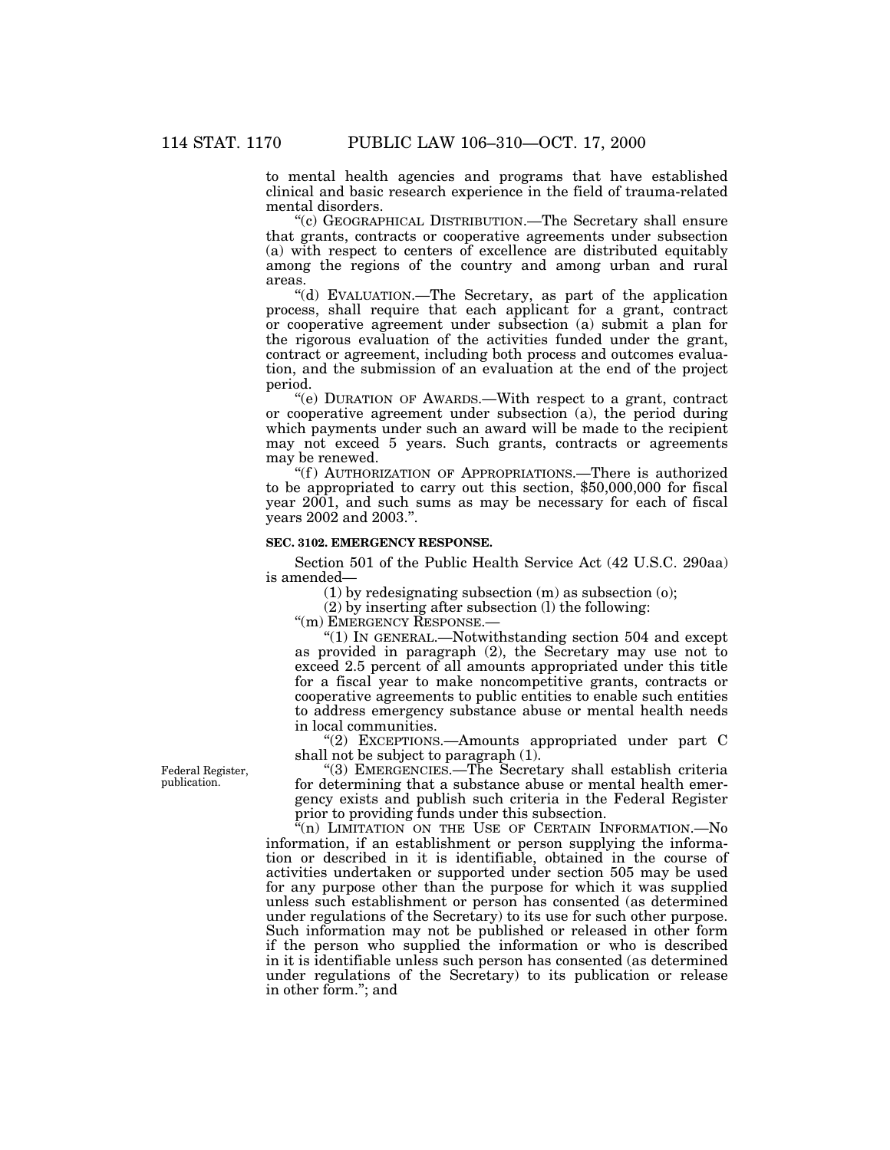to mental health agencies and programs that have established clinical and basic research experience in the field of trauma-related mental disorders.

''(c) GEOGRAPHICAL DISTRIBUTION.—The Secretary shall ensure that grants, contracts or cooperative agreements under subsection (a) with respect to centers of excellence are distributed equitably among the regions of the country and among urban and rural areas.

''(d) EVALUATION.—The Secretary, as part of the application process, shall require that each applicant for a grant, contract or cooperative agreement under subsection (a) submit a plan for the rigorous evaluation of the activities funded under the grant, contract or agreement, including both process and outcomes evaluation, and the submission of an evaluation at the end of the project period.

''(e) DURATION OF AWARDS.—With respect to a grant, contract or cooperative agreement under subsection (a), the period during which payments under such an award will be made to the recipient may not exceed 5 years. Such grants, contracts or agreements may be renewed.

"(f) AUTHORIZATION OF APPROPRIATIONS.—There is authorized to be appropriated to carry out this section, \$50,000,000 for fiscal year 2001, and such sums as may be necessary for each of fiscal years 2002 and 2003.''.

## **SEC. 3102. EMERGENCY RESPONSE.**

Section 501 of the Public Health Service Act (42 U.S.C. 290aa) is amended—

 $(1)$  by redesignating subsection  $(m)$  as subsection  $(0)$ ;

(2) by inserting after subsection (l) the following:

"(m) EMERGENCY RESPONSE.-

''(1) IN GENERAL.—Notwithstanding section 504 and except as provided in paragraph (2), the Secretary may use not to exceed 2.5 percent of all amounts appropriated under this title for a fiscal year to make noncompetitive grants, contracts or cooperative agreements to public entities to enable such entities to address emergency substance abuse or mental health needs in local communities.

''(2) EXCEPTIONS.—Amounts appropriated under part C shall not be subject to paragraph (1).

''(3) EMERGENCIES.—The Secretary shall establish criteria for determining that a substance abuse or mental health emergency exists and publish such criteria in the Federal Register prior to providing funds under this subsection.

(n) LIMITATION ON THE USE OF CERTAIN INFORMATION.—No information, if an establishment or person supplying the information or described in it is identifiable, obtained in the course of activities undertaken or supported under section 505 may be used for any purpose other than the purpose for which it was supplied unless such establishment or person has consented (as determined under regulations of the Secretary) to its use for such other purpose. Such information may not be published or released in other form if the person who supplied the information or who is described in it is identifiable unless such person has consented (as determined under regulations of the Secretary) to its publication or release in other form.''; and

Federal Register, publication.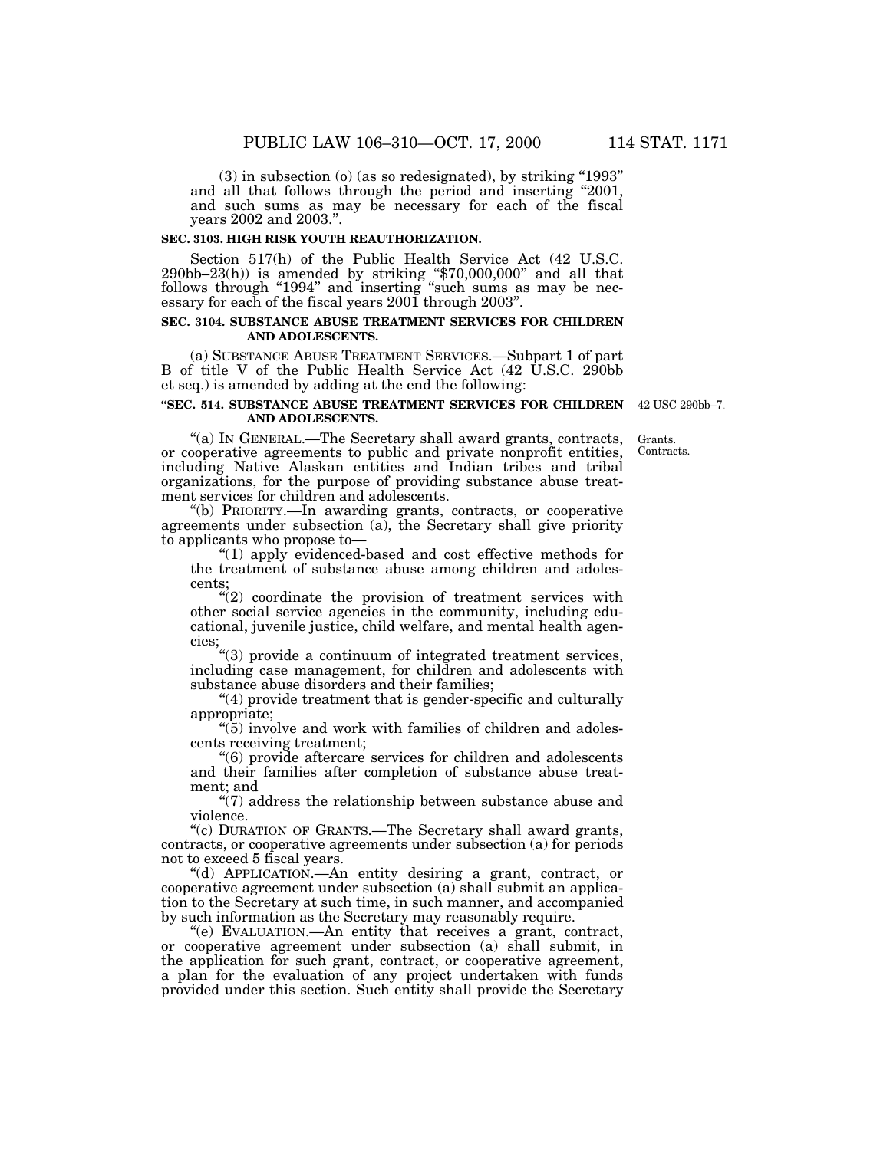(3) in subsection (o) (as so redesignated), by striking ''1993'' and all that follows through the period and inserting "2001, and such sums as may be necessary for each of the fiscal years 2002 and 2003.''.

## **SEC. 3103. HIGH RISK YOUTH REAUTHORIZATION.**

Section 517(h) of the Public Health Service Act (42 U.S.C. 290bb–23(h)) is amended by striking ''\$70,000,000'' and all that follows through "1994" and inserting "such sums as may be necessary for each of the fiscal years 2001 through 2003''.

### **SEC. 3104. SUBSTANCE ABUSE TREATMENT SERVICES FOR CHILDREN AND ADOLESCENTS.**

(a) SUBSTANCE ABUSE TREATMENT SERVICES.—Subpart 1 of part B of title V of the Public Health Service Act (42 U.S.C. 290bb et seq.) is amended by adding at the end the following:

#### **''SEC. 514. SUBSTANCE ABUSE TREATMENT SERVICES FOR CHILDREN** 42 USC 290bb–7. **AND ADOLESCENTS.**

''(a) IN GENERAL.—The Secretary shall award grants, contracts, or cooperative agreements to public and private nonprofit entities, including Native Alaskan entities and Indian tribes and tribal organizations, for the purpose of providing substance abuse treatment services for children and adolescents.

''(b) PRIORITY.—In awarding grants, contracts, or cooperative agreements under subsection (a), the Secretary shall give priority to applicants who propose to—

''(1) apply evidenced-based and cost effective methods for the treatment of substance abuse among children and adolescents;

 $\sqrt{\hat{a}}$  coordinate the provision of treatment services with other social service agencies in the community, including educational, juvenile justice, child welfare, and mental health agencies;

''(3) provide a continuum of integrated treatment services, including case management, for children and adolescents with substance abuse disorders and their families;

"(4) provide treatment that is gender-specific and culturally appropriate;

 $\cdot$ (5) involve and work with families of children and adolescents receiving treatment;

''(6) provide aftercare services for children and adolescents and their families after completion of substance abuse treatment; and

''(7) address the relationship between substance abuse and violence.

''(c) DURATION OF GRANTS.—The Secretary shall award grants, contracts, or cooperative agreements under subsection (a) for periods not to exceed 5 fiscal years.

''(d) APPLICATION.—An entity desiring a grant, contract, or cooperative agreement under subsection (a) shall submit an application to the Secretary at such time, in such manner, and accompanied by such information as the Secretary may reasonably require.

''(e) EVALUATION.—An entity that receives a grant, contract, or cooperative agreement under subsection (a) shall submit, in the application for such grant, contract, or cooperative agreement, a plan for the evaluation of any project undertaken with funds provided under this section. Such entity shall provide the Secretary

Grants. Contracts.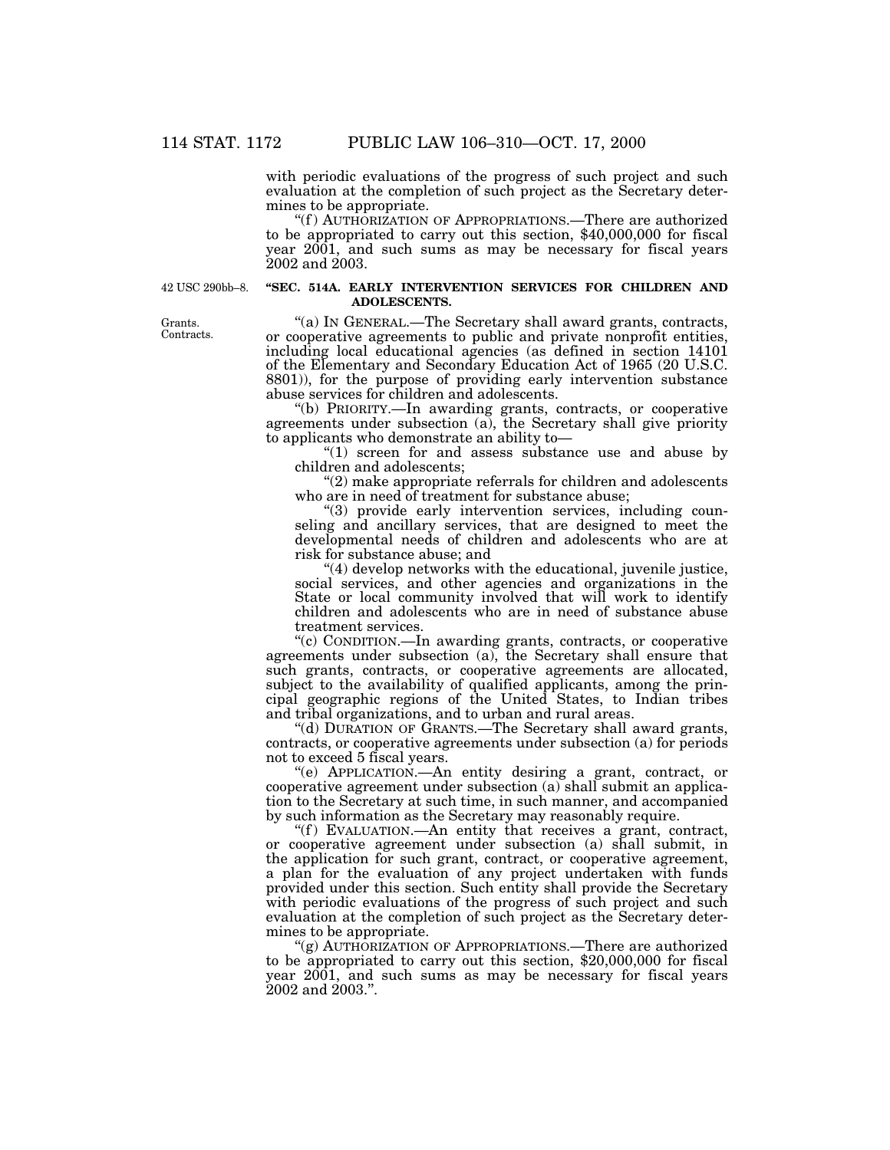with periodic evaluations of the progress of such project and such evaluation at the completion of such project as the Secretary determines to be appropriate.

''(f ) AUTHORIZATION OF APPROPRIATIONS.—There are authorized to be appropriated to carry out this section, \$40,000,000 for fiscal year 2001, and such sums as may be necessary for fiscal years 2002 and 2003.

42 USC 290bb–8.

### **''SEC. 514A. EARLY INTERVENTION SERVICES FOR CHILDREN AND ADOLESCENTS.**

''(a) IN GENERAL.—The Secretary shall award grants, contracts, or cooperative agreements to public and private nonprofit entities, including local educational agencies (as defined in section 14101 of the Elementary and Secondary Education Act of 1965 (20 U.S.C. 8801)), for the purpose of providing early intervention substance abuse services for children and adolescents.

''(b) PRIORITY.—In awarding grants, contracts, or cooperative agreements under subsection (a), the Secretary shall give priority to applicants who demonstrate an ability to—

''(1) screen for and assess substance use and abuse by children and adolescents;

"(2) make appropriate referrals for children and adolescents who are in need of treatment for substance abuse;

''(3) provide early intervention services, including counseling and ancillary services, that are designed to meet the developmental needs of children and adolescents who are at risk for substance abuse; and

''(4) develop networks with the educational, juvenile justice, social services, and other agencies and organizations in the State or local community involved that will work to identify children and adolescents who are in need of substance abuse treatment services.

''(c) CONDITION.—In awarding grants, contracts, or cooperative agreements under subsection (a), the Secretary shall ensure that such grants, contracts, or cooperative agreements are allocated, subject to the availability of qualified applicants, among the principal geographic regions of the United States, to Indian tribes and tribal organizations, and to urban and rural areas.

''(d) DURATION OF GRANTS.—The Secretary shall award grants, contracts, or cooperative agreements under subsection (a) for periods not to exceed 5 fiscal years.

''(e) APPLICATION.—An entity desiring a grant, contract, or cooperative agreement under subsection (a) shall submit an application to the Secretary at such time, in such manner, and accompanied by such information as the Secretary may reasonably require.

"(f) EVALUATION.—An entity that receives a grant, contract, or cooperative agreement under subsection (a) shall submit, in the application for such grant, contract, or cooperative agreement, a plan for the evaluation of any project undertaken with funds provided under this section. Such entity shall provide the Secretary with periodic evaluations of the progress of such project and such evaluation at the completion of such project as the Secretary determines to be appropriate.

''(g) AUTHORIZATION OF APPROPRIATIONS.—There are authorized to be appropriated to carry out this section, \$20,000,000 for fiscal year 2001, and such sums as may be necessary for fiscal years 2002 and 2003.''.

Grants. Contracts.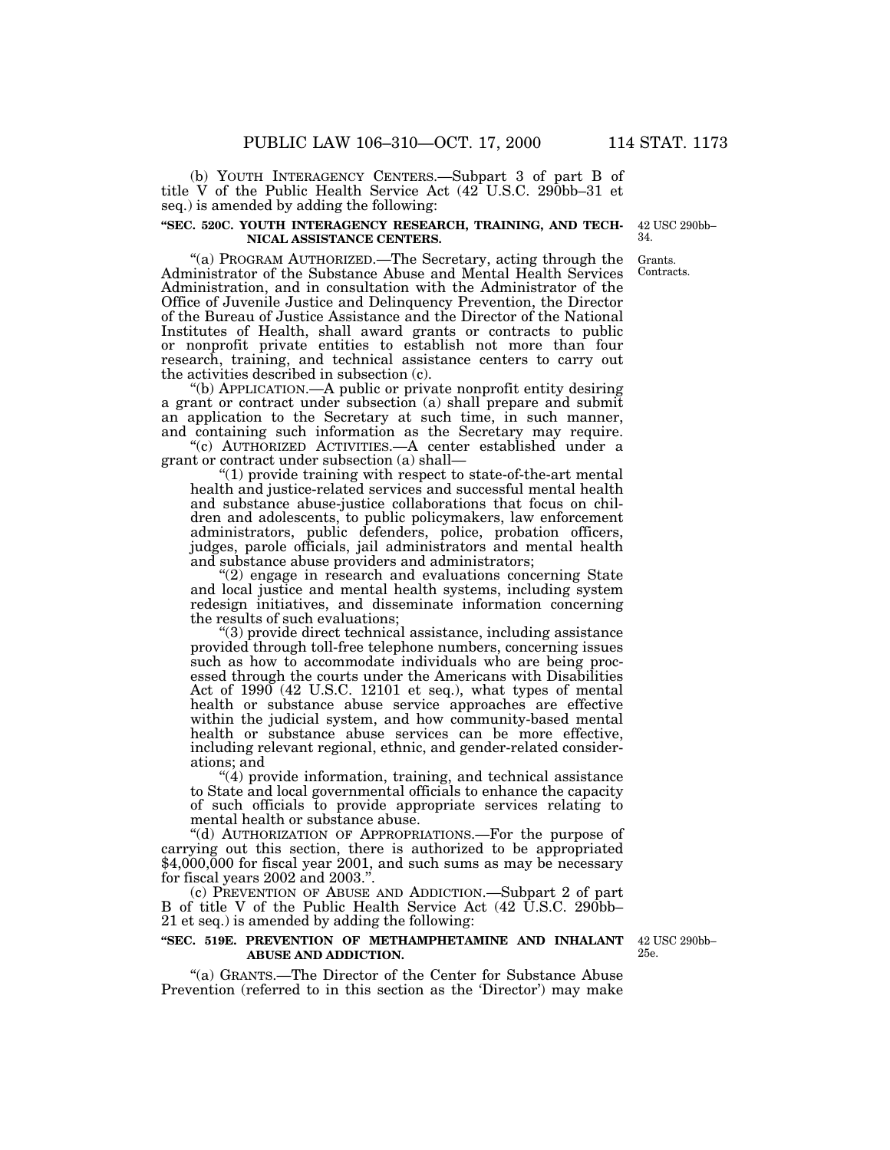(b) YOUTH INTERAGENCY CENTERS.—Subpart 3 of part B of title V of the Public Health Service Act (42 U.S.C. 290bb–31 et seq.) is amended by adding the following:

#### **''SEC. 520C. YOUTH INTERAGENCY RESEARCH, TRAINING, AND TECH-NICAL ASSISTANCE CENTERS.**

42 USC 290bb– 34.

''(a) PROGRAM AUTHORIZED.—The Secretary, acting through the Administrator of the Substance Abuse and Mental Health Services Administration, and in consultation with the Administrator of the Office of Juvenile Justice and Delinquency Prevention, the Director of the Bureau of Justice Assistance and the Director of the National Institutes of Health, shall award grants or contracts to public or nonprofit private entities to establish not more than four research, training, and technical assistance centers to carry out the activities described in subsection (c).

''(b) APPLICATION.—A public or private nonprofit entity desiring a grant or contract under subsection (a) shall prepare and submit an application to the Secretary at such time, in such manner, and containing such information as the Secretary may require.

''(c) AUTHORIZED ACTIVITIES.—A center established under a grant or contract under subsection (a) shall—

''(1) provide training with respect to state-of-the-art mental health and justice-related services and successful mental health and substance abuse-justice collaborations that focus on children and adolescents, to public policymakers, law enforcement administrators, public defenders, police, probation officers, judges, parole officials, jail administrators and mental health and substance abuse providers and administrators;

 $(2)$  engage in research and evaluations concerning State and local justice and mental health systems, including system redesign initiatives, and disseminate information concerning the results of such evaluations;

''(3) provide direct technical assistance, including assistance provided through toll-free telephone numbers, concerning issues such as how to accommodate individuals who are being processed through the courts under the Americans with Disabilities Act of 1990 (42 U.S.C. 12101 et seq.), what types of mental health or substance abuse service approaches are effective within the judicial system, and how community-based mental health or substance abuse services can be more effective, including relevant regional, ethnic, and gender-related considerations; and

 $''(4)$  provide information, training, and technical assistance to State and local governmental officials to enhance the capacity of such officials to provide appropriate services relating to mental health or substance abuse.

''(d) AUTHORIZATION OF APPROPRIATIONS.—For the purpose of carrying out this section, there is authorized to be appropriated  $$4,000,000$  for fiscal year 2001, and such sums as may be necessary for fiscal years 2002 and 2003.''.

(c) PREVENTION OF ABUSE AND ADDICTION.—Subpart 2 of part B of title V of the Public Health Service Act (42 U.S.C. 290bb– 21 et seq.) is amended by adding the following:

### **''SEC. 519E. PREVENTION OF METHAMPHETAMINE AND INHALANT ABUSE AND ADDICTION.**

''(a) GRANTS.—The Director of the Center for Substance Abuse Prevention (referred to in this section as the 'Director') may make

42 USC 290bb– 25e.

Grants. Contracts.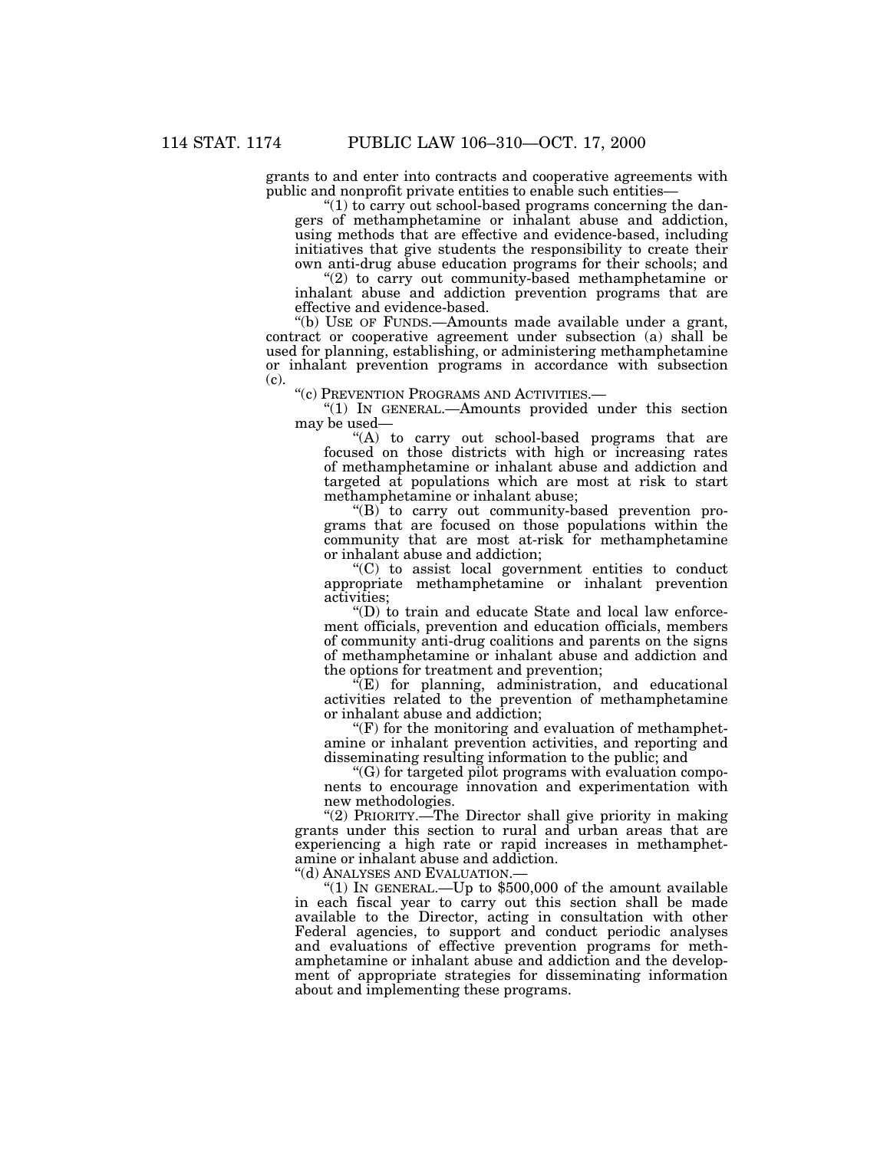grants to and enter into contracts and cooperative agreements with public and nonprofit private entities to enable such entities—

" $(1)$  to carry out school-based programs concerning the dangers of methamphetamine or inhalant abuse and addiction, using methods that are effective and evidence-based, including initiatives that give students the responsibility to create their own anti-drug abuse education programs for their schools; and

"(2) to carry out community-based methamphetamine or inhalant abuse and addiction prevention programs that are effective and evidence-based.

''(b) USE OF FUNDS.—Amounts made available under a grant, contract or cooperative agreement under subsection (a) shall be used for planning, establishing, or administering methamphetamine or inhalant prevention programs in accordance with subsection (c).

''(c) PREVENTION PROGRAMS AND ACTIVITIES.—

''(1) IN GENERAL.—Amounts provided under this section may be used—

"(A) to carry out school-based programs that are focused on those districts with high or increasing rates of methamphetamine or inhalant abuse and addiction and targeted at populations which are most at risk to start methamphetamine or inhalant abuse;

 $(G)$  to carry out community-based prevention programs that are focused on those populations within the community that are most at-risk for methamphetamine or inhalant abuse and addiction;

''(C) to assist local government entities to conduct appropriate methamphetamine or inhalant prevention activities;

 $\mathrm{``(D)}$  to train and educate State and local law enforcement officials, prevention and education officials, members of community anti-drug coalitions and parents on the signs of methamphetamine or inhalant abuse and addiction and the options for treatment and prevention;

 $\sqrt[\epsilon]{E}$  for planning, administration, and educational activities related to the prevention of methamphetamine or inhalant abuse and addiction;

 $\mathcal{F}(F)$  for the monitoring and evaluation of methamphetamine or inhalant prevention activities, and reporting and disseminating resulting information to the public; and

''(G) for targeted pilot programs with evaluation components to encourage innovation and experimentation with new methodologies.

"(2) PRIORITY.—The Director shall give priority in making grants under this section to rural and urban areas that are experiencing a high rate or rapid increases in methamphetamine or inhalant abuse and addiction.

''(d) ANALYSES AND EVALUATION.—

"(1) In GENERAL.—Up to  $$500,000$  of the amount available in each fiscal year to carry out this section shall be made available to the Director, acting in consultation with other Federal agencies, to support and conduct periodic analyses and evaluations of effective prevention programs for methamphetamine or inhalant abuse and addiction and the development of appropriate strategies for disseminating information about and implementing these programs.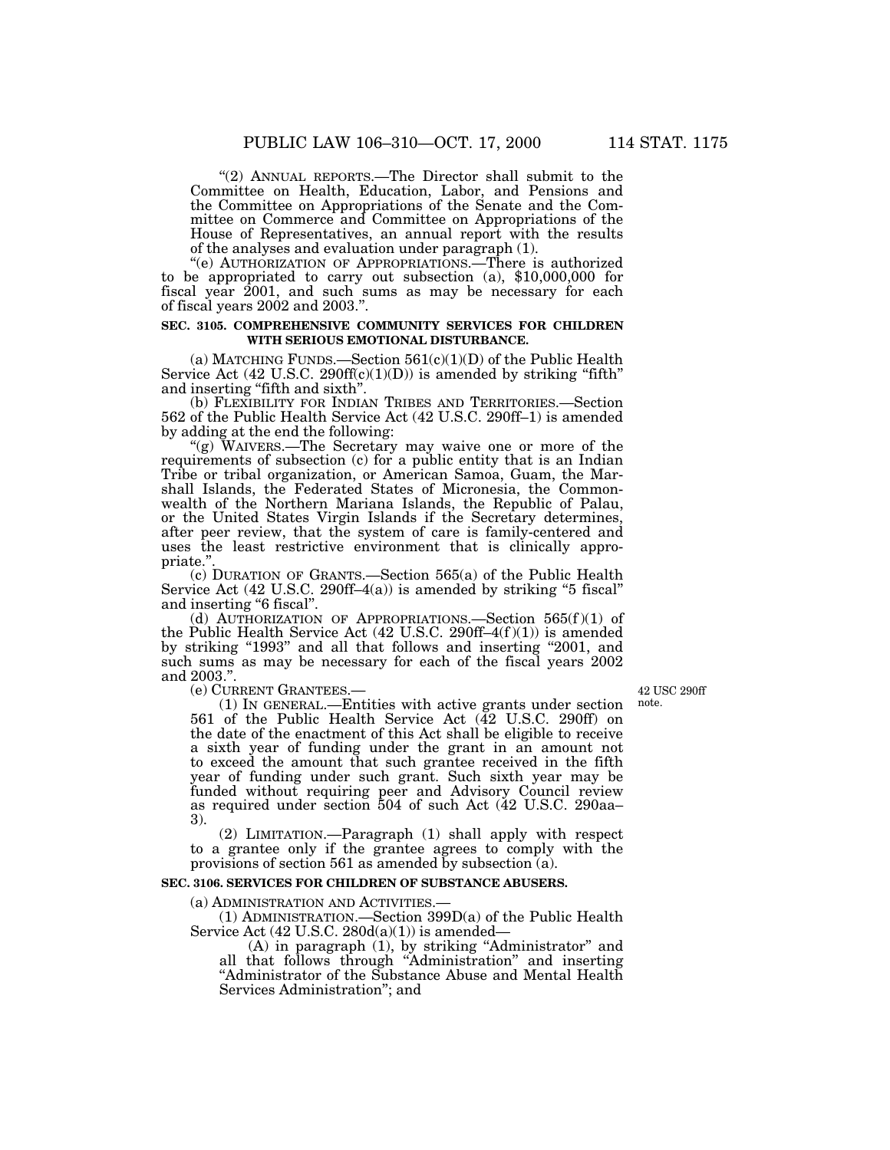''(2) ANNUAL REPORTS.—The Director shall submit to the Committee on Health, Education, Labor, and Pensions and the Committee on Appropriations of the Senate and the Committee on Commerce and Committee on Appropriations of the House of Representatives, an annual report with the results of the analyses and evaluation under paragraph (1).

''(e) AUTHORIZATION OF APPROPRIATIONS.—There is authorized to be appropriated to carry out subsection (a), \$10,000,000 for fiscal year 2001, and such sums as may be necessary for each of fiscal years 2002 and 2003.''.

#### **SEC. 3105. COMPREHENSIVE COMMUNITY SERVICES FOR CHILDREN WITH SERIOUS EMOTIONAL DISTURBANCE.**

(a) MATCHING FUNDS.—Section  $561(c)(1)(D)$  of the Public Health Service Act  $(42 \text{ U.S.C. } 290 \text{ff}(c)(1)(D))$  is amended by striking "fifth" and inserting ''fifth and sixth''.

(b) FLEXIBILITY FOR INDIAN TRIBES AND TERRITORIES.—Section 562 of the Public Health Service Act (42 U.S.C. 290ff–1) is amended by adding at the end the following:

"(g) WAIVERS.—The Secretary may waive one or more of the requirements of subsection (c) for a public entity that is an Indian Tribe or tribal organization, or American Samoa, Guam, the Marshall Islands, the Federated States of Micronesia, the Commonwealth of the Northern Mariana Islands, the Republic of Palau, or the United States Virgin Islands if the Secretary determines, after peer review, that the system of care is family-centered and uses the least restrictive environment that is clinically appropriate.''.

(c) DURATION OF GRANTS.—Section 565(a) of the Public Health Service Act (42 U.S.C. 290ff–4(a)) is amended by striking ''5 fiscal'' and inserting ''6 fiscal''.

(d) AUTHORIZATION OF APPROPRIATIONS. Section  $565(f)(1)$  of the Public Health Service Act  $(42 \text{ U.S.C. } 290\text{ ff-4}(f)(1))$  is amended by striking "1993" and all that follows and inserting "2001, and such sums as may be necessary for each of the fiscal years 2002 and 2003.".<br>(e) CURRENT GRANTEES.-

 $(1)$  In GENERAL.—Entities with active grants under section 561 of the Public Health Service Act (42 U.S.C. 290ff) on the date of the enactment of this Act shall be eligible to receive a sixth year of funding under the grant in an amount not to exceed the amount that such grantee received in the fifth year of funding under such grant. Such sixth year may be funded without requiring peer and Advisory Council review as required under section 504 of such Act (42 U.S.C. 290aa– 3).

(2) LIMITATION.—Paragraph (1) shall apply with respect to a grantee only if the grantee agrees to comply with the provisions of section 561 as amended by subsection (a).

#### **SEC. 3106. SERVICES FOR CHILDREN OF SUBSTANCE ABUSERS.**

(a) ADMINISTRATION AND ACTIVITIES.—

(1) ADMINISTRATION.—Section 399D(a) of the Public Health Service Act  $(42 \text{ U.S.C. } 280d(a)(1))$  is amended—

(A) in paragraph (1), by striking ''Administrator'' and all that follows through ''Administration'' and inserting "Administrator of the Substance Abuse and Mental Health Services Administration''; and

42 USC 290ff note.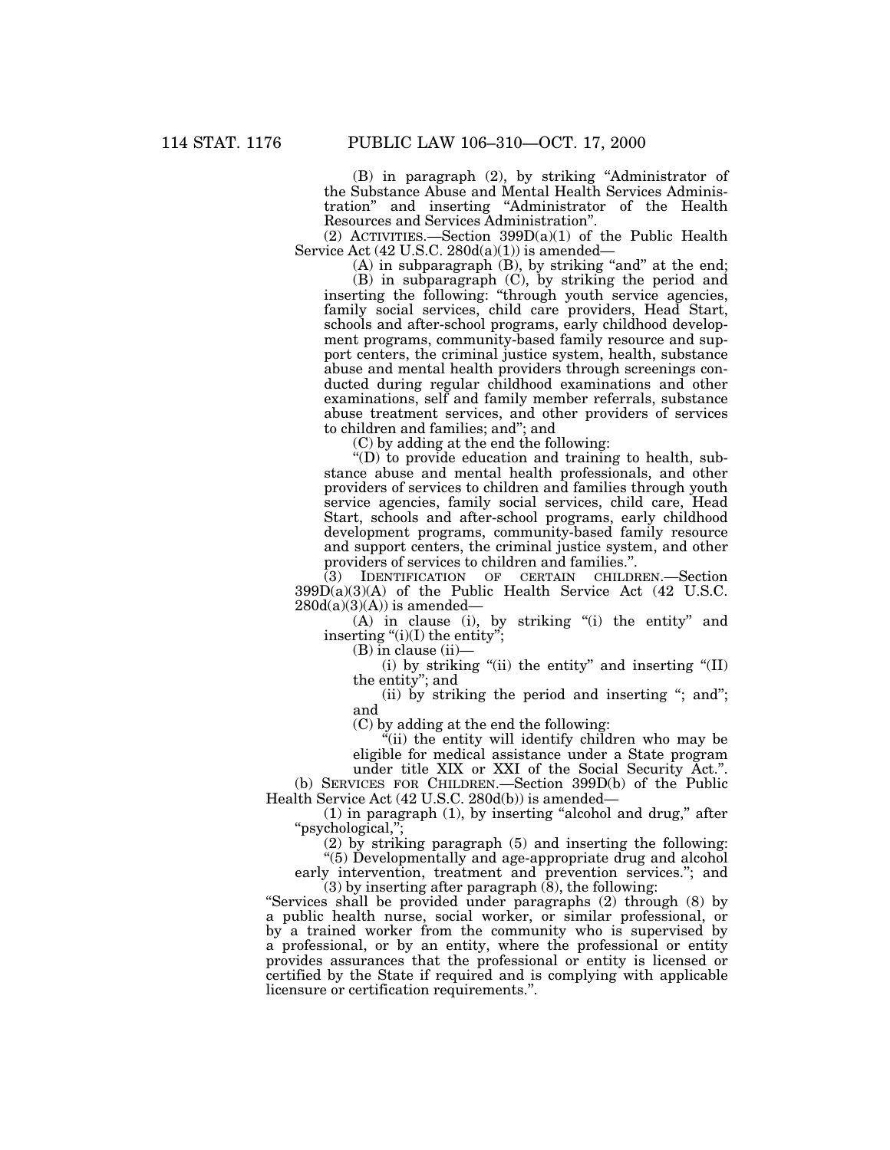(B) in paragraph (2), by striking ''Administrator of the Substance Abuse and Mental Health Services Administration'' and inserting ''Administrator of the Health Resources and Services Administration''.

(2) ACTIVITIES.—Section 399D(a)(1) of the Public Health Service Act  $(42 \text{ U.S.C. } 280d(a)(1))$  is amended—

(A) in subparagraph (B), by striking "and" at the end;

(B) in subparagraph (C), by striking the period and inserting the following: "through youth service agencies, family social services, child care providers, Head Start, schools and after-school programs, early childhood development programs, community-based family resource and support centers, the criminal justice system, health, substance abuse and mental health providers through screenings conducted during regular childhood examinations and other examinations, self and family member referrals, substance abuse treatment services, and other providers of services to children and families; and''; and

(C) by adding at the end the following:

''(D) to provide education and training to health, substance abuse and mental health professionals, and other providers of services to children and families through youth service agencies, family social services, child care, Head Start, schools and after-school programs, early childhood development programs, community-based family resource and support centers, the criminal justice system, and other providers of services to children and families.''.

(3) IDENTIFICATION OF CERTAIN CHILDREN.—Section 399D(a)(3)(A) of the Public Health Service Act (42 U.S.C.  $280d(a)(3)(A)$  is amended—

(A) in clause (i), by striking "(i) the entity" and inserting " $(i)(I)$  the entity";

 $(B)$  in clause  $(ii)$ —

(i) by striking "(ii) the entity" and inserting " $(II)$ the entity''; and

(ii) by striking the period and inserting "; and"; and

(C) by adding at the end the following:

 $\ddot{H}$ (ii) the entity will identify children who may be eligible for medical assistance under a State program

under title XIX or XXI of the Social Security Act.''. (b) SERVICES FOR CHILDREN.—Section 399D(b) of the Public Health Service Act (42 U.S.C. 280d(b)) is amended—

 $(1)$  in paragraph  $(1)$ , by inserting "alcohol and drug," after ''psychological,'';

(2) by striking paragraph (5) and inserting the following:

''(5) Developmentally and age-appropriate drug and alcohol early intervention, treatment and prevention services.''; and

(3) by inserting after paragraph (8), the following: ''Services shall be provided under paragraphs (2) through (8) by a public health nurse, social worker, or similar professional, or by a trained worker from the community who is supervised by a professional, or by an entity, where the professional or entity provides assurances that the professional or entity is licensed or certified by the State if required and is complying with applicable licensure or certification requirements.''.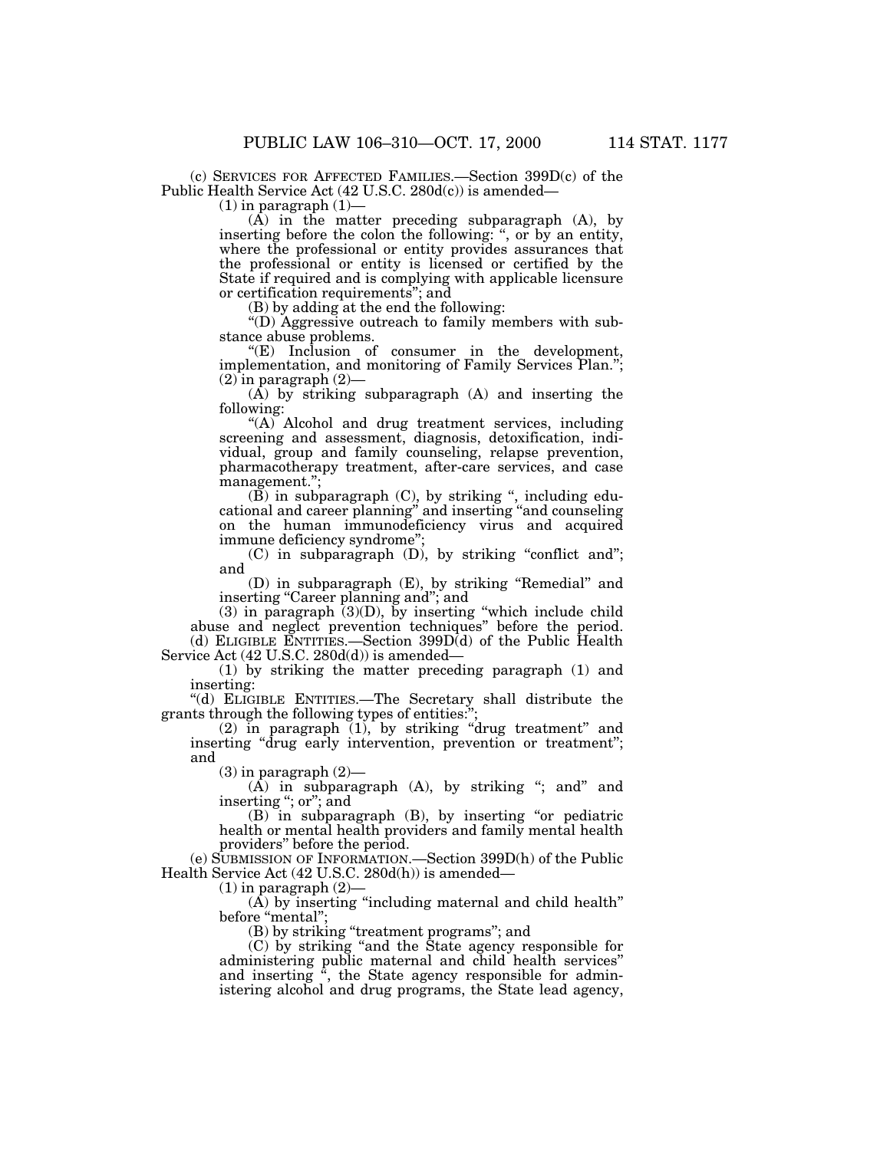(c) SERVICES FOR AFFECTED FAMILIES.—Section 399D(c) of the Public Health Service Act (42 U.S.C. 280d(c)) is amended—

 $(1)$  in paragraph  $(1)$ –

(A) in the matter preceding subparagraph (A), by inserting before the colon the following: '', or by an entity, where the professional or entity provides assurances that the professional or entity is licensed or certified by the State if required and is complying with applicable licensure or certification requirements''; and

(B) by adding at the end the following:

''(D) Aggressive outreach to family members with substance abuse problems.

''(E) Inclusion of consumer in the development, implementation, and monitoring of Family Services Plan.'';  $(2)$  in paragraph  $(2)$ 

(A) by striking subparagraph (A) and inserting the following:

"(A) Alcohol and drug treatment services, including screening and assessment, diagnosis, detoxification, individual, group and family counseling, relapse prevention, pharmacotherapy treatment, after-care services, and case management.'';

(B) in subparagraph (C), by striking '', including educational and career planning'' and inserting ''and counseling on the human immunodeficiency virus and acquired immune deficiency syndrome'';

(C) in subparagraph (D), by striking ''conflict and''; and

(D) in subparagraph (E), by striking ''Remedial'' and inserting "Career planning and"; and

(3) in paragraph (3)(D), by inserting ''which include child abuse and neglect prevention techniques'' before the period. (d) ELIGIBLE ENTITIES.—Section 399D(d) of the Public Health Service Act (42 U.S.C. 280d(d)) is amended—

(1) by striking the matter preceding paragraph (1) and inserting:

''(d) ELIGIBLE ENTITIES.—The Secretary shall distribute the grants through the following types of entities:'';

(2) in paragraph (1), by striking ''drug treatment'' and inserting "drug early intervention, prevention or treatment"; and

 $(3)$  in paragraph  $(2)$ —

 $(A)$  in subparagraph  $(A)$ , by striking "; and" and inserting "; or"; and

 $(B)$  in subparagraph  $(B)$ , by inserting "or pediatric health or mental health providers and family mental health providers'' before the period.

(e) SUBMISSION OF INFORMATION.—Section 399D(h) of the Public Health Service Act (42 U.S.C. 280d(h)) is amended—

 $(1)$  in paragraph  $(2)$ -

(A) by inserting "including maternal and child health" before "mental";

(B) by striking "treatment programs"; and

(C) by striking ''and the State agency responsible for administering public maternal and child health services'' and inserting '', the State agency responsible for administering alcohol and drug programs, the State lead agency,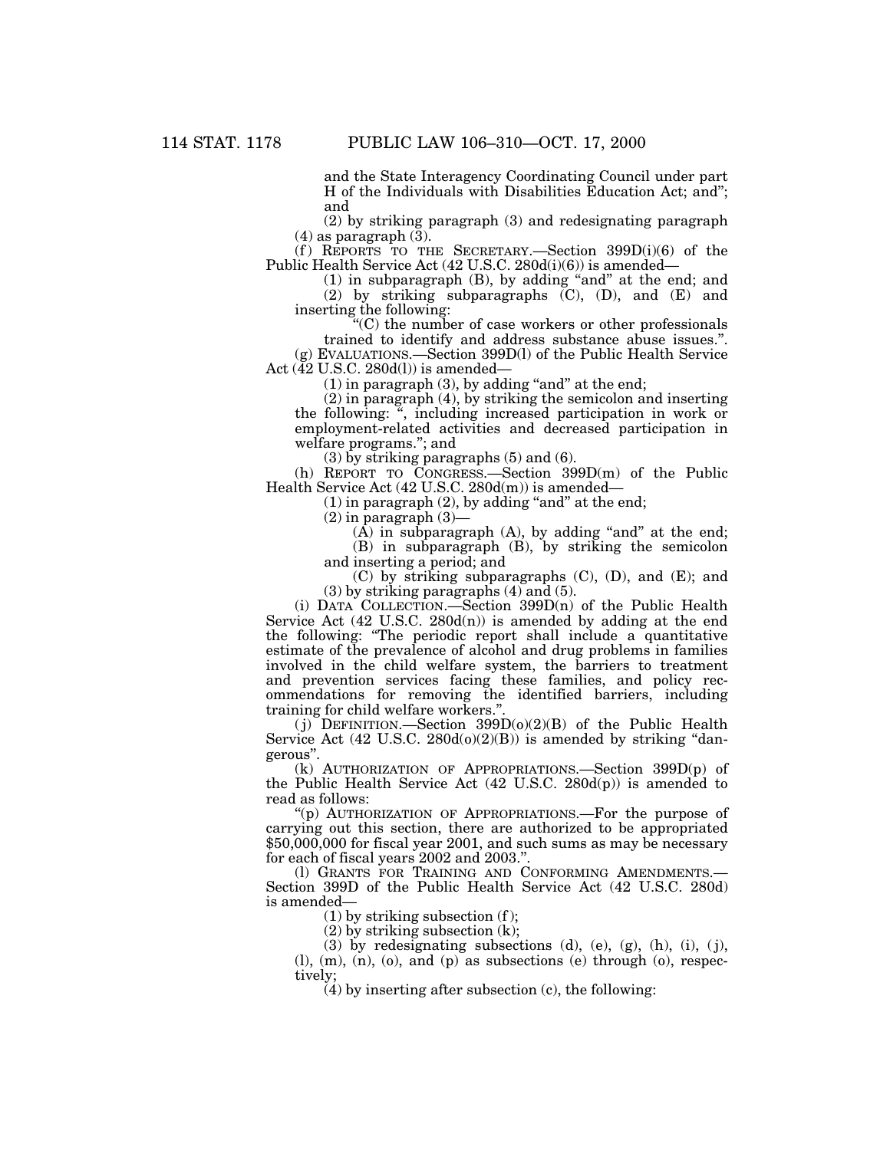and the State Interagency Coordinating Council under part H of the Individuals with Disabilities Education Act; and''; and

(2) by striking paragraph (3) and redesignating paragraph  $(4)$  as paragraph  $(3)$ .

(f) REPORTS TO THE SECRETARY.—Section  $399D(i)(6)$  of the Public Health Service Act (42 U.S.C. 280d(i)(6)) is amended—

(1) in subparagraph (B), by adding ''and'' at the end; and (2) by striking subparagraphs (C), (D), and (E) and inserting the following:

 $C$ ) the number of case workers or other professionals trained to identify and address substance abuse issues.''.

(g) EVALUATIONS.—Section 399D(l) of the Public Health Service Act  $(\tilde{42}$  U.S.C. 280d(1)) is amended—

 $(1)$  in paragraph  $(3)$ , by adding "and" at the end;

(2) in paragraph (4), by striking the semicolon and inserting the following: '', including increased participation in work or employment-related activities and decreased participation in welfare programs.''; and

(3) by striking paragraphs (5) and (6).

(h) REPORT TO CONGRESS.—Section 399D(m) of the Public Health Service Act (42 U.S.C. 280d(m)) is amended—

 $(1)$  in paragraph  $(2)$ , by adding "and" at the end;

 $(2)$  in paragraph  $(3)$ –

 $(A)$  in subparagraph  $(A)$ , by adding "and" at the end; (B) in subparagraph (B), by striking the semicolon and inserting a period; and

(C) by striking subparagraphs (C), (D), and (E); and (3) by striking paragraphs (4) and (5).

(i) DATA COLLECTION.—Section 399D(n) of the Public Health Service Act  $(42 \text{ U.S.C. } 280d(n))$  is amended by adding at the end the following: "The periodic report shall include a quantitative estimate of the prevalence of alcohol and drug problems in families involved in the child welfare system, the barriers to treatment and prevention services facing these families, and policy recommendations for removing the identified barriers, including training for child welfare workers."

 $(i)$  DEFINITION.—Section 399D $(o)(2)(B)$  of the Public Health Service Act  $(42 \text{ U.S.C. } 280d(0)(2)(B))$  is amended by striking "dangerous''.

(k) AUTHORIZATION OF APPROPRIATIONS.—Section 399D(p) of the Public Health Service Act (42 U.S.C. 280d(p)) is amended to read as follows:

''(p) AUTHORIZATION OF APPROPRIATIONS.—For the purpose of carrying out this section, there are authorized to be appropriated \$50,000,000 for fiscal year 2001, and such sums as may be necessary for each of fiscal years 2002 and 2003.''.

(1) GRANTS FOR TRAINING AND CONFORMING AMENDMENTS. Section 399D of the Public Health Service Act (42 U.S.C. 280d) is amended—

 $(1)$  by striking subsection  $(f)$ ;

 $(2)$  by striking subsection  $(k)$ ;

(3) by redesignating subsections (d), (e), (g), (h), (i), (j),  $(l)$ ,  $(m)$ ,  $(n)$ ,  $(o)$ , and  $(p)$  as subsections  $(e)$  through  $(o)$ , respectively;

 $(4)$  by inserting after subsection (c), the following: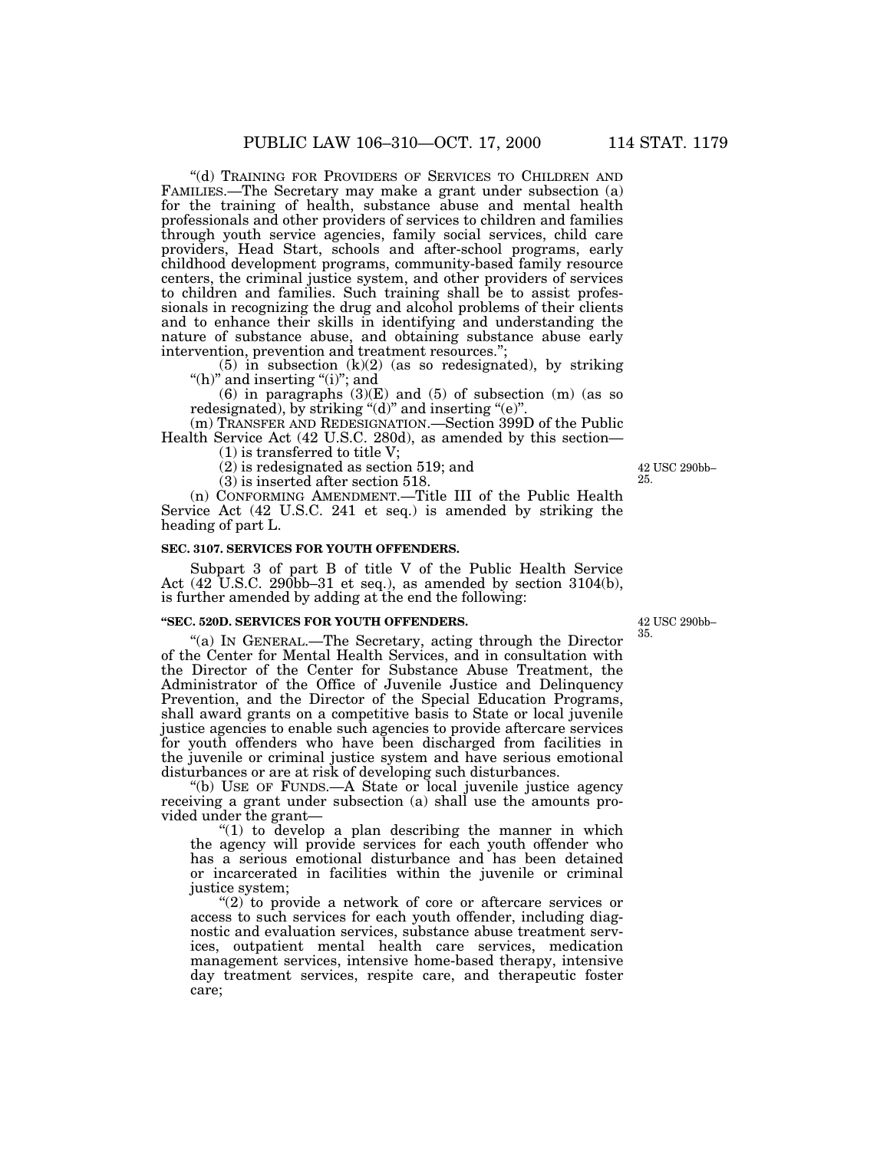''(d) TRAINING FOR PROVIDERS OF SERVICES TO CHILDREN AND FAMILIES.—The Secretary may make a grant under subsection (a) for the training of health, substance abuse and mental health professionals and other providers of services to children and families through youth service agencies, family social services, child care providers, Head Start, schools and after-school programs, early childhood development programs, community-based family resource centers, the criminal justice system, and other providers of services to children and families. Such training shall be to assist professionals in recognizing the drug and alcohol problems of their clients and to enhance their skills in identifying and understanding the nature of substance abuse, and obtaining substance abuse early intervention, prevention and treatment resources.";

 $(5)$  in subsection  $(k)(2)$  (as so redesignated), by striking "(h)" and inserting "(i)"; and

(6) in paragraphs  $(3)(E)$  and  $(5)$  of subsection  $(m)$  (as so redesignated), by striking " $(d)$ " and inserting " $(e)$ "

(m) TRANSFER AND REDESIGNATION.—Section 399D of the Public Health Service Act (42 U.S.C. 280d), as amended by this section—

(1) is transferred to title V;

(2) is redesignated as section 519; and

(3) is inserted after section 518.

(n) CONFORMING AMENDMENT.—Title III of the Public Health Service Act (42 U.S.C. 241 et seq.) is amended by striking the heading of part L.

## **SEC. 3107. SERVICES FOR YOUTH OFFENDERS.**

Subpart 3 of part B of title V of the Public Health Service Act (42 U.S.C. 290bb–31 et seq.), as amended by section 3104(b), is further amended by adding at the end the following:

#### **''SEC. 520D. SERVICES FOR YOUTH OFFENDERS.**

''(a) IN GENERAL.—The Secretary, acting through the Director of the Center for Mental Health Services, and in consultation with the Director of the Center for Substance Abuse Treatment, the Administrator of the Office of Juvenile Justice and Delinquency Prevention, and the Director of the Special Education Programs, shall award grants on a competitive basis to State or local juvenile justice agencies to enable such agencies to provide aftercare services for youth offenders who have been discharged from facilities in the juvenile or criminal justice system and have serious emotional disturbances or are at risk of developing such disturbances.

''(b) USE OF FUNDS.—A State or local juvenile justice agency receiving a grant under subsection (a) shall use the amounts provided under the grant—

" $(1)$  to develop a plan describing the manner in which the agency will provide services for each youth offender who has a serious emotional disturbance and has been detained or incarcerated in facilities within the juvenile or criminal justice system;

" $(2)$  to provide a network of core or aftercare services or access to such services for each youth offender, including diagnostic and evaluation services, substance abuse treatment services, outpatient mental health care services, medication management services, intensive home-based therapy, intensive day treatment services, respite care, and therapeutic foster care;

42 USC 290bb– 35.

42 USC 290bb– 25.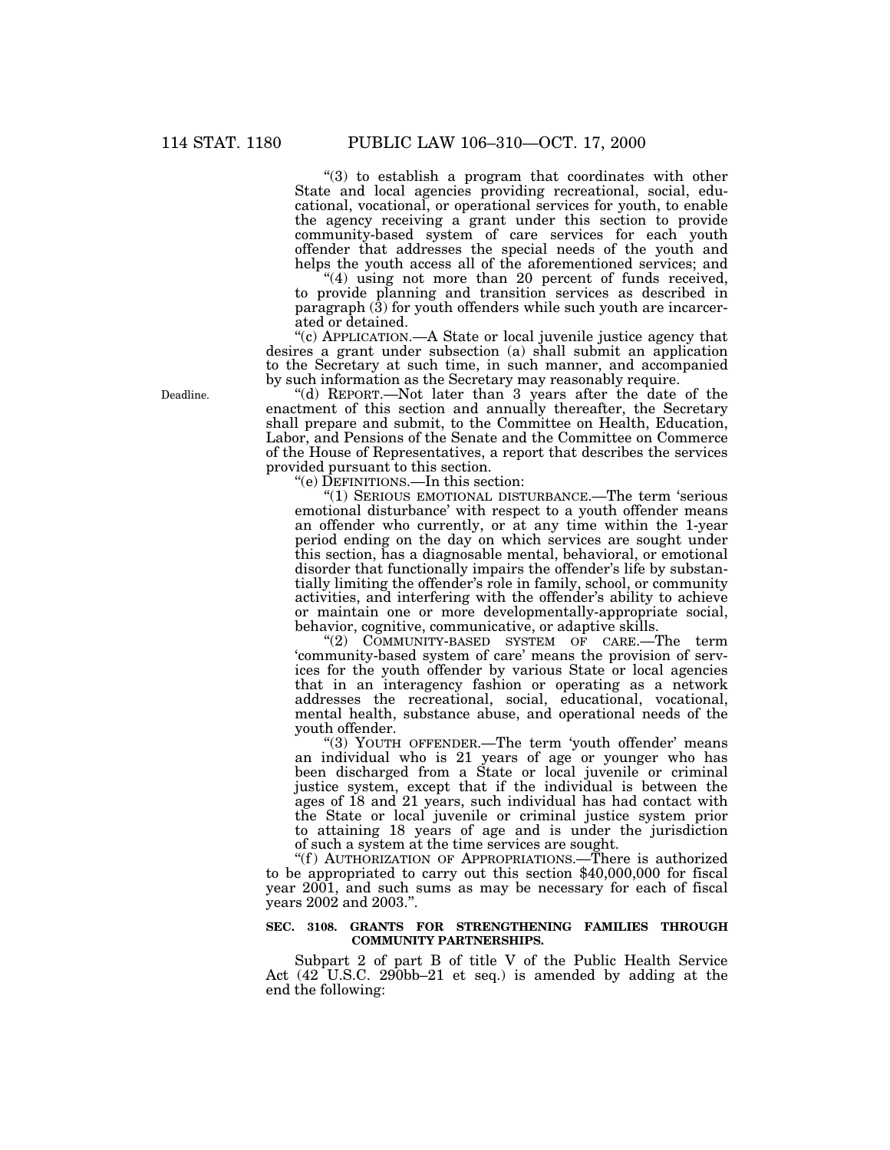"(3) to establish a program that coordinates with other State and local agencies providing recreational, social, educational, vocational, or operational services for youth, to enable the agency receiving a grant under this section to provide community-based system of care services for each youth offender that addresses the special needs of the youth and helps the youth access all of the aforementioned services; and

"(4) using not more than 20 percent of funds received, to provide planning and transition services as described in paragraph (3) for youth offenders while such youth are incarcerated or detained.

''(c) APPLICATION.—A State or local juvenile justice agency that desires a grant under subsection (a) shall submit an application to the Secretary at such time, in such manner, and accompanied by such information as the Secretary may reasonably require.

''(d) REPORT.—Not later than 3 years after the date of the enactment of this section and annually thereafter, the Secretary shall prepare and submit, to the Committee on Health, Education, Labor, and Pensions of the Senate and the Committee on Commerce of the House of Representatives, a report that describes the services provided pursuant to this section.

''(e) DEFINITIONS.—In this section:

''(1) SERIOUS EMOTIONAL DISTURBANCE.—The term 'serious emotional disturbance' with respect to a youth offender means an offender who currently, or at any time within the 1-year period ending on the day on which services are sought under this section, has a diagnosable mental, behavioral, or emotional disorder that functionally impairs the offender's life by substantially limiting the offender's role in family, school, or community activities, and interfering with the offender's ability to achieve or maintain one or more developmentally-appropriate social, behavior, cognitive, communicative, or adaptive skills.

''(2) COMMUNITY-BASED SYSTEM OF CARE.—The term 'community-based system of care' means the provision of services for the youth offender by various State or local agencies that in an interagency fashion or operating as a network addresses the recreational, social, educational, vocational, mental health, substance abuse, and operational needs of the youth offender.

"(3) YOUTH OFFENDER.—The term 'youth offender' means an individual who is 21 years of age or younger who has been discharged from a State or local juvenile or criminal justice system, except that if the individual is between the ages of 18 and 21 years, such individual has had contact with the State or local juvenile or criminal justice system prior to attaining 18 years of age and is under the jurisdiction of such a system at the time services are sought.

"(f) AUTHORIZATION OF APPROPRIATIONS.—There is authorized to be appropriated to carry out this section \$40,000,000 for fiscal year 2001, and such sums as may be necessary for each of fiscal years 2002 and 2003.''.

### **SEC. 3108. GRANTS FOR STRENGTHENING FAMILIES THROUGH COMMUNITY PARTNERSHIPS.**

Subpart 2 of part B of title V of the Public Health Service Act (42 U.S.C. 290bb–21 et seq.) is amended by adding at the end the following:

Deadline.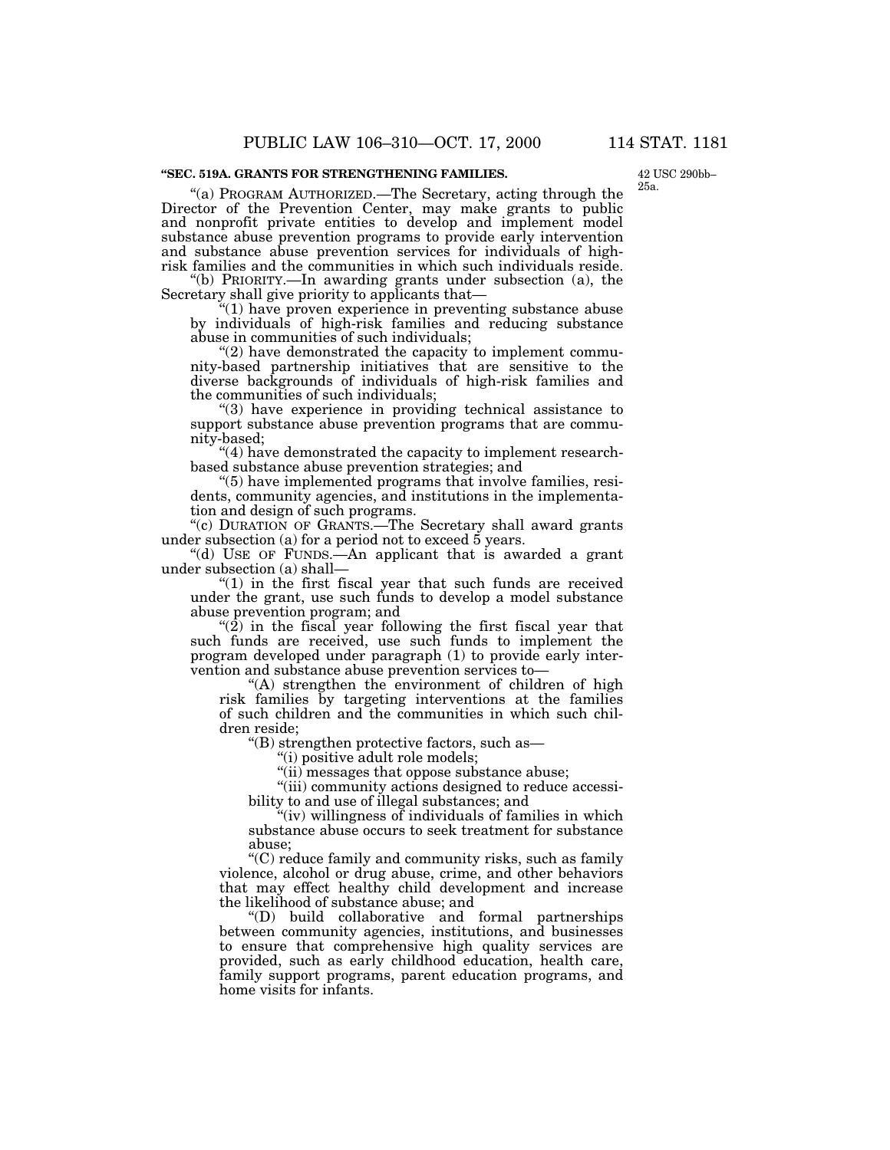#### **''SEC. 519A. GRANTS FOR STRENGTHENING FAMILIES.**

42 USC 290bb– 25a.

''(a) PROGRAM AUTHORIZED.—The Secretary, acting through the Director of the Prevention Center, may make grants to public and nonprofit private entities to develop and implement model substance abuse prevention programs to provide early intervention and substance abuse prevention services for individuals of highrisk families and the communities in which such individuals reside.

''(b) PRIORITY.—In awarding grants under subsection (a), the Secretary shall give priority to applicants that—

''(1) have proven experience in preventing substance abuse by individuals of high-risk families and reducing substance abuse in communities of such individuals;

"(2) have demonstrated the capacity to implement community-based partnership initiatives that are sensitive to the diverse backgrounds of individuals of high-risk families and the communities of such individuals;

''(3) have experience in providing technical assistance to support substance abuse prevention programs that are community-based;

"(4) have demonstrated the capacity to implement researchbased substance abuse prevention strategies; and

''(5) have implemented programs that involve families, residents, community agencies, and institutions in the implementation and design of such programs.

"(c) DURATION OF GRANTS.—The Secretary shall award grants under subsection (a) for a period not to exceed 5 years.

''(d) USE OF FUNDS.—An applicant that is awarded a grant under subsection (a) shall—

" $(1)$  in the first fiscal year that such funds are received under the grant, use such funds to develop a model substance abuse prevention program; and

" $(2)$  in the fiscal year following the first fiscal year that such funds are received, use such funds to implement the program developed under paragraph (1) to provide early intervention and substance abuse prevention services to—

" $(A)$  strengthen the environment of children of high risk families by targeting interventions at the families of such children and the communities in which such children reside;

''(B) strengthen protective factors, such as—

''(i) positive adult role models;

"(ii) messages that oppose substance abuse;

''(iii) community actions designed to reduce accessibility to and use of illegal substances; and

 $'$ (iv) willingness of individuals of families in which substance abuse occurs to seek treatment for substance abuse;

''(C) reduce family and community risks, such as family violence, alcohol or drug abuse, crime, and other behaviors that may effect healthy child development and increase the likelihood of substance abuse; and

''(D) build collaborative and formal partnerships between community agencies, institutions, and businesses to ensure that comprehensive high quality services are provided, such as early childhood education, health care, family support programs, parent education programs, and home visits for infants.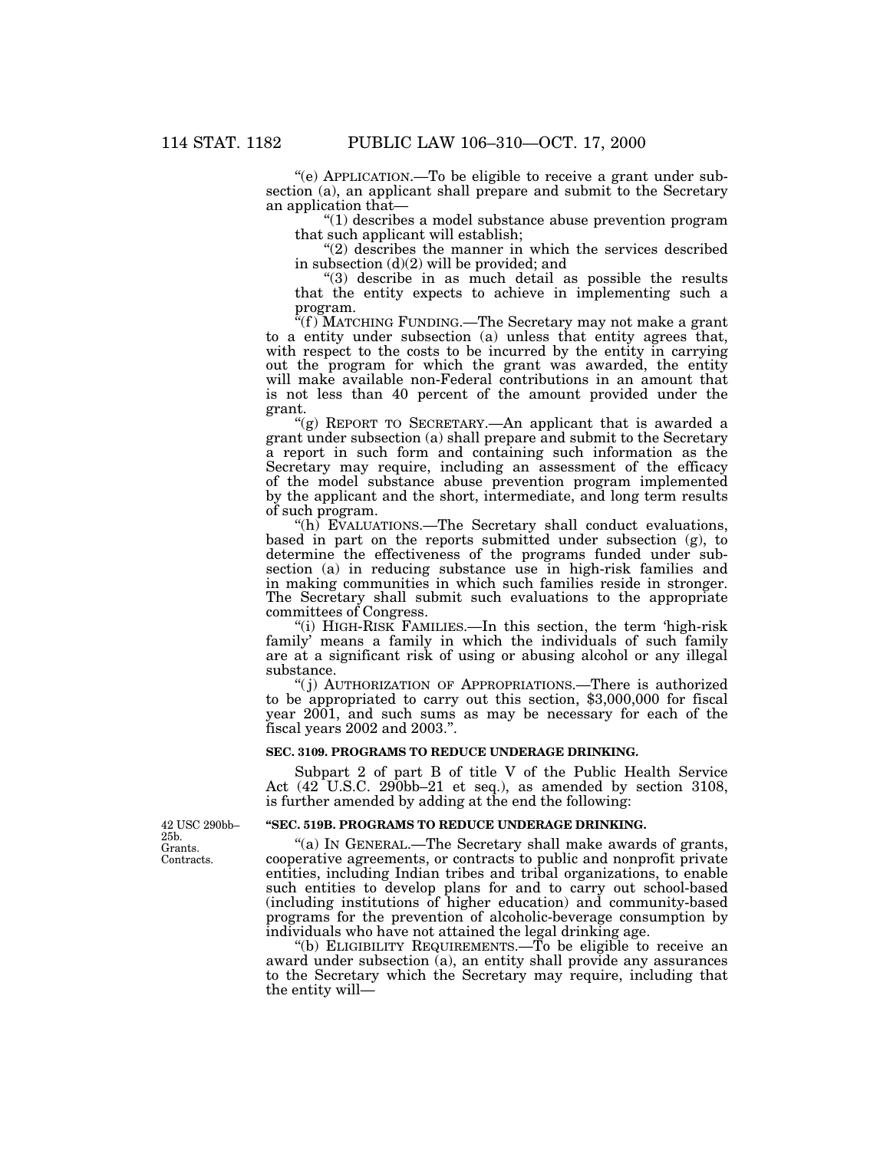''(e) APPLICATION.—To be eligible to receive a grant under subsection (a), an applicant shall prepare and submit to the Secretary an application that—

''(1) describes a model substance abuse prevention program that such applicant will establish;

 $''(2)$  describes the manner in which the services described in subsection (d)(2) will be provided; and

"(3) describe in as much detail as possible the results that the entity expects to achieve in implementing such a program.

''(f ) MATCHING FUNDING.—The Secretary may not make a grant to a entity under subsection (a) unless that entity agrees that, with respect to the costs to be incurred by the entity in carrying out the program for which the grant was awarded, the entity will make available non-Federal contributions in an amount that is not less than 40 percent of the amount provided under the grant.

"(g) REPORT TO SECRETARY.—An applicant that is awarded a grant under subsection (a) shall prepare and submit to the Secretary a report in such form and containing such information as the Secretary may require, including an assessment of the efficacy of the model substance abuse prevention program implemented by the applicant and the short, intermediate, and long term results of such program.

"(h) EVALUATIONS.—The Secretary shall conduct evaluations, based in part on the reports submitted under subsection (g), to determine the effectiveness of the programs funded under subsection (a) in reducing substance use in high-risk families and in making communities in which such families reside in stronger. The Secretary shall submit such evaluations to the appropriate committees of Congress.

"(i) HIGH-RISK FAMILIES.—In this section, the term 'high-risk family' means a family in which the individuals of such family are at a significant risk of using or abusing alcohol or any illegal substance.

''( j) AUTHORIZATION OF APPROPRIATIONS.—There is authorized to be appropriated to carry out this section, \$3,000,000 for fiscal year 2001, and such sums as may be necessary for each of the fiscal years 2002 and 2003.''.

## **SEC. 3109. PROGRAMS TO REDUCE UNDERAGE DRINKING.**

Subpart 2 of part B of title V of the Public Health Service Act (42 U.S.C. 290bb–21 et seq.), as amended by section 3108, is further amended by adding at the end the following:

## **''SEC. 519B. PROGRAMS TO REDUCE UNDERAGE DRINKING.**

"(a) IN GENERAL.—The Secretary shall make awards of grants, cooperative agreements, or contracts to public and nonprofit private entities, including Indian tribes and tribal organizations, to enable such entities to develop plans for and to carry out school-based (including institutions of higher education) and community-based programs for the prevention of alcoholic-beverage consumption by individuals who have not attained the legal drinking age.

"(b) ELIGIBILITY REQUIREMENTS.— $\bar{T}$ o be eligible to receive an award under subsection (a), an entity shall provide any assurances to the Secretary which the Secretary may require, including that the entity will—

Grants. **Contracts** 42 USC 290bb– 25b.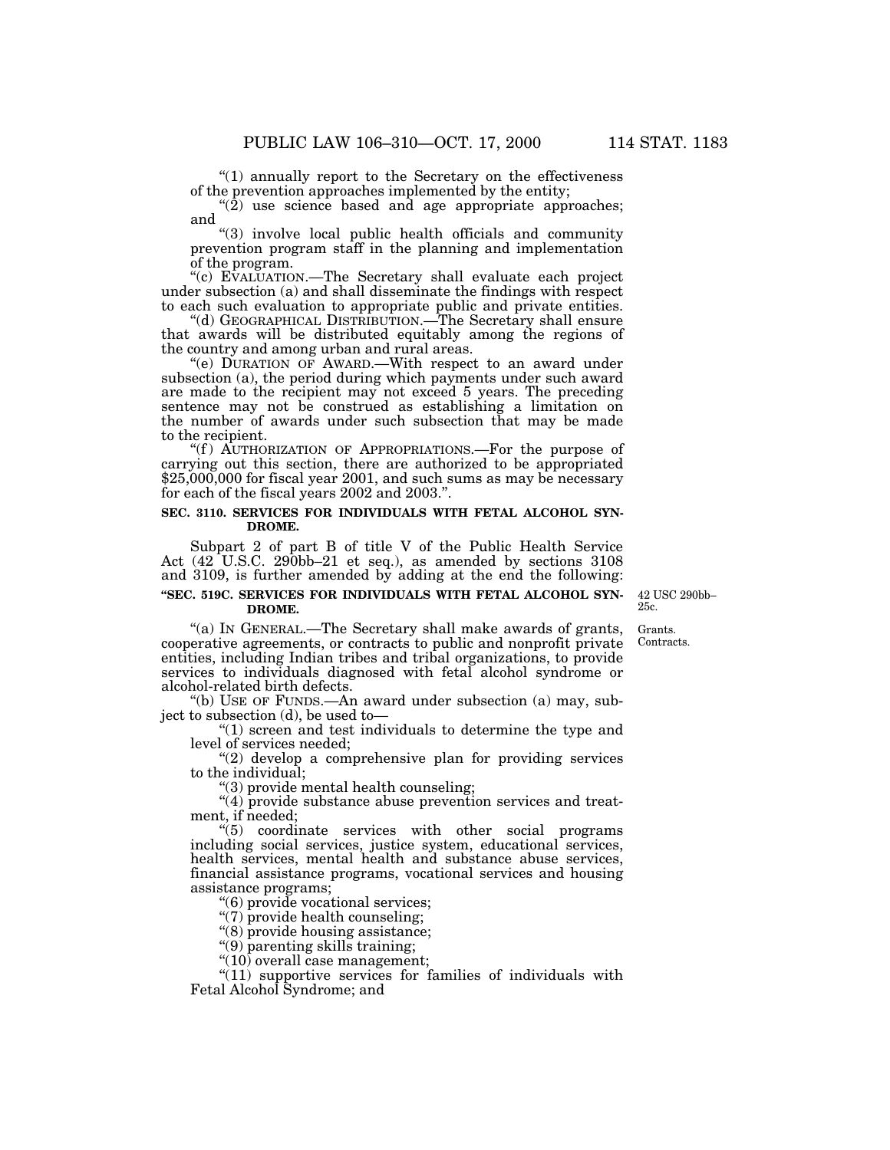''(1) annually report to the Secretary on the effectiveness of the prevention approaches implemented by the entity;

 $\sqrt{\hat{2}}$  use science based and age appropriate approaches; and

''(3) involve local public health officials and community prevention program staff in the planning and implementation of the program.

"(c) EVALUATION.—The Secretary shall evaluate each project under subsection (a) and shall disseminate the findings with respect to each such evaluation to appropriate public and private entities.

''(d) GEOGRAPHICAL DISTRIBUTION.—The Secretary shall ensure that awards will be distributed equitably among the regions of the country and among urban and rural areas.

''(e) DURATION OF AWARD.—With respect to an award under subsection (a), the period during which payments under such award are made to the recipient may not exceed 5 years. The preceding sentence may not be construed as establishing a limitation on the number of awards under such subsection that may be made to the recipient.

"(f) AUTHORIZATION OF APPROPRIATIONS.—For the purpose of carrying out this section, there are authorized to be appropriated \$25,000,000 for fiscal year 2001, and such sums as may be necessary for each of the fiscal years 2002 and 2003.''.

### **SEC. 3110. SERVICES FOR INDIVIDUALS WITH FETAL ALCOHOL SYN-DROME.**

Subpart 2 of part B of title V of the Public Health Service Act (42 U.S.C. 290bb–21 et seq.), as amended by sections 3108 and 3109, is further amended by adding at the end the following:

## **''SEC. 519C. SERVICES FOR INDIVIDUALS WITH FETAL ALCOHOL SYN-DROME.**

42 USC 290bb– 25c.

"(a) In GENERAL.—The Secretary shall make awards of grants, cooperative agreements, or contracts to public and nonprofit private entities, including Indian tribes and tribal organizations, to provide services to individuals diagnosed with fetal alcohol syndrome or alcohol-related birth defects.

''(b) USE OF FUNDS.—An award under subsection (a) may, subject to subsection (d), be used to—

''(1) screen and test individuals to determine the type and level of services needed;

"(2) develop a comprehensive plan for providing services to the individual;

''(3) provide mental health counseling;

"(4) provide substance abuse prevention services and treatment, if needed;

''(5) coordinate services with other social programs including social services, justice system, educational services, health services, mental health and substance abuse services, financial assistance programs, vocational services and housing assistance programs;

''(6) provide vocational services;

 $\sqrt{\gamma}$  provide health counseling;

''(8) provide housing assistance;

''(9) parenting skills training;

"(10) overall case management;

 $"(11)$  supportive services for families of individuals with Fetal Alcohol Syndrome; and

Grants. Contracts.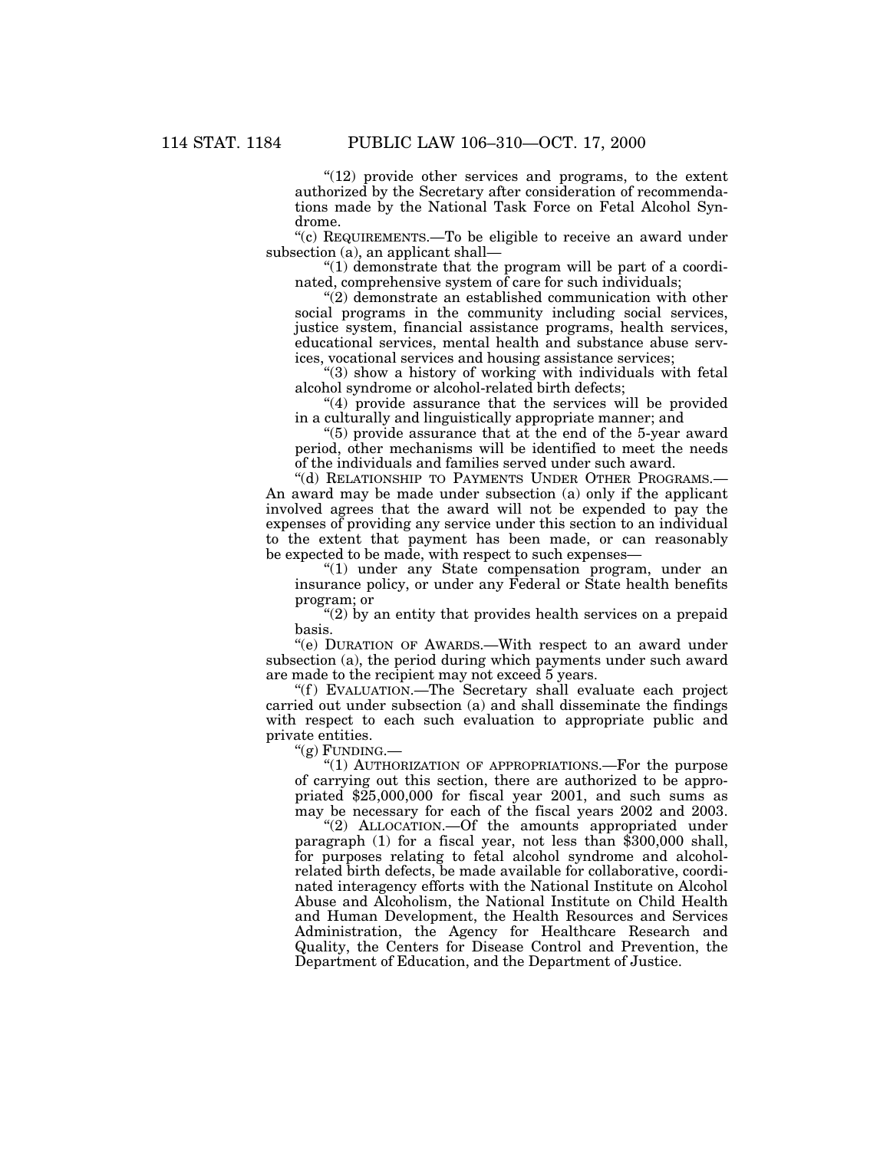"(12) provide other services and programs, to the extent authorized by the Secretary after consideration of recommendations made by the National Task Force on Fetal Alcohol Syndrome.

"(c) REQUIREMENTS.—To be eligible to receive an award under subsection (a), an applicant shall—

 $(1)$  demonstrate that the program will be part of a coordinated, comprehensive system of care for such individuals;

''(2) demonstrate an established communication with other social programs in the community including social services, justice system, financial assistance programs, health services, educational services, mental health and substance abuse services, vocational services and housing assistance services;

''(3) show a history of working with individuals with fetal alcohol syndrome or alcohol-related birth defects;

''(4) provide assurance that the services will be provided in a culturally and linguistically appropriate manner; and

''(5) provide assurance that at the end of the 5-year award period, other mechanisms will be identified to meet the needs of the individuals and families served under such award.

''(d) RELATIONSHIP TO PAYMENTS UNDER OTHER PROGRAMS.— An award may be made under subsection (a) only if the applicant involved agrees that the award will not be expended to pay the expenses of providing any service under this section to an individual to the extent that payment has been made, or can reasonably be expected to be made, with respect to such expenses—

"(1) under any State compensation program, under an insurance policy, or under any Federal or State health benefits program; or

"(2) by an entity that provides health services on a prepaid basis.

"(e) DURATION OF AWARDS.—With respect to an award under subsection (a), the period during which payments under such award are made to the recipient may not exceed 5 years.

"(f) EVALUATION.—The Secretary shall evaluate each project carried out under subsection (a) and shall disseminate the findings with respect to each such evaluation to appropriate public and private entities.

''(g) FUNDING.—

''(1) AUTHORIZATION OF APPROPRIATIONS.—For the purpose of carrying out this section, there are authorized to be appropriated \$25,000,000 for fiscal year 2001, and such sums as may be necessary for each of the fiscal years 2002 and 2003.

"(2) ALLOCATION.--Of the amounts appropriated under paragraph (1) for a fiscal year, not less than \$300,000 shall, for purposes relating to fetal alcohol syndrome and alcoholrelated birth defects, be made available for collaborative, coordinated interagency efforts with the National Institute on Alcohol Abuse and Alcoholism, the National Institute on Child Health and Human Development, the Health Resources and Services Administration, the Agency for Healthcare Research and Quality, the Centers for Disease Control and Prevention, the Department of Education, and the Department of Justice.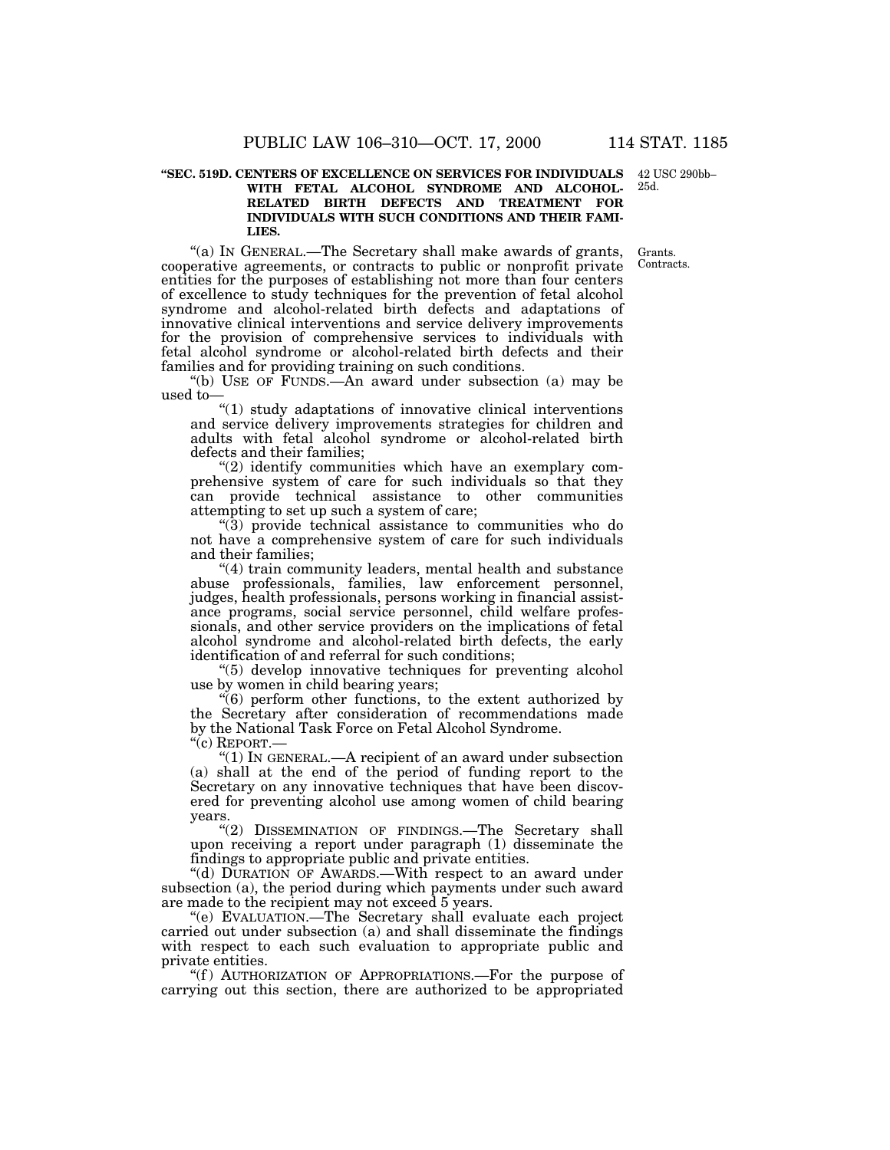#### **''SEC. 519D. CENTERS OF EXCELLENCE ON SERVICES FOR INDIVIDUALS** 42 USC 290bb– **WITH FETAL ALCOHOL SYNDROME AND ALCOHOL-RELATED BIRTH DEFECTS AND TREATMENT FOR INDIVIDUALS WITH SUCH CONDITIONS AND THEIR FAMI-LIES.** 25d.

"(a) In GENERAL.—The Secretary shall make awards of grants, cooperative agreements, or contracts to public or nonprofit private entities for the purposes of establishing not more than four centers of excellence to study techniques for the prevention of fetal alcohol syndrome and alcohol-related birth defects and adaptations of innovative clinical interventions and service delivery improvements for the provision of comprehensive services to individuals with fetal alcohol syndrome or alcohol-related birth defects and their families and for providing training on such conditions. Grants. Contracts.

''(b) USE OF FUNDS.—An award under subsection (a) may be used to—

''(1) study adaptations of innovative clinical interventions and service delivery improvements strategies for children and adults with fetal alcohol syndrome or alcohol-related birth defects and their families;

"(2) identify communities which have an exemplary comprehensive system of care for such individuals so that they can provide technical assistance to other communities attempting to set up such a system of care;

 $(3)$  provide technical assistance to communities who do not have a comprehensive system of care for such individuals and their families;

"(4) train community leaders, mental health and substance abuse professionals, families, law enforcement personnel, judges, health professionals, persons working in financial assistance programs, social service personnel, child welfare professionals, and other service providers on the implications of fetal alcohol syndrome and alcohol-related birth defects, the early identification of and referral for such conditions;

''(5) develop innovative techniques for preventing alcohol use by women in child bearing years;

''(6) perform other functions, to the extent authorized by the Secretary after consideration of recommendations made by the National Task Force on Fetal Alcohol Syndrome.

''(c) REPORT.—

''(1) IN GENERAL.—A recipient of an award under subsection (a) shall at the end of the period of funding report to the Secretary on any innovative techniques that have been discovered for preventing alcohol use among women of child bearing years.

"(2) DISSEMINATION OF FINDINGS.—The Secretary shall upon receiving a report under paragraph (1) disseminate the findings to appropriate public and private entities.

''(d) DURATION OF AWARDS.—With respect to an award under subsection (a), the period during which payments under such award are made to the recipient may not exceed 5 years.

''(e) EVALUATION.—The Secretary shall evaluate each project carried out under subsection (a) and shall disseminate the findings with respect to each such evaluation to appropriate public and private entities.

"(f) AUTHORIZATION OF APPROPRIATIONS.—For the purpose of carrying out this section, there are authorized to be appropriated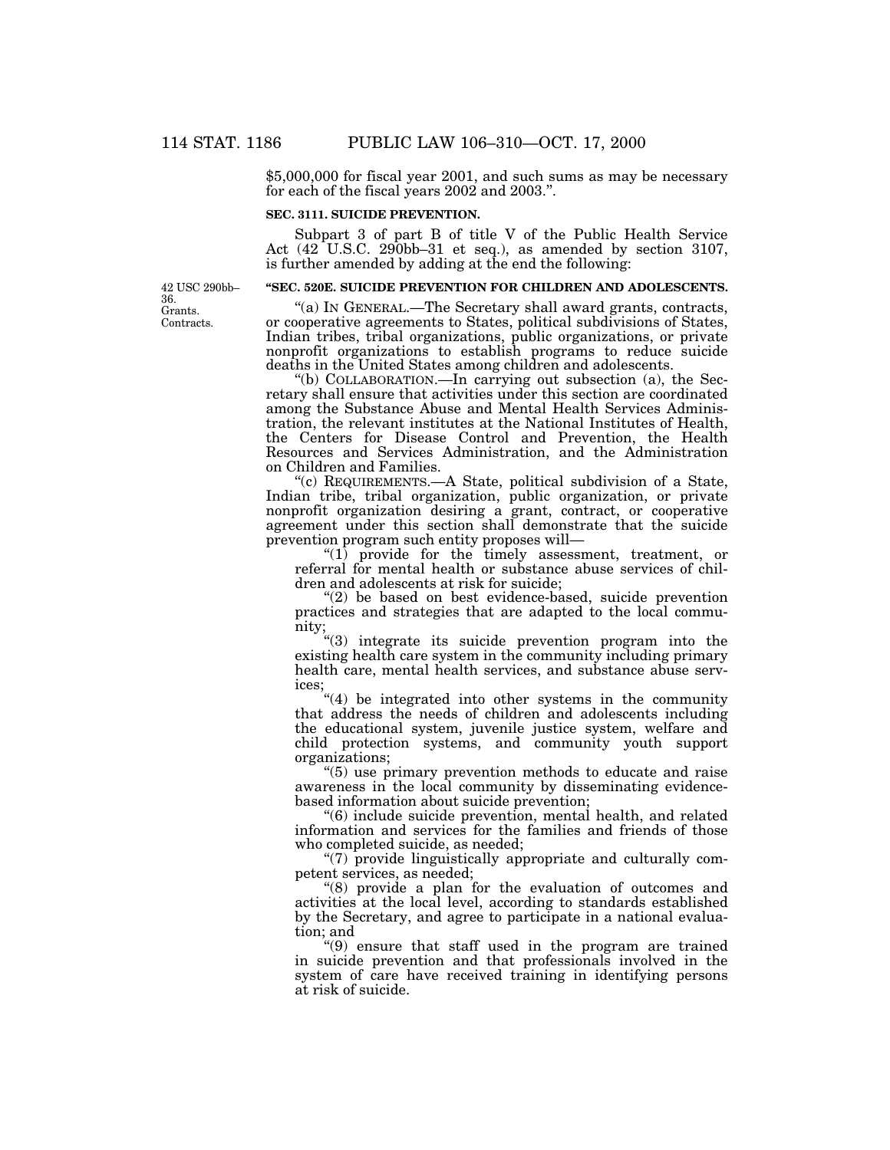\$5,000,000 for fiscal year 2001, and such sums as may be necessary for each of the fiscal years 2002 and 2003.''.

## **SEC. 3111. SUICIDE PREVENTION.**

Subpart 3 of part B of title V of the Public Health Service Act (42 U.S.C. 290bb–31 et seq.), as amended by section 3107, is further amended by adding at the end the following:

### **''SEC. 520E. SUICIDE PREVENTION FOR CHILDREN AND ADOLESCENTS.**

''(a) IN GENERAL.—The Secretary shall award grants, contracts, or cooperative agreements to States, political subdivisions of States, Indian tribes, tribal organizations, public organizations, or private nonprofit organizations to establish programs to reduce suicide deaths in the United States among children and adolescents.

''(b) COLLABORATION.—In carrying out subsection (a), the Secretary shall ensure that activities under this section are coordinated among the Substance Abuse and Mental Health Services Administration, the relevant institutes at the National Institutes of Health, the Centers for Disease Control and Prevention, the Health Resources and Services Administration, and the Administration on Children and Families.

"(c) REQUIREMENTS.—A State, political subdivision of a State, Indian tribe, tribal organization, public organization, or private nonprofit organization desiring a grant, contract, or cooperative agreement under this section shall demonstrate that the suicide prevention program such entity proposes will—

''(1) provide for the timely assessment, treatment, or referral for mental health or substance abuse services of children and adolescents at risk for suicide;

''(2) be based on best evidence-based, suicide prevention practices and strategies that are adapted to the local community;

"(3) integrate its suicide prevention program into the existing health care system in the community including primary health care, mental health services, and substance abuse services;

''(4) be integrated into other systems in the community that address the needs of children and adolescents including the educational system, juvenile justice system, welfare and child protection systems, and community youth support organizations;

''(5) use primary prevention methods to educate and raise awareness in the local community by disseminating evidencebased information about suicide prevention;

''(6) include suicide prevention, mental health, and related information and services for the families and friends of those who completed suicide, as needed;

 $\Gamma$ (7) provide linguistically appropriate and culturally competent services, as needed;

''(8) provide a plan for the evaluation of outcomes and activities at the local level, according to standards established by the Secretary, and agree to participate in a national evaluation; and

''(9) ensure that staff used in the program are trained in suicide prevention and that professionals involved in the system of care have received training in identifying persons at risk of suicide.

Grants. Contracts. 42 USC 290bb– 36.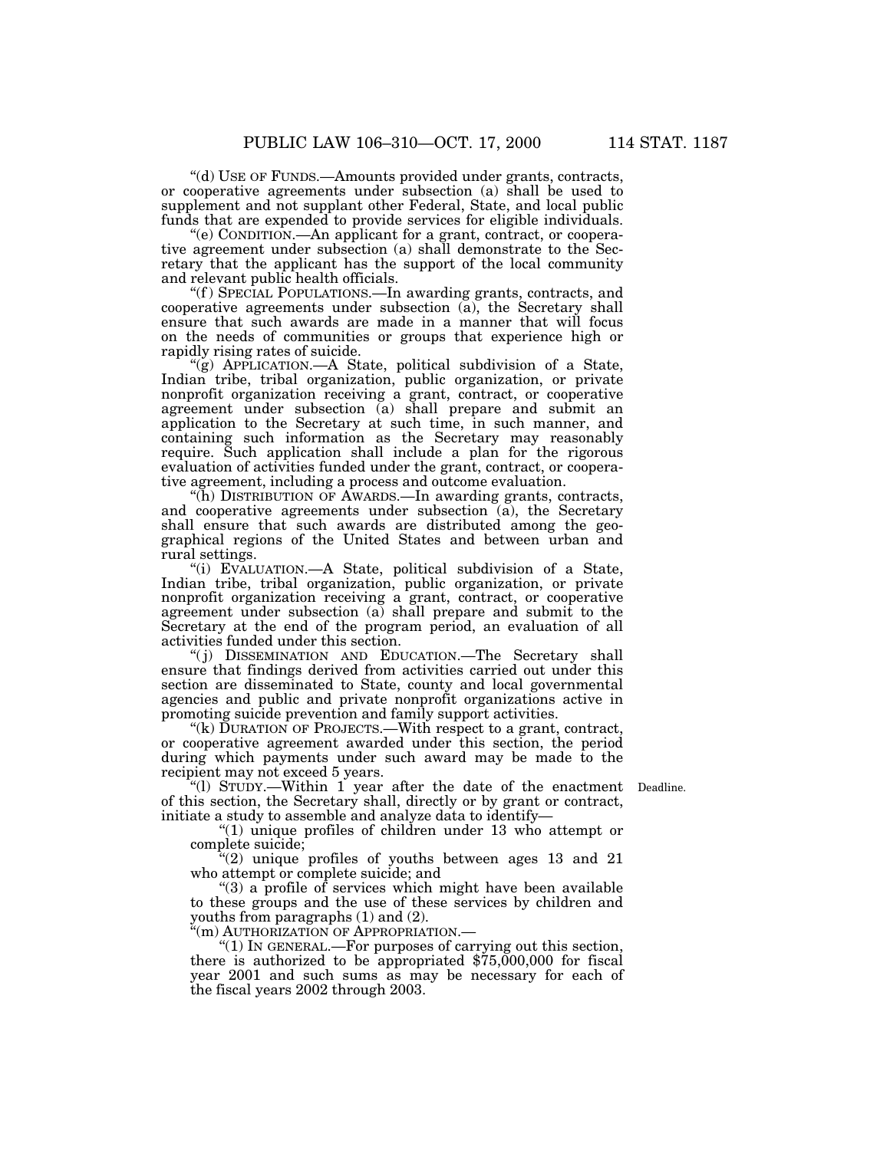''(d) USE OF FUNDS.—Amounts provided under grants, contracts, or cooperative agreements under subsection (a) shall be used to supplement and not supplant other Federal, State, and local public funds that are expended to provide services for eligible individuals.

''(e) CONDITION.—An applicant for a grant, contract, or cooperative agreement under subsection (a) shall demonstrate to the Secretary that the applicant has the support of the local community and relevant public health officials.

''(f ) SPECIAL POPULATIONS.—In awarding grants, contracts, and cooperative agreements under subsection (a), the Secretary shall ensure that such awards are made in a manner that will focus on the needs of communities or groups that experience high or rapidly rising rates of suicide.

"(g) APPLICATION.—A State, political subdivision of a State, Indian tribe, tribal organization, public organization, or private nonprofit organization receiving a grant, contract, or cooperative agreement under subsection (a) shall prepare and submit an application to the Secretary at such time, in such manner, and containing such information as the Secretary may reasonably require. Such application shall include a plan for the rigorous evaluation of activities funded under the grant, contract, or cooperative agreement, including a process and outcome evaluation.

''(h) DISTRIBUTION OF AWARDS.—In awarding grants, contracts, and cooperative agreements under subsection  $(a)$ , the Secretary shall ensure that such awards are distributed among the geographical regions of the United States and between urban and rural settings.

''(i) EVALUATION.—A State, political subdivision of a State, Indian tribe, tribal organization, public organization, or private nonprofit organization receiving a grant, contract, or cooperative agreement under subsection (a) shall prepare and submit to the Secretary at the end of the program period, an evaluation of all activities funded under this section.

"(j) DISSEMINATION AND EDUCATION.—The Secretary shall ensure that findings derived from activities carried out under this section are disseminated to State, county and local governmental agencies and public and private nonprofit organizations active in promoting suicide prevention and family support activities.

"(k)  $\overline{D}$ URATION OF PROJECTS.—With respect to a grant, contract, or cooperative agreement awarded under this section, the period during which payments under such award may be made to the recipient may not exceed 5 years.

''(l) STUDY.—Within 1 year after the date of the enactment Deadline. of this section, the Secretary shall, directly or by grant or contract, initiate a study to assemble and analyze data to identify—

''(1) unique profiles of children under 13 who attempt or complete suicide;

 $(2)$  unique profiles of youths between ages 13 and 21 who attempt or complete suicide; and

''(3) a profile of services which might have been available to these groups and the use of these services by children and youths from paragraphs (1) and (2).

''(m) AUTHORIZATION OF APPROPRIATION.—

"(1) In GENERAL.—For purposes of carrying out this section, there is authorized to be appropriated \$75,000,000 for fiscal year 2001 and such sums as may be necessary for each of the fiscal years 2002 through 2003.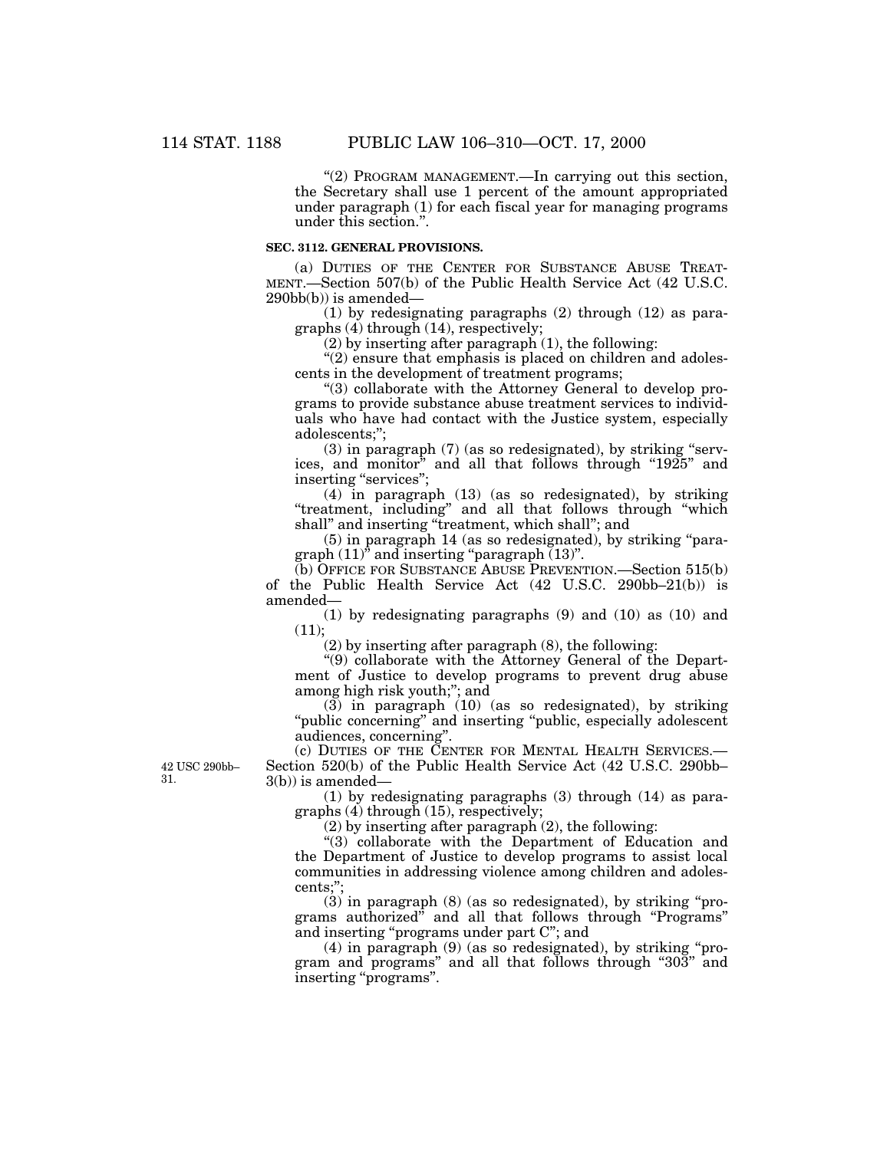"(2) PROGRAM MANAGEMENT.—In carrying out this section, the Secretary shall use 1 percent of the amount appropriated under paragraph (1) for each fiscal year for managing programs under this section."

### **SEC. 3112. GENERAL PROVISIONS.**

(a) DUTIES OF THE CENTER FOR SUBSTANCE ABUSE TREAT-MENT.—Section 507(b) of the Public Health Service Act (42 U.S.C. 290bb(b)) is amended—

(1) by redesignating paragraphs (2) through (12) as paragraphs (4) through (14), respectively;

(2) by inserting after paragraph (1), the following:

 $"(2)$  ensure that emphasis is placed on children and adolescents in the development of treatment programs;

''(3) collaborate with the Attorney General to develop programs to provide substance abuse treatment services to individuals who have had contact with the Justice system, especially adolescents;'';

 $(3)$  in paragraph  $(7)$  (as so redesignated), by striking "services, and monitor<sup>"</sup> and all that follows through "1925" and inserting "services";

(4) in paragraph (13) (as so redesignated), by striking "treatment, including" and all that follows through "which shall" and inserting "treatment, which shall"; and

(5) in paragraph 14 (as so redesignated), by striking ''para $graph (11)'$  and inserting "paragraph  $(13)$ ".

(b) OFFICE FOR SUBSTANCE ABUSE PREVENTION.—Section 515(b) of the Public Health Service Act (42 U.S.C. 290bb–21(b)) is amended—

(1) by redesignating paragraphs (9) and (10) as (10) and  $(11);$ 

(2) by inserting after paragraph (8), the following:

''(9) collaborate with the Attorney General of the Department of Justice to develop programs to prevent drug abuse among high risk youth;"; and

(3) in paragraph (10) (as so redesignated), by striking "public concerning" and inserting "public, especially adolescent audiences, concerning''.

(c) DUTIES OF THE CENTER FOR MENTAL HEALTH SERVICES.— Section 520(b) of the Public Health Service Act (42 U.S.C. 290bb–  $3(b)$ ) is amended-

(1) by redesignating paragraphs (3) through (14) as paragraphs (4) through (15), respectively;

(2) by inserting after paragraph (2), the following:

 $*(3)$  collaborate with the Department of Education and the Department of Justice to develop programs to assist local communities in addressing violence among children and adolescents;'';

 $(3)$  in paragraph  $(8)$  (as so redesignated), by striking "programs authorized'' and all that follows through ''Programs'' and inserting ''programs under part C''; and

(4) in paragraph (9) (as so redesignated), by striking ''program and programs'' and all that follows through ''303'' and inserting ''programs''.

42 USC 290bb– 31.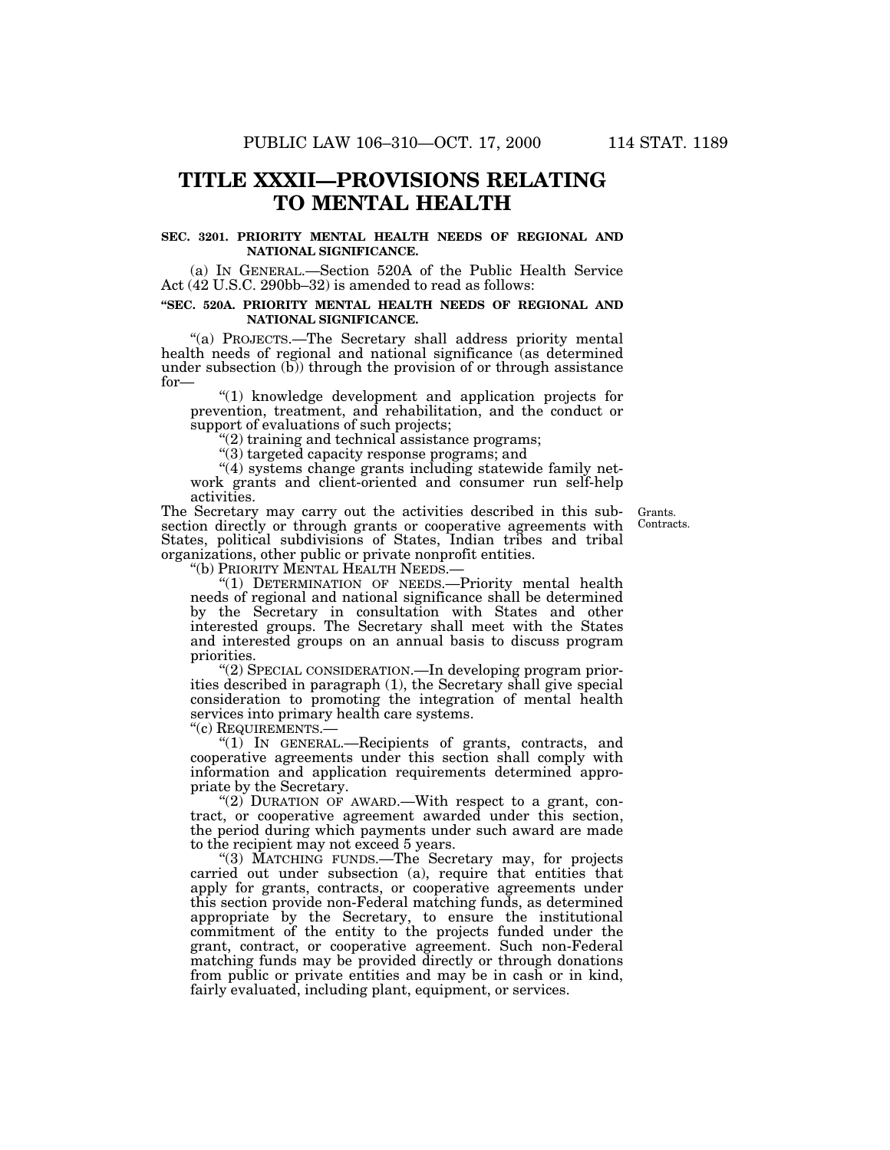## **TITLE XXXII—PROVISIONS RELATING TO MENTAL HEALTH**

#### **SEC. 3201. PRIORITY MENTAL HEALTH NEEDS OF REGIONAL AND NATIONAL SIGNIFICANCE.**

(a) IN GENERAL.—Section 520A of the Public Health Service Act (42 U.S.C. 290bb–32) is amended to read as follows:

#### **''SEC. 520A. PRIORITY MENTAL HEALTH NEEDS OF REGIONAL AND NATIONAL SIGNIFICANCE.**

''(a) PROJECTS.—The Secretary shall address priority mental health needs of regional and national significance (as determined under subsection  $(b)$ ) through the provision of or through assistance for—

''(1) knowledge development and application projects for prevention, treatment, and rehabilitation, and the conduct or support of evaluations of such projects;

 $(2)$  training and technical assistance programs;

''(3) targeted capacity response programs; and

''(4) systems change grants including statewide family network grants and client-oriented and consumer run self-help activities.

The Secretary may carry out the activities described in this sub-Grants. section directly or through grants or cooperative agreements with States, political subdivisions of States, Indian tribes and tribal organizations, other public or private nonprofit entities.<br>"(b) PRIORITY MENTAL HEALTH NEEDS.—

Contracts.

"(1) DETERMINATION OF NEEDS.— Priority mental health needs of regional and national significance shall be determined by the Secretary in consultation with States and other interested groups. The Secretary shall meet with the States and interested groups on an annual basis to discuss program priorities.

''(2) SPECIAL CONSIDERATION.—In developing program priorities described in paragraph (1), the Secretary shall give special consideration to promoting the integration of mental health services into primary health care systems.

''(c) REQUIREMENTS.—

''(1) IN GENERAL.—Recipients of grants, contracts, and cooperative agreements under this section shall comply with information and application requirements determined appropriate by the Secretary.

"(2) DURATION OF AWARD.—With respect to a grant, contract, or cooperative agreement awarded under this section, the period during which payments under such award are made to the recipient may not exceed 5 years.

''(3) MATCHING FUNDS.—The Secretary may, for projects carried out under subsection (a), require that entities that apply for grants, contracts, or cooperative agreements under this section provide non-Federal matching funds, as determined appropriate by the Secretary, to ensure the institutional commitment of the entity to the projects funded under the grant, contract, or cooperative agreement. Such non-Federal matching funds may be provided directly or through donations from public or private entities and may be in cash or in kind, fairly evaluated, including plant, equipment, or services.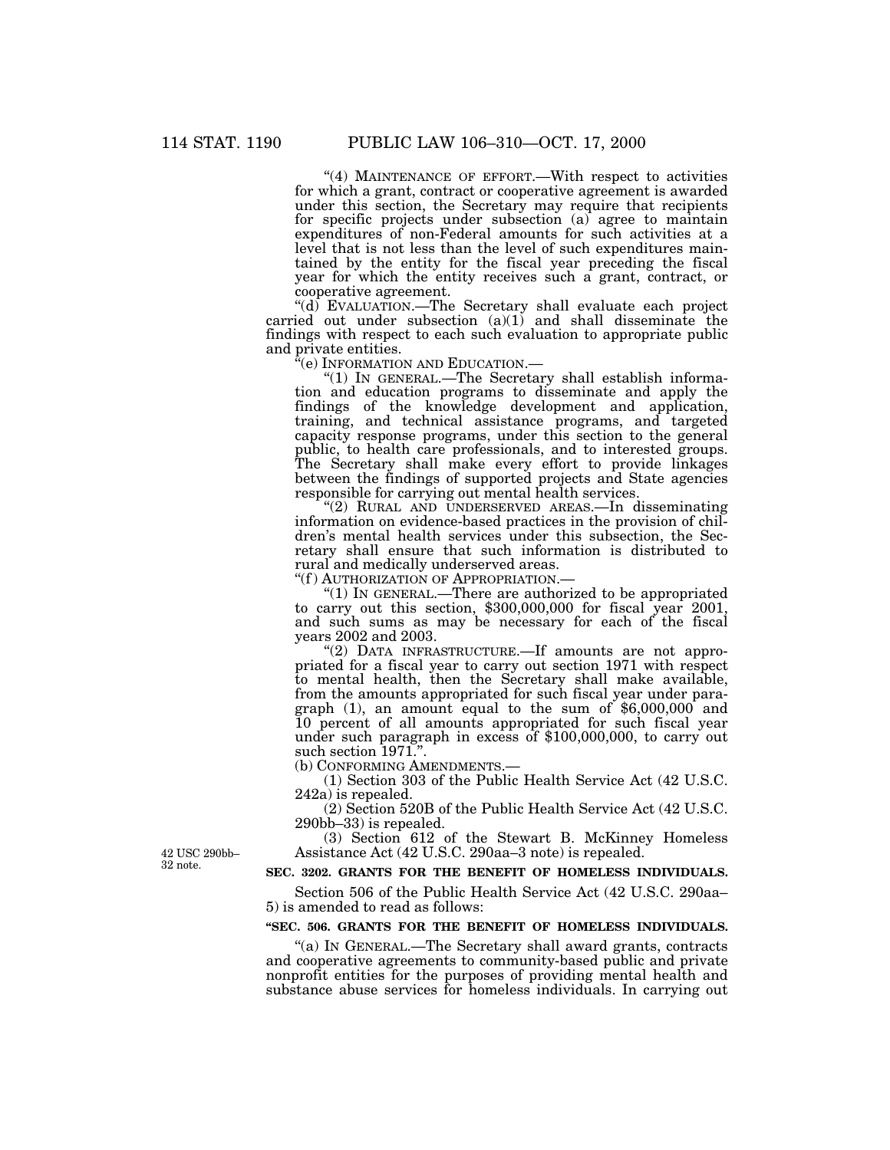"(4) MAINTENANCE OF EFFORT.—With respect to activities for which a grant, contract or cooperative agreement is awarded under this section, the Secretary may require that recipients for specific projects under subsection (a) agree to maintain expenditures of non-Federal amounts for such activities at a level that is not less than the level of such expenditures maintained by the entity for the fiscal year preceding the fiscal year for which the entity receives such a grant, contract, or cooperative agreement.

''(d) EVALUATION.—The Secretary shall evaluate each project carried out under subsection (a)(1) and shall disseminate the findings with respect to each such evaluation to appropriate public and private entities.<br>"(e) INFORMATION AND EDUCATION.—

" $(1)$  IN GENERAL.—The Secretary shall establish information and education programs to disseminate and apply the findings of the knowledge development and application, training, and technical assistance programs, and targeted capacity response programs, under this section to the general public, to health care professionals, and to interested groups. The Secretary shall make every effort to provide linkages between the findings of supported projects and State agencies responsible for carrying out mental health services.

''(2) RURAL AND UNDERSERVED AREAS.—In disseminating information on evidence-based practices in the provision of children's mental health services under this subsection, the Secretary shall ensure that such information is distributed to rural and medically underserved areas.<br>"(f) AUTHORIZATION OF APPROPRIATION.

"(1) IN GENERAL.—There are authorized to be appropriated to carry out this section,  $$300,000,000$  for fiscal year 2001, and such sums as may be necessary for each of the fiscal years 2002 and 2003.

" $(2)$  DATA INFRASTRUCTURE.—If amounts are not appropriated for a fiscal year to carry out section 1971 with respect to mental health, then the Secretary shall make available, from the amounts appropriated for such fiscal year under paragraph (1), an amount equal to the sum of \$6,000,000 and 10 percent of all amounts appropriated for such fiscal year under such paragraph in excess of \$100,000,000, to carry out such section 1971.".<br>(b) CONFORMING AMENDMENTS.-

 $(1)$  Section 303 of the Public Health Service Act  $(42 \text{ U.S.C.})$ 242a) is repealed.

(2) Section 520B of the Public Health Service Act (42 U.S.C. 290bb–33) is repealed.

(3) Section 612 of the Stewart B. McKinney Homeless Assistance Act (42 U.S.C. 290aa–3 note) is repealed.

42 USC 290bb-32 note.

## **SEC. 3202. GRANTS FOR THE BENEFIT OF HOMELESS INDIVIDUALS.**

Section 506 of the Public Health Service Act (42 U.S.C. 290aa– 5) is amended to read as follows:

#### **''SEC. 506. GRANTS FOR THE BENEFIT OF HOMELESS INDIVIDUALS.**

''(a) IN GENERAL.—The Secretary shall award grants, contracts and cooperative agreements to community-based public and private nonprofit entities for the purposes of providing mental health and substance abuse services for homeless individuals. In carrying out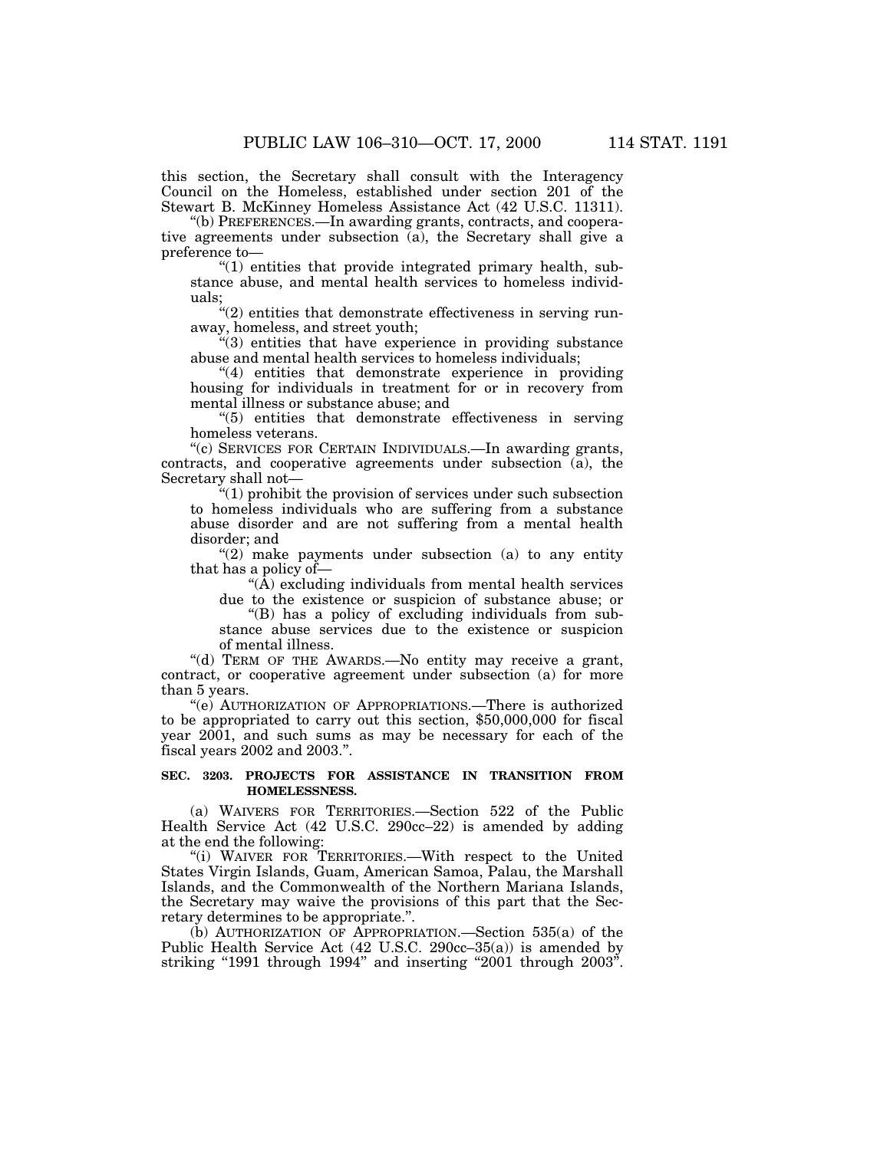this section, the Secretary shall consult with the Interagency Council on the Homeless, established under section 201 of the Stewart B. McKinney Homeless Assistance Act (42 U.S.C. 11311).

''(b) PREFERENCES.—In awarding grants, contracts, and cooperative agreements under subsection (a), the Secretary shall give a preference to—

"(1) entities that provide integrated primary health, substance abuse, and mental health services to homeless individuals;

 $f''(2)$  entities that demonstrate effectiveness in serving runaway, homeless, and street youth;

''(3) entities that have experience in providing substance abuse and mental health services to homeless individuals;

"(4) entities that demonstrate experience in providing housing for individuals in treatment for or in recovery from mental illness or substance abuse; and

''(5) entities that demonstrate effectiveness in serving homeless veterans.

''(c) SERVICES FOR CERTAIN INDIVIDUALS.—In awarding grants, contracts, and cooperative agreements under subsection (a), the Secretary shall not—

''(1) prohibit the provision of services under such subsection to homeless individuals who are suffering from a substance abuse disorder and are not suffering from a mental health disorder; and

" $(2)$  make payments under subsection  $(a)$  to any entity that has a policy of—

''(A) excluding individuals from mental health services due to the existence or suspicion of substance abuse; or

''(B) has a policy of excluding individuals from substance abuse services due to the existence or suspicion of mental illness.

"(d) TERM OF THE AWARDS.-No entity may receive a grant, contract, or cooperative agreement under subsection (a) for more than 5 years.

''(e) AUTHORIZATION OF APPROPRIATIONS.—There is authorized to be appropriated to carry out this section, \$50,000,000 for fiscal year 2001, and such sums as may be necessary for each of the fiscal years 2002 and 2003.''.

### **SEC. 3203. PROJECTS FOR ASSISTANCE IN TRANSITION FROM HOMELESSNESS.**

(a) WAIVERS FOR TERRITORIES.—Section 522 of the Public Health Service Act (42 U.S.C. 290cc–22) is amended by adding at the end the following:

''(i) WAIVER FOR TERRITORIES.—With respect to the United States Virgin Islands, Guam, American Samoa, Palau, the Marshall Islands, and the Commonwealth of the Northern Mariana Islands, the Secretary may waive the provisions of this part that the Secretary determines to be appropriate.''.

(b) AUTHORIZATION OF APPROPRIATION.—Section 535(a) of the Public Health Service Act (42 U.S.C. 290cc–35(a)) is amended by striking "1991 through  $1994$ " and inserting "2001 through  $2003$ ".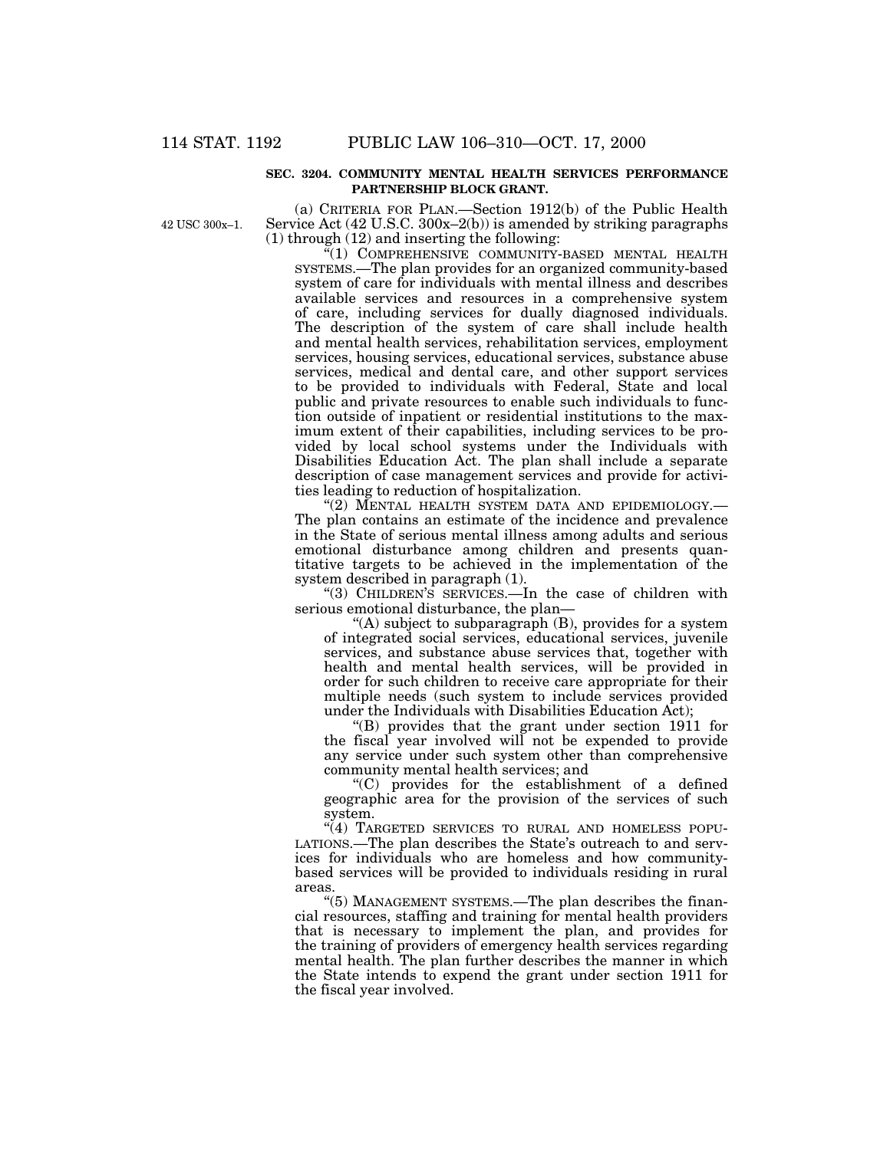#### **SEC. 3204. COMMUNITY MENTAL HEALTH SERVICES PERFORMANCE PARTNERSHIP BLOCK GRANT.**

42 USC 300x–1.

(a) CRITERIA FOR PLAN.—Section 1912(b) of the Public Health Service Act (42 U.S.C. 300x–2(b)) is amended by striking paragraphs (1) through (12) and inserting the following:

 $\sqrt{m}(1)$  COMPREHENSIVE COMMUNITY-BASED MENTAL HEALTH SYSTEMS.—The plan provides for an organized community-based system of care for individuals with mental illness and describes available services and resources in a comprehensive system of care, including services for dually diagnosed individuals. The description of the system of care shall include health and mental health services, rehabilitation services, employment services, housing services, educational services, substance abuse services, medical and dental care, and other support services to be provided to individuals with Federal, State and local public and private resources to enable such individuals to function outside of inpatient or residential institutions to the maximum extent of their capabilities, including services to be provided by local school systems under the Individuals with Disabilities Education Act. The plan shall include a separate description of case management services and provide for activities leading to reduction of hospitalization.

"(2) MENTAL HEALTH SYSTEM DATA AND EPIDEMIOLOGY.— The plan contains an estimate of the incidence and prevalence in the State of serious mental illness among adults and serious emotional disturbance among children and presents quantitative targets to be achieved in the implementation of the system described in paragraph (1).

''(3) CHILDREN'S SERVICES.—In the case of children with serious emotional disturbance, the plan—

''(A) subject to subparagraph (B), provides for a system of integrated social services, educational services, juvenile services, and substance abuse services that, together with health and mental health services, will be provided in order for such children to receive care appropriate for their multiple needs (such system to include services provided under the Individuals with Disabilities Education Act);

''(B) provides that the grant under section 1911 for the fiscal year involved will not be expended to provide any service under such system other than comprehensive community mental health services; and

''(C) provides for the establishment of a defined geographic area for the provision of the services of such system.

"(4) TARGETED SERVICES TO RURAL AND HOMELESS POPU-LATIONS.—The plan describes the State's outreach to and services for individuals who are homeless and how communitybased services will be provided to individuals residing in rural areas.

"(5) MANAGEMENT SYSTEMS.—The plan describes the financial resources, staffing and training for mental health providers that is necessary to implement the plan, and provides for the training of providers of emergency health services regarding mental health. The plan further describes the manner in which the State intends to expend the grant under section 1911 for the fiscal year involved.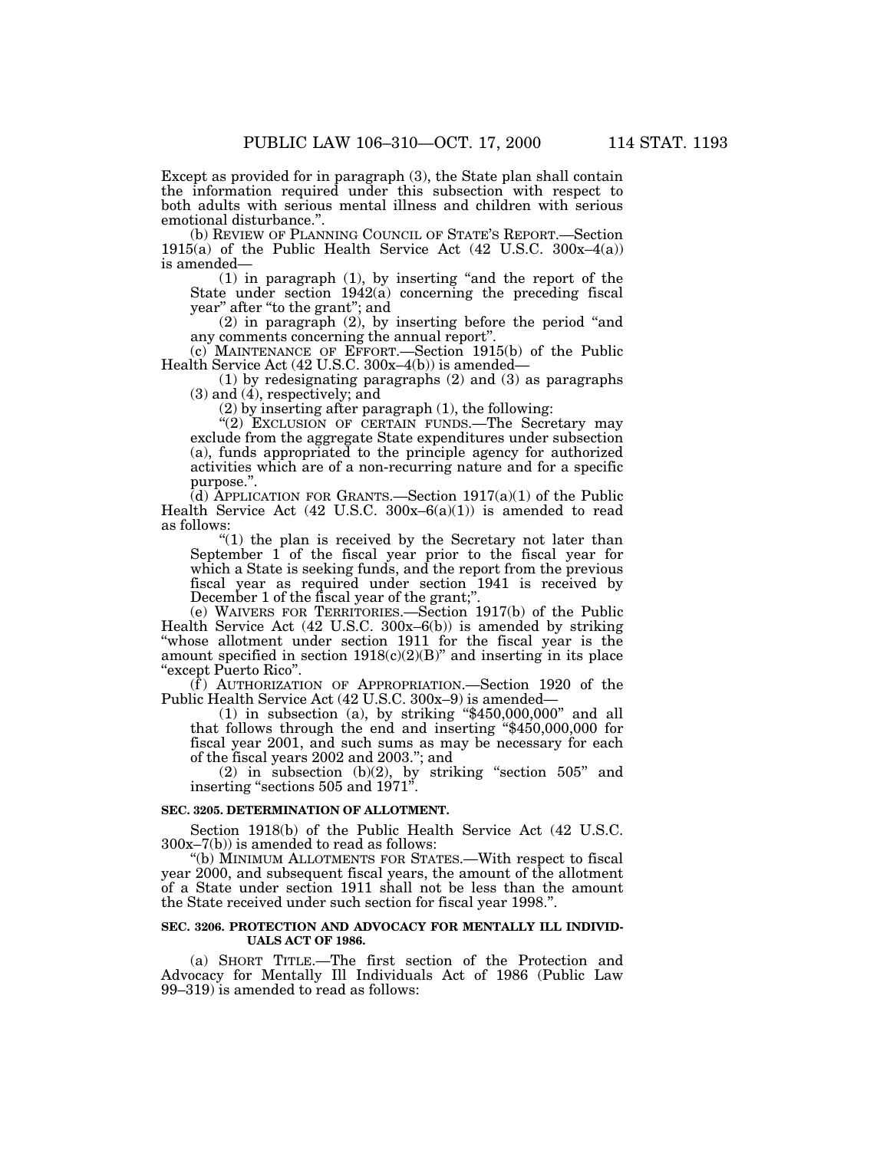Except as provided for in paragraph (3), the State plan shall contain the information required under this subsection with respect to both adults with serious mental illness and children with serious emotional disturbance.''.

(b) REVIEW OF PLANNING COUNCIL OF STATE'S REPORT.—Section 1915(a) of the Public Health Service Act  $(42 \text{ U.S.C. } 300x-4(a))$ is amended—

(1) in paragraph (1), by inserting ''and the report of the State under section 1942(a) concerning the preceding fiscal year'' after ''to the grant''; and

(2) in paragraph (2), by inserting before the period ''and any comments concerning the annual report''.

(c) MAINTENANCE OF EFFORT.—Section 1915(b) of the Public Health Service Act (42 U.S.C. 300x–4(b)) is amended—

(1) by redesignating paragraphs (2) and (3) as paragraphs (3) and (4), respectively; and

(2) by inserting after paragraph (1), the following:

"(2) EXCLUSION OF CERTAIN FUNDS.—The Secretary may exclude from the aggregate State expenditures under subsection (a), funds appropriated to the principle agency for authorized activities which are of a non-recurring nature and for a specific purpose."

(d) APPLICATION FOR GRANTS.—Section  $1917(a)(1)$  of the Public Health Service Act (42 U.S.C. 300x–6(a)(1)) is amended to read as follows:

 $(1)$  the plan is received by the Secretary not later than September 1 of the fiscal year prior to the fiscal year for which a State is seeking funds, and the report from the previous fiscal year as required under section 1941 is received by December 1 of the fiscal year of the grant;''.

(e) WAIVERS FOR TERRITORIES.—Section 1917(b) of the Public Health Service Act (42 U.S.C. 300x–6(b)) is amended by striking "whose allotment under section 1911 for the fiscal year is the amount specified in section  $1918(c)(2)(B)$ " and inserting in its place ''except Puerto Rico''.

 $(f)$  AUTHORIZATION OF APPROPRIATION.—Section 1920 of the Public Health Service Act (42 U.S.C. 300x–9) is amended—

 $(1)$  in subsection  $(a)$ , by striking "\$450,000,000" and all that follows through the end and inserting ''\$450,000,000 for fiscal year 2001, and such sums as may be necessary for each of the fiscal years 2002 and 2003.''; and

(2) in subsection  $(b)(2)$ , by striking "section  $505$ " and inserting "sections 505 and 1971".

## **SEC. 3205. DETERMINATION OF ALLOTMENT.**

Section 1918(b) of the Public Health Service Act (42 U.S.C. 300x–7(b)) is amended to read as follows:

''(b) MINIMUM ALLOTMENTS FOR STATES.—With respect to fiscal year 2000, and subsequent fiscal years, the amount of the allotment of a State under section 1911 shall not be less than the amount the State received under such section for fiscal year 1998.''.

#### **SEC. 3206. PROTECTION AND ADVOCACY FOR MENTALLY ILL INDIVID-UALS ACT OF 1986.**

(a) SHORT TITLE.—The first section of the Protection and Advocacy for Mentally Ill Individuals Act of 1986 (Public Law 99–319) is amended to read as follows: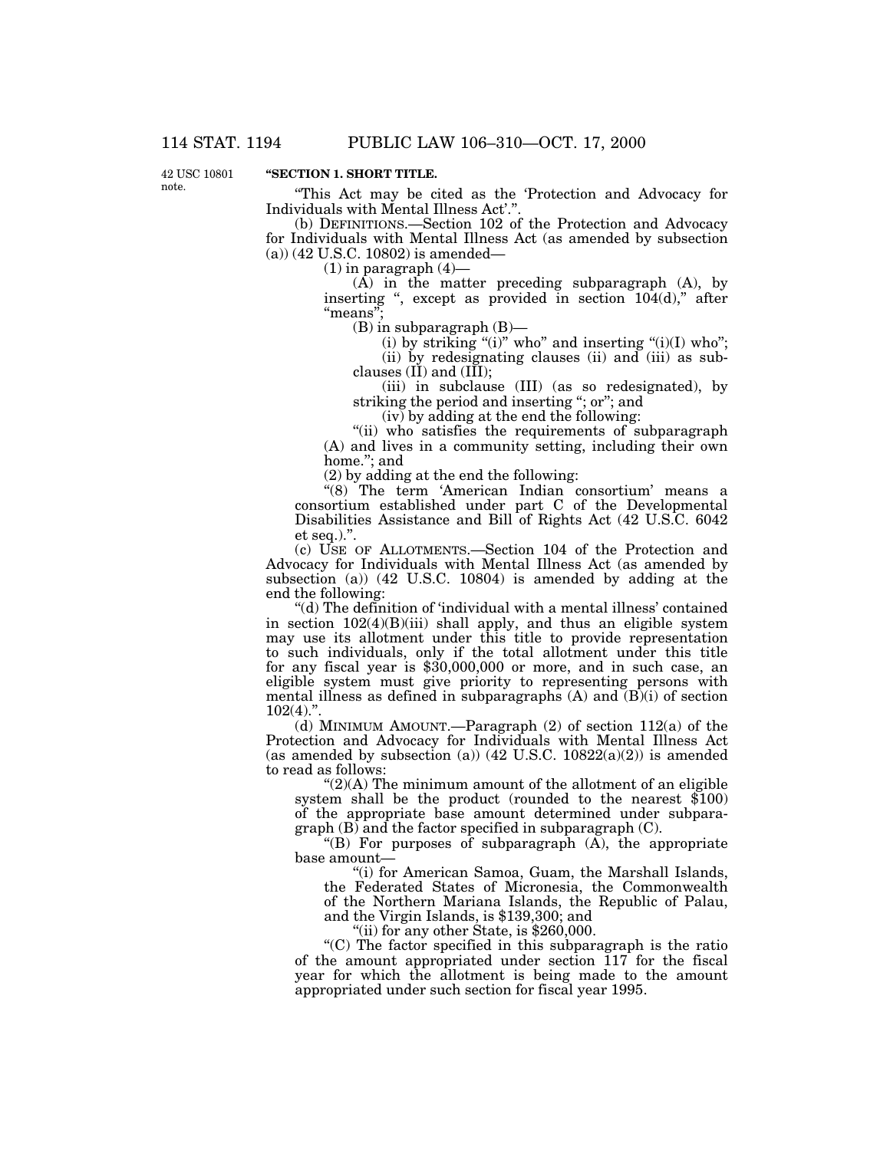42 USC 10801 note.

## **''SECTION 1. SHORT TITLE.**

''This Act may be cited as the 'Protection and Advocacy for Individuals with Mental Illness Act'.''.

(b) DEFINITIONS.—Section 102 of the Protection and Advocacy for Individuals with Mental Illness Act (as amended by subsection (a)) (42 U.S.C. 10802) is amended—

 $(1)$  in paragraph  $(4)$ —

(A) in the matter preceding subparagraph (A), by inserting ", except as provided in section 104(d)," after "means"

(B) in subparagraph (B)—

(i) by striking "(i)" who" and inserting " $(i)(I)$  who"; (ii) by redesignating clauses (ii) and (iii) as subclauses  $(II)$  and  $(III)$ ;

(iii) in subclause (III) (as so redesignated), by striking the period and inserting "; or"; and

(iv) by adding at the end the following:

"(ii) who satisfies the requirements of subparagraph (A) and lives in a community setting, including their own home.''; and

(2) by adding at the end the following:

"(8) The term 'American Indian consortium' means a consortium established under part C of the Developmental Disabilities Assistance and Bill of Rights Act (42 U.S.C. 6042 et seq.).''.

(c) USE OF ALLOTMENTS.—Section 104 of the Protection and Advocacy for Individuals with Mental Illness Act (as amended by subsection (a)) (42 U.S.C. 10804) is amended by adding at the end the following:

''(d) The definition of 'individual with a mental illness' contained in section 102(4)(B)(iii) shall apply, and thus an eligible system may use its allotment under this title to provide representation to such individuals, only if the total allotment under this title for any fiscal year is \$30,000,000 or more, and in such case, an eligible system must give priority to representing persons with mental illness as defined in subparagraphs (A) and (B)(i) of section  $102(4)$ ."

 $(d)$  MINIMUM AMOUNT.—Paragraph  $(2)$  of section 112 $(a)$  of the Protection and Advocacy for Individuals with Mental Illness Act (as amended by subsection (a))  $(42 \text{ U.S.C. } 10822(a)(2))$  is amended to read as follows:

 $\degree$ (2)(A) The minimum amount of the allotment of an eligible system shall be the product (rounded to the nearest \$100) of the appropriate base amount determined under subpara $graph (B)$  and the factor specified in subparagraph  $(C)$ .

''(B) For purposes of subparagraph (A), the appropriate base amount—

"(i) for American Samoa, Guam, the Marshall Islands, the Federated States of Micronesia, the Commonwealth of the Northern Mariana Islands, the Republic of Palau, and the Virgin Islands, is \$139,300; and

"(ii) for any other State, is  $$260,000$ .

''(C) The factor specified in this subparagraph is the ratio of the amount appropriated under section 117 for the fiscal year for which the allotment is being made to the amount appropriated under such section for fiscal year 1995.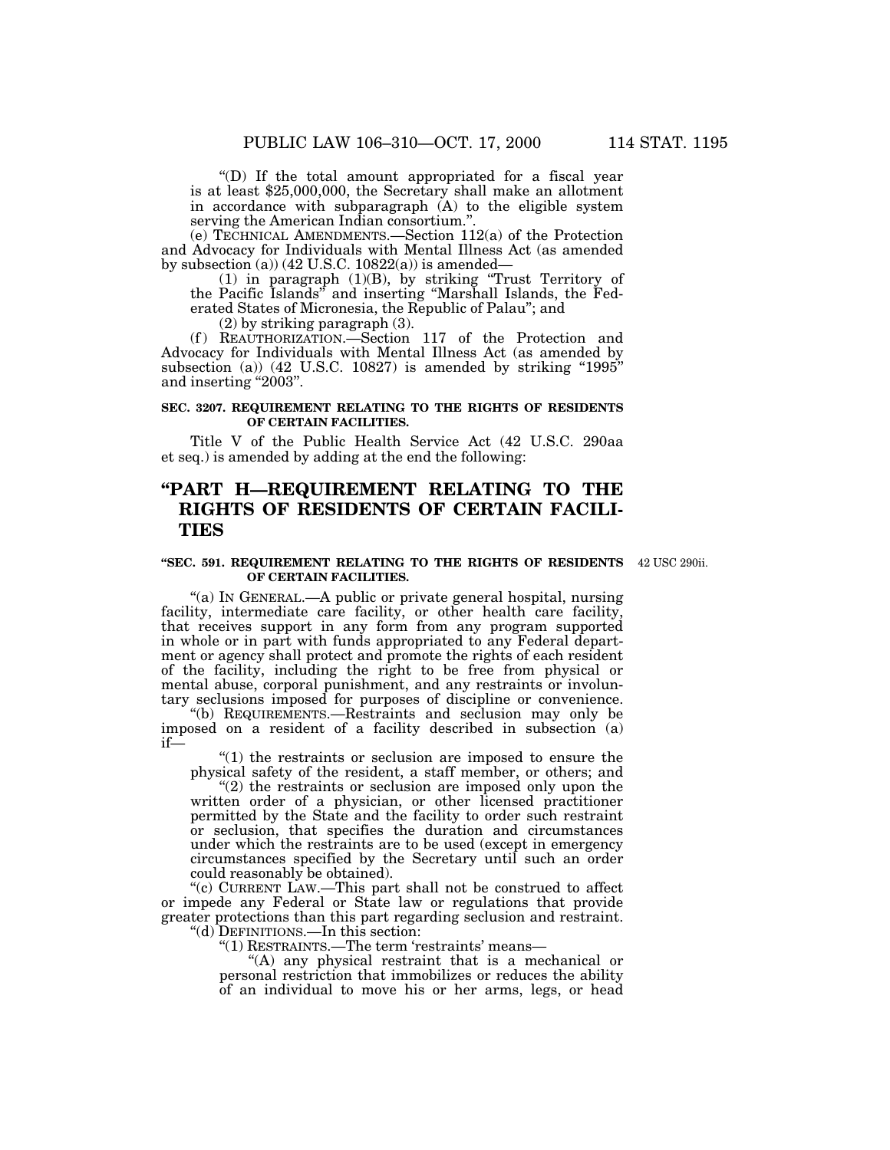''(D) If the total amount appropriated for a fiscal year is at least \$25,000,000, the Secretary shall make an allotment in accordance with subparagraph (A) to the eligible system serving the American Indian consortium."

(e) TECHNICAL AMENDMENTS.—Section 112(a) of the Protection and Advocacy for Individuals with Mental Illness Act (as amended by subsection (a))  $(42 \text{ U.S.C. } 10822(a))$  is amended—

(1) in paragraph (1)(B), by striking ''Trust Territory of the Pacific Islands'' and inserting ''Marshall Islands, the Federated States of Micronesia, the Republic of Palau''; and

(2) by striking paragraph (3).

(f) REAUTHORIZATION.-Section 117 of the Protection and Advocacy for Individuals with Mental Illness Act (as amended by subsection (a))  $(42 \text{ U.S.C. } 10827)$  is amended by striking "1995" and inserting ''2003''.

#### **SEC. 3207. REQUIREMENT RELATING TO THE RIGHTS OF RESIDENTS OF CERTAIN FACILITIES.**

Title V of the Public Health Service Act (42 U.S.C. 290aa et seq.) is amended by adding at the end the following:

## **''PART H—REQUIREMENT RELATING TO THE RIGHTS OF RESIDENTS OF CERTAIN FACILI-TIES**

#### **''SEC. 591. REQUIREMENT RELATING TO THE RIGHTS OF RESIDENTS** 42 USC 290ii. **OF CERTAIN FACILITIES.**

''(a) IN GENERAL.—A public or private general hospital, nursing facility, intermediate care facility, or other health care facility, that receives support in any form from any program supported in whole or in part with funds appropriated to any Federal department or agency shall protect and promote the rights of each resident of the facility, including the right to be free from physical or mental abuse, corporal punishment, and any restraints or involuntary seclusions imposed for purposes of discipline or convenience.

''(b) REQUIREMENTS.—Restraints and seclusion may only be imposed on a resident of a facility described in subsection (a) if—

 $(1)$  the restraints or seclusion are imposed to ensure the physical safety of the resident, a staff member, or others; and

"(2) the restraints or seclusion are imposed only upon the written order of a physician, or other licensed practitioner permitted by the State and the facility to order such restraint or seclusion, that specifies the duration and circumstances under which the restraints are to be used (except in emergency circumstances specified by the Secretary until such an order could reasonably be obtained).

''(c) CURRENT LAW.—This part shall not be construed to affect or impede any Federal or State law or regulations that provide greater protections than this part regarding seclusion and restraint.

''(d) DEFINITIONS.—In this section:

''(1) RESTRAINTS.—The term 'restraints' means—

"(A) any physical restraint that is a mechanical or personal restriction that immobilizes or reduces the ability of an individual to move his or her arms, legs, or head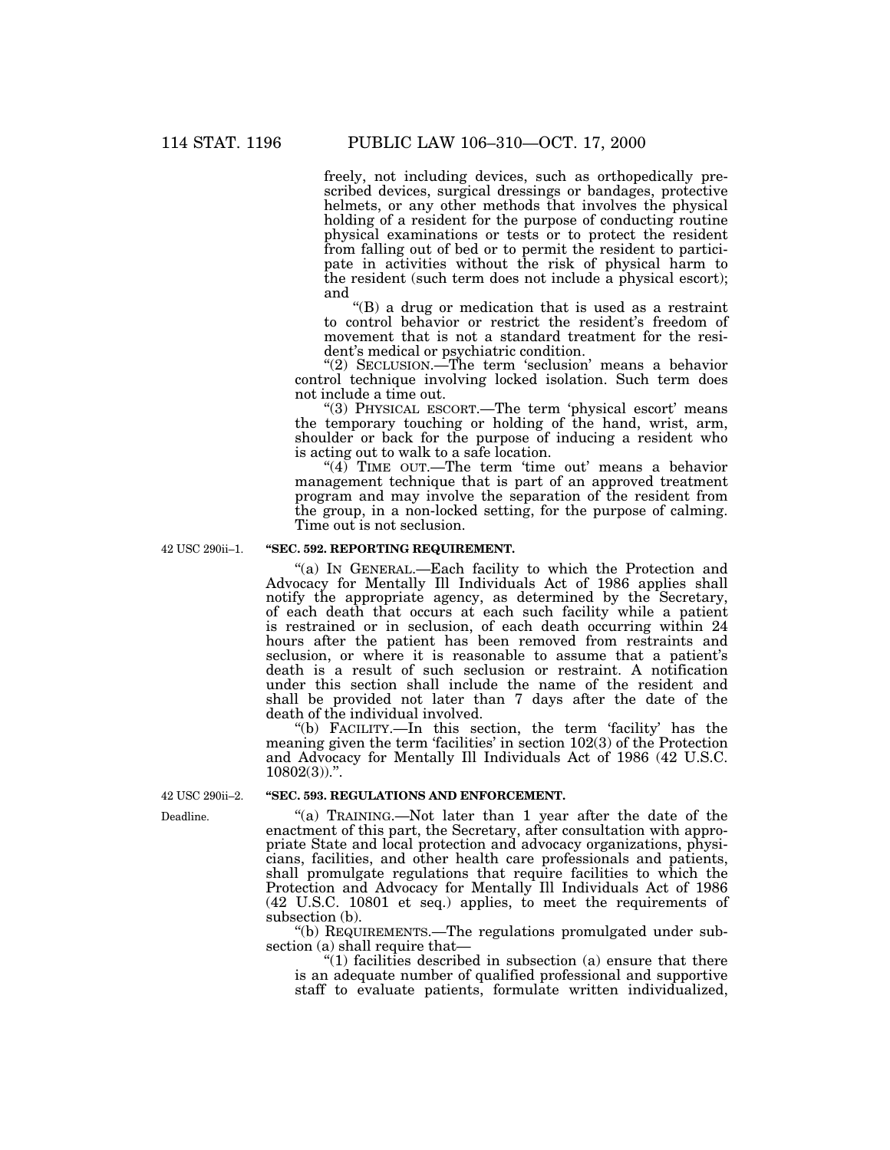freely, not including devices, such as orthopedically prescribed devices, surgical dressings or bandages, protective helmets, or any other methods that involves the physical holding of a resident for the purpose of conducting routine physical examinations or tests or to protect the resident from falling out of bed or to permit the resident to participate in activities without the risk of physical harm to the resident (such term does not include a physical escort); and

''(B) a drug or medication that is used as a restraint to control behavior or restrict the resident's freedom of movement that is not a standard treatment for the resident's medical or psychiatric condition.

"(2) SECLUSION.—The term 'seclusion' means a behavior control technique involving locked isolation. Such term does not include a time out.

"(3) PHYSICAL ESCORT.—The term 'physical escort' means the temporary touching or holding of the hand, wrist, arm, shoulder or back for the purpose of inducing a resident who is acting out to walk to a safe location.

"(4) TIME OUT.—The term 'time out' means a behavior management technique that is part of an approved treatment program and may involve the separation of the resident from the group, in a non-locked setting, for the purpose of calming. Time out is not seclusion.

42 USC 290ii–1.

### **''SEC. 592. REPORTING REQUIREMENT.**

''(a) IN GENERAL.—Each facility to which the Protection and Advocacy for Mentally Ill Individuals Act of 1986 applies shall notify the appropriate agency, as determined by the Secretary, of each death that occurs at each such facility while a patient is restrained or in seclusion, of each death occurring within 24 hours after the patient has been removed from restraints and seclusion, or where it is reasonable to assume that a patient's death is a result of such seclusion or restraint. A notification under this section shall include the name of the resident and shall be provided not later than 7 days after the date of the death of the individual involved.

''(b) FACILITY.—In this section, the term 'facility' has the meaning given the term 'facilities' in section 102(3) of the Protection and Advocacy for Mentally Ill Individuals Act of 1986 (42 U.S.C.  $10802(3)$ .".

#### **''SEC. 593. REGULATIONS AND ENFORCEMENT.**

"(a) TRAINING.—Not later than 1 year after the date of the enactment of this part, the Secretary, after consultation with appropriate State and local protection and advocacy organizations, physicians, facilities, and other health care professionals and patients, shall promulgate regulations that require facilities to which the Protection and Advocacy for Mentally Ill Individuals Act of 1986 (42 U.S.C. 10801 et seq.) applies, to meet the requirements of subsection (b).

''(b) REQUIREMENTS.—The regulations promulgated under subsection (a) shall require that—

" $(1)$  facilities described in subsection  $(a)$  ensure that there is an adequate number of qualified professional and supportive staff to evaluate patients, formulate written individualized,

42 USC 290ii–2.

Deadline.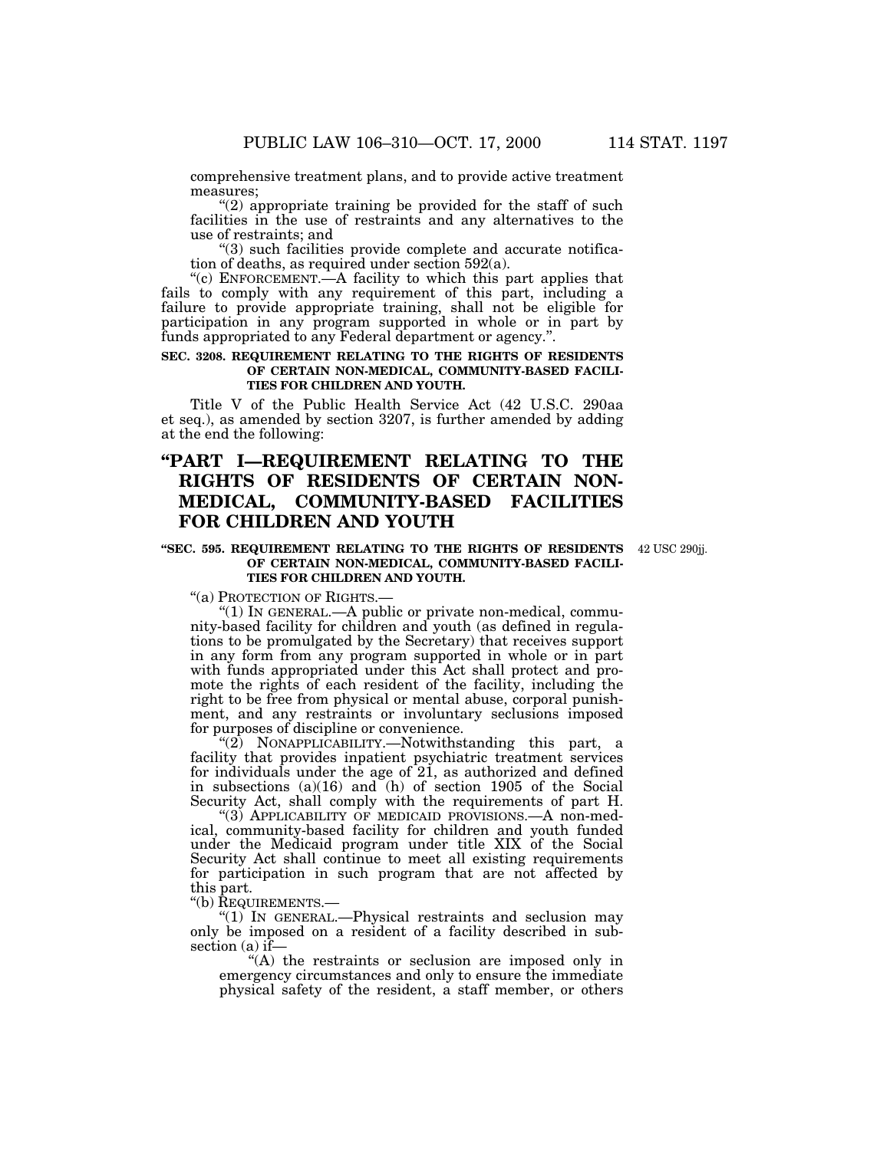comprehensive treatment plans, and to provide active treatment measures;

" $(2)$  appropriate training be provided for the staff of such facilities in the use of restraints and any alternatives to the use of restraints; and

''(3) such facilities provide complete and accurate notification of deaths, as required under section 592(a).

"(c) ENFORCEMENT.—A facility to which this part applies that fails to comply with any requirement of this part, including a failure to provide appropriate training, shall not be eligible for participation in any program supported in whole or in part by funds appropriated to any Federal department or agency.''.

#### **SEC. 3208. REQUIREMENT RELATING TO THE RIGHTS OF RESIDENTS OF CERTAIN NON-MEDICAL, COMMUNITY-BASED FACILI-TIES FOR CHILDREN AND YOUTH.**

Title V of the Public Health Service Act (42 U.S.C. 290aa et seq.), as amended by section 3207, is further amended by adding at the end the following:

## **''PART I—REQUIREMENT RELATING TO THE RIGHTS OF RESIDENTS OF CERTAIN NON-MEDICAL, COMMUNITY-BASED FACILITIES FOR CHILDREN AND YOUTH**

#### **''SEC. 595. REQUIREMENT RELATING TO THE RIGHTS OF RESIDENTS** 42 USC 290jj. **OF CERTAIN NON-MEDICAL, COMMUNITY-BASED FACILI-TIES FOR CHILDREN AND YOUTH.**

"(a) PROTECTION OF RIGHTS.-

''(1) IN GENERAL.—A public or private non-medical, community-based facility for children and youth (as defined in regulations to be promulgated by the Secretary) that receives support in any form from any program supported in whole or in part with funds appropriated under this Act shall protect and promote the rights of each resident of the facility, including the right to be free from physical or mental abuse, corporal punishment, and any restraints or involuntary seclusions imposed for purposes of discipline or convenience.

"(2) NONAPPLICABILITY.—Notwithstanding this part, a facility that provides inpatient psychiatric treatment services for individuals under the age of 21, as authorized and defined in subsections (a)(16) and (h) of section 1905 of the Social Security Act, shall comply with the requirements of part H.

"(3) APPLICABILITY OF MEDICAID PROVISIONS.—A non-medical, community-based facility for children and youth funded under the Medicaid program under title XIX of the Social Security Act shall continue to meet all existing requirements for participation in such program that are not affected by this part.

''(b) REQUIREMENTS.—

''(1) IN GENERAL.—Physical restraints and seclusion may only be imposed on a resident of a facility described in subsection (a) if—

''(A) the restraints or seclusion are imposed only in emergency circumstances and only to ensure the immediate physical safety of the resident, a staff member, or others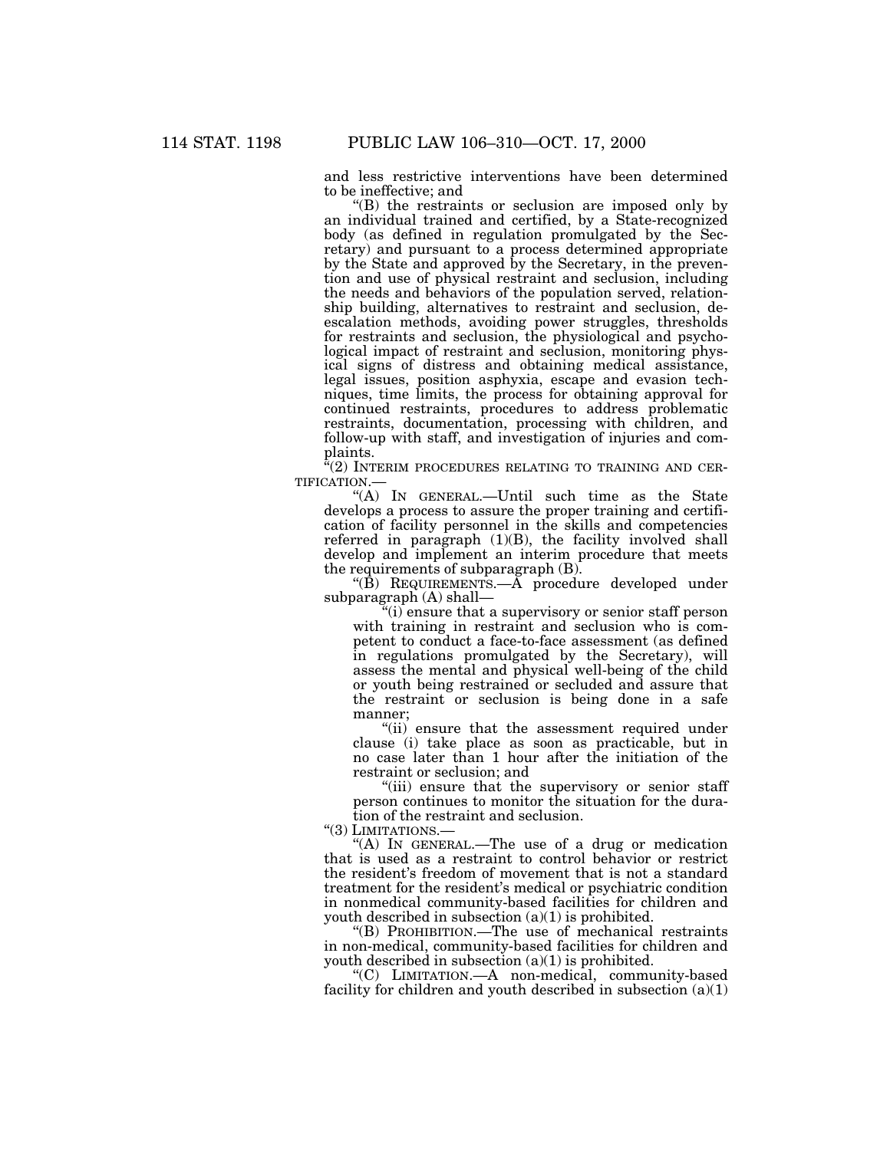and less restrictive interventions have been determined to be ineffective; and

''(B) the restraints or seclusion are imposed only by an individual trained and certified, by a State-recognized body (as defined in regulation promulgated by the Secretary) and pursuant to a process determined appropriate by the State and approved by the Secretary, in the prevention and use of physical restraint and seclusion, including the needs and behaviors of the population served, relationship building, alternatives to restraint and seclusion, deescalation methods, avoiding power struggles, thresholds for restraints and seclusion, the physiological and psychological impact of restraint and seclusion, monitoring physical signs of distress and obtaining medical assistance, legal issues, position asphyxia, escape and evasion techniques, time limits, the process for obtaining approval for continued restraints, procedures to address problematic restraints, documentation, processing with children, and follow-up with staff, and investigation of injuries and complaints.

 $\sqrt[\alpha]{2}$  INTERIM PROCEDURES RELATING TO TRAINING AND CER-TIFICATION.—

''(A) IN GENERAL.—Until such time as the State develops a process to assure the proper training and certification of facility personnel in the skills and competencies referred in paragraph  $(1)(B)$ , the facility involved shall develop and implement an interim procedure that meets the requirements of subparagraph (B).

 $\angle$ "(B) REQUIREMENTS.— $\overline{A}$  procedure developed under subparagraph (A) shall—

''(i) ensure that a supervisory or senior staff person with training in restraint and seclusion who is competent to conduct a face-to-face assessment (as defined in regulations promulgated by the Secretary), will assess the mental and physical well-being of the child or youth being restrained or secluded and assure that the restraint or seclusion is being done in a safe manner;

''(ii) ensure that the assessment required under clause (i) take place as soon as practicable, but in no case later than 1 hour after the initiation of the restraint or seclusion; and

"(iii) ensure that the supervisory or senior staff person continues to monitor the situation for the duration of the restraint and seclusion.

"(3) LIMITATIONS.-

''(A) IN GENERAL.—The use of a drug or medication that is used as a restraint to control behavior or restrict the resident's freedom of movement that is not a standard treatment for the resident's medical or psychiatric condition in nonmedical community-based facilities for children and youth described in subsection (a)(1) is prohibited.

''(B) PROHIBITION.—The use of mechanical restraints in non-medical, community-based facilities for children and youth described in subsection  $(a)(1)$  is prohibited.

''(C) LIMITATION.—A non-medical, community-based facility for children and youth described in subsection  $(a)(1)$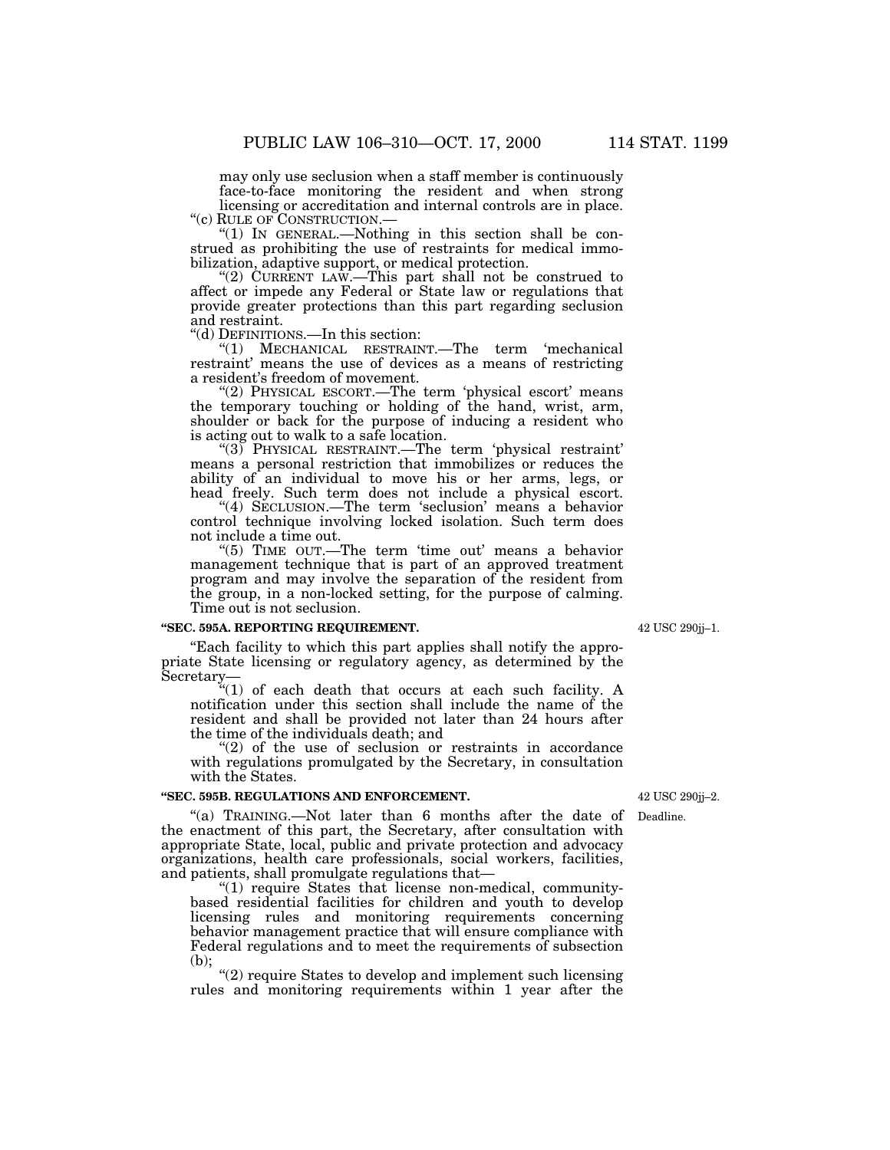may only use seclusion when a staff member is continuously face-to-face monitoring the resident and when strong licensing or accreditation and internal controls are in place.

''(c) RULE OF CONSTRUCTION.— ''(1) IN GENERAL.—Nothing in this section shall be construed as prohibiting the use of restraints for medical immobilization, adaptive support, or medical protection.

''(2) CURRENT LAW.—This part shall not be construed to affect or impede any Federal or State law or regulations that provide greater protections than this part regarding seclusion and restraint.

''(d) DEFINITIONS.—In this section:

''(1) MECHANICAL RESTRAINT.—The term 'mechanical restraint' means the use of devices as a means of restricting a resident's freedom of movement.

"(2) PHYSICAL ESCORT.—The term 'physical escort' means the temporary touching or holding of the hand, wrist, arm, shoulder or back for the purpose of inducing a resident who is acting out to walk to a safe location.

"(3) PHYSICAL RESTRAINT.—The term 'physical restraint' means a personal restriction that immobilizes or reduces the ability of an individual to move his or her arms, legs, or head freely. Such term does not include a physical escort.

"(4) SECLUSION.—The term 'seclusion' means a behavior control technique involving locked isolation. Such term does not include a time out.

''(5) TIME OUT.—The term 'time out' means a behavior management technique that is part of an approved treatment program and may involve the separation of the resident from the group, in a non-locked setting, for the purpose of calming. Time out is not seclusion.

### **''SEC. 595A. REPORTING REQUIREMENT.**

''Each facility to which this part applies shall notify the appropriate State licensing or regulatory agency, as determined by the Secretary—

''(1) of each death that occurs at each such facility. A notification under this section shall include the name of the resident and shall be provided not later than 24 hours after the time of the individuals death; and

 $(2)$  of the use of seclusion or restraints in accordance with regulations promulgated by the Secretary, in consultation with the States.

#### **''SEC. 595B. REGULATIONS AND ENFORCEMENT.**

"(a) TRAINING.—Not later than 6 months after the date of Deadline. the enactment of this part, the Secretary, after consultation with appropriate State, local, public and private protection and advocacy organizations, health care professionals, social workers, facilities, and patients, shall promulgate regulations that—

"(1) require States that license non-medical, communitybased residential facilities for children and youth to develop licensing rules and monitoring requirements concerning behavior management practice that will ensure compliance with Federal regulations and to meet the requirements of subsection (b);

''(2) require States to develop and implement such licensing rules and monitoring requirements within 1 year after the

42 USC 290jj–1.

42 USC 290jj–2.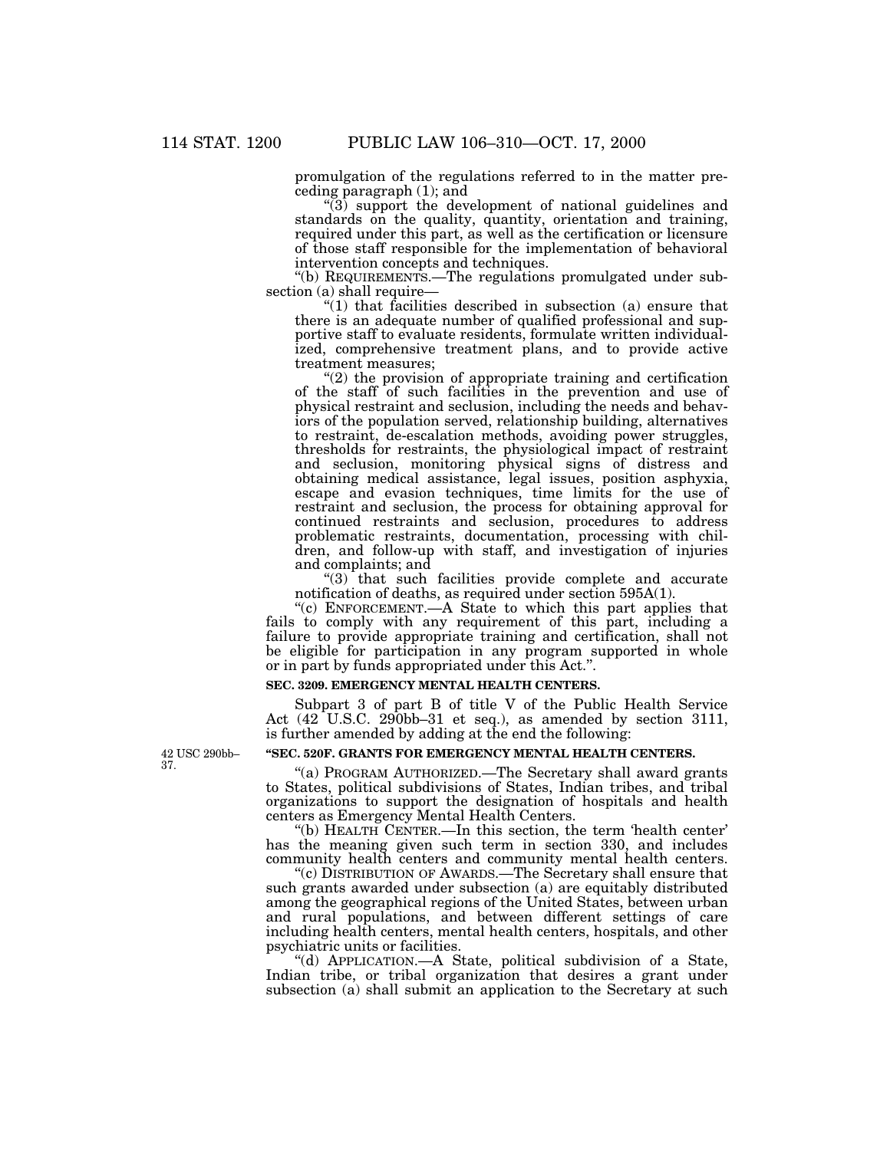promulgation of the regulations referred to in the matter preceding paragraph (1); and

 $\sqrt[4]{3}$  support the development of national guidelines and standards on the quality, quantity, orientation and training, required under this part, as well as the certification or licensure of those staff responsible for the implementation of behavioral intervention concepts and techniques.

''(b) REQUIREMENTS.—The regulations promulgated under subsection (a) shall require—

"(1) that facilities described in subsection (a) ensure that there is an adequate number of qualified professional and supportive staff to evaluate residents, formulate written individualized, comprehensive treatment plans, and to provide active treatment measures;

 $(2)$  the provision of appropriate training and certification of the staff of such facilities in the prevention and use of physical restraint and seclusion, including the needs and behaviors of the population served, relationship building, alternatives to restraint, de-escalation methods, avoiding power struggles, thresholds for restraints, the physiological impact of restraint and seclusion, monitoring physical signs of distress and obtaining medical assistance, legal issues, position asphyxia, escape and evasion techniques, time limits for the use of restraint and seclusion, the process for obtaining approval for continued restraints and seclusion, procedures to address problematic restraints, documentation, processing with children, and follow-up with staff, and investigation of injuries and complaints; and

 $"(3)$  that such facilities provide complete and accurate notification of deaths, as required under section 595A(1).

''(c) ENFORCEMENT.—A State to which this part applies that fails to comply with any requirement of this part, including a failure to provide appropriate training and certification, shall not be eligible for participation in any program supported in whole or in part by funds appropriated under this Act.''.

#### **SEC. 3209. EMERGENCY MENTAL HEALTH CENTERS.**

Subpart 3 of part B of title V of the Public Health Service Act (42 U.S.C. 290bb–31 et seq.), as amended by section 3111, is further amended by adding at the end the following:

42 USC 290bb– 37.

### **''SEC. 520F. GRANTS FOR EMERGENCY MENTAL HEALTH CENTERS.**

''(a) PROGRAM AUTHORIZED.—The Secretary shall award grants to States, political subdivisions of States, Indian tribes, and tribal organizations to support the designation of hospitals and health centers as Emergency Mental Health Centers.

''(b) HEALTH CENTER.—In this section, the term 'health center' has the meaning given such term in section 330, and includes community health centers and community mental health centers.

''(c) DISTRIBUTION OF AWARDS.—The Secretary shall ensure that such grants awarded under subsection (a) are equitably distributed among the geographical regions of the United States, between urban and rural populations, and between different settings of care including health centers, mental health centers, hospitals, and other psychiatric units or facilities.

''(d) APPLICATION.—A State, political subdivision of a State, Indian tribe, or tribal organization that desires a grant under subsection (a) shall submit an application to the Secretary at such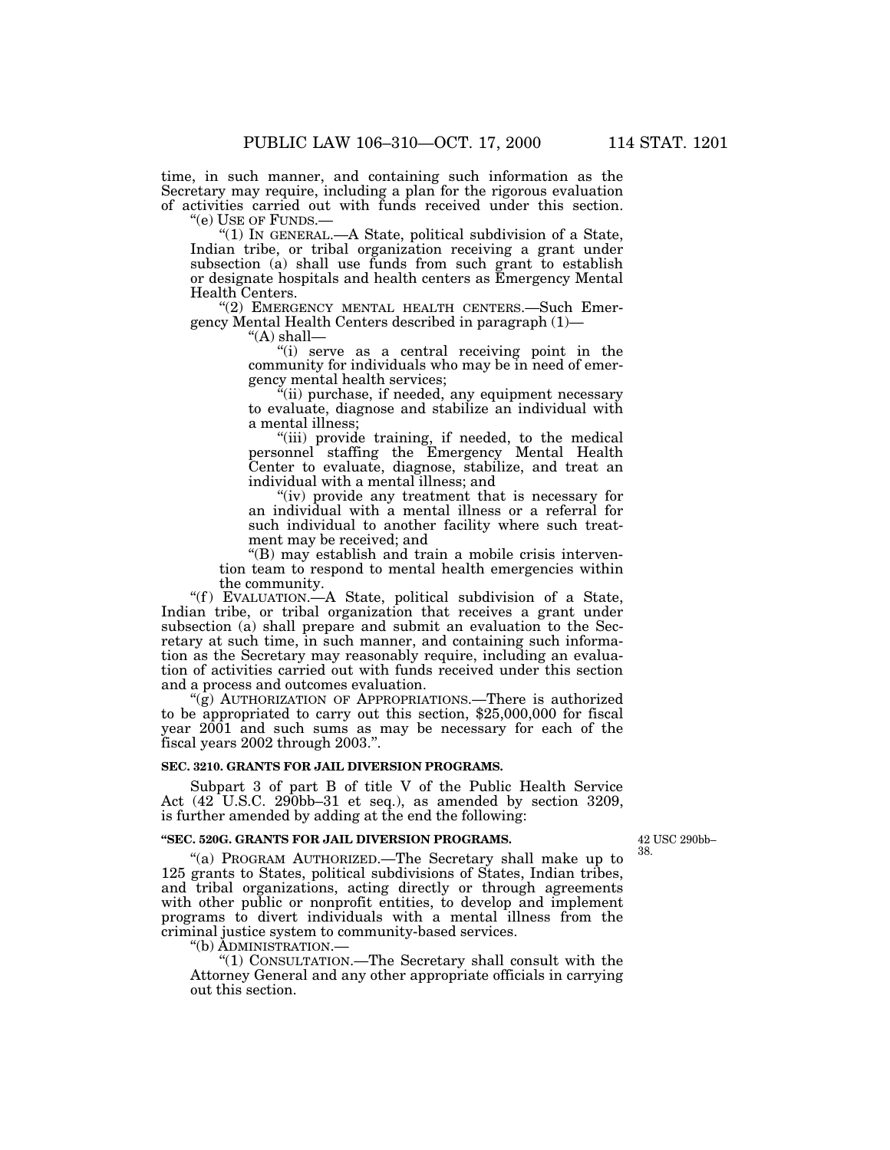time, in such manner, and containing such information as the Secretary may require, including a plan for the rigorous evaluation of activities carried out with funds received under this section. ''(e) USE OF FUNDS.—

''(1) IN GENERAL.—A State, political subdivision of a State, Indian tribe, or tribal organization receiving a grant under subsection (a) shall use funds from such grant to establish or designate hospitals and health centers as Emergency Mental Health Centers.

"(2) EMERGENCY MENTAL HEALTH CENTERS.—Such Emergency Mental Health Centers described in paragraph (1)—

''(A) shall—

"(i) serve as a central receiving point in the community for individuals who may be in need of emergency mental health services;

''(ii) purchase, if needed, any equipment necessary to evaluate, diagnose and stabilize an individual with a mental illness;

''(iii) provide training, if needed, to the medical personnel staffing the Emergency Mental Health Center to evaluate, diagnose, stabilize, and treat an individual with a mental illness; and

"(iv) provide any treatment that is necessary for an individual with a mental illness or a referral for such individual to another facility where such treatment may be received; and

''(B) may establish and train a mobile crisis intervention team to respond to mental health emergencies within the community.

"(f) EVALUATION.—A State, political subdivision of a State, Indian tribe, or tribal organization that receives a grant under subsection (a) shall prepare and submit an evaluation to the Secretary at such time, in such manner, and containing such information as the Secretary may reasonably require, including an evaluation of activities carried out with funds received under this section and a process and outcomes evaluation.

''(g) AUTHORIZATION OF APPROPRIATIONS.—There is authorized to be appropriated to carry out this section, \$25,000,000 for fiscal year 2001 and such sums as may be necessary for each of the fiscal years 2002 through 2003.''.

## **SEC. 3210. GRANTS FOR JAIL DIVERSION PROGRAMS.**

Subpart 3 of part B of title V of the Public Health Service Act (42 U.S.C. 290bb–31 et seq.), as amended by section 3209, is further amended by adding at the end the following:

#### **''SEC. 520G. GRANTS FOR JAIL DIVERSION PROGRAMS.**

42 USC 290bb– 38.

''(a) PROGRAM AUTHORIZED.—The Secretary shall make up to 125 grants to States, political subdivisions of States, Indian tribes, and tribal organizations, acting directly or through agreements with other public or nonprofit entities, to develop and implement programs to divert individuals with a mental illness from the criminal justice system to community-based services.

''(b) ADMINISTRATION.—

''(1) CONSULTATION.—The Secretary shall consult with the Attorney General and any other appropriate officials in carrying out this section.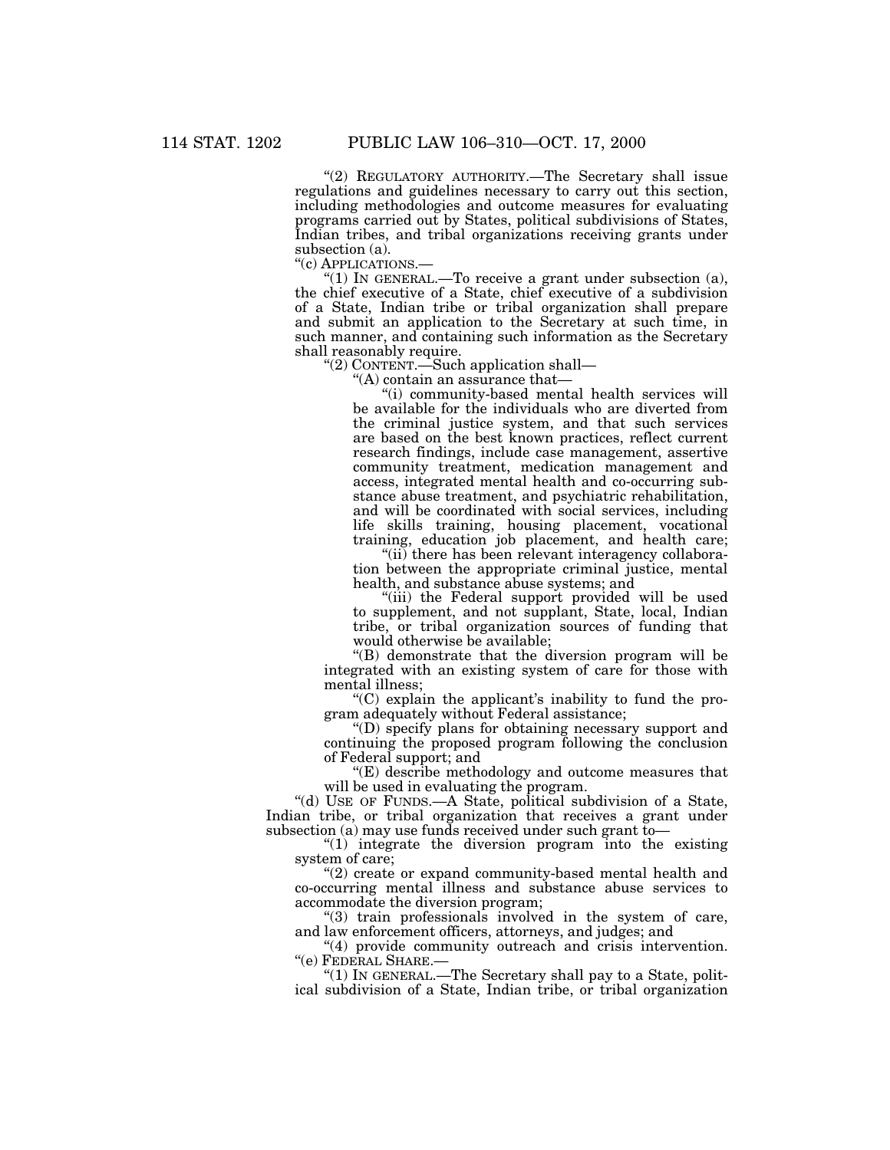"(2) REGULATORY AUTHORITY.—The Secretary shall issue regulations and guidelines necessary to carry out this section, including methodologies and outcome measures for evaluating programs carried out by States, political subdivisions of States, Indian tribes, and tribal organizations receiving grants under subsection (a).

''(c) APPLICATIONS.—

" $(1)$  In GENERAL.—To receive a grant under subsection  $(a)$ , the chief executive of a State, chief executive of a subdivision of a State, Indian tribe or tribal organization shall prepare and submit an application to the Secretary at such time, in such manner, and containing such information as the Secretary shall reasonably require.

''(2) CONTENT.—Such application shall—

''(A) contain an assurance that—

''(i) community-based mental health services will be available for the individuals who are diverted from the criminal justice system, and that such services are based on the best known practices, reflect current research findings, include case management, assertive community treatment, medication management and access, integrated mental health and co-occurring substance abuse treatment, and psychiatric rehabilitation, and will be coordinated with social services, including life skills training, housing placement, vocational training, education job placement, and health care;

"(ii) there has been relevant interagency collaboration between the appropriate criminal justice, mental health, and substance abuse systems; and

''(iii) the Federal support provided will be used to supplement, and not supplant, State, local, Indian tribe, or tribal organization sources of funding that would otherwise be available;

''(B) demonstrate that the diversion program will be integrated with an existing system of care for those with mental illness;

''(C) explain the applicant's inability to fund the program adequately without Federal assistance;

''(D) specify plans for obtaining necessary support and continuing the proposed program following the conclusion of Federal support; and

 $E(E)$  describe methodology and outcome measures that will be used in evaluating the program.

''(d) USE OF FUNDS.—A State, political subdivision of a State, Indian tribe, or tribal organization that receives a grant under subsection (a) may use funds received under such grant to—

" $(1)$  integrate the diversion program into the existing system of care;

''(2) create or expand community-based mental health and co-occurring mental illness and substance abuse services to accommodate the diversion program;

''(3) train professionals involved in the system of care, and law enforcement officers, attorneys, and judges; and

"(4) provide community outreach and crisis intervention. ''(e) FEDERAL SHARE.—

''(1) IN GENERAL.—The Secretary shall pay to a State, political subdivision of a State, Indian tribe, or tribal organization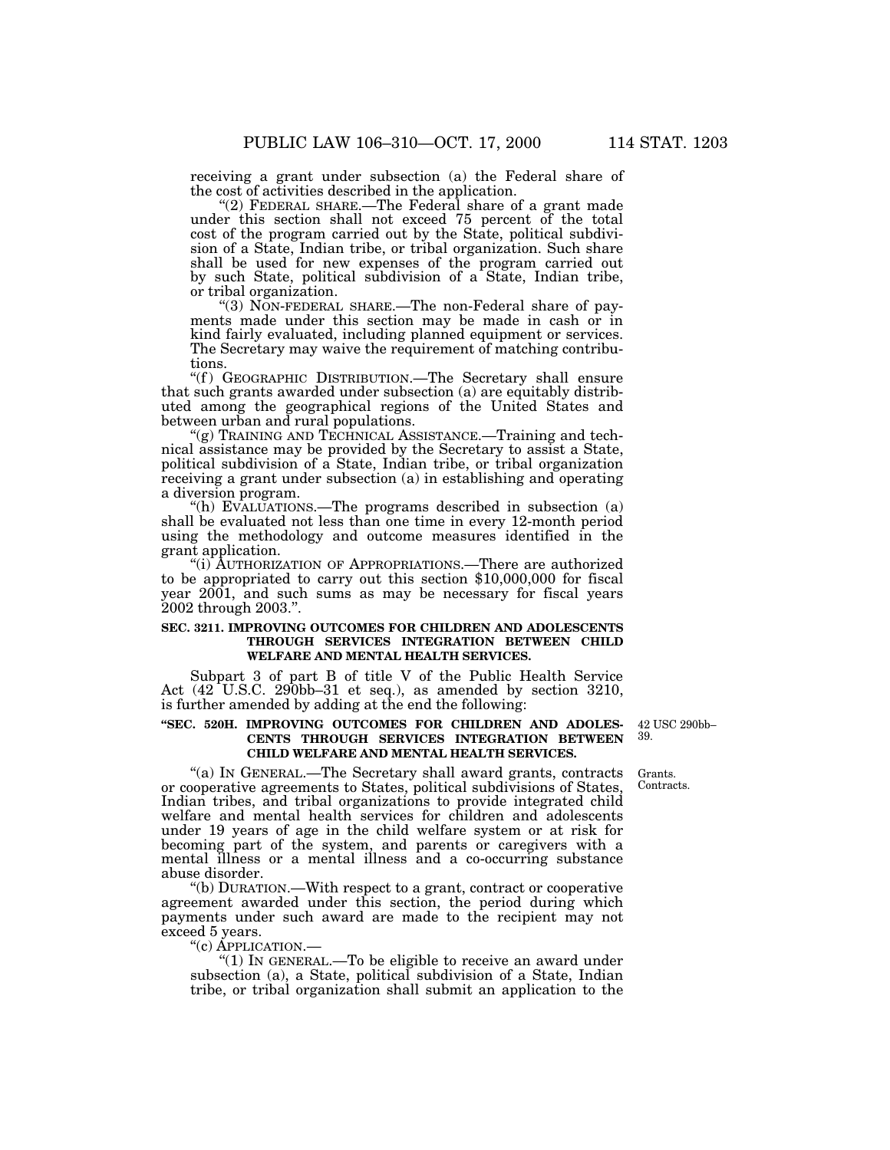receiving a grant under subsection (a) the Federal share of the cost of activities described in the application.

"(2) FEDERAL SHARE.—The Federal share of a grant made under this section shall not exceed 75 percent of the total cost of the program carried out by the State, political subdivision of a State, Indian tribe, or tribal organization. Such share shall be used for new expenses of the program carried out by such State, political subdivision of a State, Indian tribe, or tribal organization.

"(3) NON-FEDERAL SHARE.—The non-Federal share of payments made under this section may be made in cash or in kind fairly evaluated, including planned equipment or services. The Secretary may waive the requirement of matching contributions.

"(f) GEOGRAPHIC DISTRIBUTION.—The Secretary shall ensure that such grants awarded under subsection (a) are equitably distributed among the geographical regions of the United States and between urban and rural populations.

 $'(g)$  TRAINING AND TECHNICAL ASSISTANCE.—Training and technical assistance may be provided by the Secretary to assist a State, political subdivision of a State, Indian tribe, or tribal organization receiving a grant under subsection (a) in establishing and operating a diversion program.

''(h) EVALUATIONS.—The programs described in subsection (a) shall be evaluated not less than one time in every 12-month period using the methodology and outcome measures identified in the grant application.

''(i) AUTHORIZATION OF APPROPRIATIONS.—There are authorized to be appropriated to carry out this section \$10,000,000 for fiscal year 2001, and such sums as may be necessary for fiscal years 2002 through 2003.''.

## **SEC. 3211. IMPROVING OUTCOMES FOR CHILDREN AND ADOLESCENTS THROUGH SERVICES INTEGRATION BETWEEN CHILD WELFARE AND MENTAL HEALTH SERVICES.**

Subpart 3 of part B of title V of the Public Health Service Act (42 U.S.C. 290bb–31 et seq.), as amended by section 3210, is further amended by adding at the end the following:

## **''SEC. 520H. IMPROVING OUTCOMES FOR CHILDREN AND ADOLES-CENTS THROUGH SERVICES INTEGRATION BETWEEN CHILD WELFARE AND MENTAL HEALTH SERVICES.**

42 USC 290bb– 39.

Grants. Contracts.

''(a) IN GENERAL.—The Secretary shall award grants, contracts or cooperative agreements to States, political subdivisions of States, Indian tribes, and tribal organizations to provide integrated child welfare and mental health services for children and adolescents under 19 years of age in the child welfare system or at risk for becoming part of the system, and parents or caregivers with a mental illness or a mental illness and a co-occurring substance abuse disorder.

''(b) DURATION.—With respect to a grant, contract or cooperative agreement awarded under this section, the period during which payments under such award are made to the recipient may not exceed 5 years.

''(c) APPLICATION.—

"(1) IN GENERAL.—To be eligible to receive an award under subsection (a), a State, political subdivision of a State, Indian tribe, or tribal organization shall submit an application to the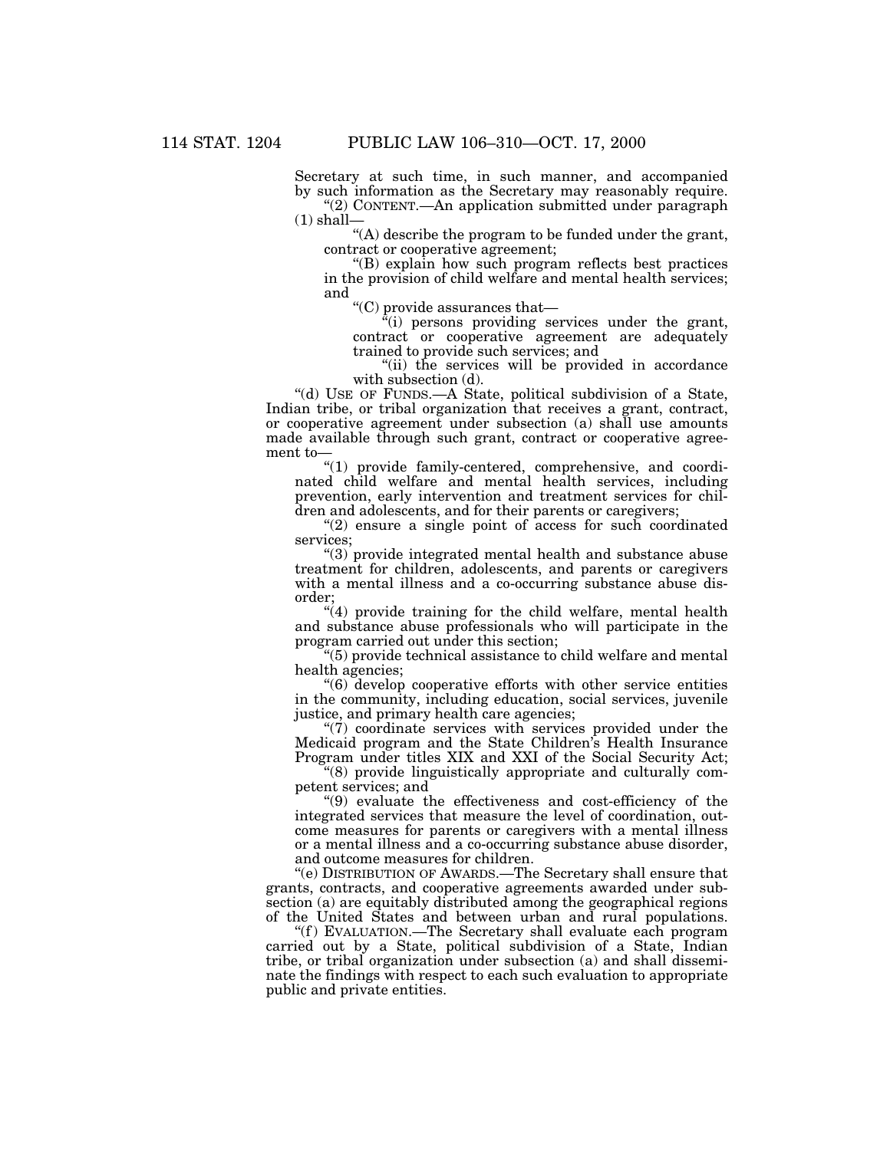Secretary at such time, in such manner, and accompanied by such information as the Secretary may reasonably require. ''(2) CONTENT.—An application submitted under paragraph  $(1)$  shall-

"(A) describe the program to be funded under the grant, contract or cooperative agreement;

''(B) explain how such program reflects best practices in the provision of child welfare and mental health services; and

''(C) provide assurances that—

''(i) persons providing services under the grant, contract or cooperative agreement are adequately trained to provide such services; and

"(ii) the services will be provided in accordance with subsection (d).

''(d) USE OF FUNDS.—A State, political subdivision of a State, Indian tribe, or tribal organization that receives a grant, contract, or cooperative agreement under subsection (a) shall use amounts made available through such grant, contract or cooperative agreement to—

''(1) provide family-centered, comprehensive, and coordinated child welfare and mental health services, including prevention, early intervention and treatment services for children and adolescents, and for their parents or caregivers;

"(2) ensure a single point of access for such coordinated services;

''(3) provide integrated mental health and substance abuse treatment for children, adolescents, and parents or caregivers with a mental illness and a co-occurring substance abuse disorder;

''(4) provide training for the child welfare, mental health and substance abuse professionals who will participate in the program carried out under this section;

''(5) provide technical assistance to child welfare and mental health agencies;

''(6) develop cooperative efforts with other service entities in the community, including education, social services, juvenile justice, and primary health care agencies;

''(7) coordinate services with services provided under the Medicaid program and the State Children's Health Insurance Program under titles XIX and XXI of the Social Security Act;

''(8) provide linguistically appropriate and culturally competent services; and

''(9) evaluate the effectiveness and cost-efficiency of the integrated services that measure the level of coordination, outcome measures for parents or caregivers with a mental illness or a mental illness and a co-occurring substance abuse disorder, and outcome measures for children.

''(e) DISTRIBUTION OF AWARDS.—The Secretary shall ensure that grants, contracts, and cooperative agreements awarded under subsection (a) are equitably distributed among the geographical regions of the United States and between urban and rural populations.

''(f ) EVALUATION.—The Secretary shall evaluate each program carried out by a State, political subdivision of a State, Indian tribe, or tribal organization under subsection (a) and shall disseminate the findings with respect to each such evaluation to appropriate public and private entities.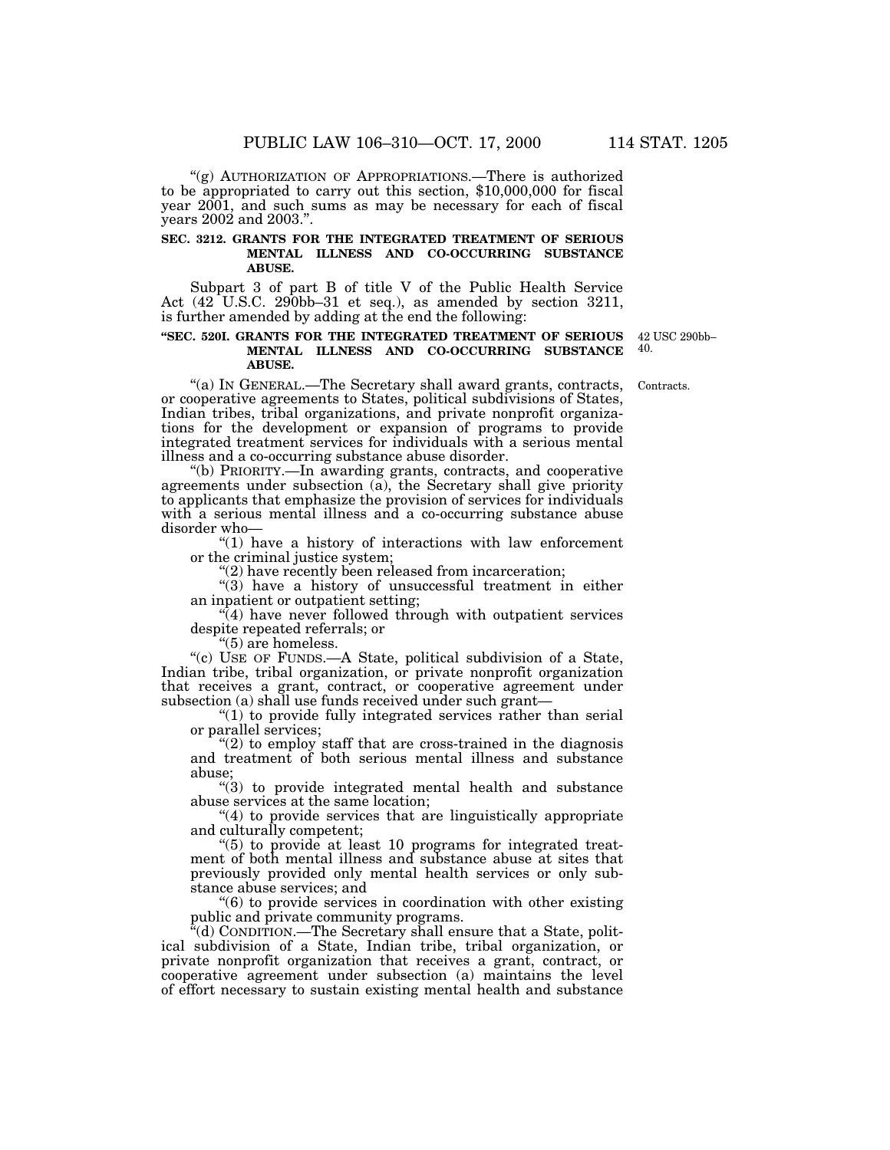''(g) AUTHORIZATION OF APPROPRIATIONS.—There is authorized to be appropriated to carry out this section, \$10,000,000 for fiscal year 2001, and such sums as may be necessary for each of fiscal years 2002 and 2003.''.

### **SEC. 3212. GRANTS FOR THE INTEGRATED TREATMENT OF SERIOUS MENTAL ILLNESS AND CO-OCCURRING SUBSTANCE ABUSE.**

Subpart 3 of part B of title V of the Public Health Service Act (42 U.S.C. 290bb–31 et seq.), as amended by section 3211, is further amended by adding at the end the following:

#### **''SEC. 520I. GRANTS FOR THE INTEGRATED TREATMENT OF SERIOUS MENTAL ILLNESS AND CO-OCCURRING SUBSTANCE ABUSE.**

42 USC 290bb– 40.

Contracts.

''(a) IN GENERAL.—The Secretary shall award grants, contracts, or cooperative agreements to States, political subdivisions of States, Indian tribes, tribal organizations, and private nonprofit organizations for the development or expansion of programs to provide integrated treatment services for individuals with a serious mental illness and a co-occurring substance abuse disorder.

''(b) PRIORITY.—In awarding grants, contracts, and cooperative agreements under subsection (a), the Secretary shall give priority to applicants that emphasize the provision of services for individuals with a serious mental illness and a co-occurring substance abuse disorder who—

''(1) have a history of interactions with law enforcement or the criminal justice system;

''(2) have recently been released from incarceration;

"(3) have a history of unsuccessful treatment in either an inpatient or outpatient setting;

 $\sqrt{4}$ ) have never followed through with outpatient services despite repeated referrals; or

''(5) are homeless.

"(c) USE OF FUNDS.—A State, political subdivision of a State, Indian tribe, tribal organization, or private nonprofit organization that receives a grant, contract, or cooperative agreement under subsection (a) shall use funds received under such grant—

" $(1)$  to provide fully integrated services rather than serial or parallel services;

"(2) to employ staff that are cross-trained in the diagnosis and treatment of both serious mental illness and substance abuse;

''(3) to provide integrated mental health and substance abuse services at the same location;

''(4) to provide services that are linguistically appropriate and culturally competent;

''(5) to provide at least 10 programs for integrated treatment of both mental illness and substance abuse at sites that previously provided only mental health services or only substance abuse services; and

''(6) to provide services in coordination with other existing public and private community programs.

''(d) CONDITION.—The Secretary shall ensure that a State, political subdivision of a State, Indian tribe, tribal organization, or private nonprofit organization that receives a grant, contract, or cooperative agreement under subsection (a) maintains the level of effort necessary to sustain existing mental health and substance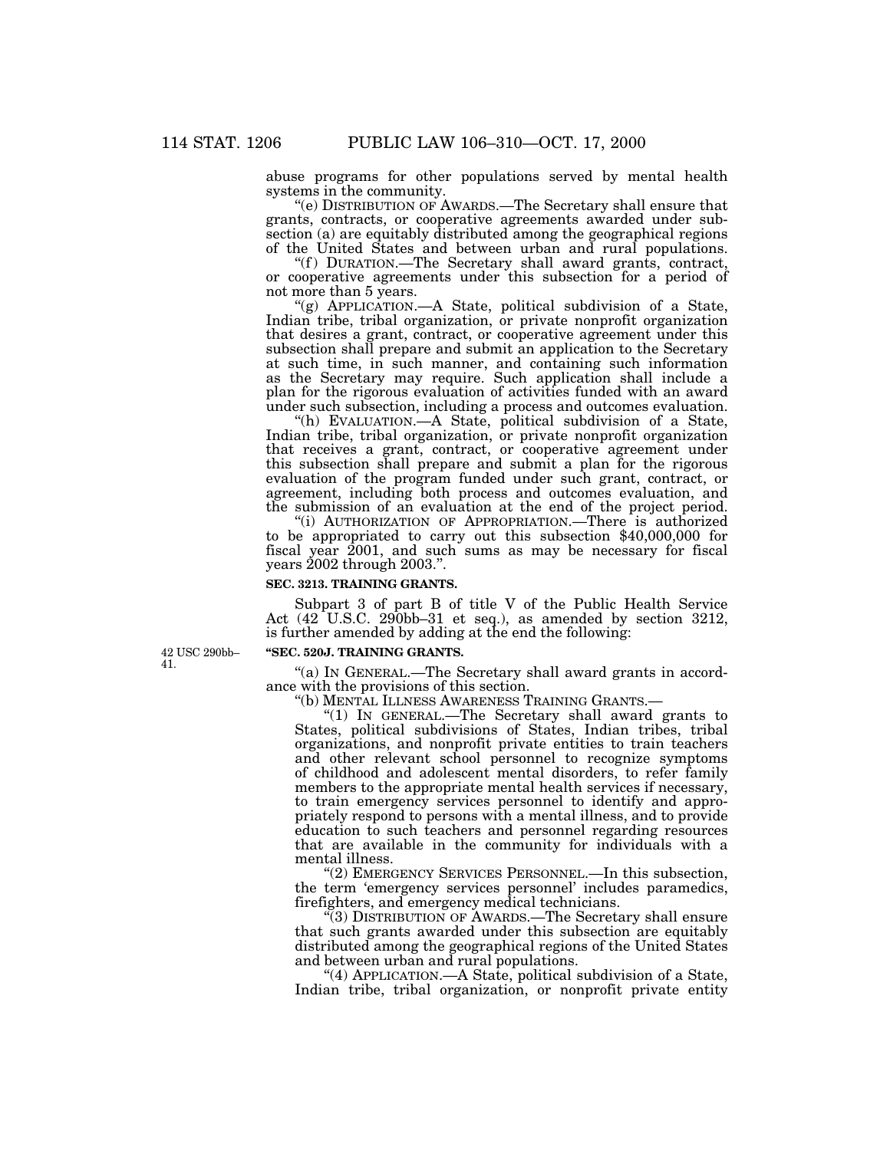abuse programs for other populations served by mental health systems in the community.

''(e) DISTRIBUTION OF AWARDS.—The Secretary shall ensure that grants, contracts, or cooperative agreements awarded under subsection (a) are equitably distributed among the geographical regions of the United States and between urban and rural populations.

"(f) DURATION.—The Secretary shall award grants, contract, or cooperative agreements under this subsection for a period of not more than 5 years.

''(g) APPLICATION.—A State, political subdivision of a State, Indian tribe, tribal organization, or private nonprofit organization that desires a grant, contract, or cooperative agreement under this subsection shall prepare and submit an application to the Secretary at such time, in such manner, and containing such information as the Secretary may require. Such application shall include a plan for the rigorous evaluation of activities funded with an award under such subsection, including a process and outcomes evaluation.

''(h) EVALUATION.—A State, political subdivision of a State, Indian tribe, tribal organization, or private nonprofit organization that receives a grant, contract, or cooperative agreement under this subsection shall prepare and submit a plan for the rigorous evaluation of the program funded under such grant, contract, or agreement, including both process and outcomes evaluation, and the submission of an evaluation at the end of the project period.

''(i) AUTHORIZATION OF APPROPRIATION.—There is authorized to be appropriated to carry out this subsection \$40,000,000 for fiscal year 2001, and such sums as may be necessary for fiscal years 2002 through 2003.''.

#### **SEC. 3213. TRAINING GRANTS.**

Subpart 3 of part B of title V of the Public Health Service Act  $(42^{\circ}$ U.S.C.  $290$ bb–31 et seq.), as amended by section 3212, is further amended by adding at the end the following:

42 USC 290bb– 41.

#### **''SEC. 520J. TRAINING GRANTS.**

"(a) In GENERAL.—The Secretary shall award grants in accordance with the provisions of this section.<br>"(b) MENTAL ILLNESS AWARENESS TRAINING GRANTS.-

" $(1)$  IN GENERAL.—The Secretary shall award grants to States, political subdivisions of States, Indian tribes, tribal organizations, and nonprofit private entities to train teachers and other relevant school personnel to recognize symptoms of childhood and adolescent mental disorders, to refer family members to the appropriate mental health services if necessary, to train emergency services personnel to identify and appropriately respond to persons with a mental illness, and to provide education to such teachers and personnel regarding resources that are available in the community for individuals with a mental illness.

"(2) EMERGENCY SERVICES PERSONNEL.—In this subsection, the term 'emergency services personnel' includes paramedics, firefighters, and emergency medical technicians.

''(3) DISTRIBUTION OF AWARDS.—The Secretary shall ensure that such grants awarded under this subsection are equitably distributed among the geographical regions of the United States and between urban and rural populations.

"(4) APPLICATION.—A State, political subdivision of a State, Indian tribe, tribal organization, or nonprofit private entity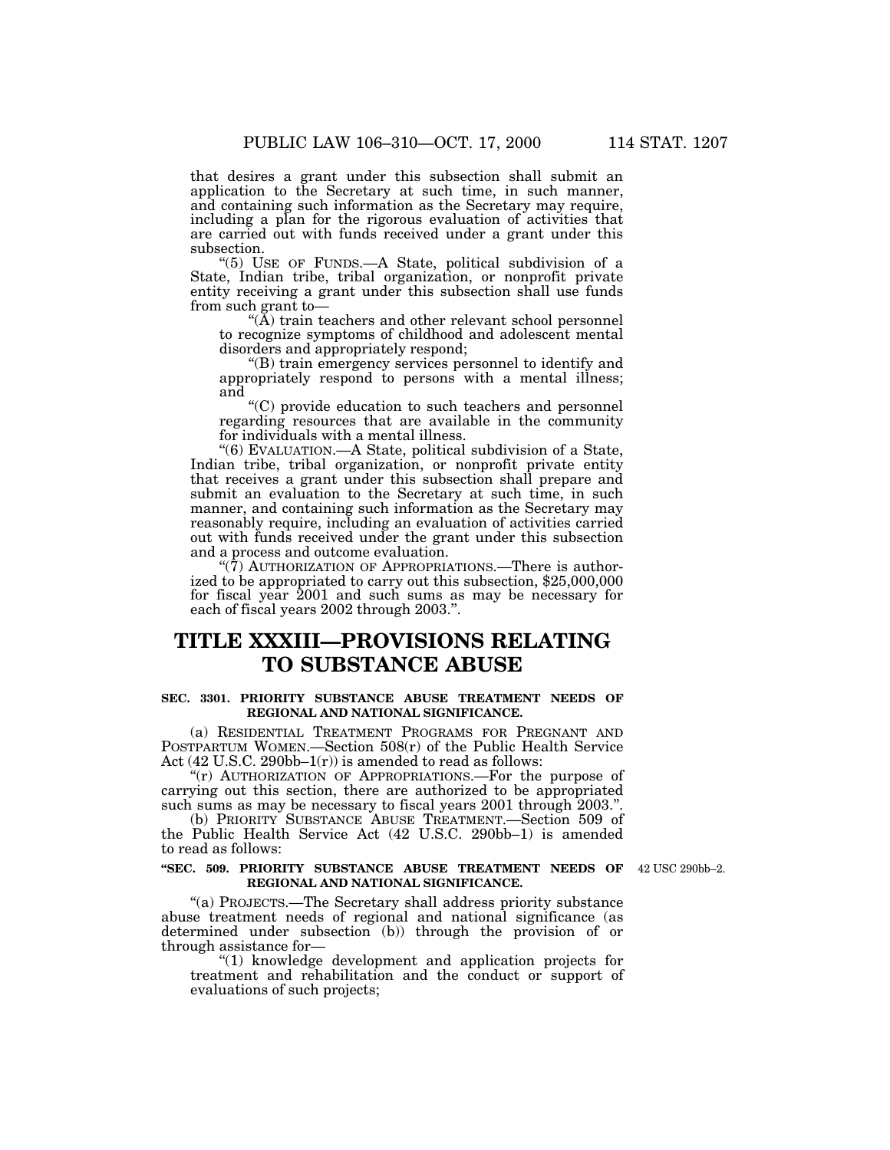that desires a grant under this subsection shall submit an application to the Secretary at such time, in such manner, and containing such information as the Secretary may require,

including a plan for the rigorous evaluation of activities that are carried out with funds received under a grant under this subsection.

''(5) USE OF FUNDS.—A State, political subdivision of a State, Indian tribe, tribal organization, or nonprofit private entity receiving a grant under this subsection shall use funds from such grant to—

"(A) train teachers and other relevant school personnel to recognize symptoms of childhood and adolescent mental disorders and appropriately respond;

''(B) train emergency services personnel to identify and appropriately respond to persons with a mental illness; and

''(C) provide education to such teachers and personnel regarding resources that are available in the community for individuals with a mental illness.

''(6) EVALUATION.—A State, political subdivision of a State, Indian tribe, tribal organization, or nonprofit private entity that receives a grant under this subsection shall prepare and submit an evaluation to the Secretary at such time, in such manner, and containing such information as the Secretary may reasonably require, including an evaluation of activities carried out with funds received under the grant under this subsection and a process and outcome evaluation.

" $(\bar{7})$  AUTHORIZATION OF APPROPRIATIONS.—There is authorized to be appropriated to carry out this subsection, \$25,000,000 for fiscal year 2001 and such sums as may be necessary for each of fiscal years 2002 through 2003.''.

# **TITLE XXXIII—PROVISIONS RELATING TO SUBSTANCE ABUSE**

## **SEC. 3301. PRIORITY SUBSTANCE ABUSE TREATMENT NEEDS OF REGIONAL AND NATIONAL SIGNIFICANCE.**

(a) RESIDENTIAL TREATMENT PROGRAMS FOR PREGNANT AND POSTPARTUM WOMEN.—Section 508(r) of the Public Health Service Act  $(42 \text{ U.S.C. } 290 \text{ bb} - 1 \text{ (r)})$  is amended to read as follows:

"(r) AUTHORIZATION OF APPROPRIATIONS.—For the purpose of carrying out this section, there are authorized to be appropriated such sums as may be necessary to fiscal years 2001 through 2003.''.

(b) PRIORITY SUBSTANCE ABUSE TREATMENT.—Section 509 of the Public Health Service Act (42 U.S.C. 290bb–1) is amended to read as follows:

#### **''SEC. 509. PRIORITY SUBSTANCE ABUSE TREATMENT NEEDS OF** 42 USC 290bb–2. **REGIONAL AND NATIONAL SIGNIFICANCE.**

''(a) PROJECTS.—The Secretary shall address priority substance abuse treatment needs of regional and national significance (as determined under subsection (b)) through the provision of or through assistance for—

''(1) knowledge development and application projects for treatment and rehabilitation and the conduct or support of evaluations of such projects;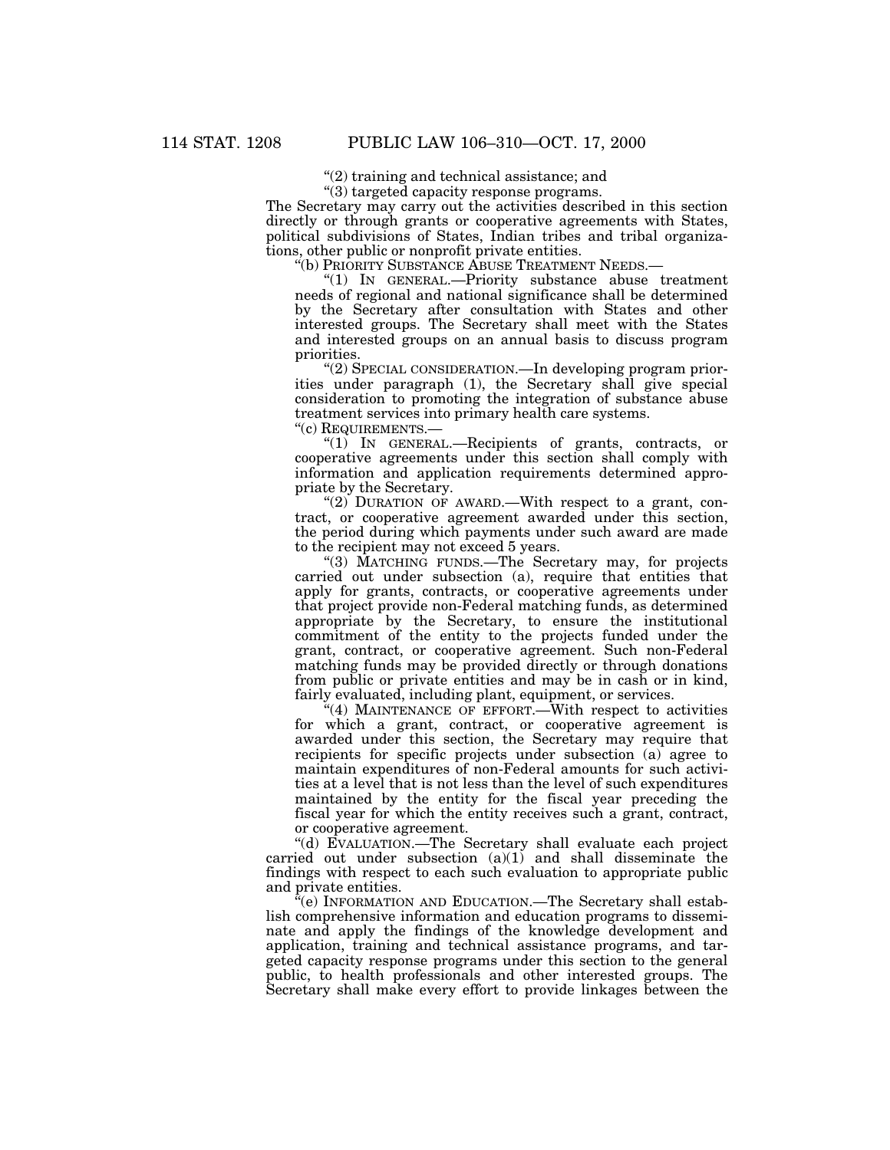''(2) training and technical assistance; and

''(3) targeted capacity response programs.

The Secretary may carry out the activities described in this section directly or through grants or cooperative agreements with States, political subdivisions of States, Indian tribes and tribal organizations, other public or nonprofit private entities.

''(b) PRIORITY SUBSTANCE ABUSE TREATMENT NEEDS.—

''(1) IN GENERAL.—Priority substance abuse treatment needs of regional and national significance shall be determined by the Secretary after consultation with States and other interested groups. The Secretary shall meet with the States and interested groups on an annual basis to discuss program priorities.

''(2) SPECIAL CONSIDERATION.—In developing program priorities under paragraph (1), the Secretary shall give special consideration to promoting the integration of substance abuse treatment services into primary health care systems.

''(c) REQUIREMENTS.—

''(1) IN GENERAL.—Recipients of grants, contracts, or cooperative agreements under this section shall comply with information and application requirements determined appropriate by the Secretary.

"(2) DURATION OF AWARD.—With respect to a grant, contract, or cooperative agreement awarded under this section, the period during which payments under such award are made to the recipient may not exceed 5 years.

''(3) MATCHING FUNDS.—The Secretary may, for projects carried out under subsection (a), require that entities that apply for grants, contracts, or cooperative agreements under that project provide non-Federal matching funds, as determined appropriate by the Secretary, to ensure the institutional commitment of the entity to the projects funded under the grant, contract, or cooperative agreement. Such non-Federal matching funds may be provided directly or through donations from public or private entities and may be in cash or in kind, fairly evaluated, including plant, equipment, or services.

 $(4)$  MAINTENANCE OF EFFORT.—With respect to activities for which a grant, contract, or cooperative agreement is awarded under this section, the Secretary may require that recipients for specific projects under subsection (a) agree to maintain expenditures of non-Federal amounts for such activities at a level that is not less than the level of such expenditures maintained by the entity for the fiscal year preceding the fiscal year for which the entity receives such a grant, contract, or cooperative agreement.

''(d) EVALUATION.—The Secretary shall evaluate each project carried out under subsection (a)(1) and shall disseminate the findings with respect to each such evaluation to appropriate public and private entities.

 $\tilde{f}^{\alpha}$ (e) INFORMATION AND EDUCATION.—The Secretary shall establish comprehensive information and education programs to disseminate and apply the findings of the knowledge development and application, training and technical assistance programs, and targeted capacity response programs under this section to the general public, to health professionals and other interested groups. The Secretary shall make every effort to provide linkages between the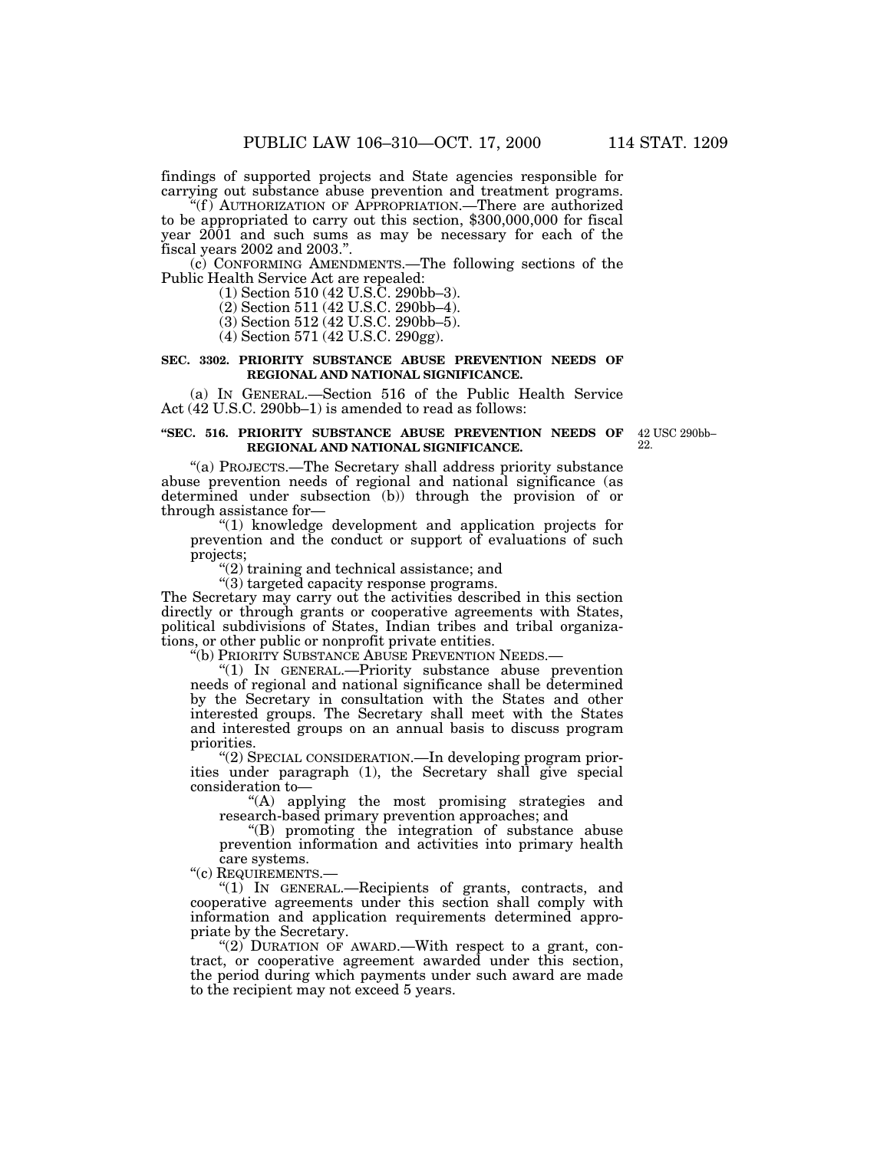findings of supported projects and State agencies responsible for carrying out substance abuse prevention and treatment programs.

''(f ) AUTHORIZATION OF APPROPRIATION.—There are authorized to be appropriated to carry out this section, \$300,000,000 for fiscal year 2001 and such sums as may be necessary for each of the fiscal years 2002 and 2003.''.

(c) CONFORMING AMENDMENTS.—The following sections of the Public Health Service Act are repealed:

(1) Section 510 (42 U.S.C. 290bb–3).

(2) Section 511 (42 U.S.C. 290bb–4).

(3) Section 512 (42 U.S.C. 290bb–5).

(4) Section 571 (42 U.S.C. 290gg).

#### **SEC. 3302. PRIORITY SUBSTANCE ABUSE PREVENTION NEEDS OF REGIONAL AND NATIONAL SIGNIFICANCE.**

(a) IN GENERAL.—Section 516 of the Public Health Service Act (42 U.S.C. 290bb–1) is amended to read as follows:

## **''SEC. 516. PRIORITY SUBSTANCE ABUSE PREVENTION NEEDS OF REGIONAL AND NATIONAL SIGNIFICANCE.**

''(a) PROJECTS.—The Secretary shall address priority substance abuse prevention needs of regional and national significance (as determined under subsection (b)) through the provision of or through assistance for—

"(1) knowledge development and application projects for prevention and the conduct or support of evaluations of such projects;

''(2) training and technical assistance; and

''(3) targeted capacity response programs.

The Secretary may carry out the activities described in this section directly or through grants or cooperative agreements with States, political subdivisions of States, Indian tribes and tribal organizations, or other public or nonprofit private entities.

''(b) PRIORITY SUBSTANCE ABUSE PREVENTION NEEDS.—

''(1) IN GENERAL.—Priority substance abuse prevention needs of regional and national significance shall be determined by the Secretary in consultation with the States and other interested groups. The Secretary shall meet with the States and interested groups on an annual basis to discuss program priorities.

''(2) SPECIAL CONSIDERATION.—In developing program priorities under paragraph (1), the Secretary shall give special consideration to—

''(A) applying the most promising strategies and research-based primary prevention approaches; and

''(B) promoting the integration of substance abuse prevention information and activities into primary health care systems.

''(c) REQUIREMENTS.—

"(1) IN GENERAL.—Recipients of grants, contracts, and cooperative agreements under this section shall comply with information and application requirements determined appropriate by the Secretary.

"(2) DURATION OF AWARD.—With respect to a grant, contract, or cooperative agreement awarded under this section, the period during which payments under such award are made to the recipient may not exceed 5 years.

42 USC 290bb– 22.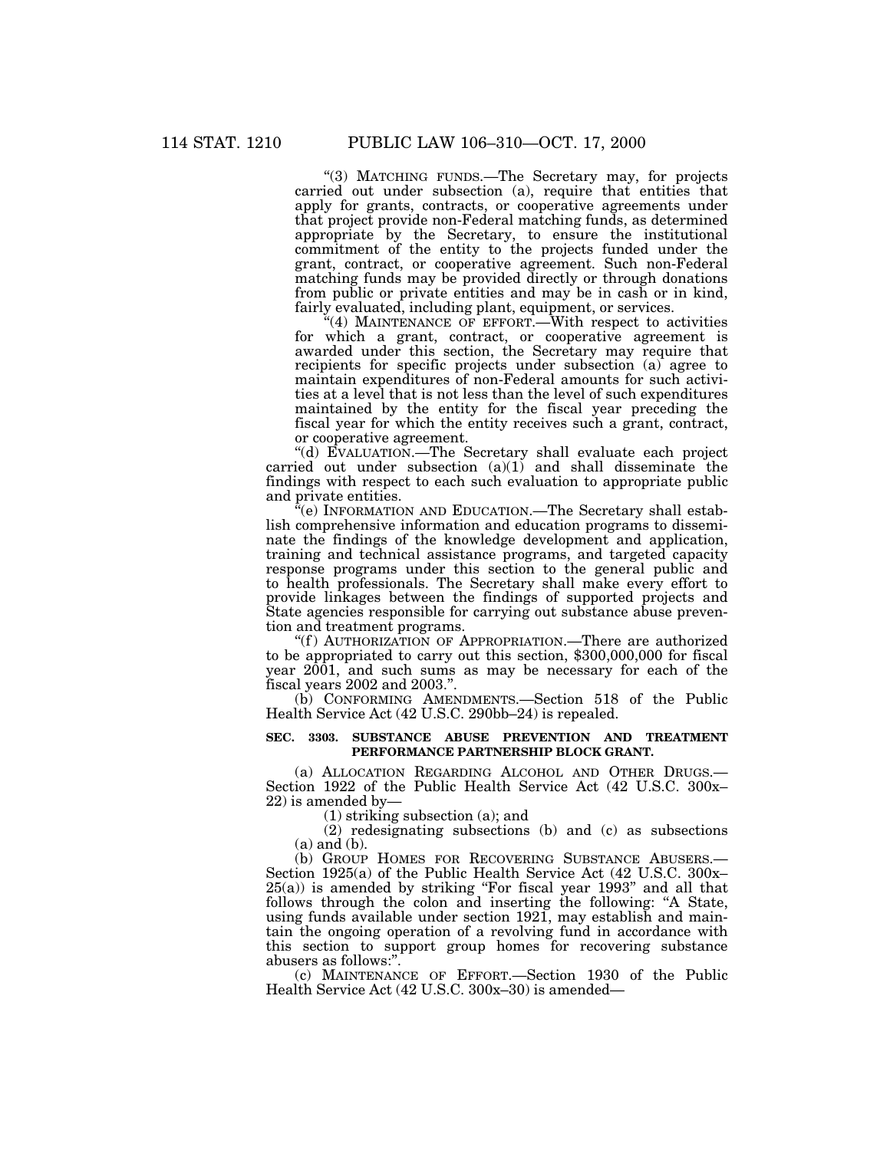''(3) MATCHING FUNDS.—The Secretary may, for projects carried out under subsection (a), require that entities that apply for grants, contracts, or cooperative agreements under that project provide non-Federal matching funds, as determined appropriate by the Secretary, to ensure the institutional commitment of the entity to the projects funded under the grant, contract, or cooperative agreement. Such non-Federal matching funds may be provided directly or through donations from public or private entities and may be in cash or in kind, fairly evaluated, including plant, equipment, or services.

"(4) MAINTENANCE OF EFFORT.—With respect to activities for which a grant, contract, or cooperative agreement is awarded under this section, the Secretary may require that recipients for specific projects under subsection (a) agree to maintain expenditures of non-Federal amounts for such activities at a level that is not less than the level of such expenditures maintained by the entity for the fiscal year preceding the fiscal year for which the entity receives such a grant, contract, or cooperative agreement.

''(d) EVALUATION.—The Secretary shall evaluate each project carried out under subsection (a)(1) and shall disseminate the findings with respect to each such evaluation to appropriate public and private entities.

 $\mathcal{F}(e)$  INFORMATION AND EDUCATION.—The Secretary shall establish comprehensive information and education programs to disseminate the findings of the knowledge development and application, training and technical assistance programs, and targeted capacity response programs under this section to the general public and to health professionals. The Secretary shall make every effort to provide linkages between the findings of supported projects and State agencies responsible for carrying out substance abuse prevention and treatment programs.

"(f) AUTHORIZATION OF APPROPRIATION.—There are authorized to be appropriated to carry out this section, \$300,000,000 for fiscal year 2001, and such sums as may be necessary for each of the fiscal years 2002 and 2003.''.

(b) CONFORMING AMENDMENTS.—Section 518 of the Public Health Service Act (42 U.S.C. 290bb–24) is repealed.

## **SEC. 3303. SUBSTANCE ABUSE PREVENTION AND TREATMENT PERFORMANCE PARTNERSHIP BLOCK GRANT.**

(a) ALLOCATION REGARDING ALCOHOL AND OTHER DRUGS.— Section 1922 of the Public Health Service Act (42 U.S.C. 300x– 22) is amended by—

(1) striking subsection (a); and

(2) redesignating subsections (b) and (c) as subsections (a) and (b).

(b) GROUP HOMES FOR RECOVERING SUBSTANCE ABUSERS.— Section 1925(a) of the Public Health Service Act (42 U.S.C. 300x– 25(a)) is amended by striking ''For fiscal year 1993'' and all that follows through the colon and inserting the following: "A State, using funds available under section 1921, may establish and maintain the ongoing operation of a revolving fund in accordance with this section to support group homes for recovering substance abusers as follows:''.

(c) MAINTENANCE OF EFFORT.—Section 1930 of the Public Health Service Act (42 U.S.C. 300x–30) is amended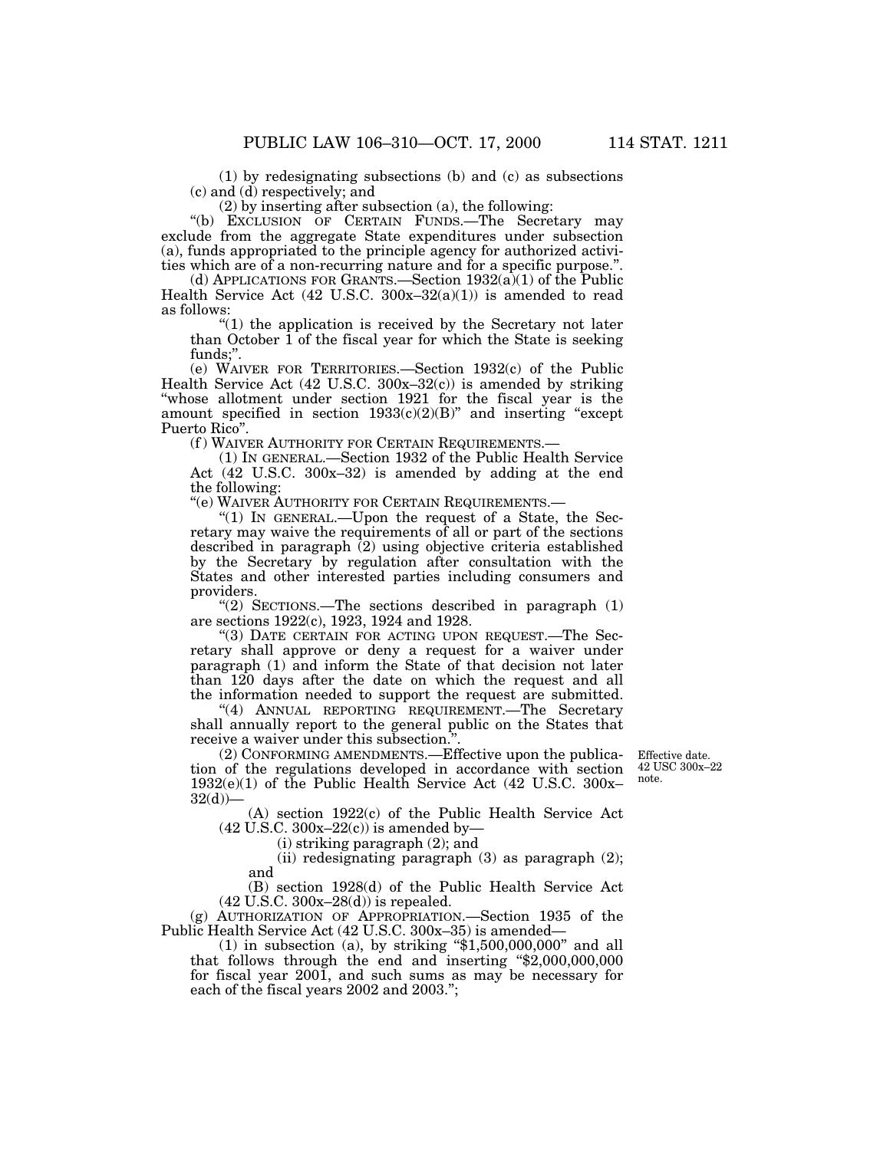(2) by inserting after subsection (a), the following:

''(b) EXCLUSION OF CERTAIN FUNDS.—The Secretary may exclude from the aggregate State expenditures under subsection (a), funds appropriated to the principle agency for authorized activities which are of a non-recurring nature and for a specific purpose.''.

(d) APPLICATIONS FOR GRANTS.—Section  $1932(a)(1)$  of the Public Health Service Act  $(42 \text{ U.S.C. } 300x-32(a)(1))$  is amended to read as follows:

''(1) the application is received by the Secretary not later than October 1 of the fiscal year for which the State is seeking funds;''.

(e) WAIVER FOR TERRITORIES.—Section 1932(c) of the Public Health Service Act (42 U.S.C. 300x–32(c)) is amended by striking ''whose allotment under section 1921 for the fiscal year is the amount specified in section  $1933(c)(2)(B)$ " and inserting "except Puerto Rico''.

(f) WAIVER AUTHORITY FOR CERTAIN REQUIREMENTS.-

(1) IN GENERAL.—Section 1932 of the Public Health Service Act (42 U.S.C. 300x–32) is amended by adding at the end the following:

''(e) WAIVER AUTHORITY FOR CERTAIN REQUIREMENTS.—

''(1) IN GENERAL.—Upon the request of a State, the Secretary may waive the requirements of all or part of the sections described in paragraph (2) using objective criteria established by the Secretary by regulation after consultation with the States and other interested parties including consumers and providers.

"(2) SECTIONS.—The sections described in paragraph (1) are sections 1922(c), 1923, 1924 and 1928.

''(3) DATE CERTAIN FOR ACTING UPON REQUEST.—The Secretary shall approve or deny a request for a waiver under paragraph (1) and inform the State of that decision not later than 120 days after the date on which the request and all the information needed to support the request are submitted.

"(4) ANNUAL REPORTING REQUIREMENT.—The Secretary shall annually report to the general public on the States that receive a waiver under this subsection.<sup>9</sup>

(2) CONFORMING AMENDMENTS.—Effective upon the publication of the regulations developed in accordance with section 1932(e)(1) of the Public Health Service Act (42 U.S.C. 300x–  $32(d)$ 

Effective date. 42 USC 300x–22 note.

(A) section 1922(c) of the Public Health Service Act  $(42 \text{ U.S.C. } 300x - 22(c))$  is amended by-

(i) striking paragraph (2); and

(ii) redesignating paragraph (3) as paragraph (2); and

(B) section 1928(d) of the Public Health Service Act (42 U.S.C. 300x–28(d)) is repealed.

(g) AUTHORIZATION OF APPROPRIATION.—Section 1935 of the Public Health Service Act (42 U.S.C. 300x–35) is amended—

 $(1)$  in subsection  $(a)$ , by striking "\$1,500,000,000" and all that follows through the end and inserting  $\frac{4}{2,000,000,000}$ for fiscal year 2001, and such sums as may be necessary for each of the fiscal years 2002 and 2003.'';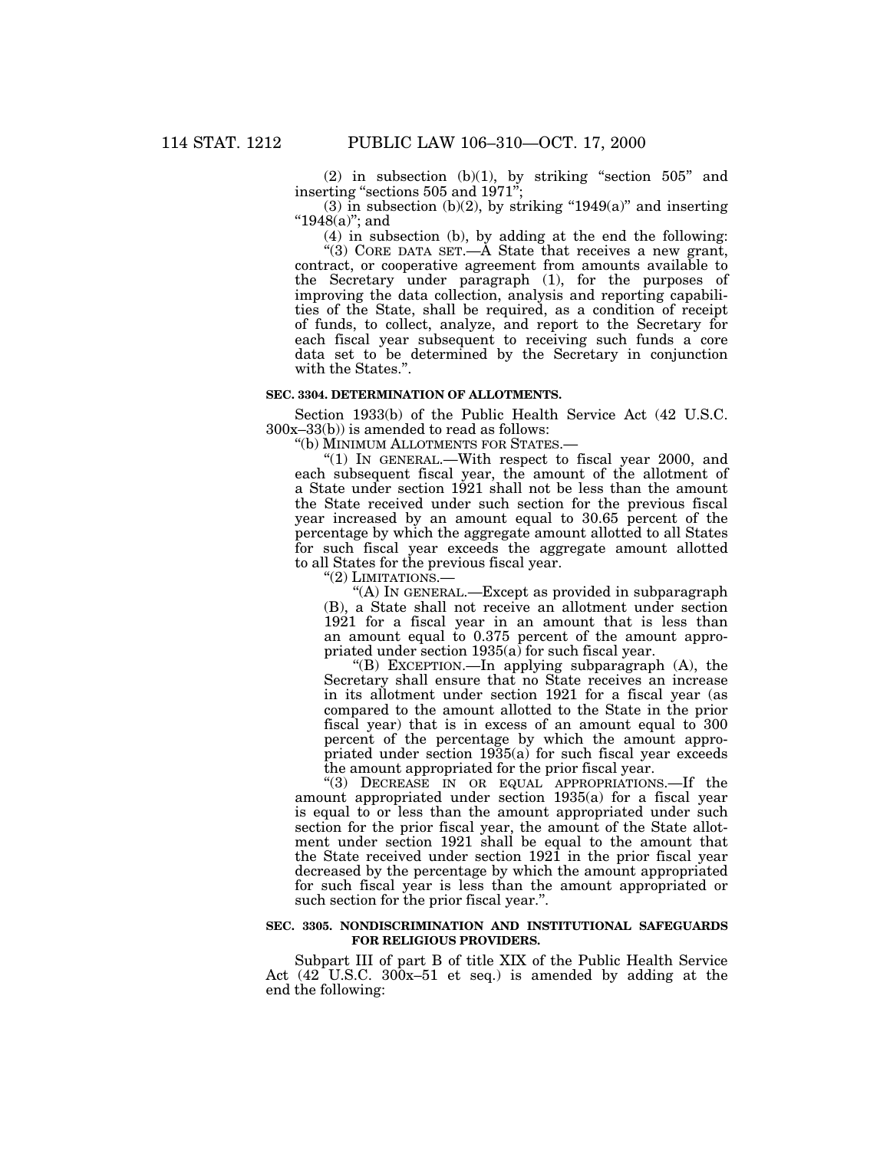(2) in subsection  $(b)(1)$ , by striking "section  $505$ " and inserting ''sections 505 and 1971'';

(3) in subsection (b)(2), by striking " $1949(a)$ " and inserting " $1948(a)$ "; and

(4) in subsection (b), by adding at the end the following:

"(3) CORE DATA SET.— $\overline{A}$  State that receives a new grant, contract, or cooperative agreement from amounts available to the Secretary under paragraph (1), for the purposes of improving the data collection, analysis and reporting capabilities of the State, shall be required, as a condition of receipt of funds, to collect, analyze, and report to the Secretary for each fiscal year subsequent to receiving such funds a core data set to be determined by the Secretary in conjunction with the States.''.

#### **SEC. 3304. DETERMINATION OF ALLOTMENTS.**

Section 1933(b) of the Public Health Service Act (42 U.S.C. 300x–33(b)) is amended to read as follows:

''(b) MINIMUM ALLOTMENTS FOR STATES.—

"(1) IN GENERAL.—With respect to fiscal year 2000, and each subsequent fiscal year, the amount of the allotment of a State under section 1921 shall not be less than the amount the State received under such section for the previous fiscal year increased by an amount equal to 30.65 percent of the percentage by which the aggregate amount allotted to all States for such fiscal year exceeds the aggregate amount allotted to all States for the previous fiscal year.

"(2) LIMITATIONS.-

''(A) IN GENERAL.—Except as provided in subparagraph (B), a State shall not receive an allotment under section 1921 for a fiscal year in an amount that is less than an amount equal to 0.375 percent of the amount appropriated under section 1935(a) for such fiscal year.

"(B) EXCEPTION.—In applying subparagraph  $(A)$ , the Secretary shall ensure that no State receives an increase in its allotment under section 1921 for a fiscal year (as compared to the amount allotted to the State in the prior fiscal year) that is in excess of an amount equal to 300 percent of the percentage by which the amount appropriated under section 1935(a) for such fiscal year exceeds the amount appropriated for the prior fiscal year.

''(3) DECREASE IN OR EQUAL APPROPRIATIONS.—If the amount appropriated under section 1935(a) for a fiscal year is equal to or less than the amount appropriated under such section for the prior fiscal year, the amount of the State allotment under section 1921 shall be equal to the amount that the State received under section 1921 in the prior fiscal year decreased by the percentage by which the amount appropriated for such fiscal year is less than the amount appropriated or such section for the prior fiscal year.''.

## **SEC. 3305. NONDISCRIMINATION AND INSTITUTIONAL SAFEGUARDS FOR RELIGIOUS PROVIDERS.**

Subpart III of part B of title XIX of the Public Health Service Act (42 U.S.C. 300x–51 et seq.) is amended by adding at the end the following: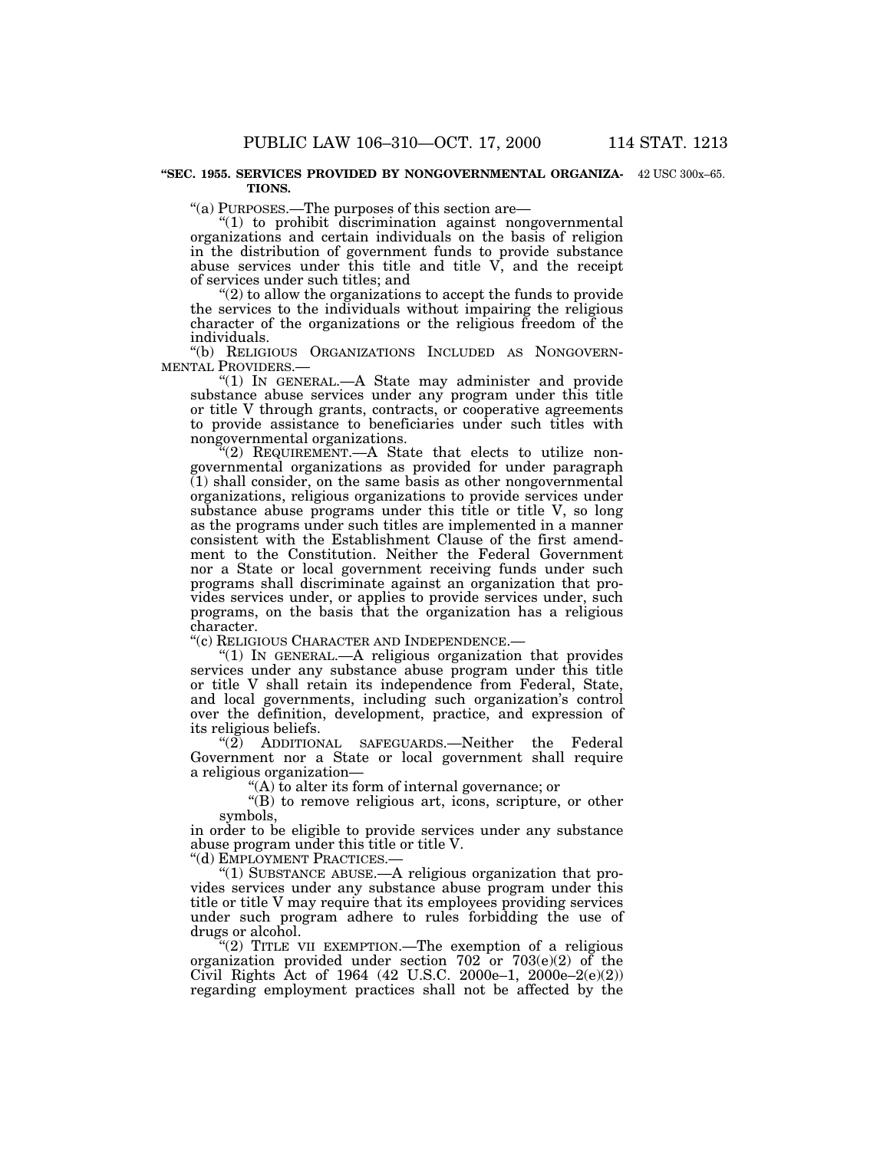#### **''SEC. 1955. SERVICES PROVIDED BY NONGOVERNMENTAL ORGANIZA-**42 USC 300x–65. **TIONS.**

''(a) PURPOSES.—The purposes of this section are—

''(1) to prohibit discrimination against nongovernmental organizations and certain individuals on the basis of religion in the distribution of government funds to provide substance abuse services under this title and title  $V$ , and the receipt of services under such titles; and

 $(2)$  to allow the organizations to accept the funds to provide the services to the individuals without impairing the religious character of the organizations or the religious freedom of the individuals.

''(b) RELIGIOUS ORGANIZATIONS INCLUDED AS NONGOVERN-

"(1) IN GENERAL -- A State may administer and provide substance abuse services under any program under this title or title V through grants, contracts, or cooperative agreements to provide assistance to beneficiaries under such titles with nongovernmental organizations.

''(2) REQUIREMENT.—A State that elects to utilize nongovernmental organizations as provided for under paragraph  $(1)$  shall consider, on the same basis as other nongovernmental organizations, religious organizations to provide services under substance abuse programs under this title or title V, so long as the programs under such titles are implemented in a manner consistent with the Establishment Clause of the first amendment to the Constitution. Neither the Federal Government nor a State or local government receiving funds under such programs shall discriminate against an organization that provides services under, or applies to provide services under, such programs, on the basis that the organization has a religious character.

''(c) RELIGIOUS CHARACTER AND INDEPENDENCE.—

" $(1)$  In GENERAL.—A religious organization that provides services under any substance abuse program under this title or title V shall retain its independence from Federal, State, and local governments, including such organization's control over the definition, development, practice, and expression of its religious beliefs.

"(2) ADDITIONAL SAFEGUARDS.—Neither the Federal Government nor a State or local government shall require a religious organization—

''(A) to alter its form of internal governance; or

''(B) to remove religious art, icons, scripture, or other symbols,

in order to be eligible to provide services under any substance abuse program under this title or title V.

''(d) EMPLOYMENT PRACTICES.—

"(1) SUBSTANCE ABUSE.—A religious organization that provides services under any substance abuse program under this title or title V may require that its employees providing services under such program adhere to rules forbidding the use of drugs or alcohol.

"(2) TITLE VII EXEMPTION.—The exemption of a religious organization provided under section 702 or 703(e)(2) of the Civil Rights Act of 1964 (42 U.S.C. 2000e–1, 2000e–2(e)(2)) regarding employment practices shall not be affected by the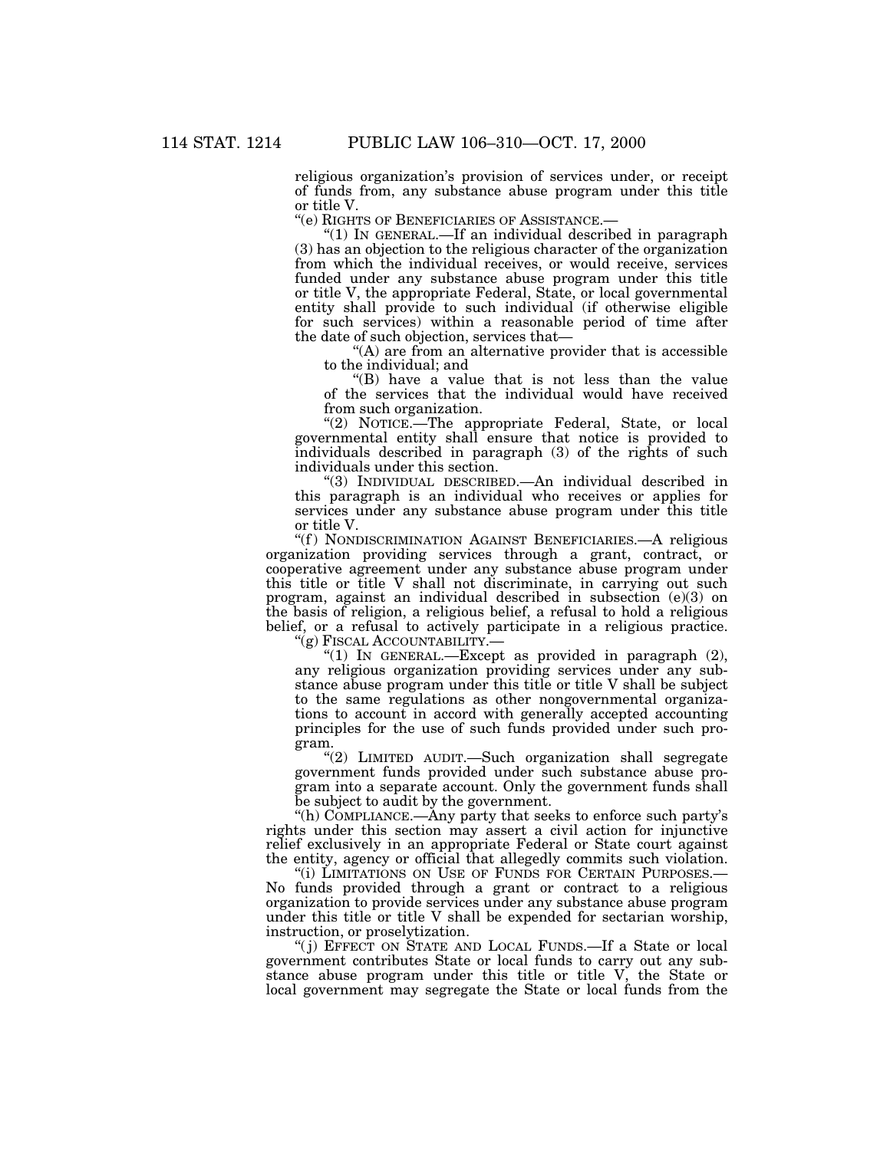religious organization's provision of services under, or receipt of funds from, any substance abuse program under this title or title V.

''(e) RIGHTS OF BENEFICIARIES OF ASSISTANCE.—

" $(1)$  In GENERAL.—If an individual described in paragraph (3) has an objection to the religious character of the organization from which the individual receives, or would receive, services funded under any substance abuse program under this title or title V, the appropriate Federal, State, or local governmental entity shall provide to such individual (if otherwise eligible for such services) within a reasonable period of time after the date of such objection, services that—

"(A) are from an alternative provider that is accessible to the individual; and

''(B) have a value that is not less than the value of the services that the individual would have received from such organization.

"(2) NOTICE.-The appropriate Federal, State, or local governmental entity shall ensure that notice is provided to individuals described in paragraph (3) of the rights of such individuals under this section.

''(3) INDIVIDUAL DESCRIBED.—An individual described in this paragraph is an individual who receives or applies for services under any substance abuse program under this title or title V.

"(f) NONDISCRIMINATION AGAINST BENEFICIARIES.—A religious organization providing services through a grant, contract, or cooperative agreement under any substance abuse program under this title or title V shall not discriminate, in carrying out such program, against an individual described in subsection (e)(3) on the basis of religion, a religious belief, a refusal to hold a religious belief, or a refusal to actively participate in a religious practice.

''(g) FISCAL ACCOUNTABILITY.—

"(1) IN GENERAL.-Except as provided in paragraph (2), any religious organization providing services under any substance abuse program under this title or title V shall be subject to the same regulations as other nongovernmental organizations to account in accord with generally accepted accounting principles for the use of such funds provided under such program.

''(2) LIMITED AUDIT.—Such organization shall segregate government funds provided under such substance abuse program into a separate account. Only the government funds shall be subject to audit by the government.

''(h) COMPLIANCE.—Any party that seeks to enforce such party's rights under this section may assert a civil action for injunctive relief exclusively in an appropriate Federal or State court against the entity, agency or official that allegedly commits such violation.

''(i) LIMITATIONS ON USE OF FUNDS FOR CERTAIN PURPOSES.— No funds provided through a grant or contract to a religious organization to provide services under any substance abuse program under this title or title V shall be expended for sectarian worship, instruction, or proselytization.

''( j) EFFECT ON STATE AND LOCAL FUNDS.—If a State or local government contributes State or local funds to carry out any substance abuse program under this title or title V, the State or local government may segregate the State or local funds from the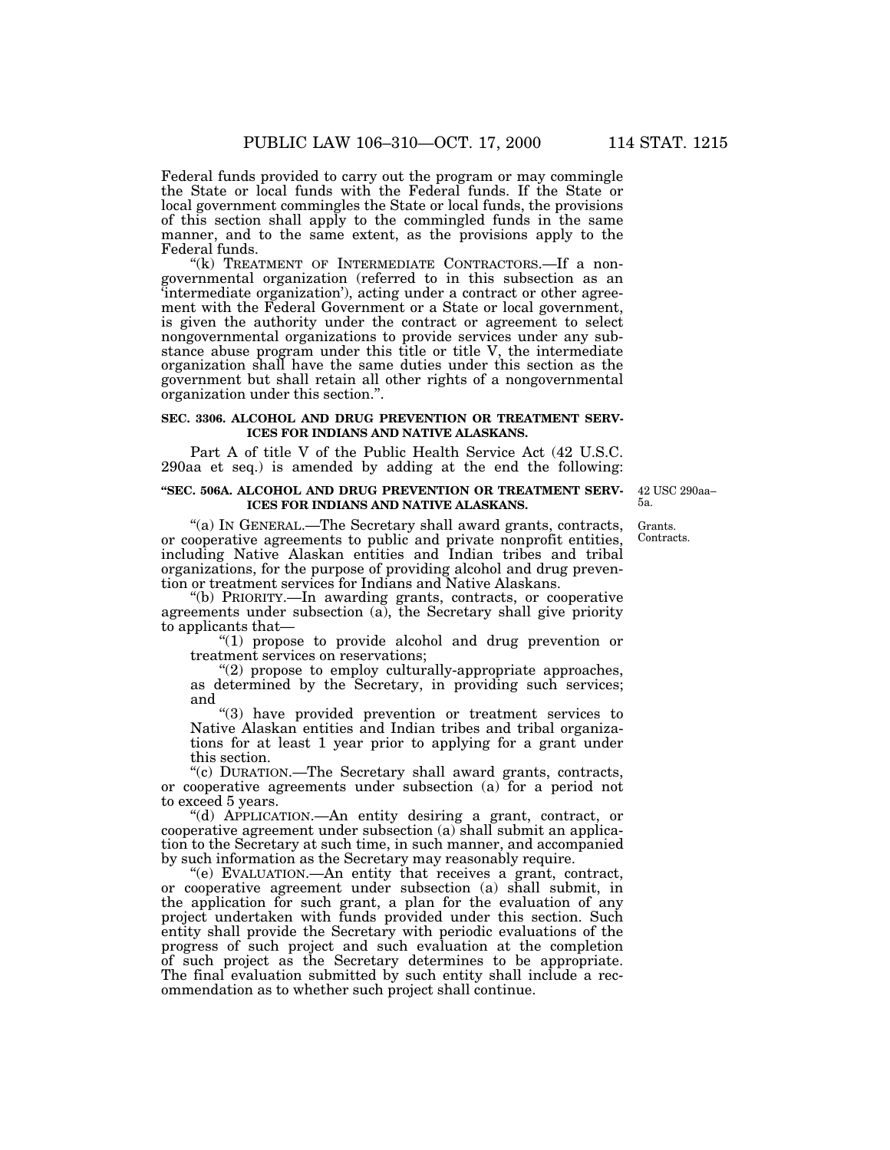Federal funds provided to carry out the program or may commingle the State or local funds with the Federal funds. If the State or local government commingles the State or local funds, the provisions of this section shall apply to the commingled funds in the same manner, and to the same extent, as the provisions apply to the Federal funds.

"(k) TREATMENT OF INTERMEDIATE CONTRACTORS.—If a nongovernmental organization (referred to in this subsection as an 'intermediate organization'), acting under a contract or other agreement with the Federal Government or a State or local government, is given the authority under the contract or agreement to select nongovernmental organizations to provide services under any substance abuse program under this title or title V, the intermediate organization shall have the same duties under this section as the government but shall retain all other rights of a nongovernmental organization under this section.''.

#### **SEC. 3306. ALCOHOL AND DRUG PREVENTION OR TREATMENT SERV-ICES FOR INDIANS AND NATIVE ALASKANS.**

Part A of title V of the Public Health Service Act (42 U.S.C. 290aa et seq.) is amended by adding at the end the following:

#### **''SEC. 506A. ALCOHOL AND DRUG PREVENTION OR TREATMENT SERV-ICES FOR INDIANS AND NATIVE ALASKANS.**

42 USC 290aa– 5a.

''(a) IN GENERAL.—The Secretary shall award grants, contracts, or cooperative agreements to public and private nonprofit entities, including Native Alaskan entities and Indian tribes and tribal organizations, for the purpose of providing alcohol and drug prevention or treatment services for Indians and Native Alaskans.

''(b) PRIORITY.—In awarding grants, contracts, or cooperative agreements under subsection (a), the Secretary shall give priority to applicants that—

''(1) propose to provide alcohol and drug prevention or treatment services on reservations;

''(2) propose to employ culturally-appropriate approaches, as determined by the Secretary, in providing such services; and

(3) have provided prevention or treatment services to Native Alaskan entities and Indian tribes and tribal organizations for at least 1 year prior to applying for a grant under this section.

''(c) DURATION.—The Secretary shall award grants, contracts, or cooperative agreements under subsection (a) for a period not to exceed 5 years.

''(d) APPLICATION.—An entity desiring a grant, contract, or cooperative agreement under subsection (a) shall submit an application to the Secretary at such time, in such manner, and accompanied by such information as the Secretary may reasonably require.

''(e) EVALUATION.—An entity that receives a grant, contract, or cooperative agreement under subsection (a) shall submit, in the application for such grant, a plan for the evaluation of any project undertaken with funds provided under this section. Such entity shall provide the Secretary with periodic evaluations of the progress of such project and such evaluation at the completion of such project as the Secretary determines to be appropriate. The final evaluation submitted by such entity shall include a recommendation as to whether such project shall continue.

Grants. Contracts.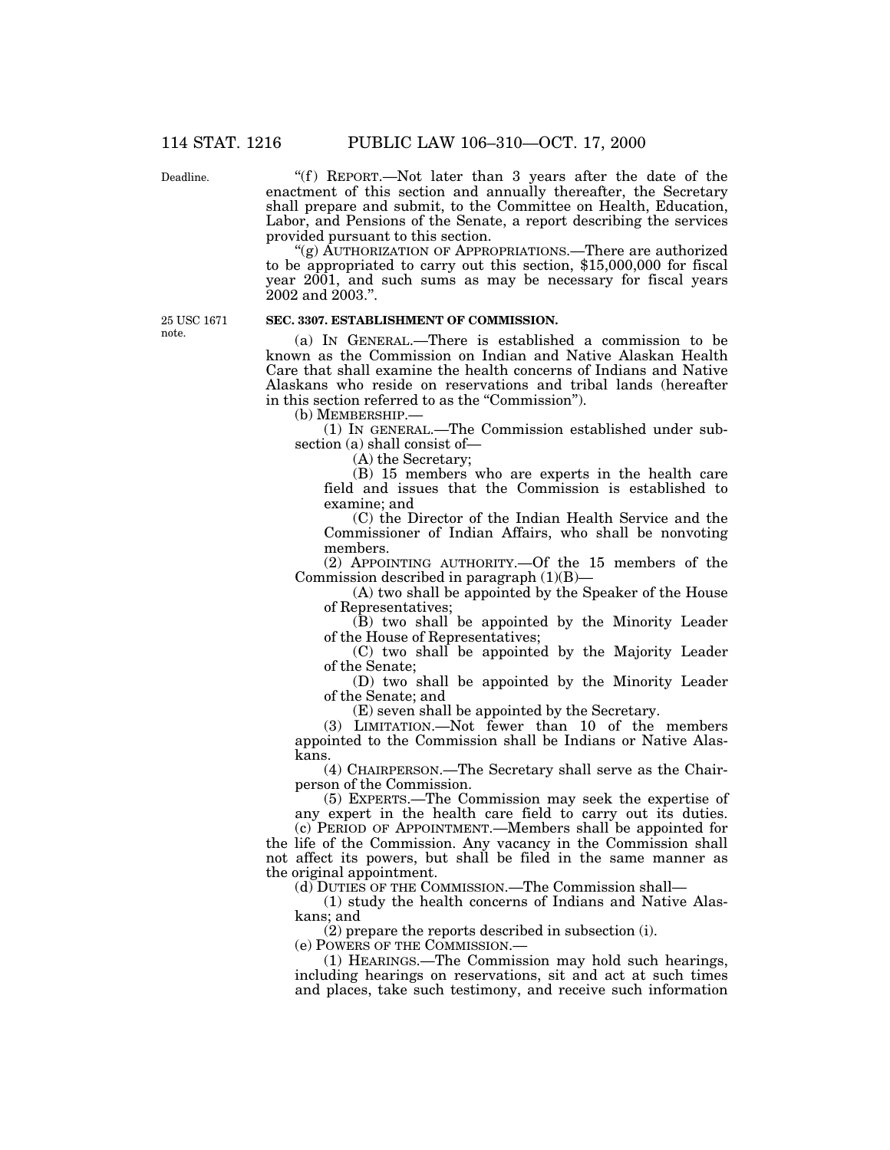Deadline.

"(f) REPORT.—Not later than 3 years after the date of the enactment of this section and annually thereafter, the Secretary shall prepare and submit, to the Committee on Health, Education, Labor, and Pensions of the Senate, a report describing the services provided pursuant to this section.

''(g) AUTHORIZATION OF APPROPRIATIONS.—There are authorized to be appropriated to carry out this section, \$15,000,000 for fiscal year 2001, and such sums as may be necessary for fiscal years 2002 and 2003.''.

25 USC 1671 note.

## **SEC. 3307. ESTABLISHMENT OF COMMISSION.**

(a) IN GENERAL.—There is established a commission to be known as the Commission on Indian and Native Alaskan Health Care that shall examine the health concerns of Indians and Native Alaskans who reside on reservations and tribal lands (hereafter in this section referred to as the "Commission").

(b) MEMBERSHIP.—

(1) IN GENERAL.—The Commission established under subsection (a) shall consist of—

(A) the Secretary;

(B) 15 members who are experts in the health care field and issues that the Commission is established to examine; and

(C) the Director of the Indian Health Service and the Commissioner of Indian Affairs, who shall be nonvoting members.

(2) APPOINTING AUTHORITY.—Of the 15 members of the Commission described in paragraph  $(1)(B)$ —

(A) two shall be appointed by the Speaker of the House of Representatives;

(B) two shall be appointed by the Minority Leader of the House of Representatives;

(C) two shall be appointed by the Majority Leader of the Senate;

(D) two shall be appointed by the Minority Leader of the Senate; and

(E) seven shall be appointed by the Secretary.

(3) LIMITATION.—Not fewer than 10 of the members appointed to the Commission shall be Indians or Native Alaskans.

(4) CHAIRPERSON.—The Secretary shall serve as the Chairperson of the Commission.

(5) EXPERTS.—The Commission may seek the expertise of any expert in the health care field to carry out its duties.

(c) PERIOD OF APPOINTMENT.—Members shall be appointed for the life of the Commission. Any vacancy in the Commission shall not affect its powers, but shall be filed in the same manner as the original appointment.

(d) DUTIES OF THE COMMISSION.—The Commission shall—

(1) study the health concerns of Indians and Native Alaskans; and

(2) prepare the reports described in subsection (i).

(e) POWERS OF THE COMMISSION.—

(1) HEARINGS.—The Commission may hold such hearings, including hearings on reservations, sit and act at such times and places, take such testimony, and receive such information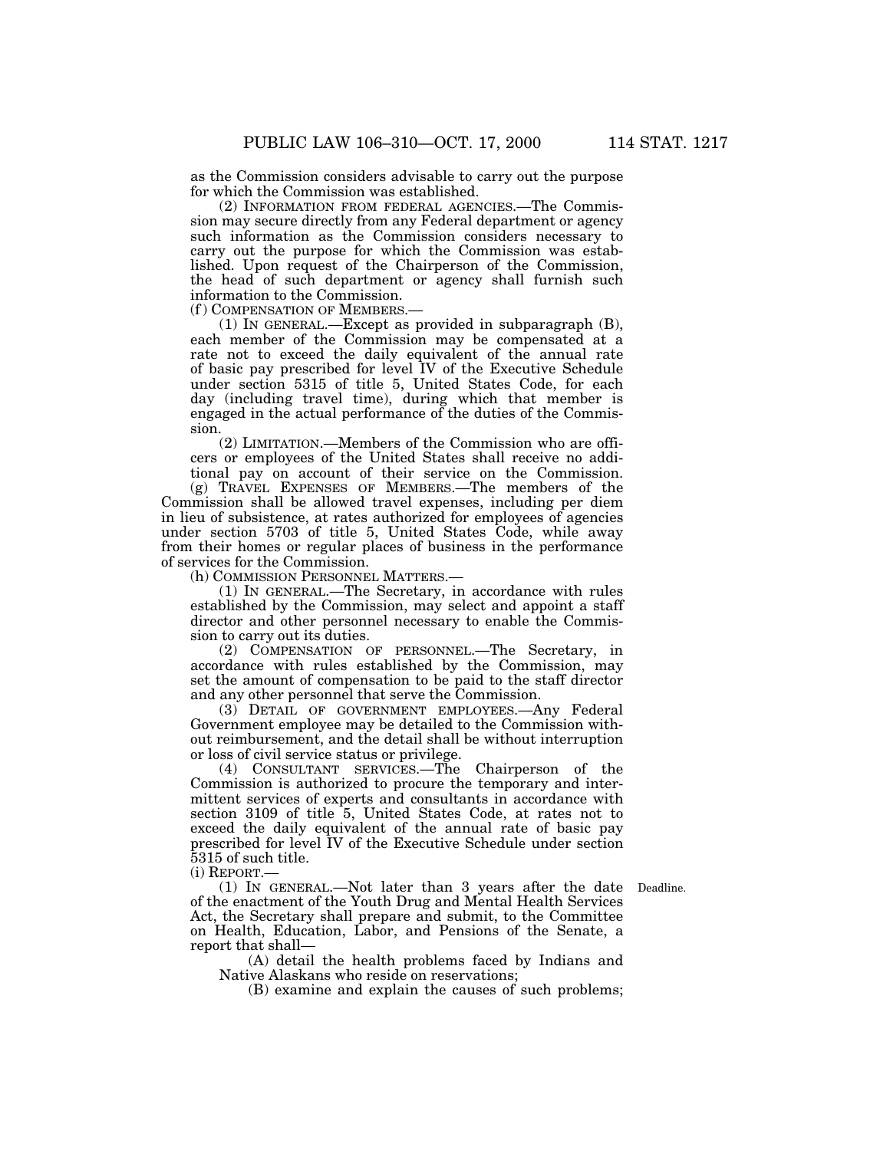as the Commission considers advisable to carry out the purpose for which the Commission was established.

(2) INFORMATION FROM FEDERAL AGENCIES.—The Commission may secure directly from any Federal department or agency such information as the Commission considers necessary to carry out the purpose for which the Commission was established. Upon request of the Chairperson of the Commission, the head of such department or agency shall furnish such information to the Commission.

(f ) COMPENSATION OF MEMBERS.—

(1) IN GENERAL.—Except as provided in subparagraph (B), each member of the Commission may be compensated at a rate not to exceed the daily equivalent of the annual rate of basic pay prescribed for level IV of the Executive Schedule under section 5315 of title 5, United States Code, for each day (including travel time), during which that member is engaged in the actual performance of the duties of the Commission.

(2) LIMITATION.—Members of the Commission who are officers or employees of the United States shall receive no additional pay on account of their service on the Commission.

(g) TRAVEL EXPENSES OF MEMBERS.—The members of the Commission shall be allowed travel expenses, including per diem in lieu of subsistence, at rates authorized for employees of agencies under section 5703 of title 5, United States Code, while away from their homes or regular places of business in the performance of services for the Commission.

(h) COMMISSION PERSONNEL MATTERS.—

(1) IN GENERAL.—The Secretary, in accordance with rules established by the Commission, may select and appoint a staff director and other personnel necessary to enable the Commission to carry out its duties.

(2) COMPENSATION OF PERSONNEL.—The Secretary, in accordance with rules established by the Commission, may set the amount of compensation to be paid to the staff director and any other personnel that serve the Commission.

(3) DETAIL OF GOVERNMENT EMPLOYEES.—Any Federal Government employee may be detailed to the Commission without reimbursement, and the detail shall be without interruption or loss of civil service status or privilege.

(4) CONSULTANT SERVICES.—The Chairperson of the Commission is authorized to procure the temporary and intermittent services of experts and consultants in accordance with section 3109 of title 5, United States Code, at rates not to exceed the daily equivalent of the annual rate of basic pay prescribed for level IV of the Executive Schedule under section 5315 of such title.

(i) REPORT.—

(1) IN GENERAL.—Not later than 3 years after the date Deadline. of the enactment of the Youth Drug and Mental Health Services Act, the Secretary shall prepare and submit, to the Committee on Health, Education, Labor, and Pensions of the Senate, a report that shall—

(A) detail the health problems faced by Indians and Native Alaskans who reside on reservations;

(B) examine and explain the causes of such problems;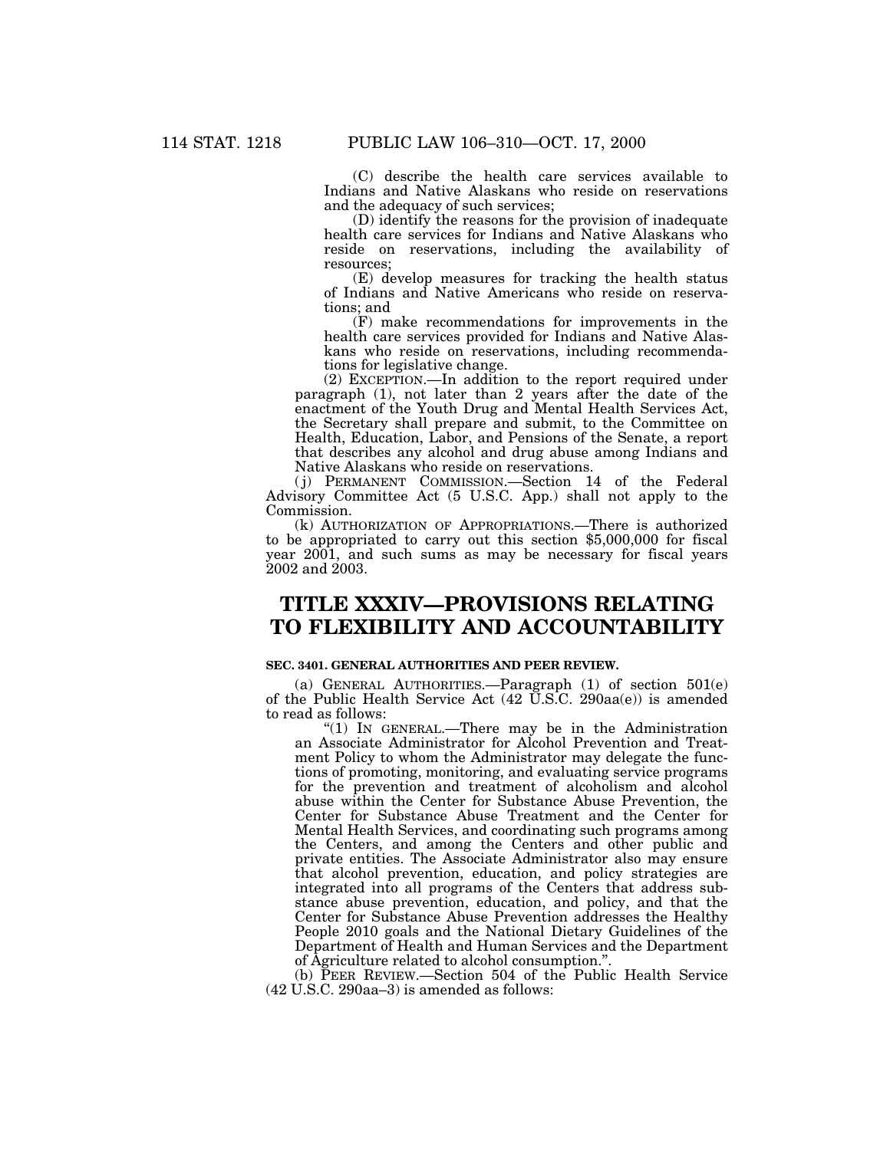(C) describe the health care services available to Indians and Native Alaskans who reside on reservations and the adequacy of such services;

(D) identify the reasons for the provision of inadequate health care services for Indians and Native Alaskans who reside on reservations, including the availability of resources;

(E) develop measures for tracking the health status of Indians and Native Americans who reside on reservations; and

(F) make recommendations for improvements in the health care services provided for Indians and Native Alaskans who reside on reservations, including recommendations for legislative change.

(2) EXCEPTION.—In addition to the report required under paragraph (1), not later than 2 years after the date of the enactment of the Youth Drug and Mental Health Services Act, the Secretary shall prepare and submit, to the Committee on Health, Education, Labor, and Pensions of the Senate, a report that describes any alcohol and drug abuse among Indians and Native Alaskans who reside on reservations.

( j) PERMANENT COMMISSION.—Section 14 of the Federal Advisory Committee Act (5 U.S.C. App.) shall not apply to the Commission.

(k) AUTHORIZATION OF APPROPRIATIONS.—There is authorized to be appropriated to carry out this section \$5,000,000 for fiscal year 2001, and such sums as may be necessary for fiscal years 2002 and 2003.

# **TITLE XXXIV—PROVISIONS RELATING TO FLEXIBILITY AND ACCOUNTABILITY**

## **SEC. 3401. GENERAL AUTHORITIES AND PEER REVIEW.**

(a) GENERAL AUTHORITIES.—Paragraph (1) of section 501(e) of the Public Health Service Act  $(42 \tilde{U}.S.C. 290aa(e))$  is amended to read as follows:

" $(1)$  IN GENERAL.—There may be in the Administration an Associate Administrator for Alcohol Prevention and Treatment Policy to whom the Administrator may delegate the functions of promoting, monitoring, and evaluating service programs for the prevention and treatment of alcoholism and alcohol abuse within the Center for Substance Abuse Prevention, the Center for Substance Abuse Treatment and the Center for Mental Health Services, and coordinating such programs among the Centers, and among the Centers and other public and private entities. The Associate Administrator also may ensure that alcohol prevention, education, and policy strategies are integrated into all programs of the Centers that address substance abuse prevention, education, and policy, and that the Center for Substance Abuse Prevention addresses the Healthy People 2010 goals and the National Dietary Guidelines of the Department of Health and Human Services and the Department of Agriculture related to alcohol consumption.''.

(b) PEER REVIEW.—Section 504 of the Public Health Service (42 U.S.C. 290aa–3) is amended as follows: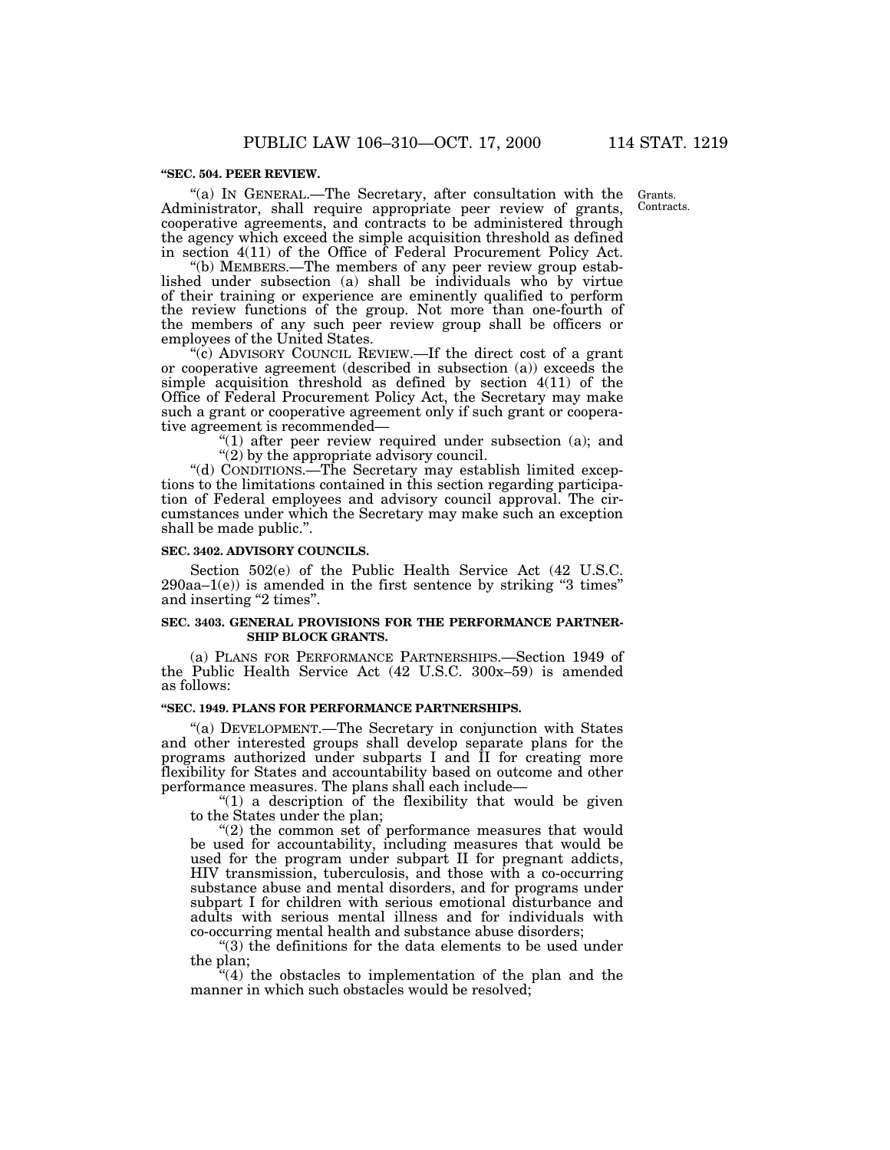#### **''SEC. 504. PEER REVIEW.**

''(a) IN GENERAL.—The Secretary, after consultation with the Administrator, shall require appropriate peer review of grants, cooperative agreements, and contracts to be administered through the agency which exceed the simple acquisition threshold as defined in section 4(11) of the Office of Federal Procurement Policy Act.

''(b) MEMBERS.—The members of any peer review group established under subsection (a) shall be individuals who by virtue of their training or experience are eminently qualified to perform the review functions of the group. Not more than one-fourth of the members of any such peer review group shall be officers or employees of the United States.

"(c) ADVISORY COUNCIL REVIEW.—If the direct cost of a grant or cooperative agreement (described in subsection (a)) exceeds the simple acquisition threshold as defined by section 4(11) of the Office of Federal Procurement Policy Act, the Secretary may make such a grant or cooperative agreement only if such grant or cooperative agreement is recommended—

> " $(1)$  after peer review required under subsection  $(a)$ ; and  $''(2)$  by the appropriate advisory council.

''(d) CONDITIONS.—The Secretary may establish limited exceptions to the limitations contained in this section regarding participation of Federal employees and advisory council approval. The circumstances under which the Secretary may make such an exception shall be made public.''.

#### **SEC. 3402. ADVISORY COUNCILS.**

Section 502(e) of the Public Health Service Act (42 U.S.C.  $290aa-1(e)$  is amended in the first sentence by striking "3 times" and inserting "2 times".

#### **SEC. 3403. GENERAL PROVISIONS FOR THE PERFORMANCE PARTNER-SHIP BLOCK GRANTS.**

(a) PLANS FOR PERFORMANCE PARTNERSHIPS.—Section 1949 of the Public Health Service Act (42 U.S.C. 300x–59) is amended as follows:

## **''SEC. 1949. PLANS FOR PERFORMANCE PARTNERSHIPS.**

''(a) DEVELOPMENT.—The Secretary in conjunction with States and other interested groups shall develop separate plans for the programs authorized under subparts I and II for creating more flexibility for States and accountability based on outcome and other performance measures. The plans shall each include—

" $(1)$  a description of the flexibility that would be given to the States under the plan;

"(2) the common set of performance measures that would be used for accountability, including measures that would be used for the program under subpart II for pregnant addicts, HIV transmission, tuberculosis, and those with a co-occurring substance abuse and mental disorders, and for programs under subpart I for children with serious emotional disturbance and adults with serious mental illness and for individuals with co-occurring mental health and substance abuse disorders;

''(3) the definitions for the data elements to be used under the plan;

 $*(4)$  the obstacles to implementation of the plan and the manner in which such obstacles would be resolved;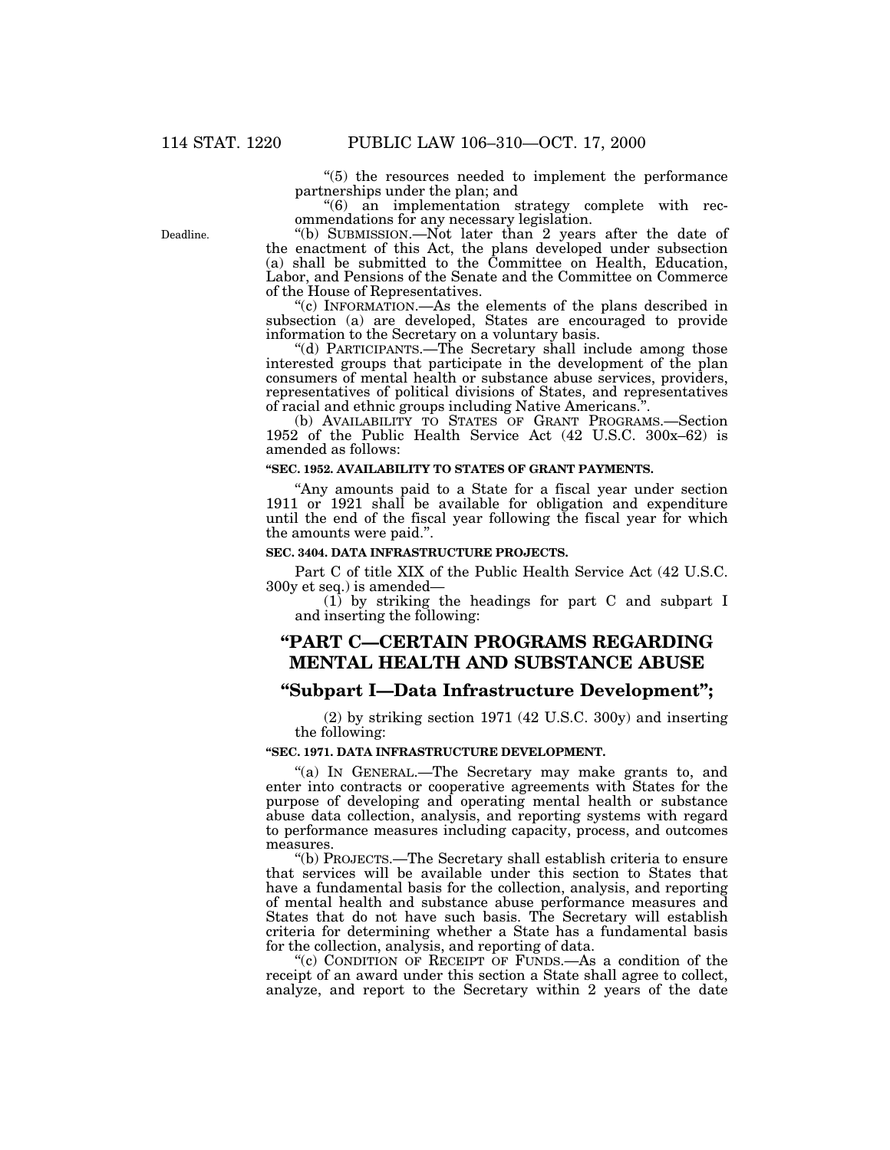''(5) the resources needed to implement the performance partnerships under the plan; and

''(6) an implementation strategy complete with recommendations for any necessary legislation.

''(b) SUBMISSION.—Not later than 2 years after the date of the enactment of this Act, the plans developed under subsection (a) shall be submitted to the Committee on Health, Education, Labor, and Pensions of the Senate and the Committee on Commerce of the House of Representatives.

''(c) INFORMATION.—As the elements of the plans described in subsection (a) are developed, States are encouraged to provide information to the Secretary on a voluntary basis.

''(d) PARTICIPANTS.—The Secretary shall include among those interested groups that participate in the development of the plan consumers of mental health or substance abuse services, providers, representatives of political divisions of States, and representatives of racial and ethnic groups including Native Americans.''.

(b) AVAILABILITY TO STATES OF GRANT PROGRAMS.—Section 1952 of the Public Health Service Act (42 U.S.C. 300x–62) is amended as follows:

#### **''SEC. 1952. AVAILABILITY TO STATES OF GRANT PAYMENTS.**

''Any amounts paid to a State for a fiscal year under section 1911 or 1921 shall be available for obligation and expenditure until the end of the fiscal year following the fiscal year for which the amounts were paid.''.

### **SEC. 3404. DATA INFRASTRUCTURE PROJECTS.**

Part C of title XIX of the Public Health Service Act (42 U.S.C. 300y et seq.) is amended—

(1) by striking the headings for part C and subpart I and inserting the following:

## **''PART C—CERTAIN PROGRAMS REGARDING MENTAL HEALTH AND SUBSTANCE ABUSE**

## **''Subpart I—Data Infrastructure Development'';**

(2) by striking section 1971 (42 U.S.C. 300y) and inserting the following:

## **''SEC. 1971. DATA INFRASTRUCTURE DEVELOPMENT.**

"(a) IN GENERAL.—The Secretary may make grants to, and enter into contracts or cooperative agreements with States for the purpose of developing and operating mental health or substance abuse data collection, analysis, and reporting systems with regard to performance measures including capacity, process, and outcomes measures.

''(b) PROJECTS.—The Secretary shall establish criteria to ensure that services will be available under this section to States that have a fundamental basis for the collection, analysis, and reporting of mental health and substance abuse performance measures and States that do not have such basis. The Secretary will establish criteria for determining whether a State has a fundamental basis for the collection, analysis, and reporting of data.

"(c) CONDITION OF RECEIPT OF FUNDS.—As a condition of the receipt of an award under this section a State shall agree to collect, analyze, and report to the Secretary within 2 years of the date

Deadline.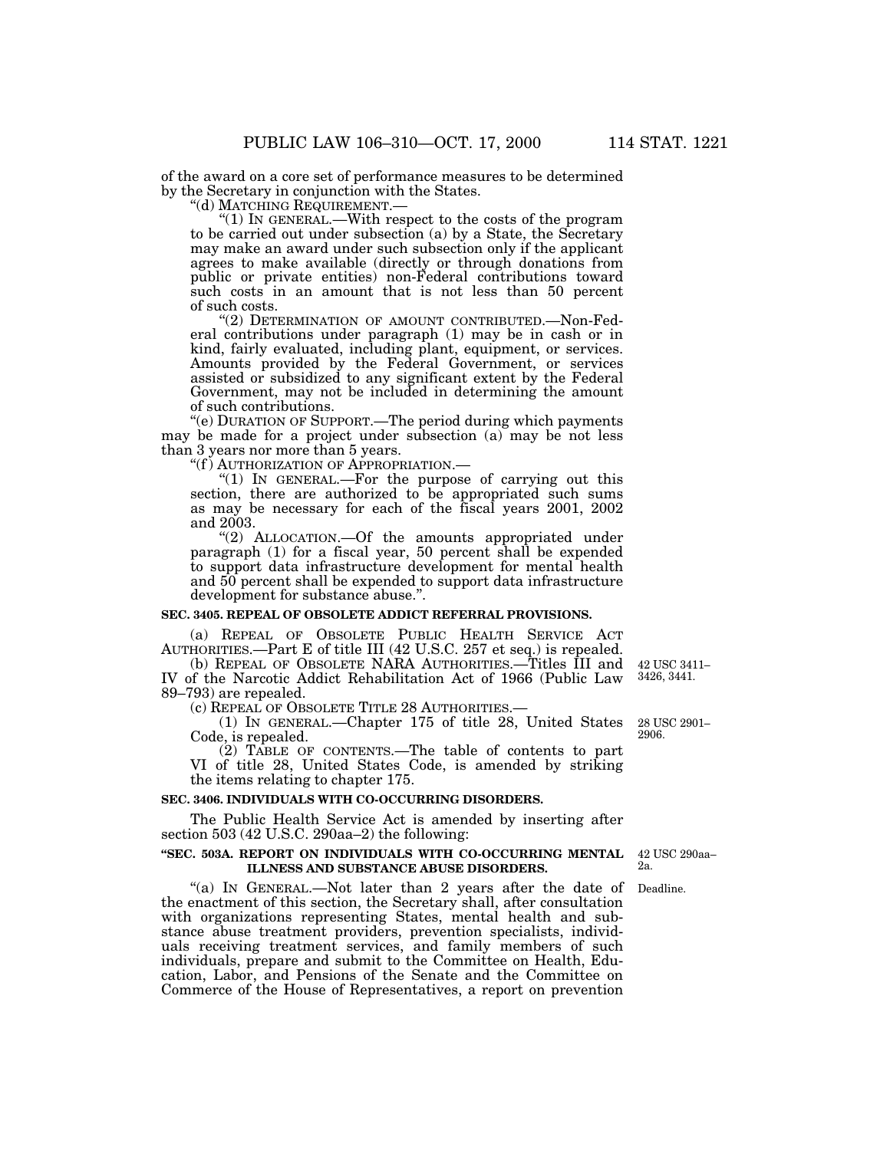of the award on a core set of performance measures to be determined by the Secretary in conjunction with the States.

"(d) MATCHING REQUIREMENT.—<br>"(1) IN GENERAL.—With respect to the costs of the program" to be carried out under subsection (a) by a State, the Secretary may make an award under such subsection only if the applicant agrees to make available (directly or through donations from public or private entities) non-Federal contributions toward such costs in an amount that is not less than 50 percent of such costs.

"(2) DETERMINATION OF AMOUNT CONTRIBUTED.—Non-Federal contributions under paragraph (1) may be in cash or in kind, fairly evaluated, including plant, equipment, or services. Amounts provided by the Federal Government, or services assisted or subsidized to any significant extent by the Federal Government, may not be included in determining the amount of such contributions.

''(e) DURATION OF SUPPORT.—The period during which payments may be made for a project under subsection (a) may be not less than 3 years nor more than 5 years.

''(f ) AUTHORIZATION OF APPROPRIATION.—

"(1) In GENERAL.—For the purpose of carrying out this section, there are authorized to be appropriated such sums as may be necessary for each of the fiscal years 2001, 2002 and 2003.

''(2) ALLOCATION.—Of the amounts appropriated under paragraph (1) for a fiscal year, 50 percent shall be expended to support data infrastructure development for mental health and 50 percent shall be expended to support data infrastructure development for substance abuse.''.

#### **SEC. 3405. REPEAL OF OBSOLETE ADDICT REFERRAL PROVISIONS.**

(a) REPEAL OF OBSOLETE PUBLIC HEALTH SERVICE ACT AUTHORITIES.—Part E of title III (42 U.S.C. 257 et seq.) is repealed.

(b) REPEAL OF OBSOLETE NARA AUTHORITIES.—Titles III and IV of the Narcotic Addict Rehabilitation Act of 1966 (Public Law 89–793) are repealed.

(c) REPEAL OF OBSOLETE TITLE 28 AUTHORITIES.—

(1) IN GENERAL.—Chapter 175 of title 28, United States Code, is repealed.

(2) TABLE OF CONTENTS.—The table of contents to part VI of title 28, United States Code, is amended by striking the items relating to chapter 175.

#### **SEC. 3406. INDIVIDUALS WITH CO-OCCURRING DISORDERS.**

The Public Health Service Act is amended by inserting after section 503 (42 U.S.C. 290aa–2) the following:

### **''SEC. 503A. REPORT ON INDIVIDUALS WITH CO-OCCURRING MENTAL ILLNESS AND SUBSTANCE ABUSE DISORDERS.**

"(a) IN GENERAL.—Not later than 2 years after the date of Deadline. the enactment of this section, the Secretary shall, after consultation with organizations representing States, mental health and substance abuse treatment providers, prevention specialists, individuals receiving treatment services, and family members of such individuals, prepare and submit to the Committee on Health, Education, Labor, and Pensions of the Senate and the Committee on Commerce of the House of Representatives, a report on prevention

42 USC 3411– 3426, 3441.

28 USC 2901– 2906.

42 USC 290aa– 2a.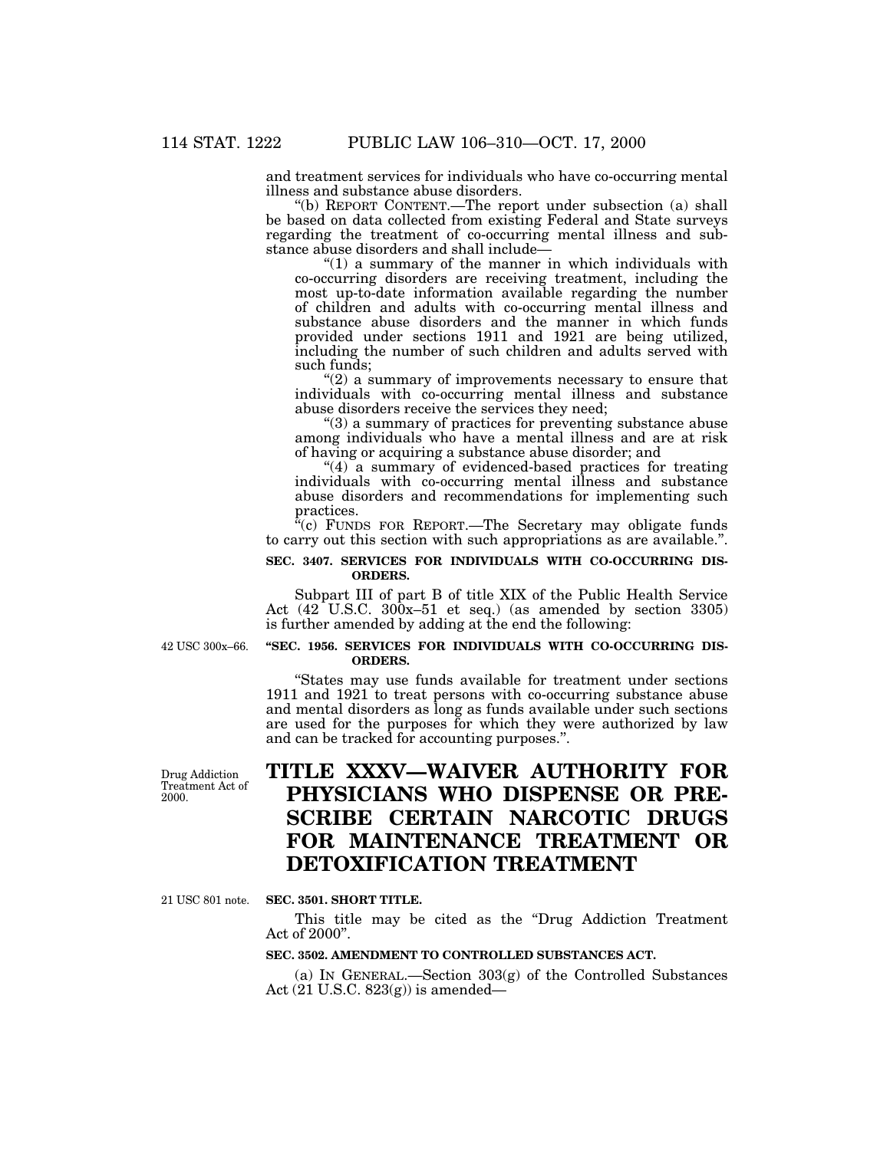and treatment services for individuals who have co-occurring mental illness and substance abuse disorders.

''(b) REPORT CONTENT.—The report under subsection (a) shall be based on data collected from existing Federal and State surveys regarding the treatment of co-occurring mental illness and substance abuse disorders and shall include—

 $''(1)$  a summary of the manner in which individuals with co-occurring disorders are receiving treatment, including the most up-to-date information available regarding the number of children and adults with co-occurring mental illness and substance abuse disorders and the manner in which funds provided under sections 1911 and 1921 are being utilized, including the number of such children and adults served with such funds;

 $(2)$  a summary of improvements necessary to ensure that individuals with co-occurring mental illness and substance abuse disorders receive the services they need;

''(3) a summary of practices for preventing substance abuse among individuals who have a mental illness and are at risk of having or acquiring a substance abuse disorder; and

 $"(4)$  a summary of evidenced-based practices for treating individuals with co-occurring mental illness and substance abuse disorders and recommendations for implementing such practices.

 $^{x}(c)$  FUNDS FOR REPORT.—The Secretary may obligate funds to carry out this section with such appropriations as are available.''.

## **SEC. 3407. SERVICES FOR INDIVIDUALS WITH CO-OCCURRING DIS-ORDERS.**

Subpart III of part B of title XIX of the Public Health Service Act (42 U.S.C. 300x-51 et seq.) (as amended by section 3305) is further amended by adding at the end the following:

42 USC 300x–66.

## **''SEC. 1956. SERVICES FOR INDIVIDUALS WITH CO-OCCURRING DIS-ORDERS.**

''States may use funds available for treatment under sections 1911 and 1921 to treat persons with co-occurring substance abuse and mental disorders as long as funds available under such sections are used for the purposes for which they were authorized by law and can be tracked for accounting purposes.''.

# **TITLE XXXV—WAIVER AUTHORITY FOR PHYSICIANS WHO DISPENSE OR PRE-SCRIBE CERTAIN NARCOTIC DRUGS FOR MAINTENANCE TREATMENT OR DETOXIFICATION TREATMENT**

21 USC 801 note.

Drug Addiction Treatment Act of

2000.

#### **SEC. 3501. SHORT TITLE.**

This title may be cited as the ''Drug Addiction Treatment Act of 2000''.

## **SEC. 3502. AMENDMENT TO CONTROLLED SUBSTANCES ACT.**

(a) IN GENERAL.—Section 303(g) of the Controlled Substances Act (21 U.S.C. 823(g)) is amended—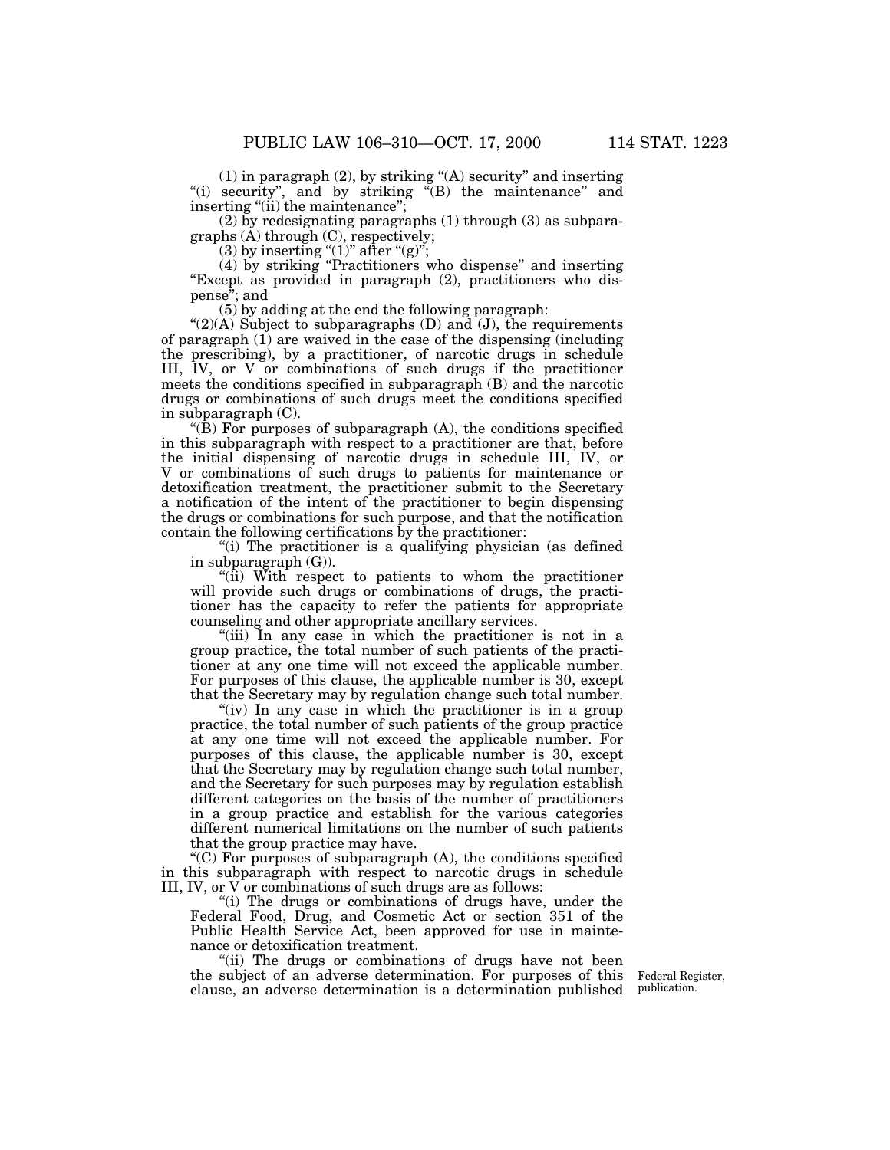(1) in paragraph (2), by striking ''(A) security'' and inserting "(i) security", and by striking "(B) the maintenance" and inserting "(ii) the maintenance";

 $(2)$  by redesignating paragraphs  $(1)$  through  $(3)$  as subparagraphs  $(A)$  through  $(C)$ , respectively;

(3) by inserting " $(1)$ " after " $(g)$ ";

(4) by striking ''Practitioners who dispense'' and inserting "Except as provided in paragraph (2), practitioners who dispense''; and

(5) by adding at the end the following paragraph:

" $(2)(A)$  Subject to subparagraphs  $(D)$  and  $(J)$ , the requirements of paragraph (1) are waived in the case of the dispensing (including the prescribing), by a practitioner, of narcotic drugs in schedule III, IV, or V or combinations of such drugs if the practitioner meets the conditions specified in subparagraph (B) and the narcotic drugs or combinations of such drugs meet the conditions specified in subparagraph (C).

"(B) For purposes of subparagraph  $(A)$ , the conditions specified in this subparagraph with respect to a practitioner are that, before the initial dispensing of narcotic drugs in schedule III, IV, or V or combinations of such drugs to patients for maintenance or detoxification treatment, the practitioner submit to the Secretary a notification of the intent of the practitioner to begin dispensing the drugs or combinations for such purpose, and that the notification contain the following certifications by the practitioner:

''(i) The practitioner is a qualifying physician (as defined in subparagraph (G)).

" $(i)$  With respect to patients to whom the practitioner will provide such drugs or combinations of drugs, the practitioner has the capacity to refer the patients for appropriate counseling and other appropriate ancillary services.

"(iii) In any case in which the practitioner is not in a group practice, the total number of such patients of the practitioner at any one time will not exceed the applicable number. For purposes of this clause, the applicable number is 30, except that the Secretary may by regulation change such total number.

"(iv) In any case in which the practitioner is in a group practice, the total number of such patients of the group practice at any one time will not exceed the applicable number. For purposes of this clause, the applicable number is 30, except that the Secretary may by regulation change such total number, and the Secretary for such purposes may by regulation establish different categories on the basis of the number of practitioners in a group practice and establish for the various categories different numerical limitations on the number of such patients that the group practice may have.

''(C) For purposes of subparagraph (A), the conditions specified in this subparagraph with respect to narcotic drugs in schedule III, IV, or V or combinations of such drugs are as follows:

"(i) The drugs or combinations of drugs have, under the Federal Food, Drug, and Cosmetic Act or section 351 of the Public Health Service Act, been approved for use in maintenance or detoxification treatment.

"(ii) The drugs or combinations of drugs have not been the subject of an adverse determination. For purposes of this clause, an adverse determination is a determination published

Federal Register, publication.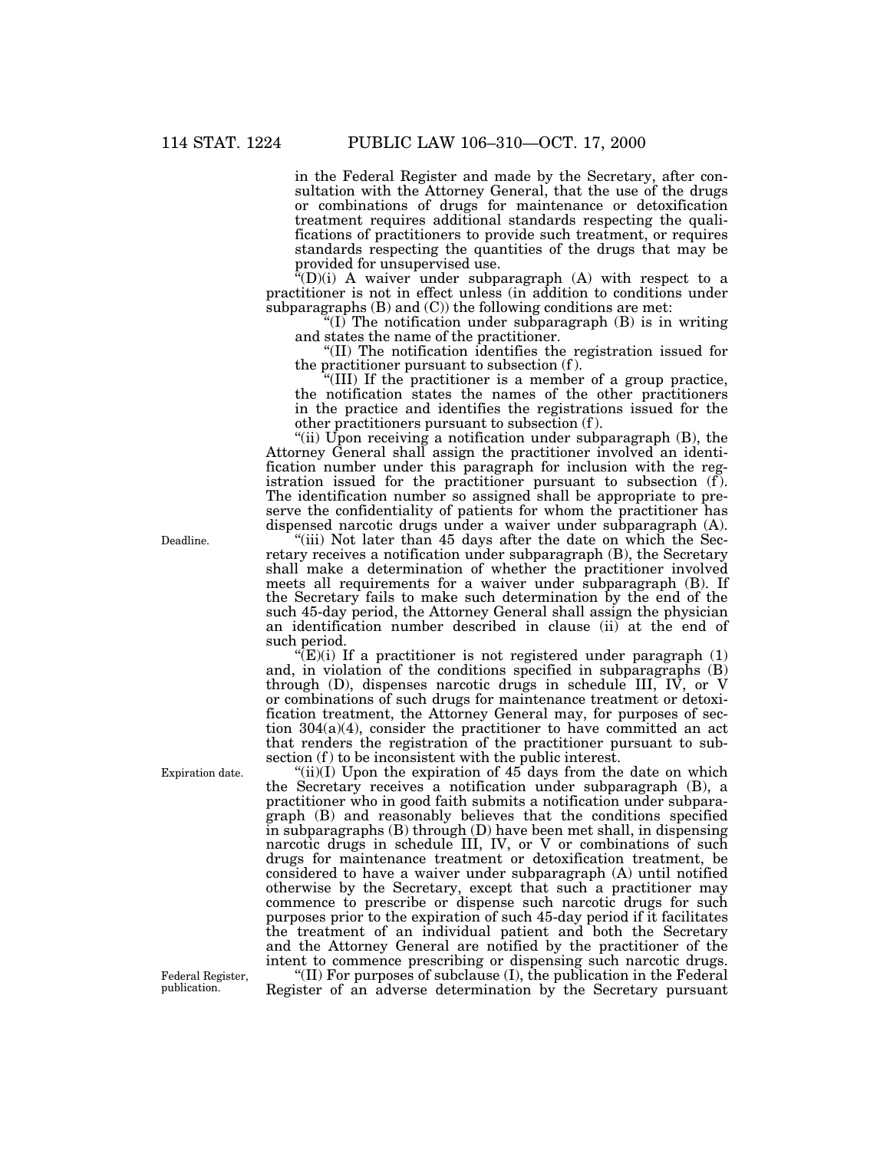in the Federal Register and made by the Secretary, after consultation with the Attorney General, that the use of the drugs or combinations of drugs for maintenance or detoxification treatment requires additional standards respecting the qualifications of practitioners to provide such treatment, or requires standards respecting the quantities of the drugs that may be provided for unsupervised use.

 $\alpha^2(D)(i)$  A waiver under subparagraph (A) with respect to a practitioner is not in effect unless (in addition to conditions under subparagraphs  $(B)$  and  $(C)$ ) the following conditions are met:

 $f(I)$  The notification under subparagraph  $(B)$  is in writing and states the name of the practitioner.

''(II) The notification identifies the registration issued for the practitioner pursuant to subsection (f ).

''(III) If the practitioner is a member of a group practice, the notification states the names of the other practitioners in the practice and identifies the registrations issued for the other practitioners pursuant to subsection (f ).

"(ii) Upon receiving a notification under subparagraph (B), the Attorney General shall assign the practitioner involved an identification number under this paragraph for inclusion with the registration issued for the practitioner pursuant to subsection (f). The identification number so assigned shall be appropriate to preserve the confidentiality of patients for whom the practitioner has dispensed narcotic drugs under a waiver under subparagraph (A).

''(iii) Not later than 45 days after the date on which the Secretary receives a notification under subparagraph (B), the Secretary shall make a determination of whether the practitioner involved meets all requirements for a waiver under subparagraph (B). If the Secretary fails to make such determination by the end of the such 45-day period, the Attorney General shall assign the physician an identification number described in clause (ii) at the end of such period.

 $E(E)$ (i) If a practitioner is not registered under paragraph (1) and, in violation of the conditions specified in subparagraphs (B) through  $(D)$ , dispenses narcotic drugs in schedule III, IV, or V or combinations of such drugs for maintenance treatment or detoxification treatment, the Attorney General may, for purposes of section 304(a)(4), consider the practitioner to have committed an act that renders the registration of the practitioner pursuant to subsection (f) to be inconsistent with the public interest.

" $(ii)(I)$  Upon the expiration of 45 days from the date on which the Secretary receives a notification under subparagraph (B), a practitioner who in good faith submits a notification under subparagraph (B) and reasonably believes that the conditions specified in subparagraphs (B) through (D) have been met shall, in dispensing narcotic drugs in schedule III, IV, or V or combinations of such drugs for maintenance treatment or detoxification treatment, be considered to have a waiver under subparagraph (A) until notified otherwise by the Secretary, except that such a practitioner may commence to prescribe or dispense such narcotic drugs for such purposes prior to the expiration of such 45-day period if it facilitates the treatment of an individual patient and both the Secretary and the Attorney General are notified by the practitioner of the intent to commence prescribing or dispensing such narcotic drugs.

''(II) For purposes of subclause (I), the publication in the Federal Register of an adverse determination by the Secretary pursuant

Deadline.

Federal Register, publication.

Expiration date.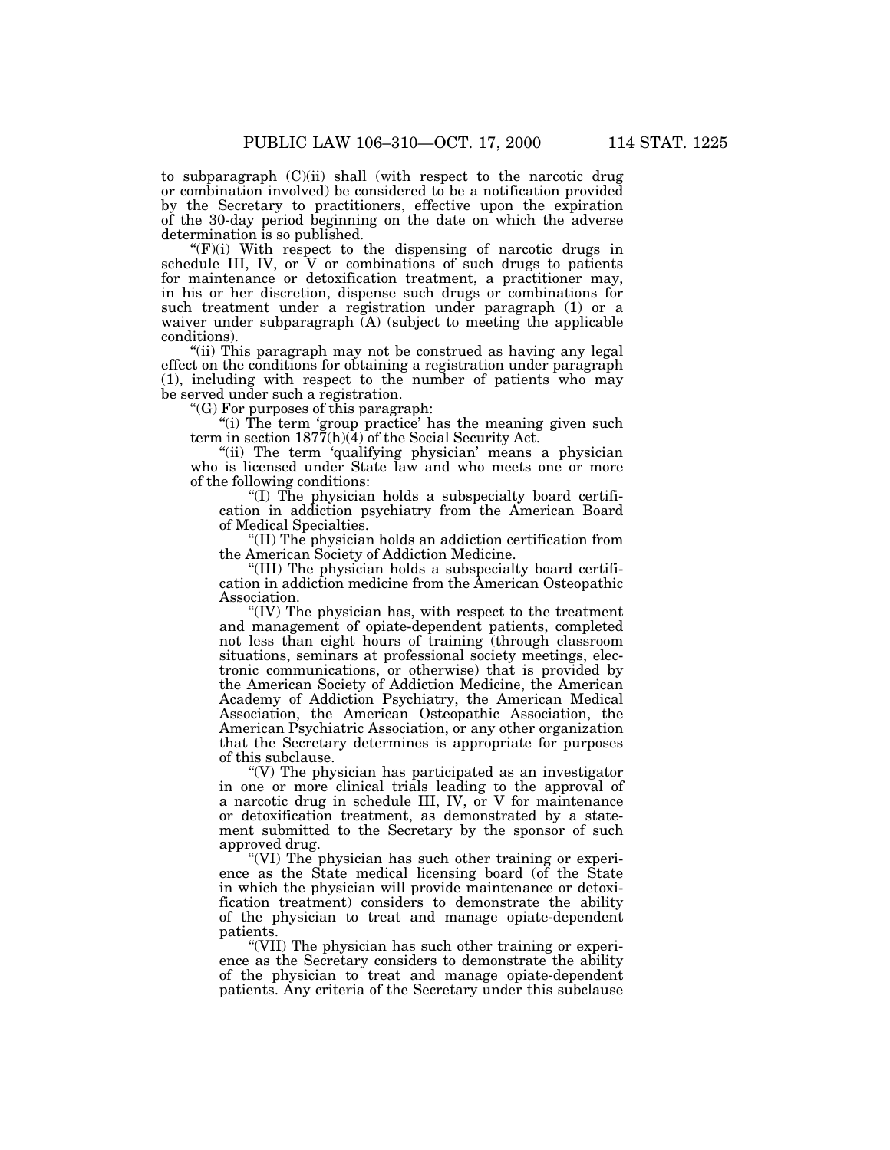to subparagraph (C)(ii) shall (with respect to the narcotic drug or combination involved) be considered to be a notification provided by the Secretary to practitioners, effective upon the expiration of the 30-day period beginning on the date on which the adverse determination is so published.

 $f(F)(i)$  With respect to the dispensing of narcotic drugs in schedule III, IV, or  $\bar{V}$  or combinations of such drugs to patients for maintenance or detoxification treatment, a practitioner may, in his or her discretion, dispense such drugs or combinations for such treatment under a registration under paragraph (1) or a waiver under subparagraph (A) (subject to meeting the applicable conditions).

"(ii) This paragraph may not be construed as having any legal effect on the conditions for obtaining a registration under paragraph (1), including with respect to the number of patients who may be served under such a registration.

''(G) For purposes of this paragraph:

"(i) The term 'group practice' has the meaning given such term in section  $187\tilde{7}$ (h)(4) of the Social Security Act.

"(ii) The term 'qualifying physician' means a physician who is licensed under State law and who meets one or more of the following conditions:

''(I) The physician holds a subspecialty board certification in addiction psychiatry from the American Board of Medical Specialties.

''(II) The physician holds an addiction certification from the American Society of Addiction Medicine.

''(III) The physician holds a subspecialty board certification in addiction medicine from the American Osteopathic Association.

"(IV) The physician has, with respect to the treatment and management of opiate-dependent patients, completed not less than eight hours of training (through classroom situations, seminars at professional society meetings, electronic communications, or otherwise) that is provided by the American Society of Addiction Medicine, the American Academy of Addiction Psychiatry, the American Medical Association, the American Osteopathic Association, the American Psychiatric Association, or any other organization that the Secretary determines is appropriate for purposes of this subclause.

''(V) The physician has participated as an investigator in one or more clinical trials leading to the approval of a narcotic drug in schedule III, IV, or V for maintenance or detoxification treatment, as demonstrated by a statement submitted to the Secretary by the sponsor of such approved drug.

"(VI) The physician has such other training or experience as the State medical licensing board (of the State in which the physician will provide maintenance or detoxification treatment) considers to demonstrate the ability of the physician to treat and manage opiate-dependent patients.

''(VII) The physician has such other training or experience as the Secretary considers to demonstrate the ability of the physician to treat and manage opiate-dependent patients. Any criteria of the Secretary under this subclause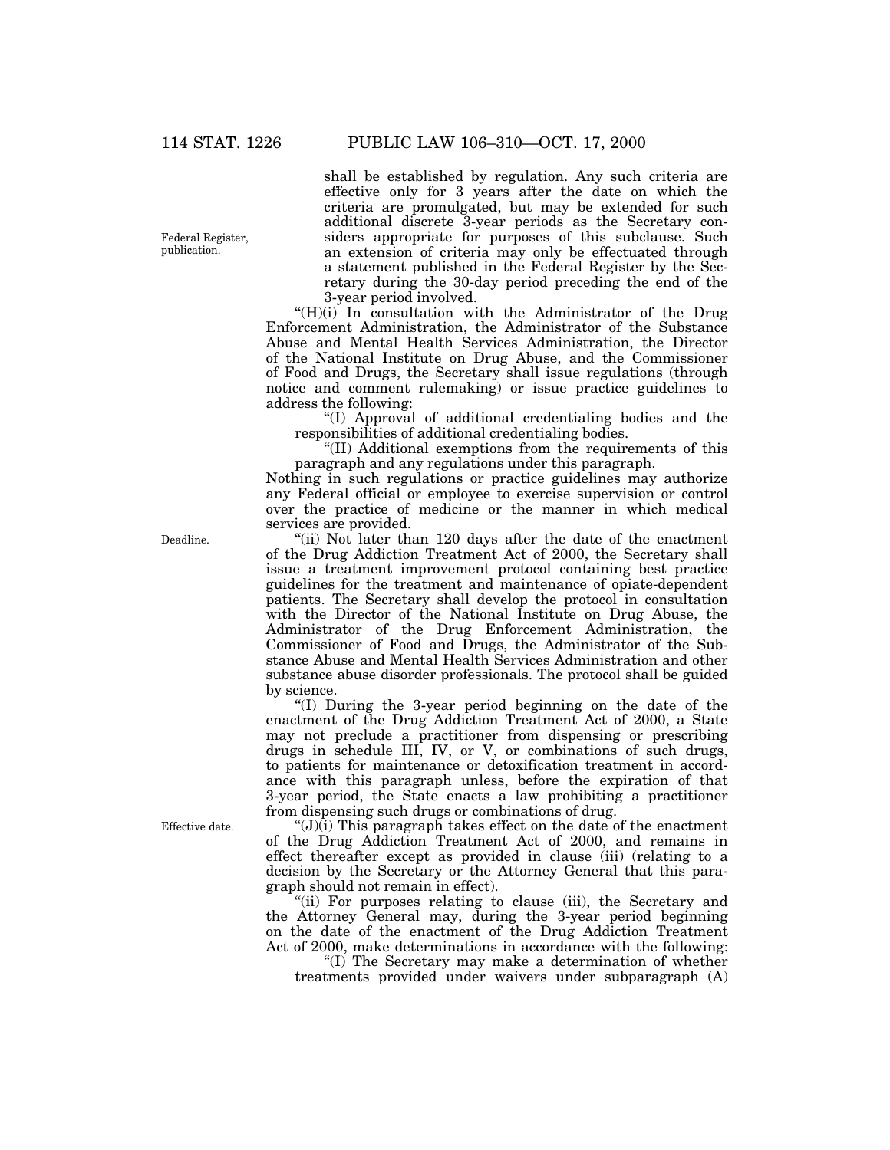Federal Register, publication.

shall be established by regulation. Any such criteria are effective only for 3 years after the date on which the criteria are promulgated, but may be extended for such additional discrete 3-year periods as the Secretary considers appropriate for purposes of this subclause. Such an extension of criteria may only be effectuated through a statement published in the Federal Register by the Secretary during the 30-day period preceding the end of the 3-year period involved.

 $H(H)(i)$  In consultation with the Administrator of the Drug Enforcement Administration, the Administrator of the Substance Abuse and Mental Health Services Administration, the Director of the National Institute on Drug Abuse, and the Commissioner of Food and Drugs, the Secretary shall issue regulations (through notice and comment rulemaking) or issue practice guidelines to address the following:

''(I) Approval of additional credentialing bodies and the responsibilities of additional credentialing bodies.

''(II) Additional exemptions from the requirements of this paragraph and any regulations under this paragraph.

Nothing in such regulations or practice guidelines may authorize any Federal official or employee to exercise supervision or control over the practice of medicine or the manner in which medical services are provided.

"(ii) Not later than 120 days after the date of the enactment of the Drug Addiction Treatment Act of 2000, the Secretary shall issue a treatment improvement protocol containing best practice guidelines for the treatment and maintenance of opiate-dependent patients. The Secretary shall develop the protocol in consultation with the Director of the National Institute on Drug Abuse, the Administrator of the Drug Enforcement Administration, the Commissioner of Food and Drugs, the Administrator of the Substance Abuse and Mental Health Services Administration and other substance abuse disorder professionals. The protocol shall be guided by science.

''(I) During the 3-year period beginning on the date of the enactment of the Drug Addiction Treatment Act of 2000, a State may not preclude a practitioner from dispensing or prescribing drugs in schedule III, IV, or V, or combinations of such drugs, to patients for maintenance or detoxification treatment in accordance with this paragraph unless, before the expiration of that 3-year period, the State enacts a law prohibiting a practitioner from dispensing such drugs or combinations of drug.

 $'(J)(i)$  This paragraph takes effect on the date of the enactment of the Drug Addiction Treatment Act of 2000, and remains in effect thereafter except as provided in clause (iii) (relating to a decision by the Secretary or the Attorney General that this paragraph should not remain in effect).

"(ii) For purposes relating to clause (iii), the Secretary and the Attorney General may, during the 3-year period beginning on the date of the enactment of the Drug Addiction Treatment Act of 2000, make determinations in accordance with the following:

''(I) The Secretary may make a determination of whether treatments provided under waivers under subparagraph (A)

Deadline.

Effective date.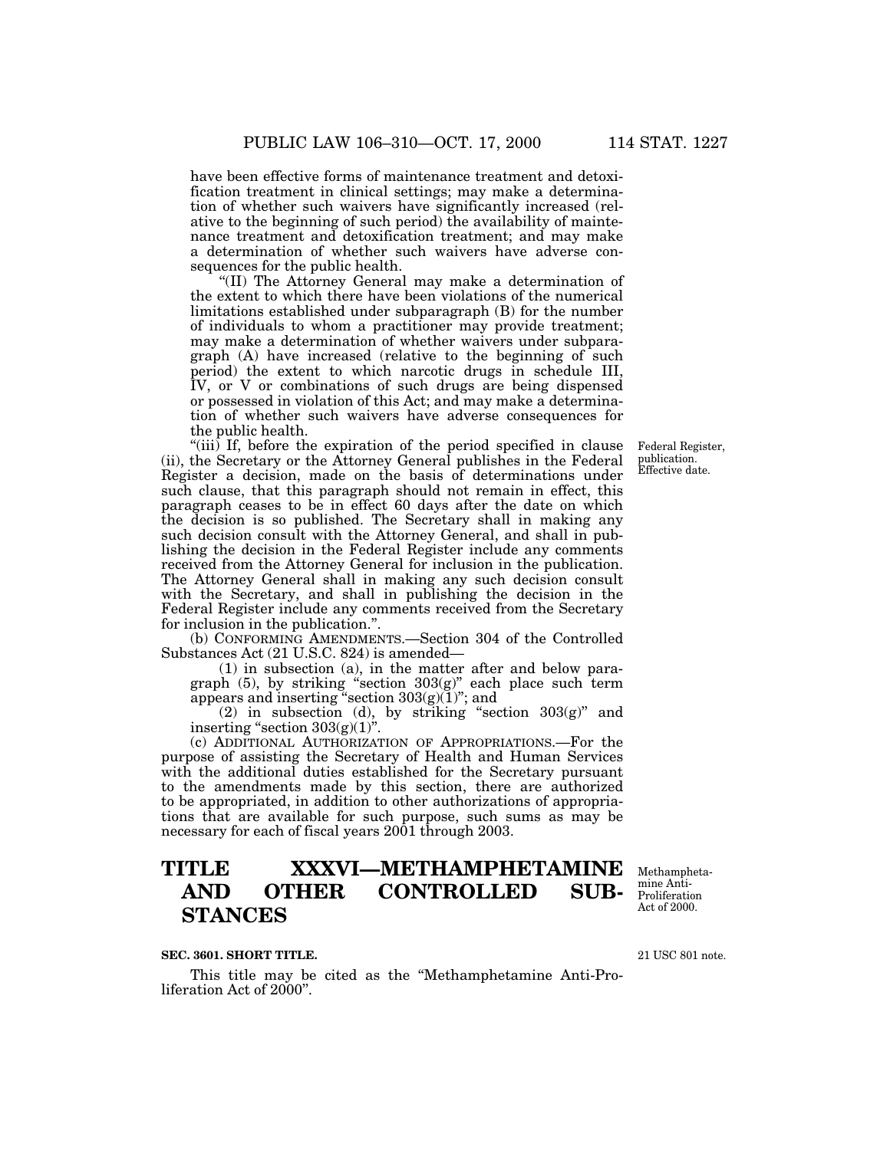have been effective forms of maintenance treatment and detoxification treatment in clinical settings; may make a determination of whether such waivers have significantly increased (relative to the beginning of such period) the availability of maintenance treatment and detoxification treatment; and may make a determination of whether such waivers have adverse consequences for the public health.

''(II) The Attorney General may make a determination of the extent to which there have been violations of the numerical limitations established under subparagraph (B) for the number of individuals to whom a practitioner may provide treatment; may make a determination of whether waivers under subparagraph (A) have increased (relative to the beginning of such period) the extent to which narcotic drugs in schedule III, IV, or V or combinations of such drugs are being dispensed or possessed in violation of this Act; and may make a determination of whether such waivers have adverse consequences for the public health.

"(iii) If, before the expiration of the period specified in clause (ii), the Secretary or the Attorney General publishes in the Federal Register a decision, made on the basis of determinations under such clause, that this paragraph should not remain in effect, this paragraph ceases to be in effect 60 days after the date on which the decision is so published. The Secretary shall in making any such decision consult with the Attorney General, and shall in publishing the decision in the Federal Register include any comments received from the Attorney General for inclusion in the publication. The Attorney General shall in making any such decision consult with the Secretary, and shall in publishing the decision in the Federal Register include any comments received from the Secretary for inclusion in the publication.''.

(b) CONFORMING AMENDMENTS.—Section 304 of the Controlled Substances Act (21 U.S.C. 824) is amended—

(1) in subsection (a), in the matter after and below paragraph (5), by striking ''section 303(g)'' each place such term appears and inserting "section  $303(g)(1)$ "; and

(2) in subsection (d), by striking "section  $303(g)$ " and inserting "section  $303(g)(1)$ ".

(c) ADDITIONAL AUTHORIZATION OF APPROPRIATIONS.—For the purpose of assisting the Secretary of Health and Human Services with the additional duties established for the Secretary pursuant to the amendments made by this section, there are authorized to be appropriated, in addition to other authorizations of appropriations that are available for such purpose, such sums as may be necessary for each of fiscal years 2001 through 2003.

# **TITLE XXXVI—METHAMPHETAMINE AND OTHER CONTROLLED SUB-STANCES**

Methamphetamine Anti-Proliferation Act of 2000.

#### **SEC. 3601. SHORT TITLE.**

This title may be cited as the ''Methamphetamine Anti-Proliferation Act of 2000''.

21 USC 801 note.

Federal Register, publication. Effective date.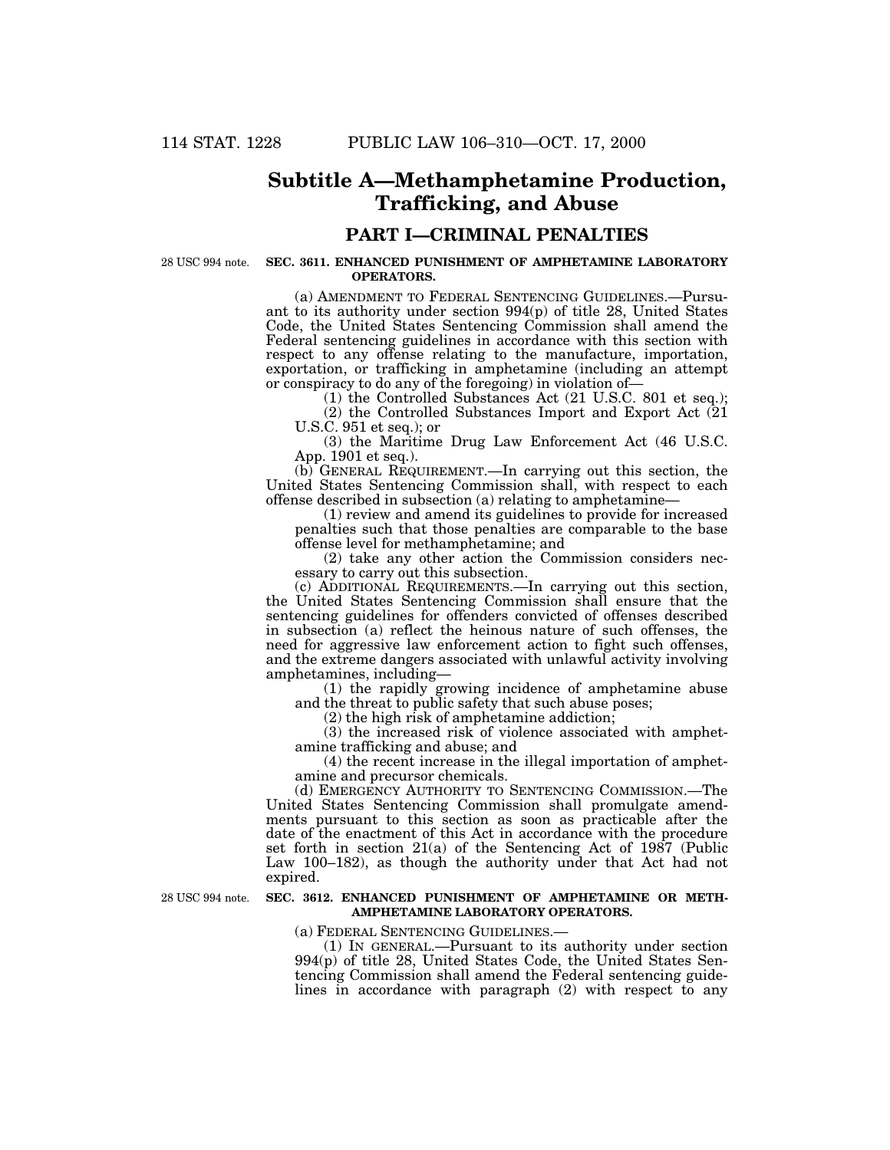## **Subtitle A—Methamphetamine Production, Trafficking, and Abuse**

## **PART I—CRIMINAL PENALTIES**

28 USC 994 note.

#### **SEC. 3611. ENHANCED PUNISHMENT OF AMPHETAMINE LABORATORY OPERATORS.**

(a) AMENDMENT TO FEDERAL SENTENCING GUIDELINES.—Pursuant to its authority under section 994(p) of title 28, United States Code, the United States Sentencing Commission shall amend the Federal sentencing guidelines in accordance with this section with respect to any offense relating to the manufacture, importation, exportation, or trafficking in amphetamine (including an attempt or conspiracy to do any of the foregoing) in violation of—

(1) the Controlled Substances Act (21 U.S.C. 801 et seq.); (2) the Controlled Substances Import and Export Act (21 U.S.C. 951 et seq.); or

(3) the Maritime Drug Law Enforcement Act (46 U.S.C. App. 1901 et seq.).

(b) GENERAL REQUIREMENT.—In carrying out this section, the United States Sentencing Commission shall, with respect to each offense described in subsection (a) relating to amphetamine—

(1) review and amend its guidelines to provide for increased penalties such that those penalties are comparable to the base offense level for methamphetamine; and

(2) take any other action the Commission considers necessary to carry out this subsection.

(c) ADDITIONAL REQUIREMENTS.—In carrying out this section, the United States Sentencing Commission shall ensure that the sentencing guidelines for offenders convicted of offenses described in subsection (a) reflect the heinous nature of such offenses, the need for aggressive law enforcement action to fight such offenses, and the extreme dangers associated with unlawful activity involving amphetamines, including—

(1) the rapidly growing incidence of amphetamine abuse and the threat to public safety that such abuse poses;

(2) the high risk of amphetamine addiction;

(3) the increased risk of violence associated with amphetamine trafficking and abuse; and

(4) the recent increase in the illegal importation of amphetamine and precursor chemicals.

(d) EMERGENCY AUTHORITY TO SENTENCING COMMISSION.—The United States Sentencing Commission shall promulgate amendments pursuant to this section as soon as practicable after the date of the enactment of this Act in accordance with the procedure set forth in section 21(a) of the Sentencing Act of 1987 (Public Law 100–182), as though the authority under that Act had not expired.

28 USC 994 note.

#### **SEC. 3612. ENHANCED PUNISHMENT OF AMPHETAMINE OR METH-AMPHETAMINE LABORATORY OPERATORS.**

(a) FEDERAL SENTENCING GUIDELINES.—

(1) IN GENERAL.—Pursuant to its authority under section 994(p) of title 28, United States Code, the United States Sentencing Commission shall amend the Federal sentencing guidelines in accordance with paragraph  $(2)$  with respect to any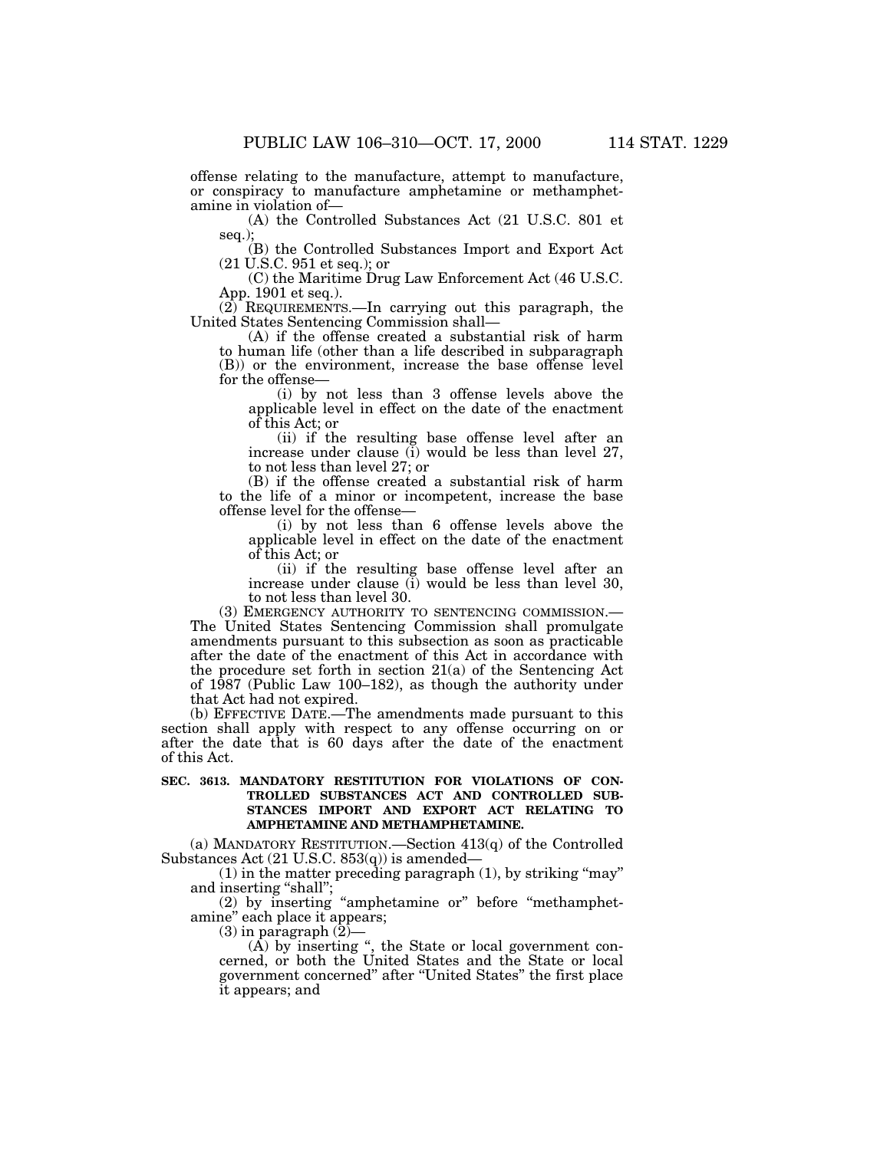offense relating to the manufacture, attempt to manufacture,

or conspiracy to manufacture amphetamine or methamphetamine in violation of—

(A) the Controlled Substances Act (21 U.S.C. 801 et seq.)

(B) the Controlled Substances Import and Export Act (21 U.S.C. 951 et seq.); or

(C) the Maritime Drug Law Enforcement Act (46 U.S.C. App. 1901 et seq.).

(2) REQUIREMENTS.—In carrying out this paragraph, the United States Sentencing Commission shall—

(A) if the offense created a substantial risk of harm to human life (other than a life described in subparagraph (B)) or the environment, increase the base offense level for the offense—

(i) by not less than 3 offense levels above the applicable level in effect on the date of the enactment of this Act; or

(ii) if the resulting base offense level after an increase under clause (i) would be less than level 27, to not less than level 27; or

(B) if the offense created a substantial risk of harm to the life of a minor or incompetent, increase the base offense level for the offense—

(i) by not less than 6 offense levels above the applicable level in effect on the date of the enactment of this Act; or

(ii) if the resulting base offense level after an increase under clause (i) would be less than level 30, to not less than level 30.

(3) EMERGENCY AUTHORITY TO SENTENCING COMMISSION.— The United States Sentencing Commission shall promulgate amendments pursuant to this subsection as soon as practicable after the date of the enactment of this Act in accordance with the procedure set forth in section 21(a) of the Sentencing Act of 1987 (Public Law 100–182), as though the authority under that Act had not expired.

(b) EFFECTIVE DATE.—The amendments made pursuant to this section shall apply with respect to any offense occurring on or after the date that is 60 days after the date of the enactment of this Act.

### **SEC. 3613. MANDATORY RESTITUTION FOR VIOLATIONS OF CON-TROLLED SUBSTANCES ACT AND CONTROLLED SUB-STANCES IMPORT AND EXPORT ACT RELATING TO AMPHETAMINE AND METHAMPHETAMINE.**

(a) MANDATORY RESTITUTION.—Section 413(q) of the Controlled Substances Act (21 U.S.C. 853(q)) is amended—

 $(1)$  in the matter preceding paragraph  $(1)$ , by striking "may" and inserting ''shall'';

(2) by inserting ''amphetamine or'' before ''methamphetamine'' each place it appears;

 $(3)$  in paragraph  $(2)$ –

(A) by inserting '', the State or local government concerned, or both the United States and the State or local government concerned'' after ''United States'' the first place it appears; and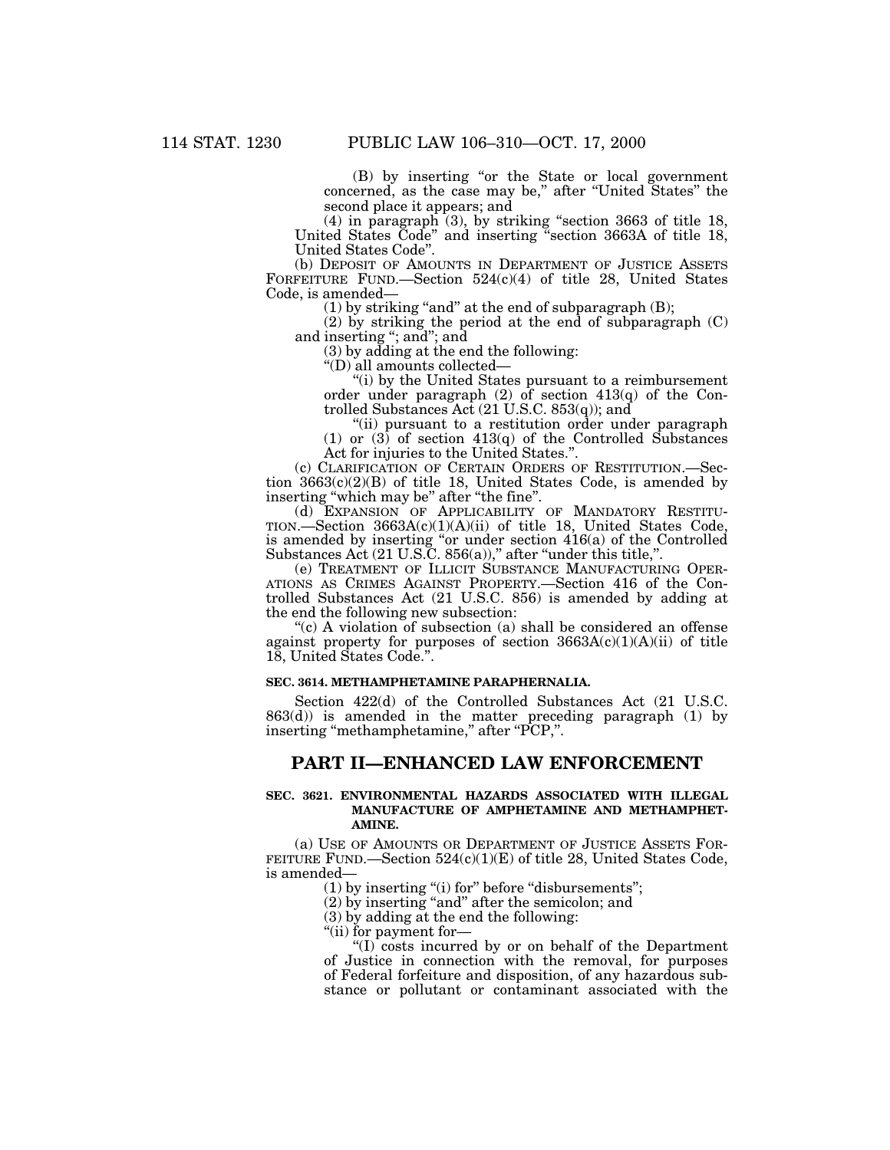(B) by inserting ''or the State or local government concerned, as the case may be,'' after ''United States'' the second place it appears; and

(4) in paragraph (3), by striking ''section 3663 of title 18, United States Code'' and inserting ''section 3663A of title 18, United States Code''.

(b) DEPOSIT OF AMOUNTS IN DEPARTMENT OF JUSTICE ASSETS FORFEITURE FUND.—Section 524(c)(4) of title 28, United States Code, is amended—

(1) by striking "and" at the end of subparagraph  $(B)$ ;

(2) by striking the period at the end of subparagraph (C) and inserting ''; and''; and

(3) by adding at the end the following:

''(D) all amounts collected—

''(i) by the United States pursuant to a reimbursement order under paragraph  $(2)$  of section  $413(q)$  of the Controlled Substances Act (21 U.S.C. 853(q)); and

''(ii) pursuant to a restitution order under paragraph (1) or  $(3)$  of section  $413(q)$  of the Controlled Substances Act for injuries to the United States.''.

(c) CLARIFICATION OF CERTAIN ORDERS OF RESTITUTION.—Section 3663(c)(2)(B) of title 18, United States Code, is amended by inserting ''which may be'' after ''the fine''.

(d) EXPANSION OF APPLICABILITY OF MANDATORY RESTITU-TION.—Section 3663A(c)(1)(A)(ii) of title 18, United States Code, is amended by inserting "or under section 416(a) of the Controlled Substances Act  $(21 \text{ U.S.C. } 856(a))$ ," after "under this title,".

(e) TREATMENT OF ILLICIT SUBSTANCE MANUFACTURING OPER-ATIONS AS CRIMES AGAINST PROPERTY.—Section 416 of the Controlled Substances Act (21 U.S.C. 856) is amended by adding at the end the following new subsection:

''(c) A violation of subsection (a) shall be considered an offense against property for purposes of section  $3663A(c)(1)(A)(ii)$  of title 18, United States Code.''.

#### **SEC. 3614. METHAMPHETAMINE PARAPHERNALIA.**

Section 422(d) of the Controlled Substances Act (21 U.S.C. 863(d)) is amended in the matter preceding paragraph (1) by inserting ''methamphetamine,'' after ''PCP,''.

## **PART II—ENHANCED LAW ENFORCEMENT**

#### **SEC. 3621. ENVIRONMENTAL HAZARDS ASSOCIATED WITH ILLEGAL MANUFACTURE OF AMPHETAMINE AND METHAMPHET-AMINE.**

(a) USE OF AMOUNTS OR DEPARTMENT OF JUSTICE ASSETS FOR-FEITURE FUND.—Section  $524(c)(1)(E)$  of title 28, United States Code, is amended—

(1) by inserting "(i) for" before "disbursements";

(2) by inserting ''and'' after the semicolon; and

(3) by adding at the end the following:

''(ii) for payment for—

''(I) costs incurred by or on behalf of the Department of Justice in connection with the removal, for purposes of Federal forfeiture and disposition, of any hazardous substance or pollutant or contaminant associated with the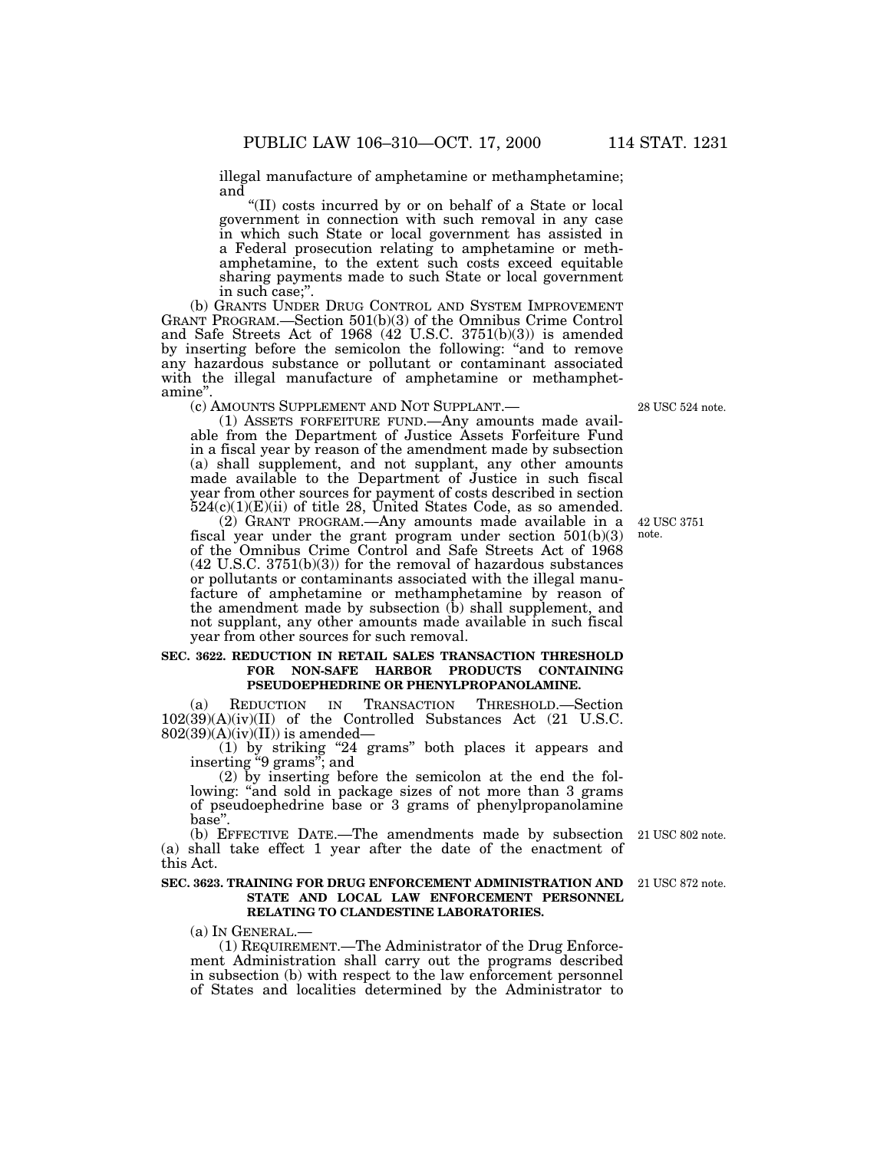illegal manufacture of amphetamine or methamphetamine; and

''(II) costs incurred by or on behalf of a State or local government in connection with such removal in any case in which such State or local government has assisted in a Federal prosecution relating to amphetamine or methamphetamine, to the extent such costs exceed equitable sharing payments made to such State or local government in such case;''.

(b) GRANTS UNDER DRUG CONTROL AND SYSTEM IMPROVEMENT GRANT PROGRAM.—Section 501(b)(3) of the Omnibus Crime Control and Safe Streets Act of 1968 (42 U.S.C. 3751(b)(3)) is amended by inserting before the semicolon the following: ''and to remove any hazardous substance or pollutant or contaminant associated with the illegal manufacture of amphetamine or methamphetamine".<br>
(c) AMOUNTS SUPPLEMENT AND NOT SUPPLANT.—

(1) ASSETS FORFEITURE FUND.—Any amounts made available from the Department of Justice Assets Forfeiture Fund in a fiscal year by reason of the amendment made by subsection (a) shall supplement, and not supplant, any other amounts made available to the Department of Justice in such fiscal year from other sources for payment of costs described in section  $524(c)(1)(E)(ii)$  of title 28, United States Code, as so amended.

(2) GRANT PROGRAM.—Any amounts made available in a fiscal year under the grant program under section 501(b)(3) of the Omnibus Crime Control and Safe Streets Act of 1968 (42 U.S.C. 3751(b)(3)) for the removal of hazardous substances or pollutants or contaminants associated with the illegal manufacture of amphetamine or methamphetamine by reason of the amendment made by subsection (b) shall supplement, and not supplant, any other amounts made available in such fiscal year from other sources for such removal.

#### **SEC. 3622. REDUCTION IN RETAIL SALES TRANSACTION THRESHOLD FOR NON-SAFE HARBOR PRODUCTS CONTAINING PSEUDOEPHEDRINE OR PHENYLPROPANOLAMINE.**

(a) REDUCTION IN TRANSACTION THRESHOLD.—Section 102(39)(A)(iv)(II) of the Controlled Substances Act (21 U.S.C.  $802(39)(A)(iv)(II))$  is amended—

(1) by striking ''24 grams'' both places it appears and inserting ''9 grams''; and

(2) by inserting before the semicolon at the end the following: "and sold in package sizes of not more than 3 grams of pseudoephedrine base or 3 grams of phenylpropanolamine base''.

(b) EFFECTIVE DATE.—The amendments made by subsection (a) shall take effect 1 year after the date of the enactment of this Act.

#### **SEC. 3623. TRAINING FOR DRUG ENFORCEMENT ADMINISTRATION AND** 21 USC 872 note. **STATE AND LOCAL LAW ENFORCEMENT PERSONNEL RELATING TO CLANDESTINE LABORATORIES.**

(a) IN GENERAL.—

(1) REQUIREMENT.—The Administrator of the Drug Enforcement Administration shall carry out the programs described in subsection (b) with respect to the law enforcement personnel of States and localities determined by the Administrator to

28 USC 524 note.

42 USC 3751 note.

21 USC 802 note.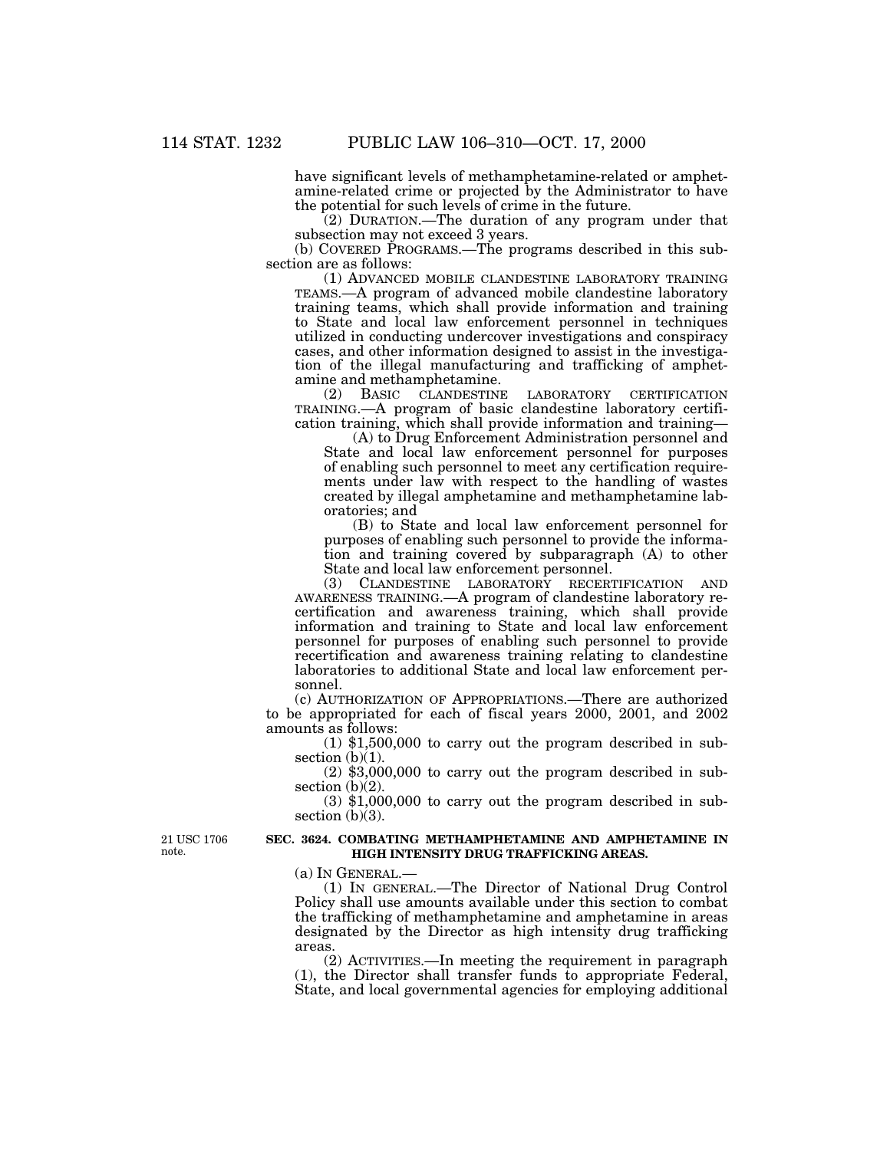have significant levels of methamphetamine-related or amphetamine-related crime or projected by the Administrator to have the potential for such levels of crime in the future.

(2) DURATION.—The duration of any program under that subsection may not exceed 3 years.

(b) COVERED PROGRAMS.—The programs described in this subsection are as follows:

(1) ADVANCED MOBILE CLANDESTINE LABORATORY TRAINING TEAMS.—A program of advanced mobile clandestine laboratory training teams, which shall provide information and training to State and local law enforcement personnel in techniques utilized in conducting undercover investigations and conspiracy cases, and other information designed to assist in the investigation of the illegal manufacturing and trafficking of amphetamine and methamphetamine.

(2) BASIC CLANDESTINE LABORATORY CERTIFICATION TRAINING.—A program of basic clandestine laboratory certification training, which shall provide information and training—

(A) to Drug Enforcement Administration personnel and State and local law enforcement personnel for purposes of enabling such personnel to meet any certification requirements under law with respect to the handling of wastes created by illegal amphetamine and methamphetamine laboratories; and

(B) to State and local law enforcement personnel for purposes of enabling such personnel to provide the information and training covered by subparagraph (A) to other State and local law enforcement personnel.

(3) CLANDESTINE LABORATORY RECERTIFICATION AND AWARENESS TRAINING.—A program of clandestine laboratory recertification and awareness training, which shall provide information and training to State and local law enforcement personnel for purposes of enabling such personnel to provide recertification and awareness training relating to clandestine laboratories to additional State and local law enforcement personnel.

(c) AUTHORIZATION OF APPROPRIATIONS.—There are authorized to be appropriated for each of fiscal years 2000, 2001, and 2002 amounts as follows:

(1) \$1,500,000 to carry out the program described in subsection  $(b)(1)$ .

(2) \$3,000,000 to carry out the program described in subsection (b)(2).

(3) \$1,000,000 to carry out the program described in subsection  $(b)(3)$ .

21 USC 1706 note.

#### **SEC. 3624. COMBATING METHAMPHETAMINE AND AMPHETAMINE IN HIGH INTENSITY DRUG TRAFFICKING AREAS.**

(a) IN GENERAL.—

(1) IN GENERAL.—The Director of National Drug Control Policy shall use amounts available under this section to combat the trafficking of methamphetamine and amphetamine in areas designated by the Director as high intensity drug trafficking areas.

(2) ACTIVITIES.—In meeting the requirement in paragraph (1), the Director shall transfer funds to appropriate Federal, State, and local governmental agencies for employing additional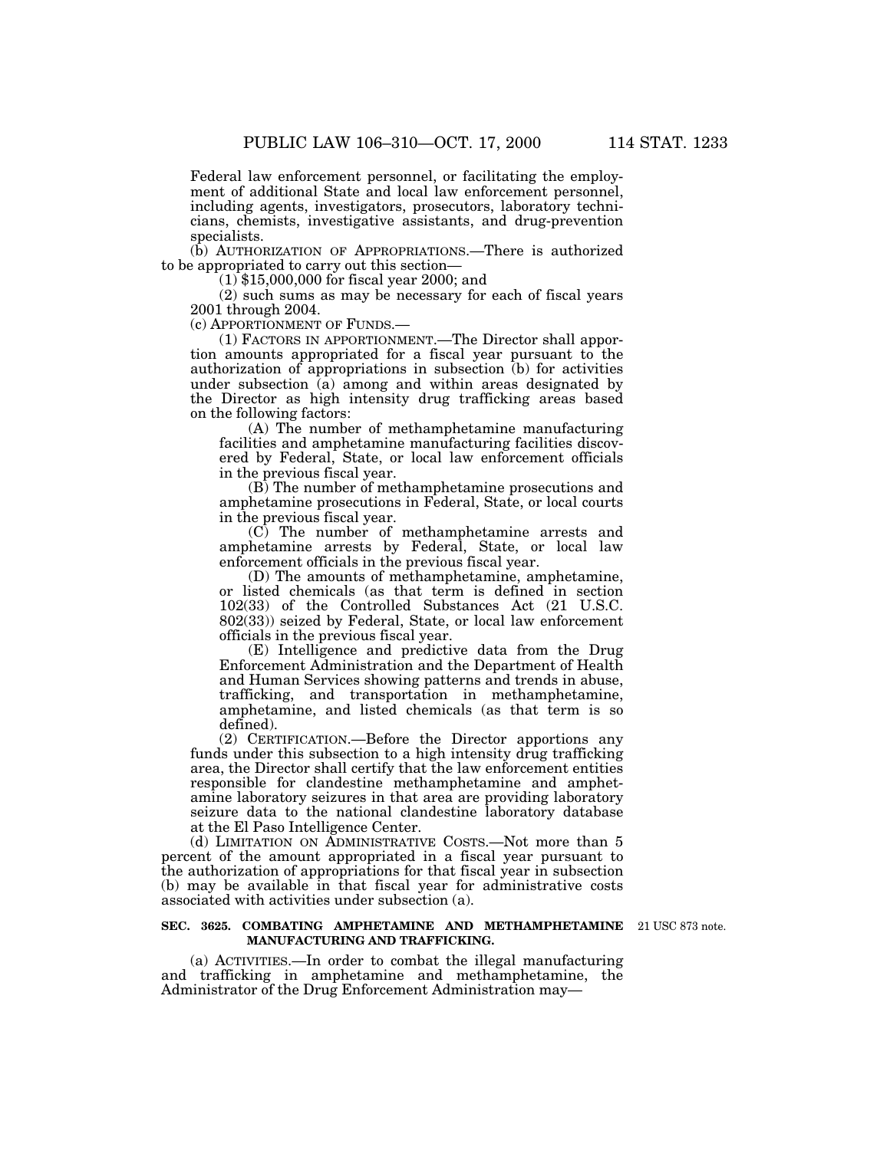Federal law enforcement personnel, or facilitating the employment of additional State and local law enforcement personnel, including agents, investigators, prosecutors, laboratory technicians, chemists, investigative assistants, and drug-prevention specialists.

(b) AUTHORIZATION OF APPROPRIATIONS.—There is authorized to be appropriated to carry out this section—

(1) \$15,000,000 for fiscal year 2000; and

(2) such sums as may be necessary for each of fiscal years 2001 through 2004.

(c) APPORTIONMENT OF FUNDS.—

(1) FACTORS IN APPORTIONMENT.—The Director shall apportion amounts appropriated for a fiscal year pursuant to the authorization of appropriations in subsection (b) for activities under subsection  $\overline{a}$  among and within areas designated by the Director as high intensity drug trafficking areas based on the following factors:

(A) The number of methamphetamine manufacturing facilities and amphetamine manufacturing facilities discovered by Federal, State, or local law enforcement officials in the previous fiscal year.

(B) The number of methamphetamine prosecutions and amphetamine prosecutions in Federal, State, or local courts in the previous fiscal year.

(C) The number of methamphetamine arrests and amphetamine arrests by Federal, State, or local law enforcement officials in the previous fiscal year.

(D) The amounts of methamphetamine, amphetamine, or listed chemicals (as that term is defined in section 102(33) of the Controlled Substances Act (21 U.S.C. 802(33)) seized by Federal, State, or local law enforcement officials in the previous fiscal year.

(E) Intelligence and predictive data from the Drug Enforcement Administration and the Department of Health and Human Services showing patterns and trends in abuse, trafficking, and transportation in methamphetamine, amphetamine, and listed chemicals (as that term is so defined).

(2) CERTIFICATION.—Before the Director apportions any funds under this subsection to a high intensity drug trafficking area, the Director shall certify that the law enforcement entities responsible for clandestine methamphetamine and amphetamine laboratory seizures in that area are providing laboratory seizure data to the national clandestine laboratory database at the El Paso Intelligence Center.

(d) LIMITATION ON ADMINISTRATIVE COSTS.—Not more than 5 percent of the amount appropriated in a fiscal year pursuant to the authorization of appropriations for that fiscal year in subsection (b) may be available in that fiscal year for administrative costs associated with activities under subsection (a).

#### **SEC. 3625. COMBATING AMPHETAMINE AND METHAMPHETAMINE** 21 USC 873 note. **MANUFACTURING AND TRAFFICKING.**

(a) ACTIVITIES.—In order to combat the illegal manufacturing and trafficking in amphetamine and methamphetamine, the Administrator of the Drug Enforcement Administration may—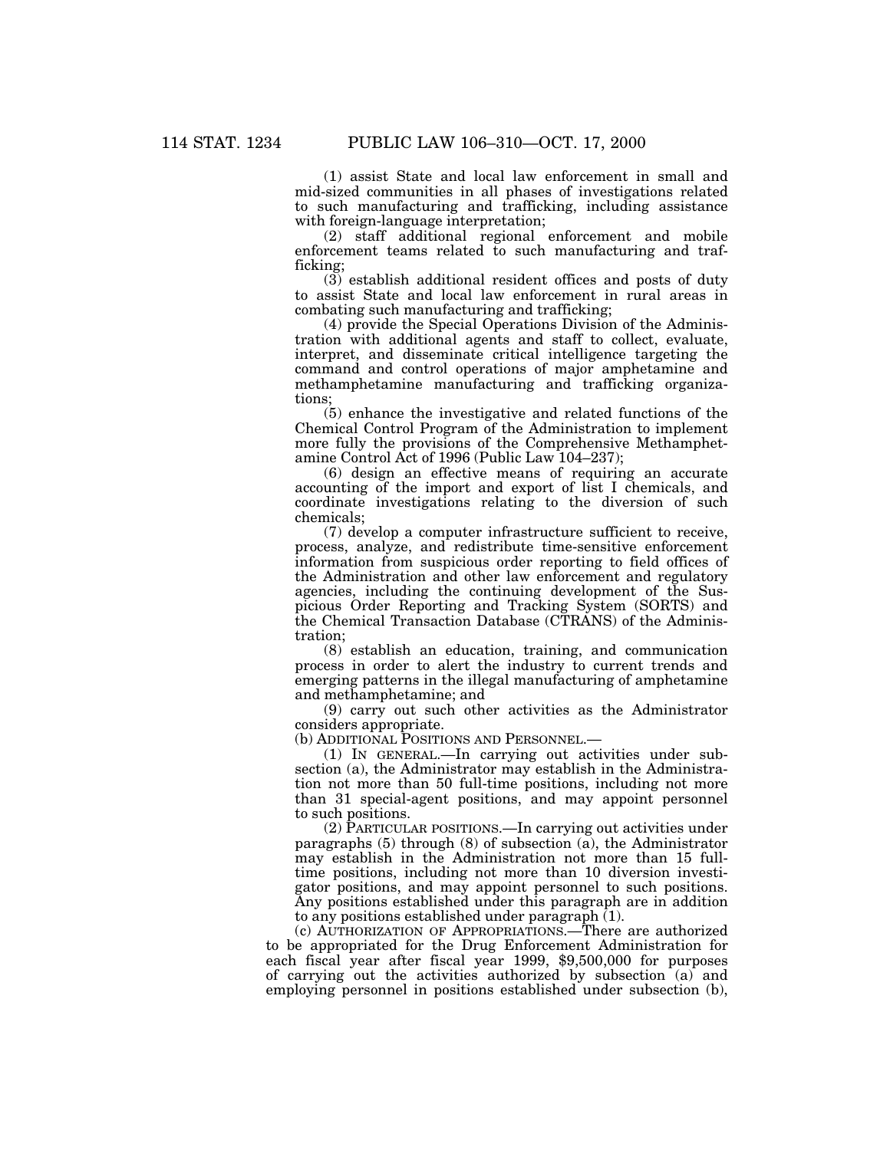(1) assist State and local law enforcement in small and mid-sized communities in all phases of investigations related to such manufacturing and trafficking, including assistance with foreign-language interpretation;

(2) staff additional regional enforcement and mobile enforcement teams related to such manufacturing and trafficking;

(3) establish additional resident offices and posts of duty to assist State and local law enforcement in rural areas in combating such manufacturing and trafficking;

(4) provide the Special Operations Division of the Administration with additional agents and staff to collect, evaluate, interpret, and disseminate critical intelligence targeting the command and control operations of major amphetamine and methamphetamine manufacturing and trafficking organizations;

(5) enhance the investigative and related functions of the Chemical Control Program of the Administration to implement more fully the provisions of the Comprehensive Methamphetamine Control Act of 1996 (Public Law 104–237);

(6) design an effective means of requiring an accurate accounting of the import and export of list I chemicals, and coordinate investigations relating to the diversion of such chemicals;

(7) develop a computer infrastructure sufficient to receive, process, analyze, and redistribute time-sensitive enforcement information from suspicious order reporting to field offices of the Administration and other law enforcement and regulatory agencies, including the continuing development of the Suspicious Order Reporting and Tracking System (SORTS) and the Chemical Transaction Database (CTRANS) of the Administration;

(8) establish an education, training, and communication process in order to alert the industry to current trends and emerging patterns in the illegal manufacturing of amphetamine and methamphetamine; and

(9) carry out such other activities as the Administrator considers appropriate.

(b) ADDITIONAL POSITIONS AND PERSONNEL.—

(1) IN GENERAL.—In carrying out activities under subsection (a), the Administrator may establish in the Administration not more than 50 full-time positions, including not more than 31 special-agent positions, and may appoint personnel to such positions.

(2) PARTICULAR POSITIONS.—In carrying out activities under paragraphs (5) through (8) of subsection (a), the Administrator may establish in the Administration not more than 15 fulltime positions, including not more than 10 diversion investigator positions, and may appoint personnel to such positions. Any positions established under this paragraph are in addition to any positions established under paragraph  $(1)$ .

(c) AUTHORIZATION OF APPROPRIATIONS.—There are authorized to be appropriated for the Drug Enforcement Administration for each fiscal year after fiscal year 1999, \$9,500,000 for purposes of carrying out the activities authorized by subsection (a) and employing personnel in positions established under subsection (b),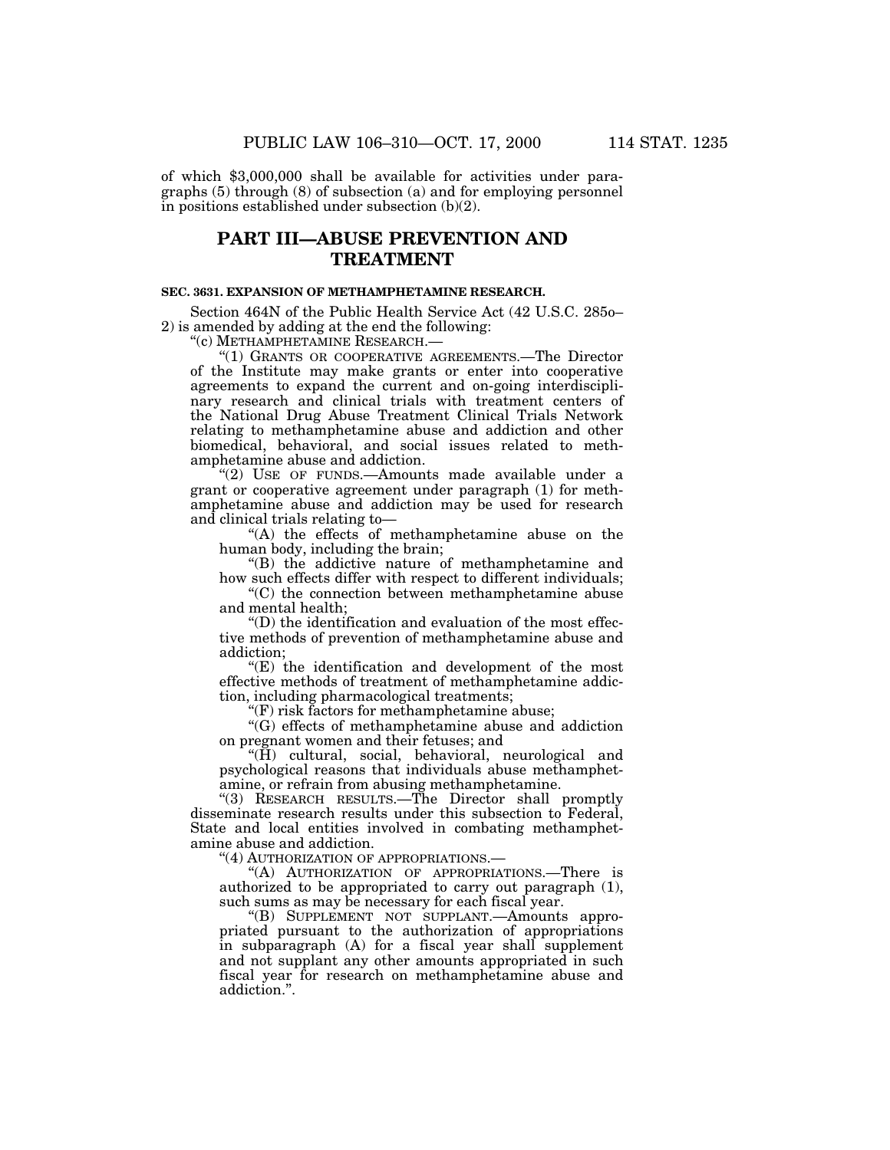of which \$3,000,000 shall be available for activities under paragraphs (5) through (8) of subsection (a) and for employing personnel in positions established under subsection (b)(2).

## **PART III—ABUSE PREVENTION AND TREATMENT**

## **SEC. 3631. EXPANSION OF METHAMPHETAMINE RESEARCH.**

Section 464N of the Public Health Service Act (42 U.S.C. 285o– 2) is amended by adding at the end the following:

''(c) METHAMPHETAMINE RESEARCH.—

''(1) GRANTS OR COOPERATIVE AGREEMENTS.—The Director of the Institute may make grants or enter into cooperative agreements to expand the current and on-going interdisciplinary research and clinical trials with treatment centers of the National Drug Abuse Treatment Clinical Trials Network relating to methamphetamine abuse and addiction and other biomedical, behavioral, and social issues related to methamphetamine abuse and addiction.

"(2) USE OF FUNDS.—Amounts made available under a grant or cooperative agreement under paragraph (1) for methamphetamine abuse and addiction may be used for research and clinical trials relating to—

''(A) the effects of methamphetamine abuse on the human body, including the brain;

''(B) the addictive nature of methamphetamine and how such effects differ with respect to different individuals;

''(C) the connection between methamphetamine abuse and mental health;

''(D) the identification and evaluation of the most effective methods of prevention of methamphetamine abuse and addiction;

 $(E)$  the identification and development of the most effective methods of treatment of methamphetamine addiction, including pharmacological treatments;

''(F) risk factors for methamphetamine abuse;

''(G) effects of methamphetamine abuse and addiction on pregnant women and their fetuses; and

''(H) cultural, social, behavioral, neurological and psychological reasons that individuals abuse methamphetamine, or refrain from abusing methamphetamine.

''(3) RESEARCH RESULTS.—The Director shall promptly disseminate research results under this subsection to Federal, State and local entities involved in combating methamphetamine abuse and addiction.

''(4) AUTHORIZATION OF APPROPRIATIONS.—

''(A) AUTHORIZATION OF APPROPRIATIONS.—There is authorized to be appropriated to carry out paragraph (1), such sums as may be necessary for each fiscal year.

''(B) SUPPLEMENT NOT SUPPLANT.—Amounts appropriated pursuant to the authorization of appropriations in subparagraph (A) for a fiscal year shall supplement and not supplant any other amounts appropriated in such fiscal year for research on methamphetamine abuse and addiction.''.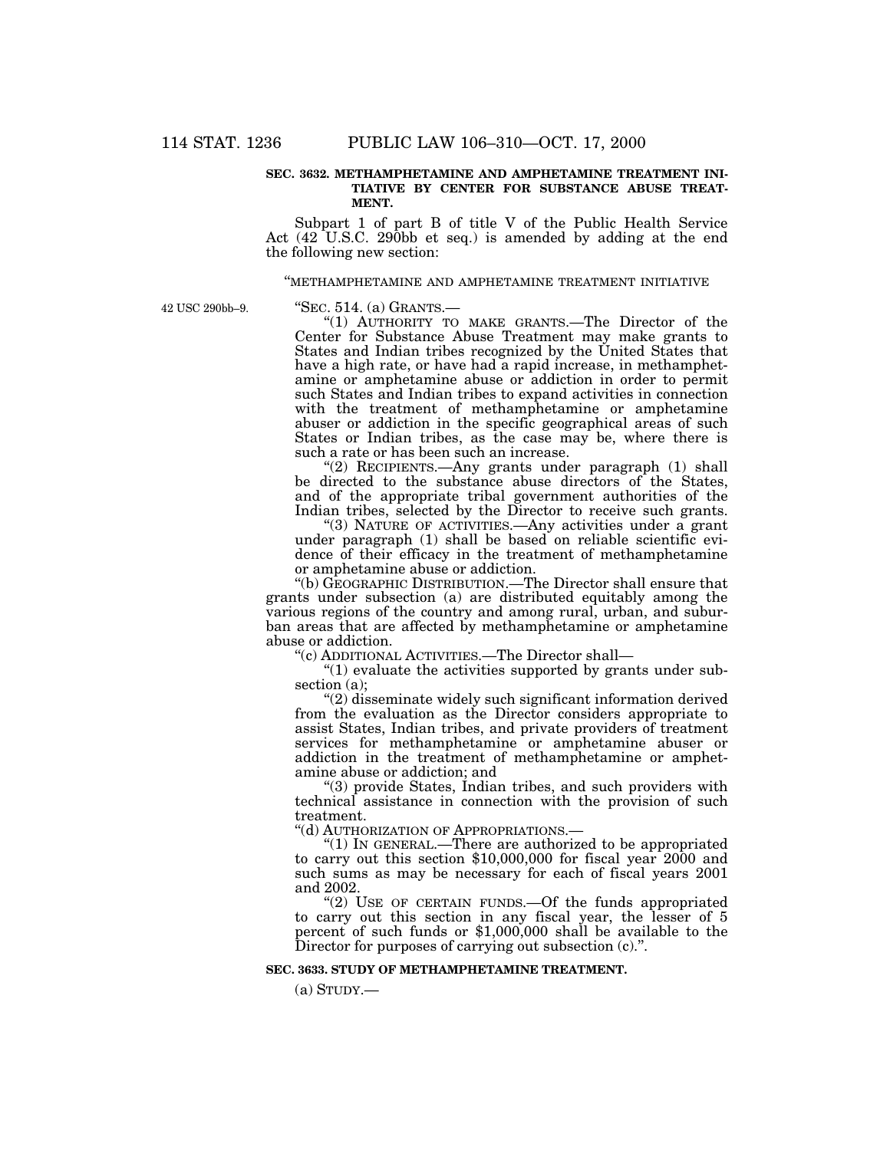### **SEC. 3632. METHAMPHETAMINE AND AMPHETAMINE TREATMENT INI-TIATIVE BY CENTER FOR SUBSTANCE ABUSE TREAT-MENT.**

Subpart 1 of part B of title V of the Public Health Service Act (42 U.S.C. 290bb et seq.) is amended by adding at the end the following new section:

#### ''METHAMPHETAMINE AND AMPHETAMINE TREATMENT INITIATIVE

42 USC 290bb–9.

''SEC. 514. (a) GRANTS.—

"(1) AUTHORITY TO MAKE GRANTS.—The Director of the Center for Substance Abuse Treatment may make grants to States and Indian tribes recognized by the United States that have a high rate, or have had a rapid increase, in methamphetamine or amphetamine abuse or addiction in order to permit such States and Indian tribes to expand activities in connection with the treatment of methamphetamine or amphetamine abuser or addiction in the specific geographical areas of such States or Indian tribes, as the case may be, where there is such a rate or has been such an increase.

 $(2)$  RECIPIENTS.—Any grants under paragraph  $(1)$  shall be directed to the substance abuse directors of the States, and of the appropriate tribal government authorities of the Indian tribes, selected by the Director to receive such grants.

"(3) NATURE OF ACTIVITIES.—Any activities under a grant under paragraph (1) shall be based on reliable scientific evidence of their efficacy in the treatment of methamphetamine or amphetamine abuse or addiction.

"(b) GEOGRAPHIC DISTRIBUTION.—The Director shall ensure that grants under subsection (a) are distributed equitably among the various regions of the country and among rural, urban, and suburban areas that are affected by methamphetamine or amphetamine abuse or addiction.

''(c) ADDITIONAL ACTIVITIES.—The Director shall—

" $(1)$  evaluate the activities supported by grants under subsection (a);

''(2) disseminate widely such significant information derived from the evaluation as the Director considers appropriate to assist States, Indian tribes, and private providers of treatment services for methamphetamine or amphetamine abuser or addiction in the treatment of methamphetamine or amphetamine abuse or addiction; and

''(3) provide States, Indian tribes, and such providers with technical assistance in connection with the provision of such treatment.

''(d) AUTHORIZATION OF APPROPRIATIONS.—

" $(1)$  In GENERAL.—There are authorized to be appropriated to carry out this section \$10,000,000 for fiscal year 2000 and such sums as may be necessary for each of fiscal years 2001 and 2002.

"(2) USE OF CERTAIN FUNDS.—Of the funds appropriated to carry out this section in any fiscal year, the lesser of 5 percent of such funds or \$1,000,000 shall be available to the Director for purposes of carrying out subsection  $(c)$ .".

### **SEC. 3633. STUDY OF METHAMPHETAMINE TREATMENT.**

 $(a)$  STUDY.—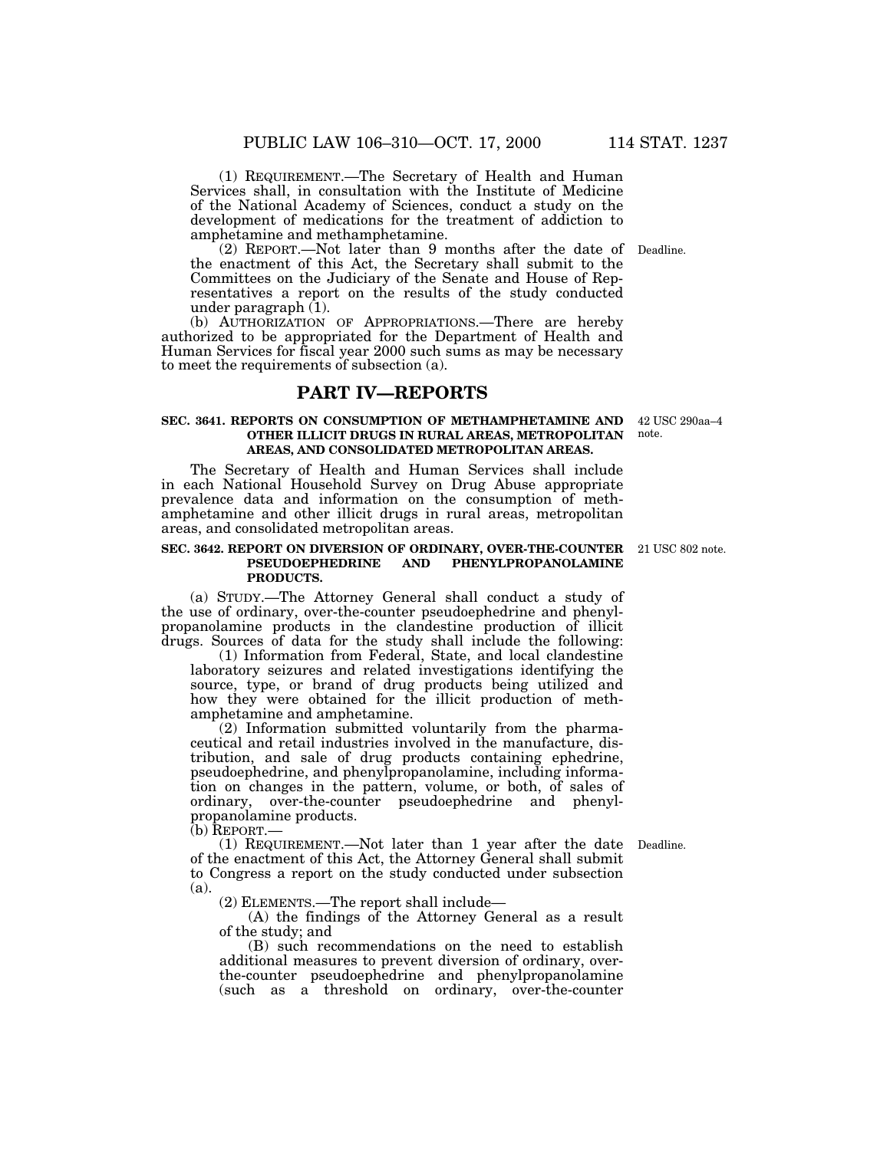(1) REQUIREMENT.—The Secretary of Health and Human Services shall, in consultation with the Institute of Medicine of the National Academy of Sciences, conduct a study on the development of medications for the treatment of addiction to amphetamine and methamphetamine.

(2) REPORT.—Not later than 9 months after the date of Deadline. the enactment of this Act, the Secretary shall submit to the Committees on the Judiciary of the Senate and House of Representatives a report on the results of the study conducted under paragraph (1).

(b) AUTHORIZATION OF APPROPRIATIONS.—There are hereby authorized to be appropriated for the Department of Health and Human Services for fiscal year 2000 such sums as may be necessary to meet the requirements of subsection (a).

## **PART IV—REPORTS**

### **SEC. 3641. REPORTS ON CONSUMPTION OF METHAMPHETAMINE AND OTHER ILLICIT DRUGS IN RURAL AREAS, METROPOLITAN AREAS, AND CONSOLIDATED METROPOLITAN AREAS.**

The Secretary of Health and Human Services shall include in each National Household Survey on Drug Abuse appropriate prevalence data and information on the consumption of methamphetamine and other illicit drugs in rural areas, metropolitan areas, and consolidated metropolitan areas.

#### **SEC. 3642. REPORT ON DIVERSION OF ORDINARY, OVER-THE-COUNTER** 21 USC 802 note. **PSEUDOEPHEDRINE AND PHENYLPROPANOLAMINE PRODUCTS.**

(a) STUDY.—The Attorney General shall conduct a study of the use of ordinary, over-the-counter pseudoephedrine and phenylpropanolamine products in the clandestine production of illicit drugs. Sources of data for the study shall include the following:

(1) Information from Federal, State, and local clandestine laboratory seizures and related investigations identifying the source, type, or brand of drug products being utilized and how they were obtained for the illicit production of methamphetamine and amphetamine.

(2) Information submitted voluntarily from the pharmaceutical and retail industries involved in the manufacture, distribution, and sale of drug products containing ephedrine, pseudoephedrine, and phenylpropanolamine, including information on changes in the pattern, volume, or both, of sales of ordinary, over-the-counter pseudoephedrine and phenylpropanolamine products.

(b) REPORT.—

(1) REQUIREMENT.—Not later than 1 year after the date of the enactment of this Act, the Attorney General shall submit to Congress a report on the study conducted under subsection (a).

(2) ELEMENTS.—The report shall include—

(A) the findings of the Attorney General as a result of the study; and

(B) such recommendations on the need to establish additional measures to prevent diversion of ordinary, overthe-counter pseudoephedrine and phenylpropanolamine (such as a threshold on ordinary, over-the-counter

42 USC 290aa–4

note.

Deadline.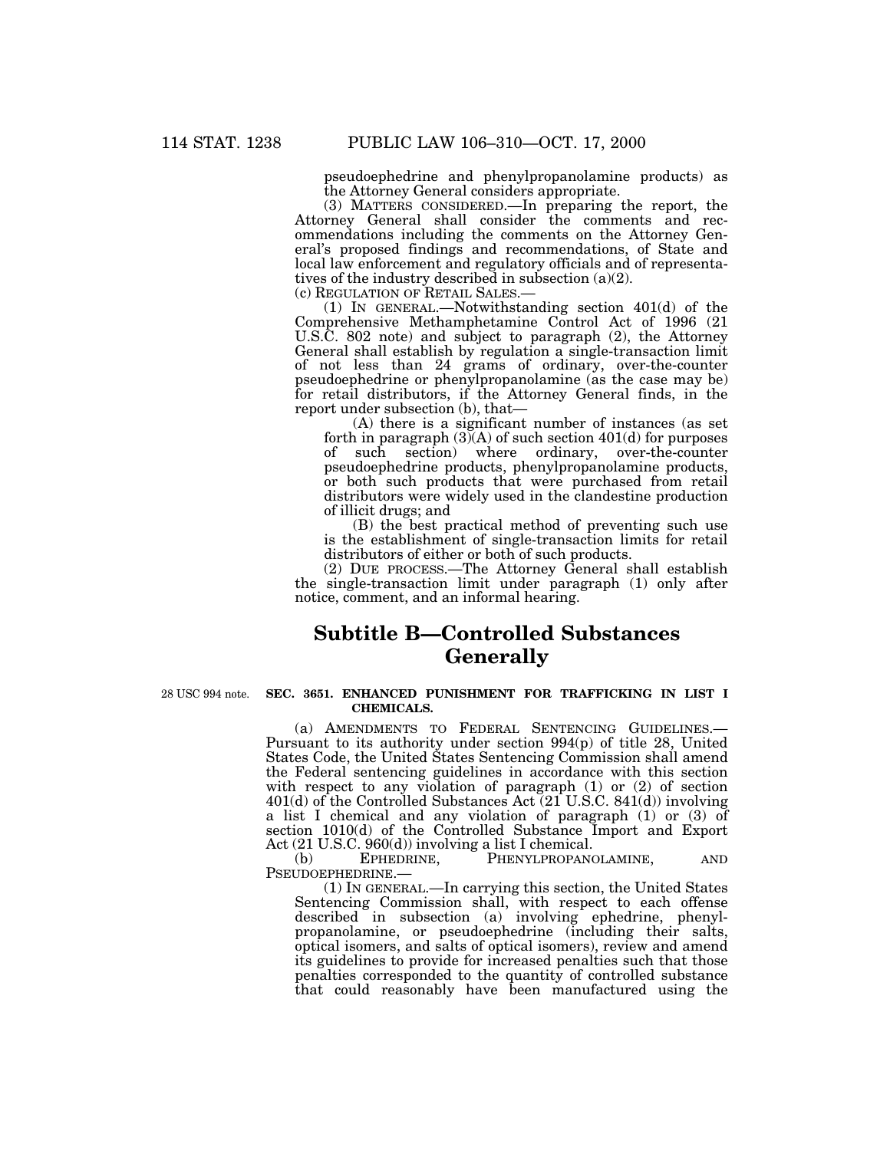pseudoephedrine and phenylpropanolamine products) as the Attorney General considers appropriate.

(3) MATTERS CONSIDERED.—In preparing the report, the Attorney General shall consider the comments and recommendations including the comments on the Attorney General's proposed findings and recommendations, of State and local law enforcement and regulatory officials and of representatives of the industry described in subsection (a)(2).

(c) REGULATION OF RETAIL SALES.—

(1) IN GENERAL.—Notwithstanding section 401(d) of the Comprehensive Methamphetamine Control Act of 1996 (21 U.S.C. 802 note) and subject to paragraph (2), the Attorney General shall establish by regulation a single-transaction limit of not less than 24 grams of ordinary, over-the-counter pseudoephedrine or phenylpropanolamine (as the case may be) for retail distributors, if the Attorney General finds, in the report under subsection (b), that—

(A) there is a significant number of instances (as set forth in paragraph  $(3)(A)$  of such section  $401(d)$  for purposes of such section) where ordinary, over-the-counter pseudoephedrine products, phenylpropanolamine products, or both such products that were purchased from retail distributors were widely used in the clandestine production of illicit drugs; and

(B) the best practical method of preventing such use is the establishment of single-transaction limits for retail distributors of either or both of such products.

(2) DUE PROCESS.—The Attorney General shall establish the single-transaction limit under paragraph (1) only after notice, comment, and an informal hearing.

# **Subtitle B—Controlled Substances Generally**

28 USC 994 note.

### **SEC. 3651. ENHANCED PUNISHMENT FOR TRAFFICKING IN LIST I CHEMICALS.**

(a) AMENDMENTS TO FEDERAL SENTENCING GUIDELINES.— Pursuant to its authority under section 994(p) of title 28, United States Code, the United States Sentencing Commission shall amend the Federal sentencing guidelines in accordance with this section with respect to any violation of paragraph (1) or (2) of section 401(d) of the Controlled Substances Act (21 U.S.C. 841(d)) involving a list I chemical and any violation of paragraph (1) or (3) of section 1010(d) of the Controlled Substance Import and Export Act (21 U.S.C. 960(d)) involving a list I chemical.<br>(b) EPHEDRINE. PHENYLPROPANG

(b) EPHEDRINE, PHENYLPROPANOLAMINE, AND PSEUDOEPHEDRINE.—

(1) IN GENERAL.—In carrying this section, the United States Sentencing Commission shall, with respect to each offense described in subsection (a) involving ephedrine, phenylpropanolamine, or pseudoephedrine (including their salts, optical isomers, and salts of optical isomers), review and amend its guidelines to provide for increased penalties such that those penalties corresponded to the quantity of controlled substance that could reasonably have been manufactured using the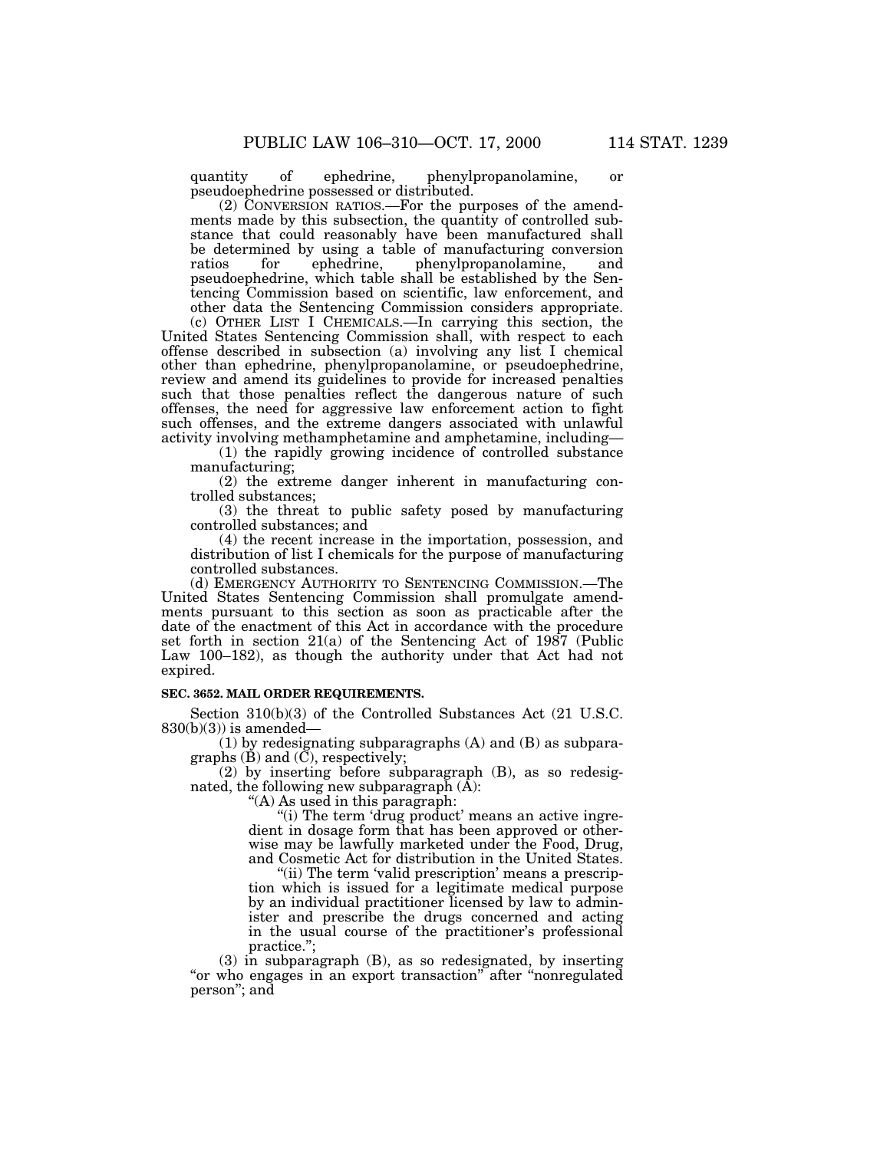quantity of ephedrine, phenylpropanolamine, or pseudoephedrine possessed or distributed.

(2) CONVERSION RATIOS.—For the purposes of the amendments made by this subsection, the quantity of controlled substance that could reasonably have been manufactured shall be determined by using a table of manufacturing conversion ratios for ephedrine, phenylpropanolamine, and ratios for ephedrine, phenylpropanolamine, and pseudoephedrine, which table shall be established by the Sentencing Commission based on scientific, law enforcement, and other data the Sentencing Commission considers appropriate.

(c) OTHER LIST I CHEMICALS.—In carrying this section, the United States Sentencing Commission shall, with respect to each offense described in subsection (a) involving any list I chemical other than ephedrine, phenylpropanolamine, or pseudoephedrine, review and amend its guidelines to provide for increased penalties such that those penalties reflect the dangerous nature of such offenses, the need for aggressive law enforcement action to fight such offenses, and the extreme dangers associated with unlawful activity involving methamphetamine and amphetamine, including—

(1) the rapidly growing incidence of controlled substance manufacturing;

(2) the extreme danger inherent in manufacturing controlled substances;

(3) the threat to public safety posed by manufacturing controlled substances; and

(4) the recent increase in the importation, possession, and distribution of list I chemicals for the purpose of manufacturing controlled substances.

(d) EMERGENCY AUTHORITY TO SENTENCING COMMISSION.—The United States Sentencing Commission shall promulgate amendments pursuant to this section as soon as practicable after the date of the enactment of this Act in accordance with the procedure set forth in section 21(a) of the Sentencing Act of 1987 (Public Law 100–182), as though the authority under that Act had not expired.

## **SEC. 3652. MAIL ORDER REQUIREMENTS.**

Section 310(b)(3) of the Controlled Substances Act (21 U.S.C.  $830(b)(3)$ ) is amended—

(1) by redesignating subparagraphs (A) and (B) as subparagraphs  $(B)$  and  $(\overline{C})$ , respectively;

(2) by inserting before subparagraph (B), as so redesignated, the following new subparagraph  $(A)$ :

''(A) As used in this paragraph:

"(i) The term 'drug product' means an active ingredient in dosage form that has been approved or otherwise may be lawfully marketed under the Food, Drug, and Cosmetic Act for distribution in the United States.

"(ii) The term 'valid prescription' means a prescription which is issued for a legitimate medical purpose by an individual practitioner licensed by law to administer and prescribe the drugs concerned and acting in the usual course of the practitioner's professional practice.'';

(3) in subparagraph (B), as so redesignated, by inserting "or who engages in an export transaction" after "nonregulated person''; and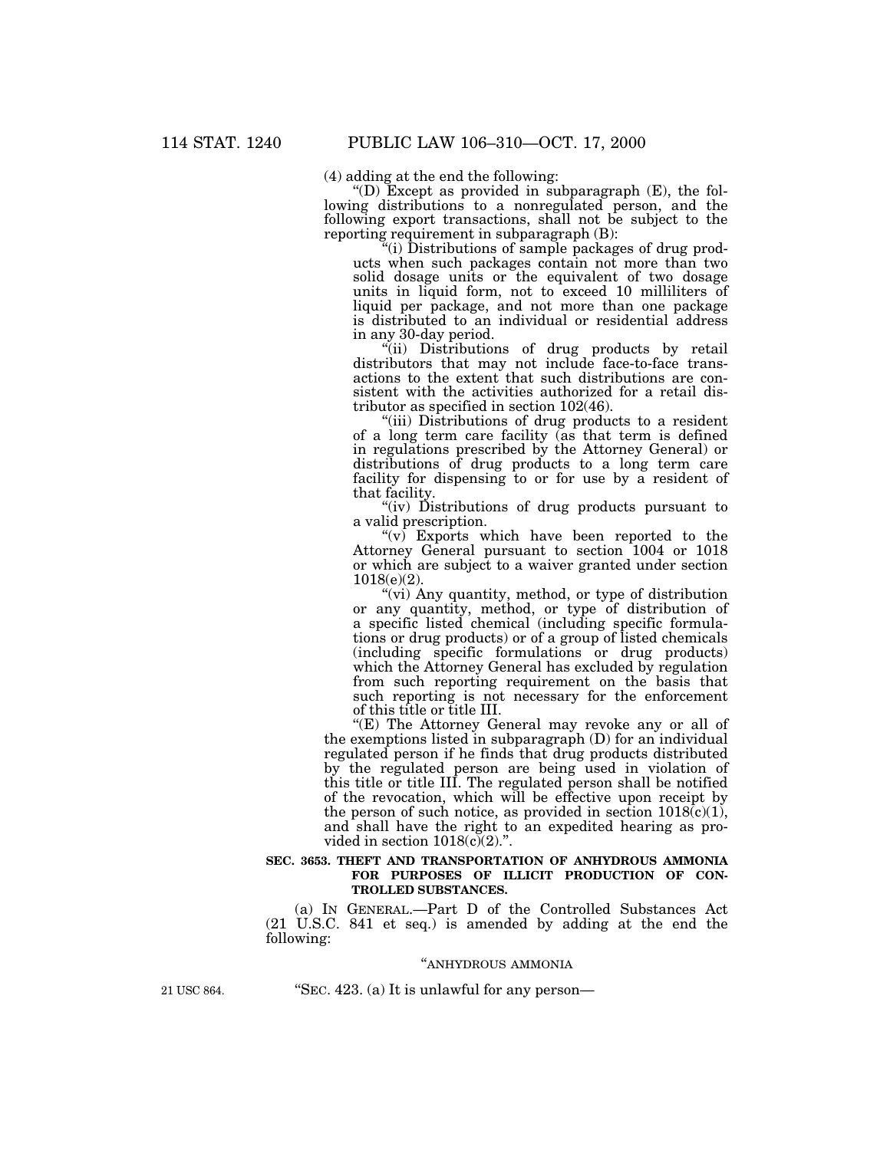(4) adding at the end the following:

 $f(D)$  Except as provided in subparagraph  $(E)$ , the following distributions to a nonregulated person, and the following export transactions, shall not be subject to the reporting requirement in subparagraph (B):

''(i) Distributions of sample packages of drug products when such packages contain not more than two solid dosage units or the equivalent of two dosage units in liquid form, not to exceed 10 milliliters of liquid per package, and not more than one package is distributed to an individual or residential address in any 30-day period.

"(ii) Distributions of drug products by retail distributors that may not include face-to-face transactions to the extent that such distributions are consistent with the activities authorized for a retail distributor as specified in section 102(46).

(iii) Distributions of drug products to a resident of a long term care facility (as that term is defined in regulations prescribed by the Attorney General) or distributions of drug products to a long term care facility for dispensing to or for use by a resident of that facility.

''(iv) Distributions of drug products pursuant to a valid prescription.

" $(v)$  Exports which have been reported to the Attorney General pursuant to section 1004 or 1018 or which are subject to a waiver granted under section  $1018(e)(2)$ .

''(vi) Any quantity, method, or type of distribution or any quantity, method, or type of distribution of a specific listed chemical (including specific formulations or drug products) or of a group of listed chemicals (including specific formulations or drug products) which the Attorney General has excluded by regulation from such reporting requirement on the basis that such reporting is not necessary for the enforcement of this title or title III.

"(E) The Attorney General may revoke any or all of the exemptions listed in subparagraph (D) for an individual regulated person if he finds that drug products distributed by the regulated person are being used in violation of this title or title III. The regulated person shall be notified of the revocation, which will be effective upon receipt by the person of such notice, as provided in section  $1018(c)(1)$ , and shall have the right to an expedited hearing as provided in section  $1018(c)(2)$ .".

#### **SEC. 3653. THEFT AND TRANSPORTATION OF ANHYDROUS AMMONIA FOR PURPOSES OF ILLICIT PRODUCTION OF CON-TROLLED SUBSTANCES.**

(a) IN GENERAL.—Part D of the Controlled Substances Act (21 U.S.C. 841 et seq.) is amended by adding at the end the following:

#### ''ANHYDROUS AMMONIA

21 USC 864. ''SEC. 423. (a) It is unlawful for any person—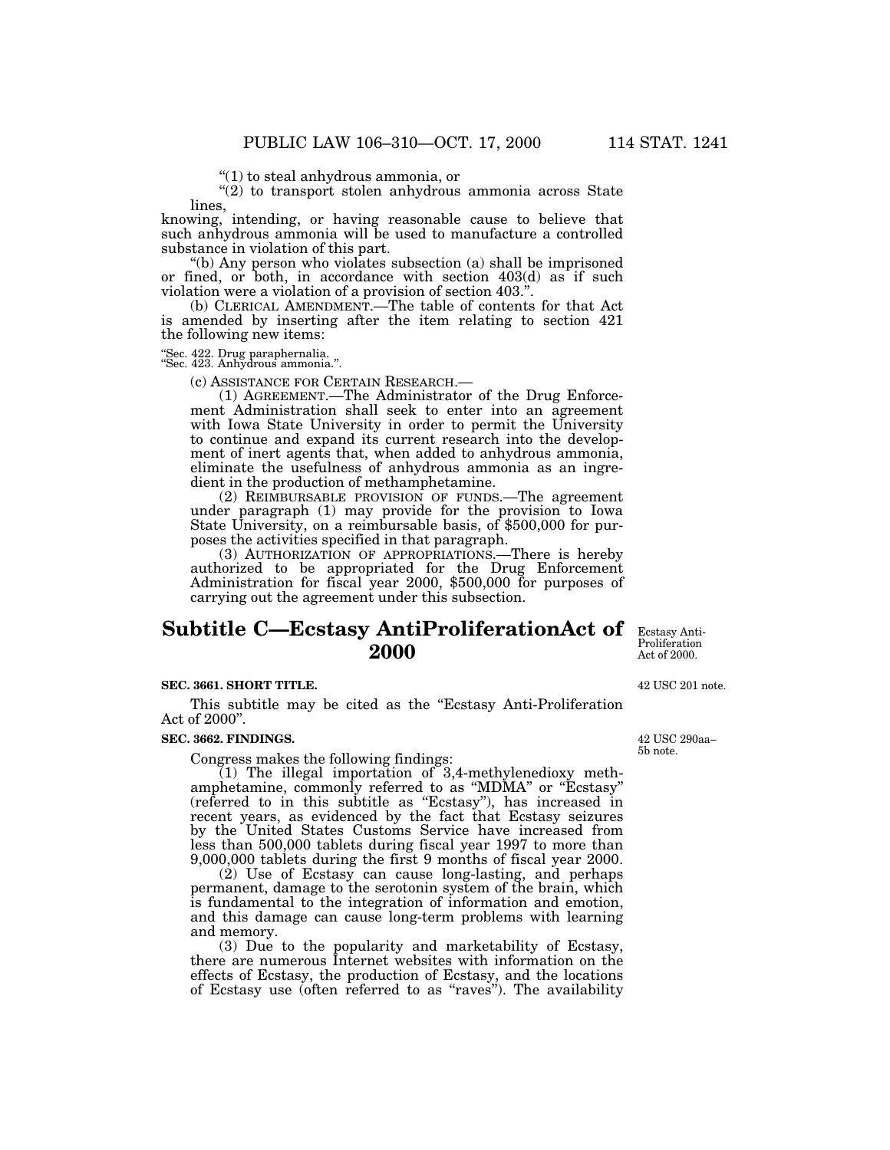''(1) to steal anhydrous ammonia, or

 $''(2)$  to transport stolen anhydrous ammonia across State lines,

knowing, intending, or having reasonable cause to believe that such anhydrous ammonia will be used to manufacture a controlled substance in violation of this part.

''(b) Any person who violates subsection (a) shall be imprisoned or fined, or both, in accordance with section  $403(d)$  as if such violation were a violation of a provision of section 403.''.

(b) CLERICAL AMENDMENT.—The table of contents for that Act is amended by inserting after the item relating to section 421 the following new items:

''Sec. 422. Drug paraphernalia. ''Sec. 423. Anhydrous ammonia.''.

(c) ASSISTANCE FOR CERTAIN RESEARCH.— (1) AGREEMENT.—The Administrator of the Drug Enforcement Administration shall seek to enter into an agreement with Iowa State University in order to permit the University to continue and expand its current research into the development of inert agents that, when added to anhydrous ammonia, eliminate the usefulness of anhydrous ammonia as an ingredient in the production of methamphetamine.

(2) REIMBURSABLE PROVISION OF FUNDS.—The agreement under paragraph (1) may provide for the provision to Iowa State University, on a reimbursable basis, of \$500,000 for purposes the activities specified in that paragraph.

(3) AUTHORIZATION OF APPROPRIATIONS.—There is hereby authorized to be appropriated for the Drug Enforcement Administration for fiscal year 2000, \$500,000 for purposes of carrying out the agreement under this subsection.

# **Subtitle C—Ecstasy AntiProliferationAct of** Ecstasy Anti-**2000**

## Proliferation Act of 2000.

#### **SEC. 3661. SHORT TITLE.**

This subtitle may be cited as the "Ecstasy Anti-Proliferation" Act of 2000''.

#### **SEC. 3662. FINDINGS.**

Congress makes the following findings:

 $(1)$  The illegal importation of 3,4-methylenedioxy methamphetamine, commonly referred to as ''MDMA'' or ''Ecstasy'' (referred to in this subtitle as ''Ecstasy''), has increased in recent years, as evidenced by the fact that Ecstasy seizures by the United States Customs Service have increased from less than 500,000 tablets during fiscal year 1997 to more than 9,000,000 tablets during the first 9 months of fiscal year 2000.

(2) Use of Ecstasy can cause long-lasting, and perhaps permanent, damage to the serotonin system of the brain, which is fundamental to the integration of information and emotion, and this damage can cause long-term problems with learning and memory.

(3) Due to the popularity and marketability of Ecstasy, there are numerous Internet websites with information on the effects of Ecstasy, the production of Ecstasy, and the locations of Ecstasy use (often referred to as ''raves''). The availability

42 USC 201 note.

42 USC 290aa– 5b note.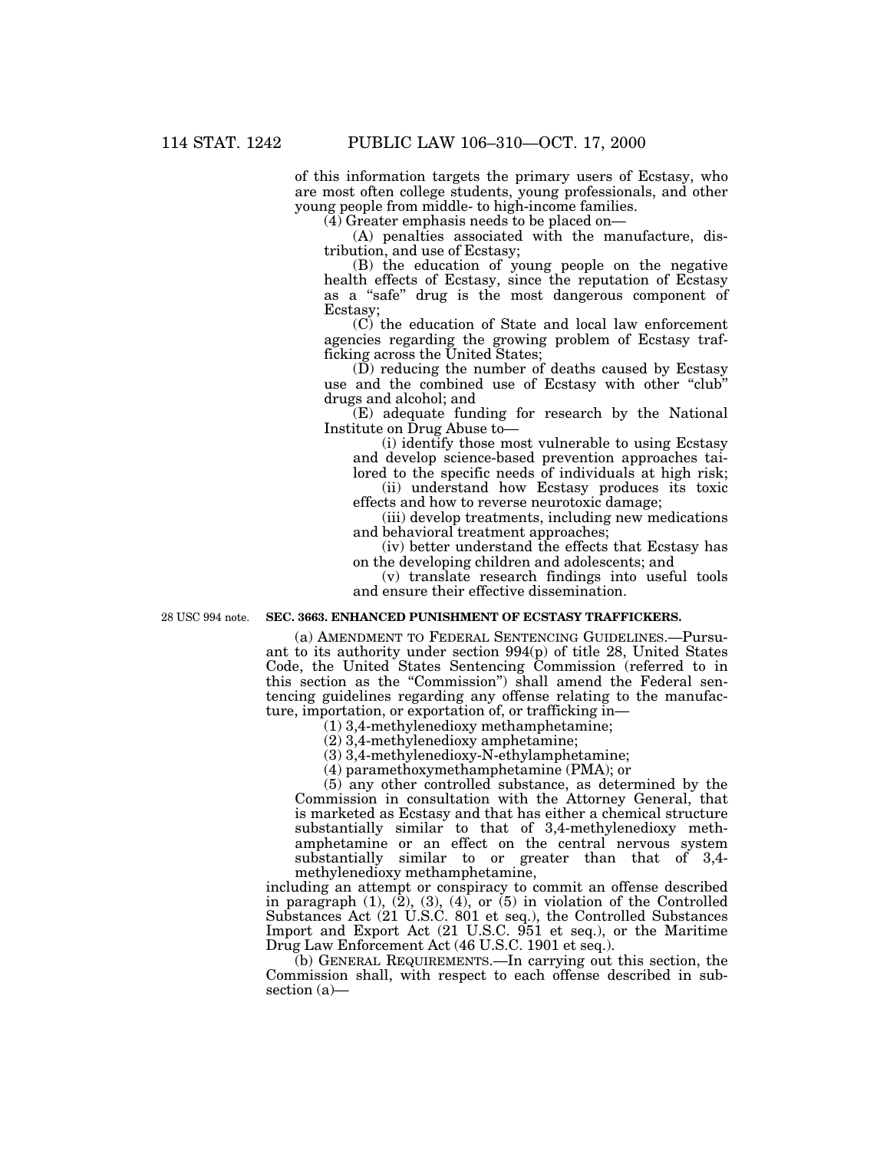of this information targets the primary users of Ecstasy, who are most often college students, young professionals, and other young people from middle- to high-income families.

(4) Greater emphasis needs to be placed on—

(A) penalties associated with the manufacture, distribution, and use of Ecstasy;

(B) the education of young people on the negative health effects of Ecstasy, since the reputation of Ecstasy as a ''safe'' drug is the most dangerous component of Ecstasy;

(C) the education of State and local law enforcement agencies regarding the growing problem of Ecstasy trafficking across the United States;

(D) reducing the number of deaths caused by Ecstasy use and the combined use of Ecstasy with other "club" drugs and alcohol; and

(E) adequate funding for research by the National Institute on Drug Abuse to—

(i) identify those most vulnerable to using Ecstasy and develop science-based prevention approaches tailored to the specific needs of individuals at high risk;

(ii) understand how Ecstasy produces its toxic effects and how to reverse neurotoxic damage;

(iii) develop treatments, including new medications and behavioral treatment approaches;

(iv) better understand the effects that Ecstasy has on the developing children and adolescents; and

(v) translate research findings into useful tools and ensure their effective dissemination.

28 USC 994 note.

## **SEC. 3663. ENHANCED PUNISHMENT OF ECSTASY TRAFFICKERS.**

(a) AMENDMENT TO FEDERAL SENTENCING GUIDELINES.—Pursuant to its authority under section 994(p) of title 28, United States Code, the United States Sentencing Commission (referred to in this section as the "Commission") shall amend the Federal sentencing guidelines regarding any offense relating to the manufacture, importation, or exportation of, or trafficking in—

(1) 3,4-methylenedioxy methamphetamine;

(2) 3,4-methylenedioxy amphetamine;

(3) 3,4-methylenedioxy-N-ethylamphetamine;

(4) paramethoxymethamphetamine (PMA); or

(5) any other controlled substance, as determined by the Commission in consultation with the Attorney General, that is marketed as Ecstasy and that has either a chemical structure substantially similar to that of 3,4-methylenedioxy methamphetamine or an effect on the central nervous system substantially similar to or greater than that of 3,4 methylenedioxy methamphetamine,

including an attempt or conspiracy to commit an offense described in paragraph (1), (2), (3), (4), or (5) in violation of the Controlled Substances Act (21 U.S.C. 801 et seq.), the Controlled Substances Import and Export Act (21 U.S.C. 951 et seq.), or the Maritime Drug Law Enforcement Act (46 U.S.C. 1901 et seq.).

(b) GENERAL REQUIREMENTS.—In carrying out this section, the Commission shall, with respect to each offense described in subsection (a)—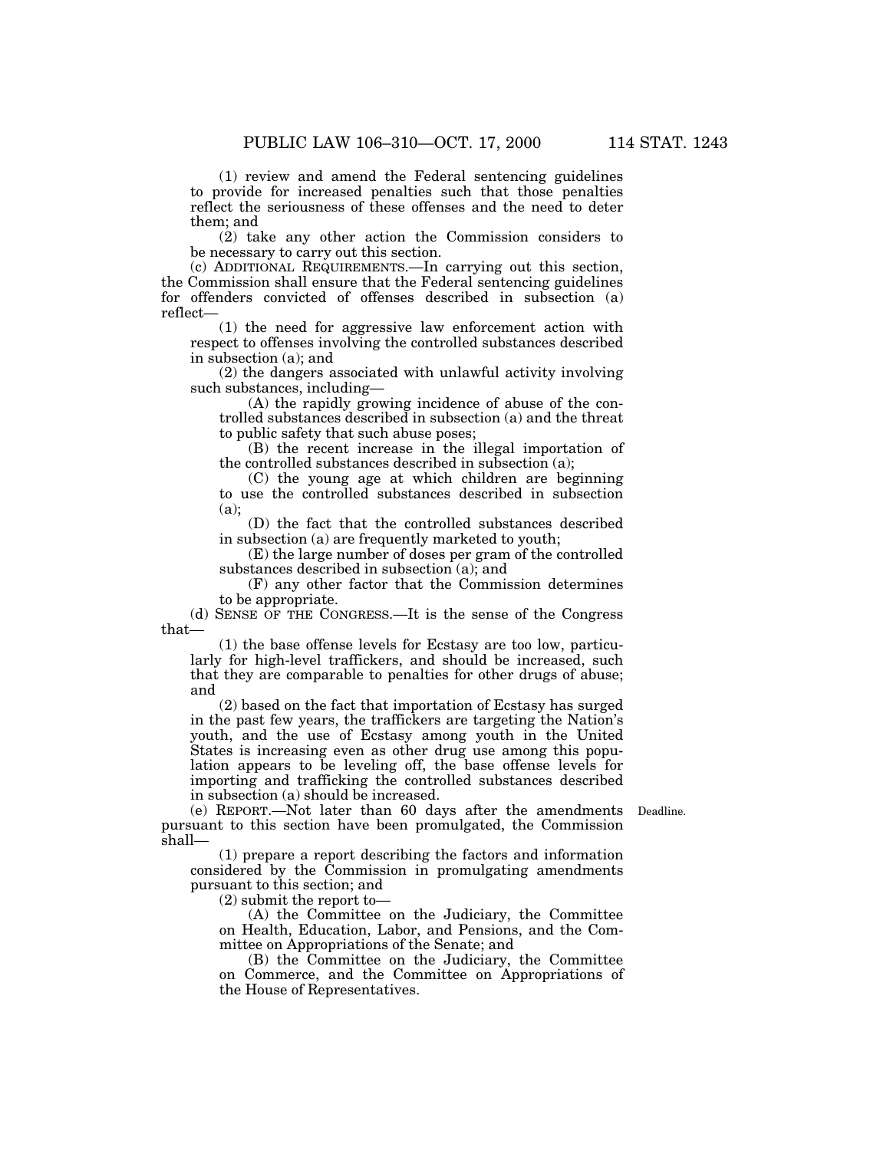(1) review and amend the Federal sentencing guidelines to provide for increased penalties such that those penalties reflect the seriousness of these offenses and the need to deter them; and

(2) take any other action the Commission considers to be necessary to carry out this section.

(c) ADDITIONAL REQUIREMENTS.—In carrying out this section, the Commission shall ensure that the Federal sentencing guidelines for offenders convicted of offenses described in subsection (a) reflect—

(1) the need for aggressive law enforcement action with respect to offenses involving the controlled substances described in subsection (a); and

(2) the dangers associated with unlawful activity involving such substances, including—

(A) the rapidly growing incidence of abuse of the controlled substances described in subsection (a) and the threat to public safety that such abuse poses;

(B) the recent increase in the illegal importation of the controlled substances described in subsection (a);

(C) the young age at which children are beginning to use the controlled substances described in subsection (a);

(D) the fact that the controlled substances described in subsection (a) are frequently marketed to youth;

(E) the large number of doses per gram of the controlled substances described in subsection (a); and

(F) any other factor that the Commission determines to be appropriate.

(d) SENSE OF THE CONGRESS.—It is the sense of the Congress that—

(1) the base offense levels for Ecstasy are too low, particularly for high-level traffickers, and should be increased, such that they are comparable to penalties for other drugs of abuse; and

(2) based on the fact that importation of Ecstasy has surged in the past few years, the traffickers are targeting the Nation's youth, and the use of Ecstasy among youth in the United States is increasing even as other drug use among this population appears to be leveling off, the base offense levels for importing and trafficking the controlled substances described in subsection (a) should be increased.

Deadline.

(e) REPORT.—Not later than 60 days after the amendments pursuant to this section have been promulgated, the Commission shall—

(1) prepare a report describing the factors and information considered by the Commission in promulgating amendments pursuant to this section; and

(2) submit the report to—

(A) the Committee on the Judiciary, the Committee on Health, Education, Labor, and Pensions, and the Committee on Appropriations of the Senate; and

(B) the Committee on the Judiciary, the Committee on Commerce, and the Committee on Appropriations of the House of Representatives.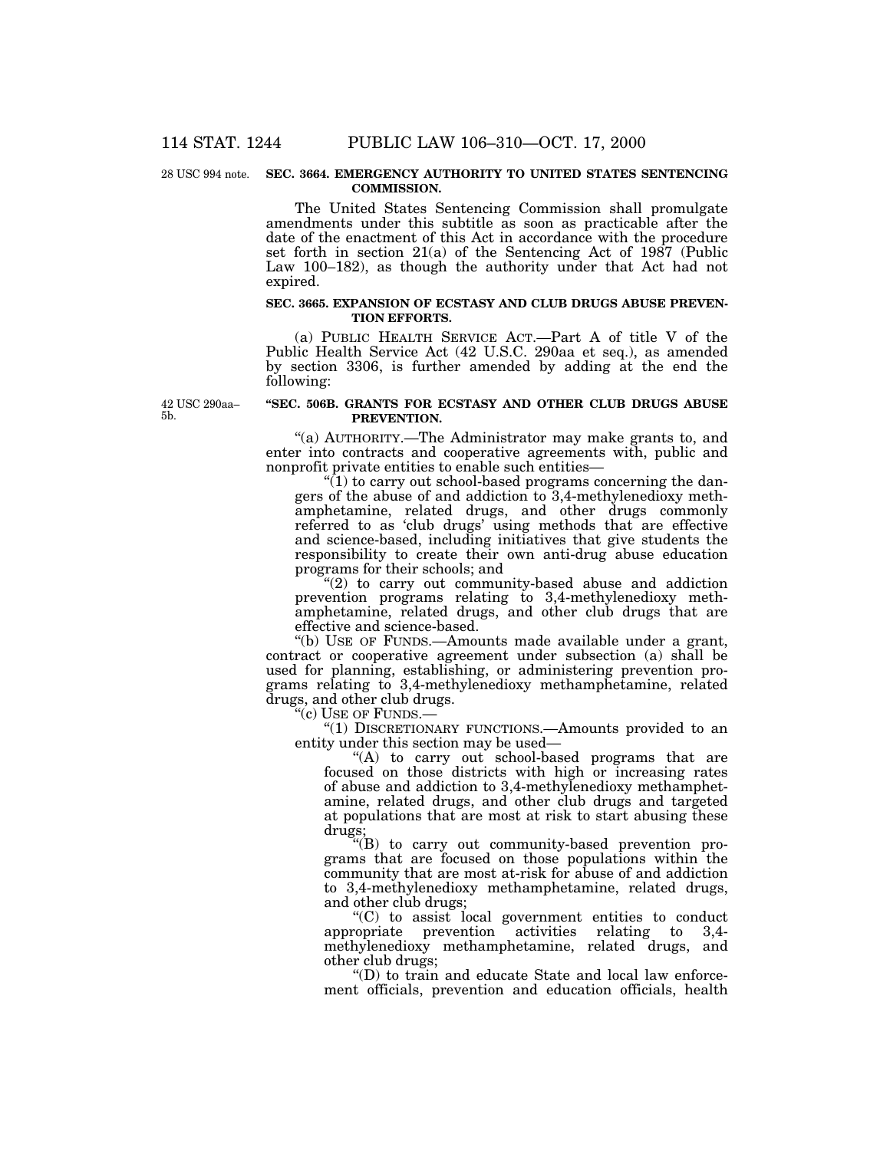#### 28 USC 994 note. SEC. 3664. EMERGENCY AUTHORITY TO UNITED STATES SENTENCING **COMMISSION.**

The United States Sentencing Commission shall promulgate amendments under this subtitle as soon as practicable after the date of the enactment of this Act in accordance with the procedure set forth in section 21(a) of the Sentencing Act of 1987 (Public Law 100–182), as though the authority under that Act had not expired.

#### **SEC. 3665. EXPANSION OF ECSTASY AND CLUB DRUGS ABUSE PREVEN-TION EFFORTS.**

(a) PUBLIC HEALTH SERVICE ACT.—Part A of title V of the Public Health Service Act (42 U.S.C. 290aa et seq.), as amended by section 3306, is further amended by adding at the end the following:

42 USC 290aa– 5b.

#### **''SEC. 506B. GRANTS FOR ECSTASY AND OTHER CLUB DRUGS ABUSE PREVENTION.**

''(a) AUTHORITY.—The Administrator may make grants to, and enter into contracts and cooperative agreements with, public and nonprofit private entities to enable such entities—

 $(1)$  to carry out school-based programs concerning the dangers of the abuse of and addiction to 3,4-methylenedioxy methamphetamine, related drugs, and other drugs commonly referred to as 'club drugs' using methods that are effective and science-based, including initiatives that give students the responsibility to create their own anti-drug abuse education programs for their schools; and

 $(2)$  to carry out community-based abuse and addiction prevention programs relating to 3,4-methylenedioxy methamphetamine, related drugs, and other club drugs that are effective and science-based.

''(b) USE OF FUNDS.—Amounts made available under a grant, contract or cooperative agreement under subsection (a) shall be used for planning, establishing, or administering prevention programs relating to 3,4-methylenedioxy methamphetamine, related drugs, and other club drugs.

''(c) USE OF FUNDS.—

''(1) DISCRETIONARY FUNCTIONS.—Amounts provided to an entity under this section may be used—

"(A) to carry out school-based programs that are focused on those districts with high or increasing rates of abuse and addiction to 3,4-methylenedioxy methamphetamine, related drugs, and other club drugs and targeted at populations that are most at risk to start abusing these drugs;

''(B) to carry out community-based prevention programs that are focused on those populations within the community that are most at-risk for abuse of and addiction to 3,4-methylenedioxy methamphetamine, related drugs, and other club drugs;

''(C) to assist local government entities to conduct appropriate prevention activities relating to 3,4 methylenedioxy methamphetamine, related drugs, and other club drugs;

''(D) to train and educate State and local law enforcement officials, prevention and education officials, health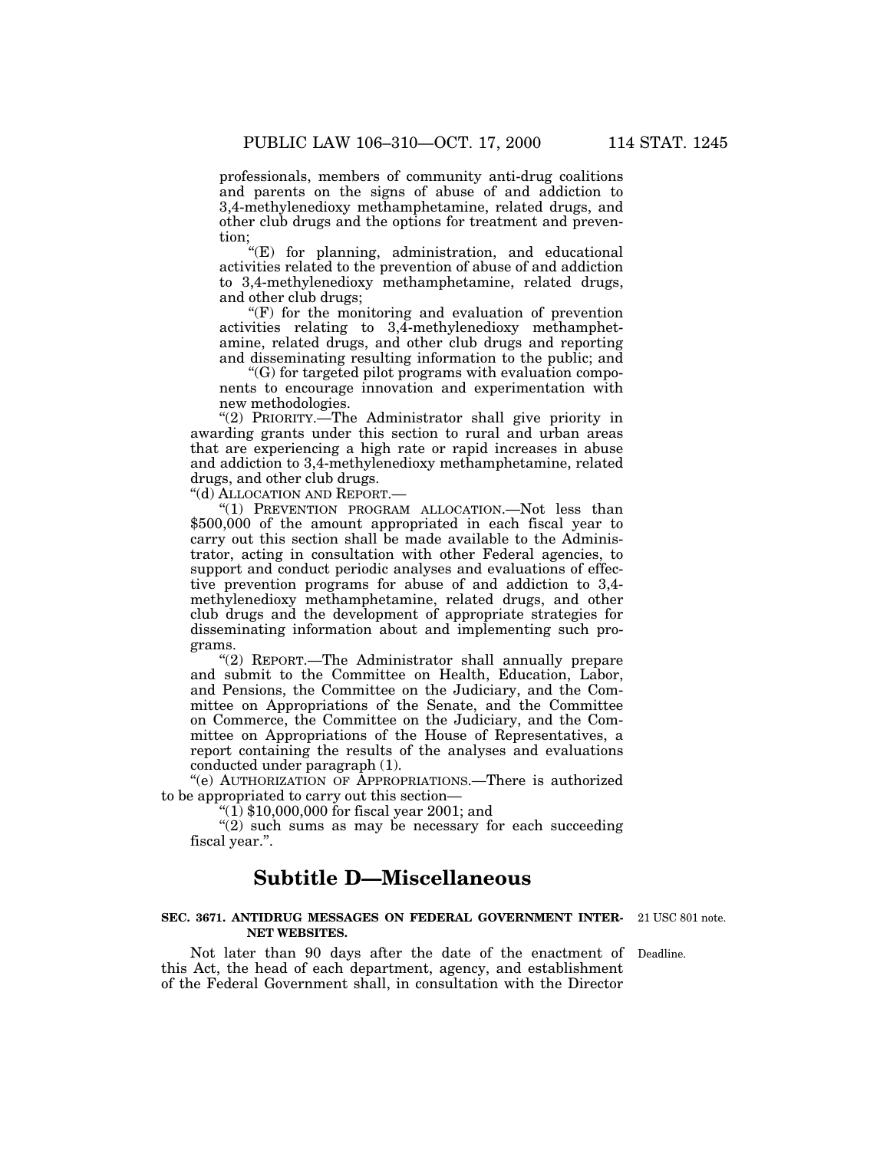professionals, members of community anti-drug coalitions and parents on the signs of abuse of and addiction to 3,4-methylenedioxy methamphetamine, related drugs, and other club drugs and the options for treatment and prevention;

''(E) for planning, administration, and educational activities related to the prevention of abuse of and addiction to 3,4-methylenedioxy methamphetamine, related drugs, and other club drugs;

 $(F)$  for the monitoring and evaluation of prevention activities relating to  $3,4$ -methylenedioxy methamphetamine, related drugs, and other club drugs and reporting and disseminating resulting information to the public; and

''(G) for targeted pilot programs with evaluation components to encourage innovation and experimentation with new methodologies.

"(2) PRIORITY.—The Administrator shall give priority in awarding grants under this section to rural and urban areas that are experiencing a high rate or rapid increases in abuse and addiction to 3,4-methylenedioxy methamphetamine, related drugs, and other club drugs.

''(d) ALLOCATION AND REPORT.—

"(1) PREVENTION PROGRAM ALLOCATION.—Not less than \$500,000 of the amount appropriated in each fiscal year to carry out this section shall be made available to the Administrator, acting in consultation with other Federal agencies, to support and conduct periodic analyses and evaluations of effective prevention programs for abuse of and addiction to 3,4 methylenedioxy methamphetamine, related drugs, and other club drugs and the development of appropriate strategies for disseminating information about and implementing such programs.

''(2) REPORT.—The Administrator shall annually prepare and submit to the Committee on Health, Education, Labor, and Pensions, the Committee on the Judiciary, and the Committee on Appropriations of the Senate, and the Committee on Commerce, the Committee on the Judiciary, and the Committee on Appropriations of the House of Representatives, a report containing the results of the analyses and evaluations conducted under paragraph (1).

''(e) AUTHORIZATION OF APPROPRIATIONS.—There is authorized to be appropriated to carry out this section—

''(1) \$10,000,000 for fiscal year 2001; and

"(2) such sums as may be necessary for each succeeding fiscal year.''.

## **Subtitle D—Miscellaneous**

## **SEC. 3671. ANTIDRUG MESSAGES ON FEDERAL GOVERNMENT INTER-**21 USC 801 note. **NET WEBSITES.**

Not later than 90 days after the date of the enactment of Deadline. this Act, the head of each department, agency, and establishment of the Federal Government shall, in consultation with the Director